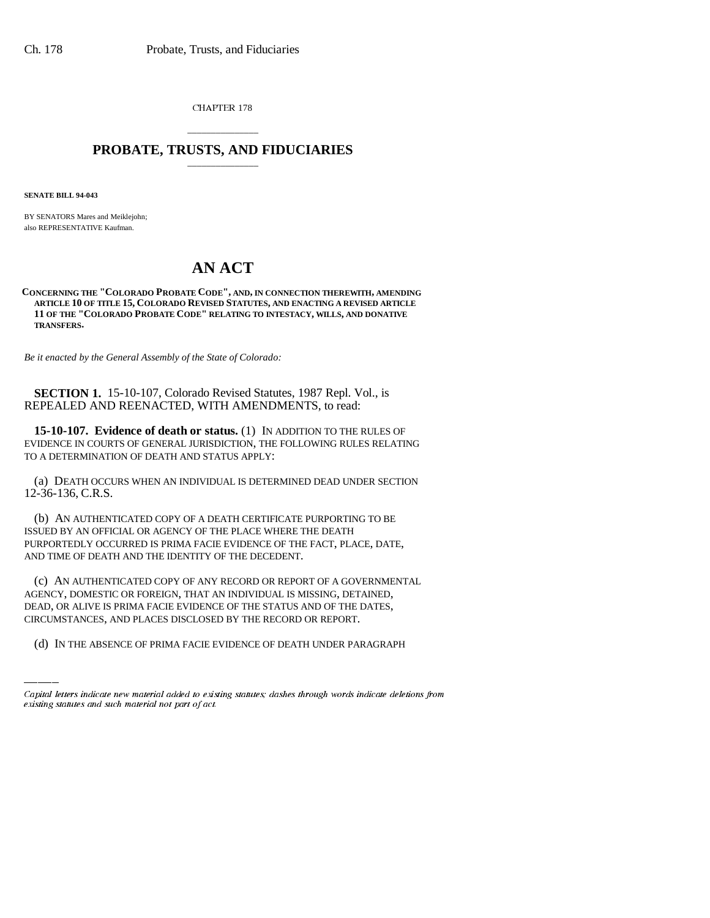CHAPTER 178

# \_\_\_\_\_\_\_\_\_\_\_\_\_\_\_ **PROBATE, TRUSTS, AND FIDUCIARIES** \_\_\_\_\_\_\_\_\_\_\_\_\_\_\_

**SENATE BILL 94-043**

BY SENATORS Mares and Meiklejohn; also REPRESENTATIVE Kaufman.

# **AN ACT**

**CONCERNING THE "COLORADO PROBATE CODE", AND, IN CONNECTION THEREWITH, AMENDING ARTICLE 10 OF TITLE 15, COLORADO REVISED STATUTES, AND ENACTING A REVISED ARTICLE 11 OF THE "COLORADO PROBATE CODE" RELATING TO INTESTACY, WILLS, AND DONATIVE TRANSFERS.**

*Be it enacted by the General Assembly of the State of Colorado:*

**SECTION 1.** 15-10-107, Colorado Revised Statutes, 1987 Repl. Vol., is REPEALED AND REENACTED, WITH AMENDMENTS, to read:

**15-10-107. Evidence of death or status.** (1) IN ADDITION TO THE RULES OF EVIDENCE IN COURTS OF GENERAL JURISDICTION, THE FOLLOWING RULES RELATING TO A DETERMINATION OF DEATH AND STATUS APPLY:

(a) DEATH OCCURS WHEN AN INDIVIDUAL IS DETERMINED DEAD UNDER SECTION 12-36-136, C.R.S.

(b) AN AUTHENTICATED COPY OF A DEATH CERTIFICATE PURPORTING TO BE ISSUED BY AN OFFICIAL OR AGENCY OF THE PLACE WHERE THE DEATH PURPORTEDLY OCCURRED IS PRIMA FACIE EVIDENCE OF THE FACT, PLACE, DATE, AND TIME OF DEATH AND THE IDENTITY OF THE DECEDENT.

AGENCY, DOMESTIC OR FOREIGN, THAT AN INDIVIDUAL IS MISSING, DETAINED, (c) AN AUTHENTICATED COPY OF ANY RECORD OR REPORT OF A GOVERNMENTAL DEAD, OR ALIVE IS PRIMA FACIE EVIDENCE OF THE STATUS AND OF THE DATES, CIRCUMSTANCES, AND PLACES DISCLOSED BY THE RECORD OR REPORT.

(d) IN THE ABSENCE OF PRIMA FACIE EVIDENCE OF DEATH UNDER PARAGRAPH

Capital letters indicate new material added to existing statutes; dashes through words indicate deletions from existing statutes and such material not part of act.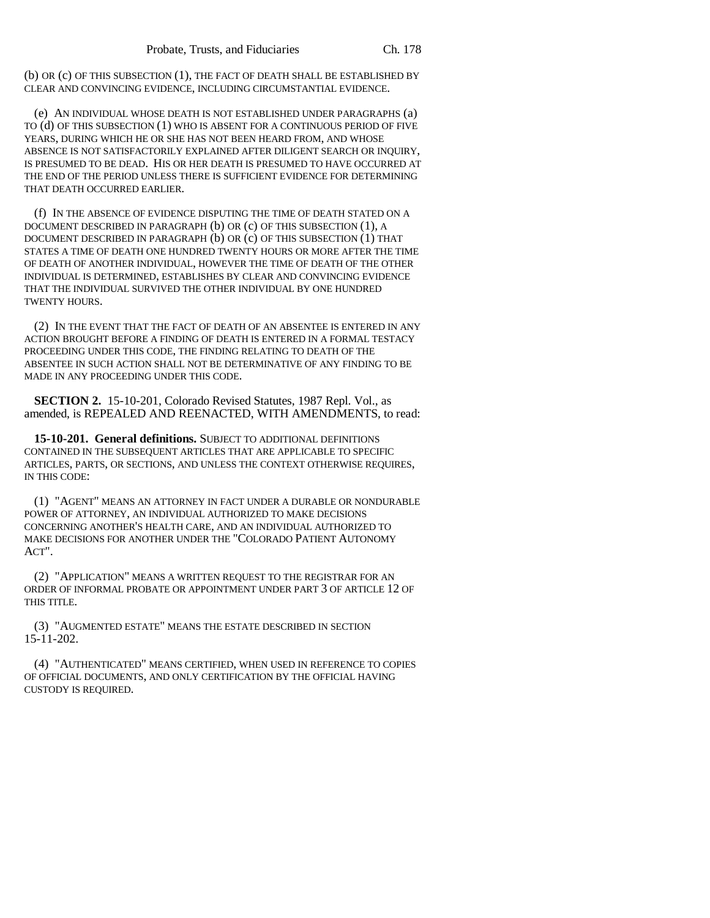(b) OR (c) OF THIS SUBSECTION (1), THE FACT OF DEATH SHALL BE ESTABLISHED BY CLEAR AND CONVINCING EVIDENCE, INCLUDING CIRCUMSTANTIAL EVIDENCE.

(e) AN INDIVIDUAL WHOSE DEATH IS NOT ESTABLISHED UNDER PARAGRAPHS (a) TO (d) OF THIS SUBSECTION (1) WHO IS ABSENT FOR A CONTINUOUS PERIOD OF FIVE YEARS, DURING WHICH HE OR SHE HAS NOT BEEN HEARD FROM, AND WHOSE ABSENCE IS NOT SATISFACTORILY EXPLAINED AFTER DILIGENT SEARCH OR INQUIRY, IS PRESUMED TO BE DEAD. HIS OR HER DEATH IS PRESUMED TO HAVE OCCURRED AT THE END OF THE PERIOD UNLESS THERE IS SUFFICIENT EVIDENCE FOR DETERMINING THAT DEATH OCCURRED EARLIER.

(f) IN THE ABSENCE OF EVIDENCE DISPUTING THE TIME OF DEATH STATED ON A DOCUMENT DESCRIBED IN PARAGRAPH (b) OR (c) OF THIS SUBSECTION (1), A DOCUMENT DESCRIBED IN PARAGRAPH (b) OR (c) OF THIS SUBSECTION (1) THAT STATES A TIME OF DEATH ONE HUNDRED TWENTY HOURS OR MORE AFTER THE TIME OF DEATH OF ANOTHER INDIVIDUAL, HOWEVER THE TIME OF DEATH OF THE OTHER INDIVIDUAL IS DETERMINED, ESTABLISHES BY CLEAR AND CONVINCING EVIDENCE THAT THE INDIVIDUAL SURVIVED THE OTHER INDIVIDUAL BY ONE HUNDRED TWENTY HOURS.

(2) IN THE EVENT THAT THE FACT OF DEATH OF AN ABSENTEE IS ENTERED IN ANY ACTION BROUGHT BEFORE A FINDING OF DEATH IS ENTERED IN A FORMAL TESTACY PROCEEDING UNDER THIS CODE, THE FINDING RELATING TO DEATH OF THE ABSENTEE IN SUCH ACTION SHALL NOT BE DETERMINATIVE OF ANY FINDING TO BE MADE IN ANY PROCEEDING UNDER THIS CODE.

**SECTION 2.** 15-10-201, Colorado Revised Statutes, 1987 Repl. Vol., as amended, is REPEALED AND REENACTED, WITH AMENDMENTS, to read:

**15-10-201. General definitions.** SUBJECT TO ADDITIONAL DEFINITIONS CONTAINED IN THE SUBSEQUENT ARTICLES THAT ARE APPLICABLE TO SPECIFIC ARTICLES, PARTS, OR SECTIONS, AND UNLESS THE CONTEXT OTHERWISE REQUIRES, IN THIS CODE:

(1) "AGENT" MEANS AN ATTORNEY IN FACT UNDER A DURABLE OR NONDURABLE POWER OF ATTORNEY, AN INDIVIDUAL AUTHORIZED TO MAKE DECISIONS CONCERNING ANOTHER'S HEALTH CARE, AND AN INDIVIDUAL AUTHORIZED TO MAKE DECISIONS FOR ANOTHER UNDER THE "COLORADO PATIENT AUTONOMY ACT".

(2) "APPLICATION" MEANS A WRITTEN REQUEST TO THE REGISTRAR FOR AN ORDER OF INFORMAL PROBATE OR APPOINTMENT UNDER PART 3 OF ARTICLE 12 OF THIS TITLE.

(3) "AUGMENTED ESTATE" MEANS THE ESTATE DESCRIBED IN SECTION 15-11-202.

(4) "AUTHENTICATED" MEANS CERTIFIED, WHEN USED IN REFERENCE TO COPIES OF OFFICIAL DOCUMENTS, AND ONLY CERTIFICATION BY THE OFFICIAL HAVING CUSTODY IS REQUIRED.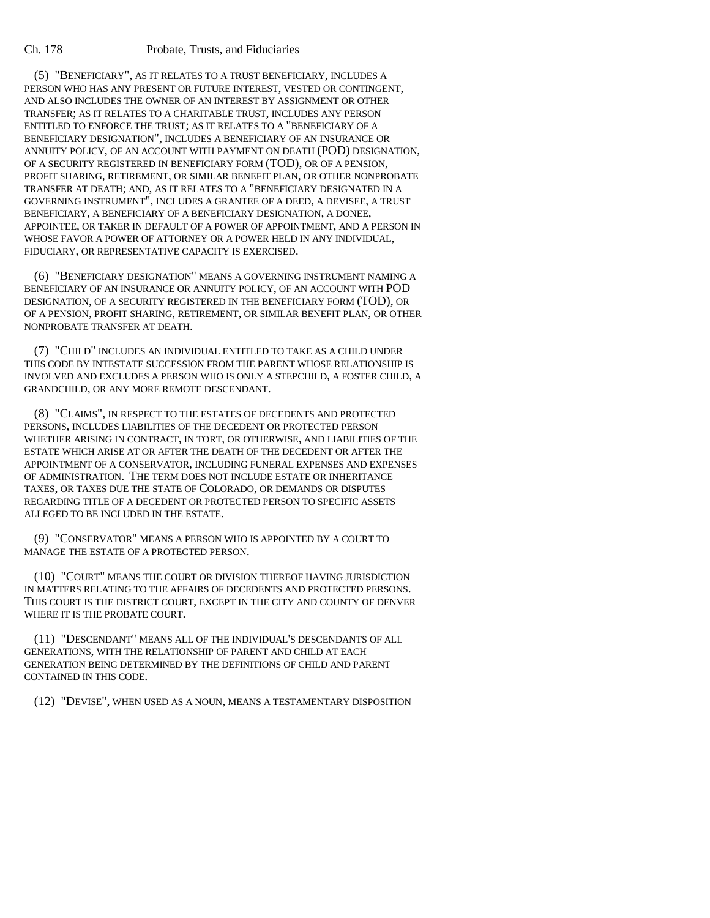(5) "BENEFICIARY", AS IT RELATES TO A TRUST BENEFICIARY, INCLUDES A PERSON WHO HAS ANY PRESENT OR FUTURE INTEREST, VESTED OR CONTINGENT, AND ALSO INCLUDES THE OWNER OF AN INTEREST BY ASSIGNMENT OR OTHER TRANSFER; AS IT RELATES TO A CHARITABLE TRUST, INCLUDES ANY PERSON ENTITLED TO ENFORCE THE TRUST; AS IT RELATES TO A "BENEFICIARY OF A BENEFICIARY DESIGNATION", INCLUDES A BENEFICIARY OF AN INSURANCE OR ANNUITY POLICY, OF AN ACCOUNT WITH PAYMENT ON DEATH (POD) DESIGNATION, OF A SECURITY REGISTERED IN BENEFICIARY FORM (TOD), OR OF A PENSION, PROFIT SHARING, RETIREMENT, OR SIMILAR BENEFIT PLAN, OR OTHER NONPROBATE TRANSFER AT DEATH; AND, AS IT RELATES TO A "BENEFICIARY DESIGNATED IN A GOVERNING INSTRUMENT", INCLUDES A GRANTEE OF A DEED, A DEVISEE, A TRUST BENEFICIARY, A BENEFICIARY OF A BENEFICIARY DESIGNATION, A DONEE, APPOINTEE, OR TAKER IN DEFAULT OF A POWER OF APPOINTMENT, AND A PERSON IN WHOSE FAVOR A POWER OF ATTORNEY OR A POWER HELD IN ANY INDIVIDUAL, FIDUCIARY, OR REPRESENTATIVE CAPACITY IS EXERCISED.

(6) "BENEFICIARY DESIGNATION" MEANS A GOVERNING INSTRUMENT NAMING A BENEFICIARY OF AN INSURANCE OR ANNUITY POLICY, OF AN ACCOUNT WITH POD DESIGNATION, OF A SECURITY REGISTERED IN THE BENEFICIARY FORM (TOD), OR OF A PENSION, PROFIT SHARING, RETIREMENT, OR SIMILAR BENEFIT PLAN, OR OTHER NONPROBATE TRANSFER AT DEATH.

(7) "CHILD" INCLUDES AN INDIVIDUAL ENTITLED TO TAKE AS A CHILD UNDER THIS CODE BY INTESTATE SUCCESSION FROM THE PARENT WHOSE RELATIONSHIP IS INVOLVED AND EXCLUDES A PERSON WHO IS ONLY A STEPCHILD, A FOSTER CHILD, A GRANDCHILD, OR ANY MORE REMOTE DESCENDANT.

(8) "CLAIMS", IN RESPECT TO THE ESTATES OF DECEDENTS AND PROTECTED PERSONS, INCLUDES LIABILITIES OF THE DECEDENT OR PROTECTED PERSON WHETHER ARISING IN CONTRACT, IN TORT, OR OTHERWISE, AND LIABILITIES OF THE ESTATE WHICH ARISE AT OR AFTER THE DEATH OF THE DECEDENT OR AFTER THE APPOINTMENT OF A CONSERVATOR, INCLUDING FUNERAL EXPENSES AND EXPENSES OF ADMINISTRATION. THE TERM DOES NOT INCLUDE ESTATE OR INHERITANCE TAXES, OR TAXES DUE THE STATE OF COLORADO, OR DEMANDS OR DISPUTES REGARDING TITLE OF A DECEDENT OR PROTECTED PERSON TO SPECIFIC ASSETS ALLEGED TO BE INCLUDED IN THE ESTATE.

(9) "CONSERVATOR" MEANS A PERSON WHO IS APPOINTED BY A COURT TO MANAGE THE ESTATE OF A PROTECTED PERSON.

(10) "COURT" MEANS THE COURT OR DIVISION THEREOF HAVING JURISDICTION IN MATTERS RELATING TO THE AFFAIRS OF DECEDENTS AND PROTECTED PERSONS. THIS COURT IS THE DISTRICT COURT, EXCEPT IN THE CITY AND COUNTY OF DENVER WHERE IT IS THE PROBATE COURT.

(11) "DESCENDANT" MEANS ALL OF THE INDIVIDUAL'S DESCENDANTS OF ALL GENERATIONS, WITH THE RELATIONSHIP OF PARENT AND CHILD AT EACH GENERATION BEING DETERMINED BY THE DEFINITIONS OF CHILD AND PARENT CONTAINED IN THIS CODE.

(12) "DEVISE", WHEN USED AS A NOUN, MEANS A TESTAMENTARY DISPOSITION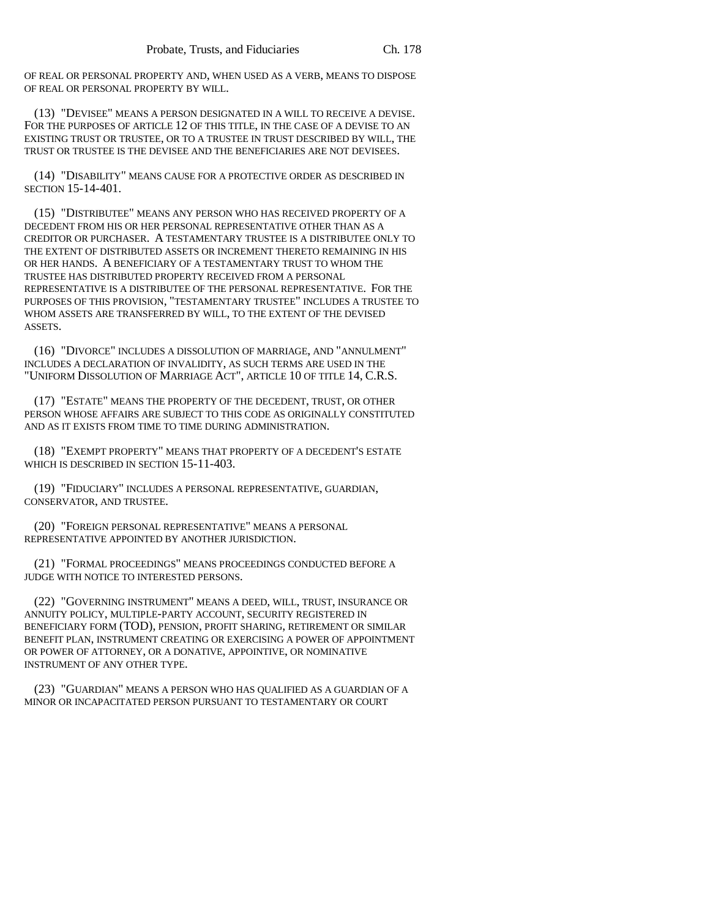OF REAL OR PERSONAL PROPERTY AND, WHEN USED AS A VERB, MEANS TO DISPOSE OF REAL OR PERSONAL PROPERTY BY WILL.

(13) "DEVISEE" MEANS A PERSON DESIGNATED IN A WILL TO RECEIVE A DEVISE. FOR THE PURPOSES OF ARTICLE 12 OF THIS TITLE, IN THE CASE OF A DEVISE TO AN EXISTING TRUST OR TRUSTEE, OR TO A TRUSTEE IN TRUST DESCRIBED BY WILL, THE TRUST OR TRUSTEE IS THE DEVISEE AND THE BENEFICIARIES ARE NOT DEVISEES.

(14) "DISABILITY" MEANS CAUSE FOR A PROTECTIVE ORDER AS DESCRIBED IN SECTION 15-14-401.

(15) "DISTRIBUTEE" MEANS ANY PERSON WHO HAS RECEIVED PROPERTY OF A DECEDENT FROM HIS OR HER PERSONAL REPRESENTATIVE OTHER THAN AS A CREDITOR OR PURCHASER. A TESTAMENTARY TRUSTEE IS A DISTRIBUTEE ONLY TO THE EXTENT OF DISTRIBUTED ASSETS OR INCREMENT THERETO REMAINING IN HIS OR HER HANDS. A BENEFICIARY OF A TESTAMENTARY TRUST TO WHOM THE TRUSTEE HAS DISTRIBUTED PROPERTY RECEIVED FROM A PERSONAL REPRESENTATIVE IS A DISTRIBUTEE OF THE PERSONAL REPRESENTATIVE. FOR THE PURPOSES OF THIS PROVISION, "TESTAMENTARY TRUSTEE" INCLUDES A TRUSTEE TO WHOM ASSETS ARE TRANSFERRED BY WILL, TO THE EXTENT OF THE DEVISED ASSETS.

(16) "DIVORCE" INCLUDES A DISSOLUTION OF MARRIAGE, AND "ANNULMENT" INCLUDES A DECLARATION OF INVALIDITY, AS SUCH TERMS ARE USED IN THE "UNIFORM DISSOLUTION OF MARRIAGE ACT", ARTICLE 10 OF TITLE 14, C.R.S.

(17) "ESTATE" MEANS THE PROPERTY OF THE DECEDENT, TRUST, OR OTHER PERSON WHOSE AFFAIRS ARE SUBJECT TO THIS CODE AS ORIGINALLY CONSTITUTED AND AS IT EXISTS FROM TIME TO TIME DURING ADMINISTRATION.

(18) "EXEMPT PROPERTY" MEANS THAT PROPERTY OF A DECEDENT'S ESTATE WHICH IS DESCRIBED IN SECTION 15-11-403.

(19) "FIDUCIARY" INCLUDES A PERSONAL REPRESENTATIVE, GUARDIAN, CONSERVATOR, AND TRUSTEE.

(20) "FOREIGN PERSONAL REPRESENTATIVE" MEANS A PERSONAL REPRESENTATIVE APPOINTED BY ANOTHER JURISDICTION.

(21) "FORMAL PROCEEDINGS" MEANS PROCEEDINGS CONDUCTED BEFORE A JUDGE WITH NOTICE TO INTERESTED PERSONS.

(22) "GOVERNING INSTRUMENT" MEANS A DEED, WILL, TRUST, INSURANCE OR ANNUITY POLICY, MULTIPLE-PARTY ACCOUNT, SECURITY REGISTERED IN BENEFICIARY FORM (TOD), PENSION, PROFIT SHARING, RETIREMENT OR SIMILAR BENEFIT PLAN, INSTRUMENT CREATING OR EXERCISING A POWER OF APPOINTMENT OR POWER OF ATTORNEY, OR A DONATIVE, APPOINTIVE, OR NOMINATIVE INSTRUMENT OF ANY OTHER TYPE.

(23) "GUARDIAN" MEANS A PERSON WHO HAS QUALIFIED AS A GUARDIAN OF A MINOR OR INCAPACITATED PERSON PURSUANT TO TESTAMENTARY OR COURT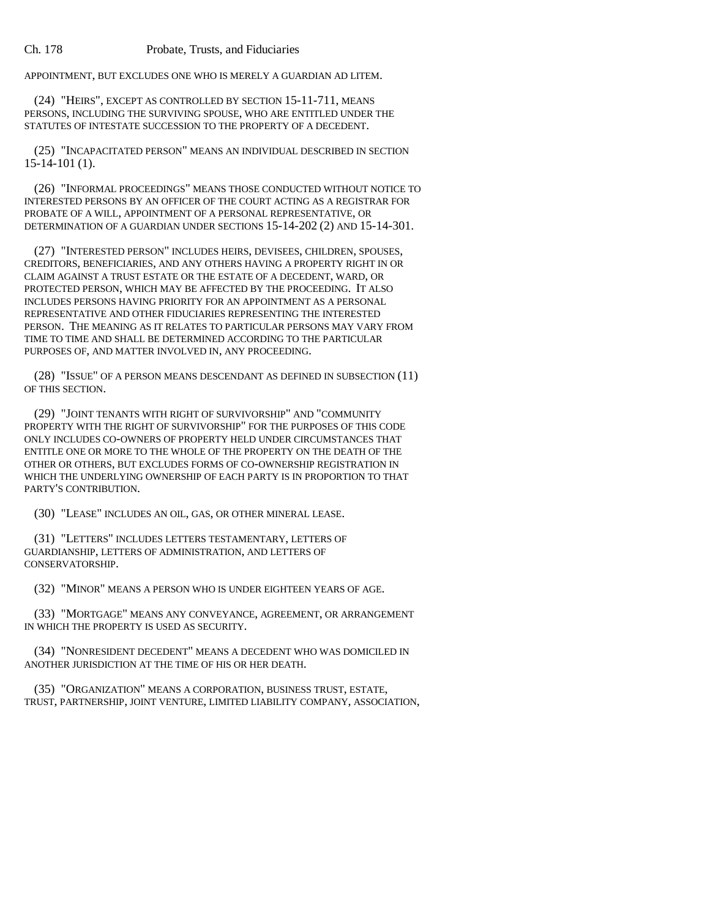APPOINTMENT, BUT EXCLUDES ONE WHO IS MERELY A GUARDIAN AD LITEM.

(24) "HEIRS", EXCEPT AS CONTROLLED BY SECTION 15-11-711, MEANS PERSONS, INCLUDING THE SURVIVING SPOUSE, WHO ARE ENTITLED UNDER THE STATUTES OF INTESTATE SUCCESSION TO THE PROPERTY OF A DECEDENT.

(25) "INCAPACITATED PERSON" MEANS AN INDIVIDUAL DESCRIBED IN SECTION 15-14-101 (1).

(26) "INFORMAL PROCEEDINGS" MEANS THOSE CONDUCTED WITHOUT NOTICE TO INTERESTED PERSONS BY AN OFFICER OF THE COURT ACTING AS A REGISTRAR FOR PROBATE OF A WILL, APPOINTMENT OF A PERSONAL REPRESENTATIVE, OR DETERMINATION OF A GUARDIAN UNDER SECTIONS 15-14-202 (2) AND 15-14-301.

(27) "INTERESTED PERSON" INCLUDES HEIRS, DEVISEES, CHILDREN, SPOUSES, CREDITORS, BENEFICIARIES, AND ANY OTHERS HAVING A PROPERTY RIGHT IN OR CLAIM AGAINST A TRUST ESTATE OR THE ESTATE OF A DECEDENT, WARD, OR PROTECTED PERSON, WHICH MAY BE AFFECTED BY THE PROCEEDING. IT ALSO INCLUDES PERSONS HAVING PRIORITY FOR AN APPOINTMENT AS A PERSONAL REPRESENTATIVE AND OTHER FIDUCIARIES REPRESENTING THE INTERESTED PERSON. THE MEANING AS IT RELATES TO PARTICULAR PERSONS MAY VARY FROM TIME TO TIME AND SHALL BE DETERMINED ACCORDING TO THE PARTICULAR PURPOSES OF, AND MATTER INVOLVED IN, ANY PROCEEDING.

(28) "ISSUE" OF A PERSON MEANS DESCENDANT AS DEFINED IN SUBSECTION (11) OF THIS SECTION.

(29) "JOINT TENANTS WITH RIGHT OF SURVIVORSHIP" AND "COMMUNITY PROPERTY WITH THE RIGHT OF SURVIVORSHIP" FOR THE PURPOSES OF THIS CODE ONLY INCLUDES CO-OWNERS OF PROPERTY HELD UNDER CIRCUMSTANCES THAT ENTITLE ONE OR MORE TO THE WHOLE OF THE PROPERTY ON THE DEATH OF THE OTHER OR OTHERS, BUT EXCLUDES FORMS OF CO-OWNERSHIP REGISTRATION IN WHICH THE UNDERLYING OWNERSHIP OF EACH PARTY IS IN PROPORTION TO THAT PARTY'S CONTRIBUTION.

(30) "LEASE" INCLUDES AN OIL, GAS, OR OTHER MINERAL LEASE.

(31) "LETTERS" INCLUDES LETTERS TESTAMENTARY, LETTERS OF GUARDIANSHIP, LETTERS OF ADMINISTRATION, AND LETTERS OF CONSERVATORSHIP.

(32) "MINOR" MEANS A PERSON WHO IS UNDER EIGHTEEN YEARS OF AGE.

(33) "MORTGAGE" MEANS ANY CONVEYANCE, AGREEMENT, OR ARRANGEMENT IN WHICH THE PROPERTY IS USED AS SECURITY.

(34) "NONRESIDENT DECEDENT" MEANS A DECEDENT WHO WAS DOMICILED IN ANOTHER JURISDICTION AT THE TIME OF HIS OR HER DEATH.

(35) "ORGANIZATION" MEANS A CORPORATION, BUSINESS TRUST, ESTATE, TRUST, PARTNERSHIP, JOINT VENTURE, LIMITED LIABILITY COMPANY, ASSOCIATION,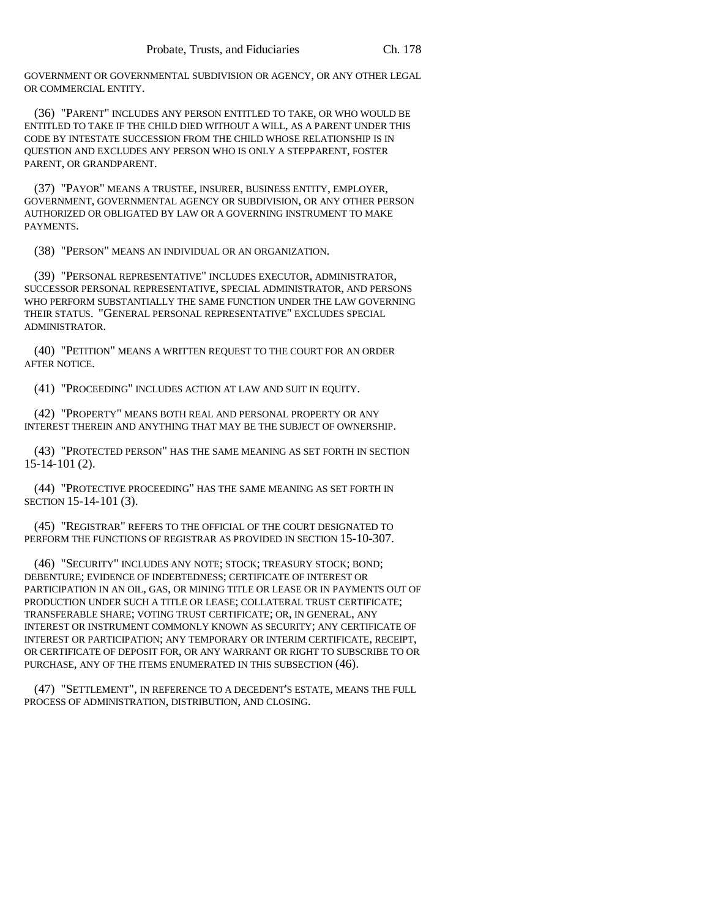GOVERNMENT OR GOVERNMENTAL SUBDIVISION OR AGENCY, OR ANY OTHER LEGAL OR COMMERCIAL ENTITY.

(36) "PARENT" INCLUDES ANY PERSON ENTITLED TO TAKE, OR WHO WOULD BE ENTITLED TO TAKE IF THE CHILD DIED WITHOUT A WILL, AS A PARENT UNDER THIS CODE BY INTESTATE SUCCESSION FROM THE CHILD WHOSE RELATIONSHIP IS IN QUESTION AND EXCLUDES ANY PERSON WHO IS ONLY A STEPPARENT, FOSTER PARENT, OR GRANDPARENT.

(37) "PAYOR" MEANS A TRUSTEE, INSURER, BUSINESS ENTITY, EMPLOYER, GOVERNMENT, GOVERNMENTAL AGENCY OR SUBDIVISION, OR ANY OTHER PERSON AUTHORIZED OR OBLIGATED BY LAW OR A GOVERNING INSTRUMENT TO MAKE PAYMENTS.

(38) "PERSON" MEANS AN INDIVIDUAL OR AN ORGANIZATION.

(39) "PERSONAL REPRESENTATIVE" INCLUDES EXECUTOR, ADMINISTRATOR, SUCCESSOR PERSONAL REPRESENTATIVE, SPECIAL ADMINISTRATOR, AND PERSONS WHO PERFORM SUBSTANTIALLY THE SAME FUNCTION UNDER THE LAW GOVERNING THEIR STATUS. "GENERAL PERSONAL REPRESENTATIVE" EXCLUDES SPECIAL ADMINISTRATOR.

(40) "PETITION" MEANS A WRITTEN REQUEST TO THE COURT FOR AN ORDER AFTER NOTICE.

(41) "PROCEEDING" INCLUDES ACTION AT LAW AND SUIT IN EQUITY.

(42) "PROPERTY" MEANS BOTH REAL AND PERSONAL PROPERTY OR ANY INTEREST THEREIN AND ANYTHING THAT MAY BE THE SUBJECT OF OWNERSHIP.

(43) "PROTECTED PERSON" HAS THE SAME MEANING AS SET FORTH IN SECTION 15-14-101 (2).

(44) "PROTECTIVE PROCEEDING" HAS THE SAME MEANING AS SET FORTH IN SECTION 15-14-101 (3).

(45) "REGISTRAR" REFERS TO THE OFFICIAL OF THE COURT DESIGNATED TO PERFORM THE FUNCTIONS OF REGISTRAR AS PROVIDED IN SECTION 15-10-307.

(46) "SECURITY" INCLUDES ANY NOTE; STOCK; TREASURY STOCK; BOND; DEBENTURE; EVIDENCE OF INDEBTEDNESS; CERTIFICATE OF INTEREST OR PARTICIPATION IN AN OIL, GAS, OR MINING TITLE OR LEASE OR IN PAYMENTS OUT OF PRODUCTION UNDER SUCH A TITLE OR LEASE; COLLATERAL TRUST CERTIFICATE; TRANSFERABLE SHARE; VOTING TRUST CERTIFICATE; OR, IN GENERAL, ANY INTEREST OR INSTRUMENT COMMONLY KNOWN AS SECURITY; ANY CERTIFICATE OF INTEREST OR PARTICIPATION; ANY TEMPORARY OR INTERIM CERTIFICATE, RECEIPT, OR CERTIFICATE OF DEPOSIT FOR, OR ANY WARRANT OR RIGHT TO SUBSCRIBE TO OR PURCHASE, ANY OF THE ITEMS ENUMERATED IN THIS SUBSECTION (46).

(47) "SETTLEMENT", IN REFERENCE TO A DECEDENT'S ESTATE, MEANS THE FULL PROCESS OF ADMINISTRATION, DISTRIBUTION, AND CLOSING.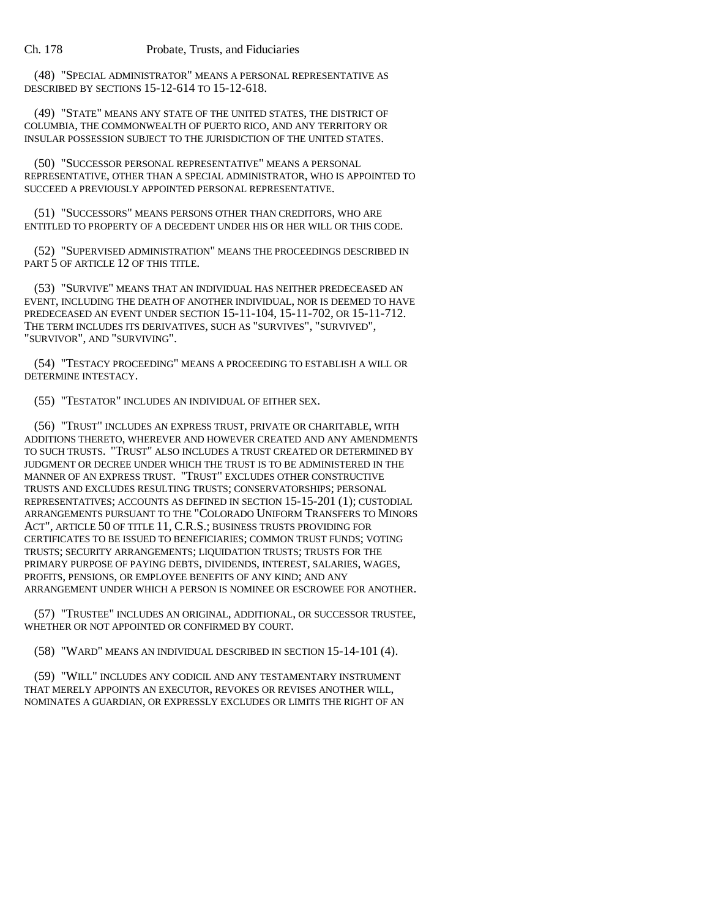(48) "SPECIAL ADMINISTRATOR" MEANS A PERSONAL REPRESENTATIVE AS DESCRIBED BY SECTIONS 15-12-614 TO 15-12-618.

(49) "STATE" MEANS ANY STATE OF THE UNITED STATES, THE DISTRICT OF COLUMBIA, THE COMMONWEALTH OF PUERTO RICO, AND ANY TERRITORY OR INSULAR POSSESSION SUBJECT TO THE JURISDICTION OF THE UNITED STATES.

(50) "SUCCESSOR PERSONAL REPRESENTATIVE" MEANS A PERSONAL REPRESENTATIVE, OTHER THAN A SPECIAL ADMINISTRATOR, WHO IS APPOINTED TO SUCCEED A PREVIOUSLY APPOINTED PERSONAL REPRESENTATIVE.

(51) "SUCCESSORS" MEANS PERSONS OTHER THAN CREDITORS, WHO ARE ENTITLED TO PROPERTY OF A DECEDENT UNDER HIS OR HER WILL OR THIS CODE.

(52) "SUPERVISED ADMINISTRATION" MEANS THE PROCEEDINGS DESCRIBED IN PART 5 OF ARTICLE 12 OF THIS TITLE.

(53) "SURVIVE" MEANS THAT AN INDIVIDUAL HAS NEITHER PREDECEASED AN EVENT, INCLUDING THE DEATH OF ANOTHER INDIVIDUAL, NOR IS DEEMED TO HAVE PREDECEASED AN EVENT UNDER SECTION 15-11-104, 15-11-702, OR 15-11-712. THE TERM INCLUDES ITS DERIVATIVES, SUCH AS "SURVIVES", "SURVIVED", "SURVIVOR", AND "SURVIVING".

(54) "TESTACY PROCEEDING" MEANS A PROCEEDING TO ESTABLISH A WILL OR DETERMINE INTESTACY.

(55) "TESTATOR" INCLUDES AN INDIVIDUAL OF EITHER SEX.

(56) "TRUST" INCLUDES AN EXPRESS TRUST, PRIVATE OR CHARITABLE, WITH ADDITIONS THERETO, WHEREVER AND HOWEVER CREATED AND ANY AMENDMENTS TO SUCH TRUSTS. "TRUST" ALSO INCLUDES A TRUST CREATED OR DETERMINED BY JUDGMENT OR DECREE UNDER WHICH THE TRUST IS TO BE ADMINISTERED IN THE MANNER OF AN EXPRESS TRUST. "TRUST" EXCLUDES OTHER CONSTRUCTIVE TRUSTS AND EXCLUDES RESULTING TRUSTS; CONSERVATORSHIPS; PERSONAL REPRESENTATIVES; ACCOUNTS AS DEFINED IN SECTION 15-15-201 (1); CUSTODIAL ARRANGEMENTS PURSUANT TO THE "COLORADO UNIFORM TRANSFERS TO MINORS ACT", ARTICLE 50 OF TITLE 11, C.R.S.; BUSINESS TRUSTS PROVIDING FOR CERTIFICATES TO BE ISSUED TO BENEFICIARIES; COMMON TRUST FUNDS; VOTING TRUSTS; SECURITY ARRANGEMENTS; LIQUIDATION TRUSTS; TRUSTS FOR THE PRIMARY PURPOSE OF PAYING DEBTS, DIVIDENDS, INTEREST, SALARIES, WAGES, PROFITS, PENSIONS, OR EMPLOYEE BENEFITS OF ANY KIND; AND ANY ARRANGEMENT UNDER WHICH A PERSON IS NOMINEE OR ESCROWEE FOR ANOTHER.

(57) "TRUSTEE" INCLUDES AN ORIGINAL, ADDITIONAL, OR SUCCESSOR TRUSTEE, WHETHER OR NOT APPOINTED OR CONFIRMED BY COURT.

(58) "WARD" MEANS AN INDIVIDUAL DESCRIBED IN SECTION 15-14-101 (4).

(59) "WILL" INCLUDES ANY CODICIL AND ANY TESTAMENTARY INSTRUMENT THAT MERELY APPOINTS AN EXECUTOR, REVOKES OR REVISES ANOTHER WILL, NOMINATES A GUARDIAN, OR EXPRESSLY EXCLUDES OR LIMITS THE RIGHT OF AN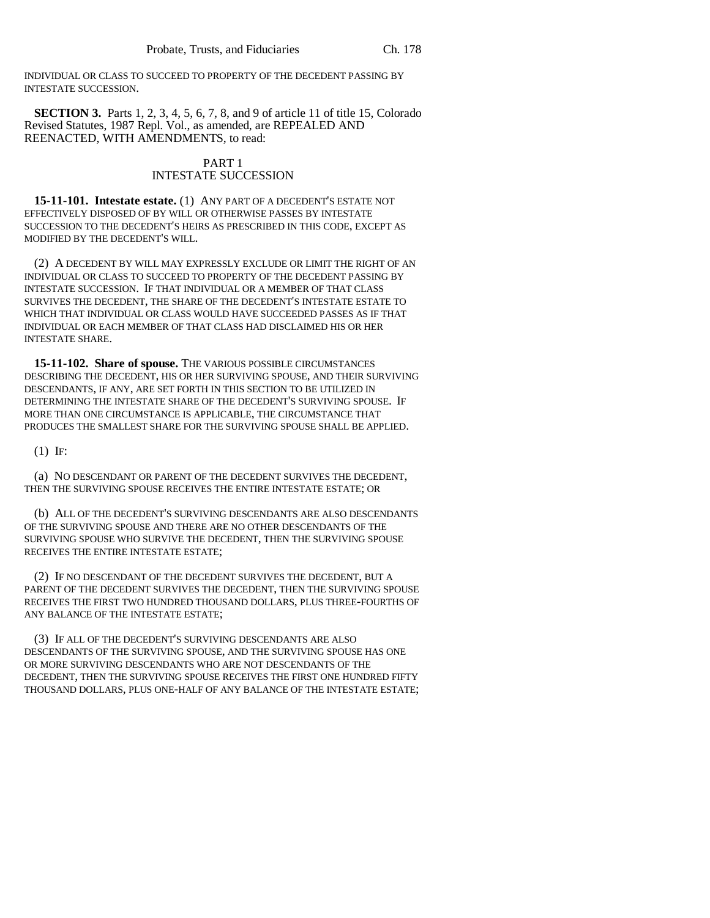INDIVIDUAL OR CLASS TO SUCCEED TO PROPERTY OF THE DECEDENT PASSING BY INTESTATE SUCCESSION.

**SECTION 3.** Parts 1, 2, 3, 4, 5, 6, 7, 8, and 9 of article 11 of title 15, Colorado Revised Statutes, 1987 Repl. Vol., as amended, are REPEALED AND REENACTED, WITH AMENDMENTS, to read:

# PART 1 INTESTATE SUCCESSION

**15-11-101. Intestate estate.** (1) ANY PART OF A DECEDENT'S ESTATE NOT EFFECTIVELY DISPOSED OF BY WILL OR OTHERWISE PASSES BY INTESTATE SUCCESSION TO THE DECEDENT'S HEIRS AS PRESCRIBED IN THIS CODE, EXCEPT AS MODIFIED BY THE DECEDENT'S WILL.

(2) A DECEDENT BY WILL MAY EXPRESSLY EXCLUDE OR LIMIT THE RIGHT OF AN INDIVIDUAL OR CLASS TO SUCCEED TO PROPERTY OF THE DECEDENT PASSING BY INTESTATE SUCCESSION. IF THAT INDIVIDUAL OR A MEMBER OF THAT CLASS SURVIVES THE DECEDENT, THE SHARE OF THE DECEDENT'S INTESTATE ESTATE TO WHICH THAT INDIVIDUAL OR CLASS WOULD HAVE SUCCEEDED PASSES AS IF THAT INDIVIDUAL OR EACH MEMBER OF THAT CLASS HAD DISCLAIMED HIS OR HER INTESTATE SHARE.

**15-11-102. Share of spouse.** THE VARIOUS POSSIBLE CIRCUMSTANCES DESCRIBING THE DECEDENT, HIS OR HER SURVIVING SPOUSE, AND THEIR SURVIVING DESCENDANTS, IF ANY, ARE SET FORTH IN THIS SECTION TO BE UTILIZED IN DETERMINING THE INTESTATE SHARE OF THE DECEDENT'S SURVIVING SPOUSE. IF MORE THAN ONE CIRCUMSTANCE IS APPLICABLE, THE CIRCUMSTANCE THAT PRODUCES THE SMALLEST SHARE FOR THE SURVIVING SPOUSE SHALL BE APPLIED.

(1) IF:

(a) NO DESCENDANT OR PARENT OF THE DECEDENT SURVIVES THE DECEDENT, THEN THE SURVIVING SPOUSE RECEIVES THE ENTIRE INTESTATE ESTATE; OR

(b) ALL OF THE DECEDENT'S SURVIVING DESCENDANTS ARE ALSO DESCENDANTS OF THE SURVIVING SPOUSE AND THERE ARE NO OTHER DESCENDANTS OF THE SURVIVING SPOUSE WHO SURVIVE THE DECEDENT, THEN THE SURVIVING SPOUSE RECEIVES THE ENTIRE INTESTATE ESTATE;

(2) IF NO DESCENDANT OF THE DECEDENT SURVIVES THE DECEDENT, BUT A PARENT OF THE DECEDENT SURVIVES THE DECEDENT, THEN THE SURVIVING SPOUSE RECEIVES THE FIRST TWO HUNDRED THOUSAND DOLLARS, PLUS THREE-FOURTHS OF ANY BALANCE OF THE INTESTATE ESTATE;

(3) IF ALL OF THE DECEDENT'S SURVIVING DESCENDANTS ARE ALSO DESCENDANTS OF THE SURVIVING SPOUSE, AND THE SURVIVING SPOUSE HAS ONE OR MORE SURVIVING DESCENDANTS WHO ARE NOT DESCENDANTS OF THE DECEDENT, THEN THE SURVIVING SPOUSE RECEIVES THE FIRST ONE HUNDRED FIFTY THOUSAND DOLLARS, PLUS ONE-HALF OF ANY BALANCE OF THE INTESTATE ESTATE;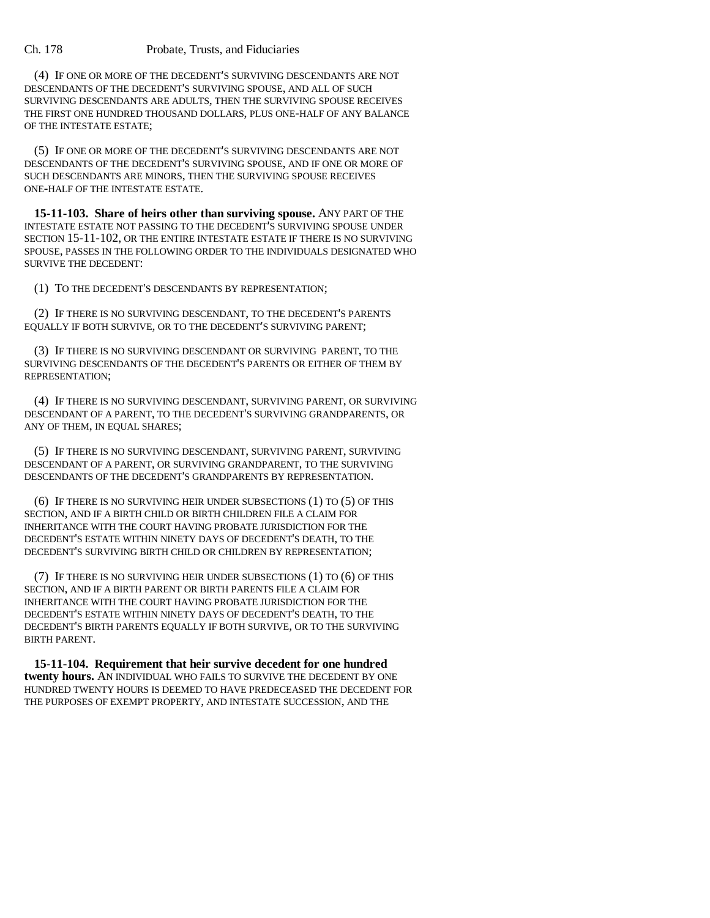(4) IF ONE OR MORE OF THE DECEDENT'S SURVIVING DESCENDANTS ARE NOT DESCENDANTS OF THE DECEDENT'S SURVIVING SPOUSE, AND ALL OF SUCH SURVIVING DESCENDANTS ARE ADULTS, THEN THE SURVIVING SPOUSE RECEIVES THE FIRST ONE HUNDRED THOUSAND DOLLARS, PLUS ONE-HALF OF ANY BALANCE OF THE INTESTATE ESTATE;

(5) IF ONE OR MORE OF THE DECEDENT'S SURVIVING DESCENDANTS ARE NOT DESCENDANTS OF THE DECEDENT'S SURVIVING SPOUSE, AND IF ONE OR MORE OF SUCH DESCENDANTS ARE MINORS, THEN THE SURVIVING SPOUSE RECEIVES ONE-HALF OF THE INTESTATE ESTATE.

**15-11-103. Share of heirs other than surviving spouse.** ANY PART OF THE INTESTATE ESTATE NOT PASSING TO THE DECEDENT'S SURVIVING SPOUSE UNDER SECTION 15-11-102, OR THE ENTIRE INTESTATE ESTATE IF THERE IS NO SURVIVING SPOUSE, PASSES IN THE FOLLOWING ORDER TO THE INDIVIDUALS DESIGNATED WHO SURVIVE THE DECEDENT:

(1) TO THE DECEDENT'S DESCENDANTS BY REPRESENTATION;

(2) IF THERE IS NO SURVIVING DESCENDANT, TO THE DECEDENT'S PARENTS EQUALLY IF BOTH SURVIVE, OR TO THE DECEDENT'S SURVIVING PARENT;

(3) IF THERE IS NO SURVIVING DESCENDANT OR SURVIVING PARENT, TO THE SURVIVING DESCENDANTS OF THE DECEDENT'S PARENTS OR EITHER OF THEM BY REPRESENTATION;

(4) IF THERE IS NO SURVIVING DESCENDANT, SURVIVING PARENT, OR SURVIVING DESCENDANT OF A PARENT, TO THE DECEDENT'S SURVIVING GRANDPARENTS, OR ANY OF THEM, IN EQUAL SHARES;

(5) IF THERE IS NO SURVIVING DESCENDANT, SURVIVING PARENT, SURVIVING DESCENDANT OF A PARENT, OR SURVIVING GRANDPARENT, TO THE SURVIVING DESCENDANTS OF THE DECEDENT'S GRANDPARENTS BY REPRESENTATION.

(6) IF THERE IS NO SURVIVING HEIR UNDER SUBSECTIONS (1) TO (5) OF THIS SECTION, AND IF A BIRTH CHILD OR BIRTH CHILDREN FILE A CLAIM FOR INHERITANCE WITH THE COURT HAVING PROBATE JURISDICTION FOR THE DECEDENT'S ESTATE WITHIN NINETY DAYS OF DECEDENT'S DEATH, TO THE DECEDENT'S SURVIVING BIRTH CHILD OR CHILDREN BY REPRESENTATION;

(7) IF THERE IS NO SURVIVING HEIR UNDER SUBSECTIONS (1) TO (6) OF THIS SECTION, AND IF A BIRTH PARENT OR BIRTH PARENTS FILE A CLAIM FOR INHERITANCE WITH THE COURT HAVING PROBATE JURISDICTION FOR THE DECEDENT'S ESTATE WITHIN NINETY DAYS OF DECEDENT'S DEATH, TO THE DECEDENT'S BIRTH PARENTS EQUALLY IF BOTH SURVIVE, OR TO THE SURVIVING BIRTH PARENT.

**15-11-104. Requirement that heir survive decedent for one hundred twenty hours.** AN INDIVIDUAL WHO FAILS TO SURVIVE THE DECEDENT BY ONE HUNDRED TWENTY HOURS IS DEEMED TO HAVE PREDECEASED THE DECEDENT FOR THE PURPOSES OF EXEMPT PROPERTY, AND INTESTATE SUCCESSION, AND THE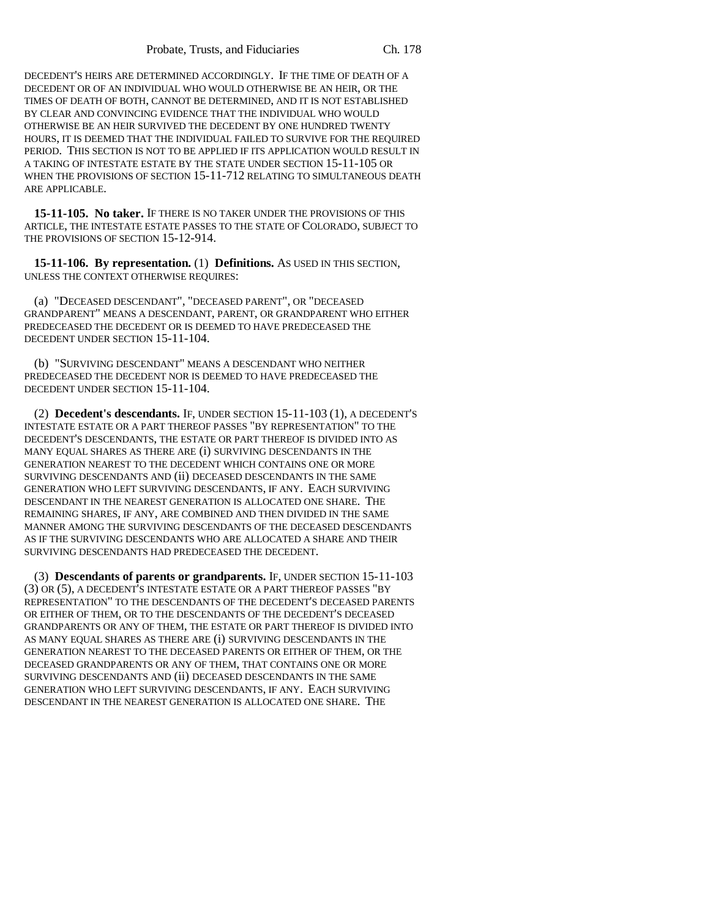DECEDENT'S HEIRS ARE DETERMINED ACCORDINGLY. IF THE TIME OF DEATH OF A DECEDENT OR OF AN INDIVIDUAL WHO WOULD OTHERWISE BE AN HEIR, OR THE TIMES OF DEATH OF BOTH, CANNOT BE DETERMINED, AND IT IS NOT ESTABLISHED BY CLEAR AND CONVINCING EVIDENCE THAT THE INDIVIDUAL WHO WOULD OTHERWISE BE AN HEIR SURVIVED THE DECEDENT BY ONE HUNDRED TWENTY HOURS, IT IS DEEMED THAT THE INDIVIDUAL FAILED TO SURVIVE FOR THE REQUIRED PERIOD. THIS SECTION IS NOT TO BE APPLIED IF ITS APPLICATION WOULD RESULT IN A TAKING OF INTESTATE ESTATE BY THE STATE UNDER SECTION 15-11-105 OR WHEN THE PROVISIONS OF SECTION 15-11-712 RELATING TO SIMULTANEOUS DEATH ARE APPLICABLE.

**15-11-105. No taker.** IF THERE IS NO TAKER UNDER THE PROVISIONS OF THIS ARTICLE, THE INTESTATE ESTATE PASSES TO THE STATE OF COLORADO, SUBJECT TO THE PROVISIONS OF SECTION 15-12-914.

**15-11-106. By representation.** (1) **Definitions.** AS USED IN THIS SECTION, UNLESS THE CONTEXT OTHERWISE REQUIRES:

(a) "DECEASED DESCENDANT", "DECEASED PARENT", OR "DECEASED GRANDPARENT" MEANS A DESCENDANT, PARENT, OR GRANDPARENT WHO EITHER PREDECEASED THE DECEDENT OR IS DEEMED TO HAVE PREDECEASED THE DECEDENT UNDER SECTION 15-11-104.

(b) "SURVIVING DESCENDANT" MEANS A DESCENDANT WHO NEITHER PREDECEASED THE DECEDENT NOR IS DEEMED TO HAVE PREDECEASED THE DECEDENT UNDER SECTION 15-11-104.

(2) **Decedent's descendants.** IF, UNDER SECTION 15-11-103 (1), A DECEDENT'S INTESTATE ESTATE OR A PART THEREOF PASSES "BY REPRESENTATION" TO THE DECEDENT'S DESCENDANTS, THE ESTATE OR PART THEREOF IS DIVIDED INTO AS MANY EQUAL SHARES AS THERE ARE (i) SURVIVING DESCENDANTS IN THE GENERATION NEAREST TO THE DECEDENT WHICH CONTAINS ONE OR MORE SURVIVING DESCENDANTS AND (ii) DECEASED DESCENDANTS IN THE SAME GENERATION WHO LEFT SURVIVING DESCENDANTS, IF ANY. EACH SURVIVING DESCENDANT IN THE NEAREST GENERATION IS ALLOCATED ONE SHARE. THE REMAINING SHARES, IF ANY, ARE COMBINED AND THEN DIVIDED IN THE SAME MANNER AMONG THE SURVIVING DESCENDANTS OF THE DECEASED DESCENDANTS AS IF THE SURVIVING DESCENDANTS WHO ARE ALLOCATED A SHARE AND THEIR SURVIVING DESCENDANTS HAD PREDECEASED THE DECEDENT.

(3) **Descendants of parents or grandparents.** IF, UNDER SECTION 15-11-103 (3) OR (5), A DECEDENT'S INTESTATE ESTATE OR A PART THEREOF PASSES "BY REPRESENTATION" TO THE DESCENDANTS OF THE DECEDENT'S DECEASED PARENTS OR EITHER OF THEM, OR TO THE DESCENDANTS OF THE DECEDENT'S DECEASED GRANDPARENTS OR ANY OF THEM, THE ESTATE OR PART THEREOF IS DIVIDED INTO AS MANY EQUAL SHARES AS THERE ARE (i) SURVIVING DESCENDANTS IN THE GENERATION NEAREST TO THE DECEASED PARENTS OR EITHER OF THEM, OR THE DECEASED GRANDPARENTS OR ANY OF THEM, THAT CONTAINS ONE OR MORE SURVIVING DESCENDANTS AND (ii) DECEASED DESCENDANTS IN THE SAME GENERATION WHO LEFT SURVIVING DESCENDANTS, IF ANY. EACH SURVIVING DESCENDANT IN THE NEAREST GENERATION IS ALLOCATED ONE SHARE. THE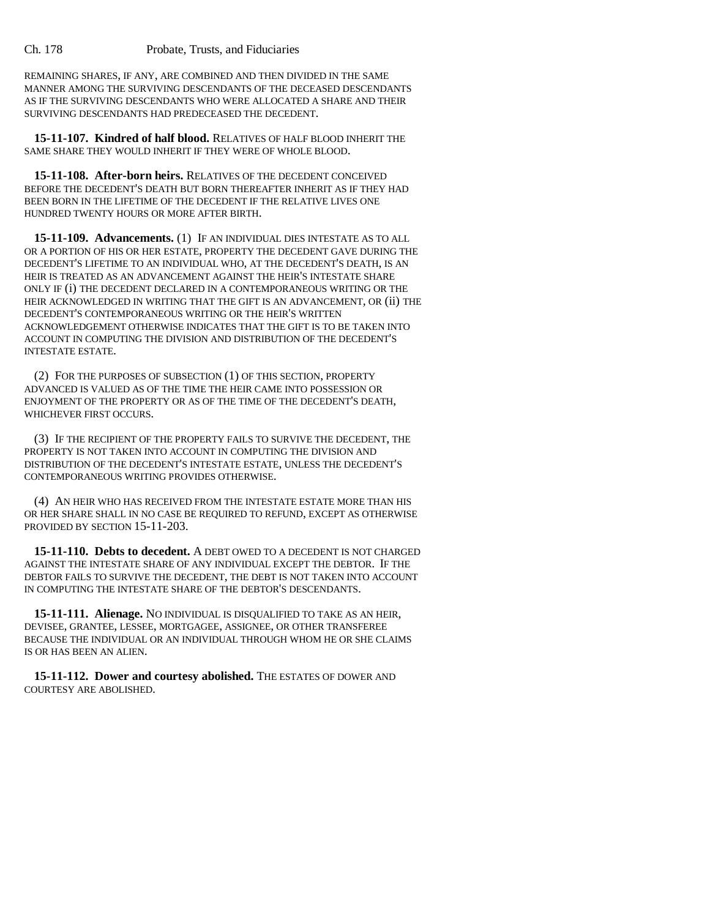REMAINING SHARES, IF ANY, ARE COMBINED AND THEN DIVIDED IN THE SAME MANNER AMONG THE SURVIVING DESCENDANTS OF THE DECEASED DESCENDANTS AS IF THE SURVIVING DESCENDANTS WHO WERE ALLOCATED A SHARE AND THEIR SURVIVING DESCENDANTS HAD PREDECEASED THE DECEDENT.

**15-11-107. Kindred of half blood.** RELATIVES OF HALF BLOOD INHERIT THE SAME SHARE THEY WOULD INHERIT IF THEY WERE OF WHOLE BLOOD.

**15-11-108. After-born heirs.** RELATIVES OF THE DECEDENT CONCEIVED BEFORE THE DECEDENT'S DEATH BUT BORN THEREAFTER INHERIT AS IF THEY HAD BEEN BORN IN THE LIFETIME OF THE DECEDENT IF THE RELATIVE LIVES ONE HUNDRED TWENTY HOURS OR MORE AFTER BIRTH.

**15-11-109. Advancements.** (1) IF AN INDIVIDUAL DIES INTESTATE AS TO ALL OR A PORTION OF HIS OR HER ESTATE, PROPERTY THE DECEDENT GAVE DURING THE DECEDENT'S LIFETIME TO AN INDIVIDUAL WHO, AT THE DECEDENT'S DEATH, IS AN HEIR IS TREATED AS AN ADVANCEMENT AGAINST THE HEIR'S INTESTATE SHARE ONLY IF (i) THE DECEDENT DECLARED IN A CONTEMPORANEOUS WRITING OR THE HEIR ACKNOWLEDGED IN WRITING THAT THE GIFT IS AN ADVANCEMENT, OR (ii) THE DECEDENT'S CONTEMPORANEOUS WRITING OR THE HEIR'S WRITTEN ACKNOWLEDGEMENT OTHERWISE INDICATES THAT THE GIFT IS TO BE TAKEN INTO ACCOUNT IN COMPUTING THE DIVISION AND DISTRIBUTION OF THE DECEDENT'S INTESTATE ESTATE.

(2) FOR THE PURPOSES OF SUBSECTION (1) OF THIS SECTION, PROPERTY ADVANCED IS VALUED AS OF THE TIME THE HEIR CAME INTO POSSESSION OR ENJOYMENT OF THE PROPERTY OR AS OF THE TIME OF THE DECEDENT'S DEATH, WHICHEVER FIRST OCCURS.

(3) IF THE RECIPIENT OF THE PROPERTY FAILS TO SURVIVE THE DECEDENT, THE PROPERTY IS NOT TAKEN INTO ACCOUNT IN COMPUTING THE DIVISION AND DISTRIBUTION OF THE DECEDENT'S INTESTATE ESTATE, UNLESS THE DECEDENT'S CONTEMPORANEOUS WRITING PROVIDES OTHERWISE.

(4) AN HEIR WHO HAS RECEIVED FROM THE INTESTATE ESTATE MORE THAN HIS OR HER SHARE SHALL IN NO CASE BE REQUIRED TO REFUND, EXCEPT AS OTHERWISE PROVIDED BY SECTION 15-11-203.

**15-11-110. Debts to decedent.** A DEBT OWED TO A DECEDENT IS NOT CHARGED AGAINST THE INTESTATE SHARE OF ANY INDIVIDUAL EXCEPT THE DEBTOR. IF THE DEBTOR FAILS TO SURVIVE THE DECEDENT, THE DEBT IS NOT TAKEN INTO ACCOUNT IN COMPUTING THE INTESTATE SHARE OF THE DEBTOR'S DESCENDANTS.

**15-11-111. Alienage.** NO INDIVIDUAL IS DISQUALIFIED TO TAKE AS AN HEIR, DEVISEE, GRANTEE, LESSEE, MORTGAGEE, ASSIGNEE, OR OTHER TRANSFEREE BECAUSE THE INDIVIDUAL OR AN INDIVIDUAL THROUGH WHOM HE OR SHE CLAIMS IS OR HAS BEEN AN ALIEN.

**15-11-112. Dower and courtesy abolished.** THE ESTATES OF DOWER AND COURTESY ARE ABOLISHED.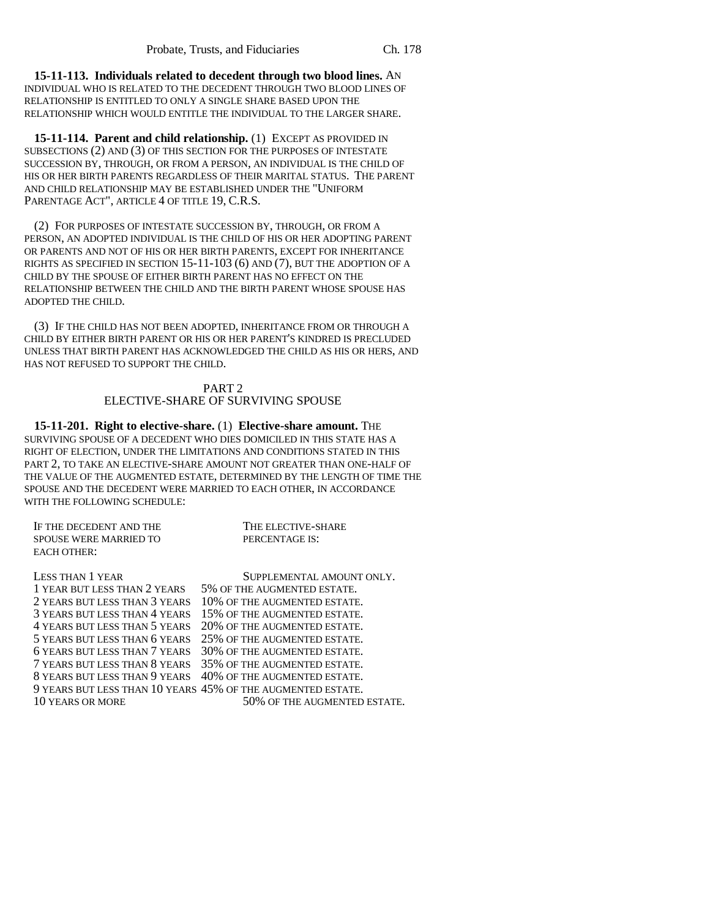**15-11-113. Individuals related to decedent through two blood lines.** AN INDIVIDUAL WHO IS RELATED TO THE DECEDENT THROUGH TWO BLOOD LINES OF RELATIONSHIP IS ENTITLED TO ONLY A SINGLE SHARE BASED UPON THE RELATIONSHIP WHICH WOULD ENTITLE THE INDIVIDUAL TO THE LARGER SHARE.

**15-11-114. Parent and child relationship.** (1) EXCEPT AS PROVIDED IN SUBSECTIONS (2) AND (3) OF THIS SECTION FOR THE PURPOSES OF INTESTATE SUCCESSION BY, THROUGH, OR FROM A PERSON, AN INDIVIDUAL IS THE CHILD OF HIS OR HER BIRTH PARENTS REGARDLESS OF THEIR MARITAL STATUS. THE PARENT AND CHILD RELATIONSHIP MAY BE ESTABLISHED UNDER THE "UNIFORM PARENTAGE ACT", ARTICLE 4 OF TITLE 19, C.R.S.

(2) FOR PURPOSES OF INTESTATE SUCCESSION BY, THROUGH, OR FROM A PERSON, AN ADOPTED INDIVIDUAL IS THE CHILD OF HIS OR HER ADOPTING PARENT OR PARENTS AND NOT OF HIS OR HER BIRTH PARENTS, EXCEPT FOR INHERITANCE RIGHTS AS SPECIFIED IN SECTION 15-11-103 (6) AND (7), BUT THE ADOPTION OF A CHILD BY THE SPOUSE OF EITHER BIRTH PARENT HAS NO EFFECT ON THE RELATIONSHIP BETWEEN THE CHILD AND THE BIRTH PARENT WHOSE SPOUSE HAS ADOPTED THE CHILD.

(3) IF THE CHILD HAS NOT BEEN ADOPTED, INHERITANCE FROM OR THROUGH A CHILD BY EITHER BIRTH PARENT OR HIS OR HER PARENT'S KINDRED IS PRECLUDED UNLESS THAT BIRTH PARENT HAS ACKNOWLEDGED THE CHILD AS HIS OR HERS, AND HAS NOT REFUSED TO SUPPORT THE CHILD.

## PART 2 ELECTIVE-SHARE OF SURVIVING SPOUSE

**15-11-201. Right to elective-share.** (1) **Elective-share amount.** THE SURVIVING SPOUSE OF A DECEDENT WHO DIES DOMICILED IN THIS STATE HAS A RIGHT OF ELECTION, UNDER THE LIMITATIONS AND CONDITIONS STATED IN THIS PART 2, TO TAKE AN ELECTIVE-SHARE AMOUNT NOT GREATER THAN ONE-HALF OF THE VALUE OF THE AUGMENTED ESTATE, DETERMINED BY THE LENGTH OF TIME THE SPOUSE AND THE DECEDENT WERE MARRIED TO EACH OTHER, IN ACCORDANCE WITH THE FOLLOWING SCHEDULE:

| IF THE DECEDENT AND THE                                     | THE ELECTIVE-SHARE           |
|-------------------------------------------------------------|------------------------------|
| SPOUSE WERE MARRIED TO                                      | PERCENTAGE IS:               |
| <b>EACH OTHER:</b>                                          |                              |
|                                                             |                              |
| LESS THAN 1 YEAR                                            | SUPPLEMENTAL AMOUNT ONLY.    |
| 1 YEAR BUT LESS THAN 2 YEARS                                | 5% OF THE AUGMENTED ESTATE.  |
| 2 YEARS BUT LESS THAN 3 YEARS                               | 10% OF THE AUGMENTED ESTATE. |
| 3 YEARS BUT LESS THAN 4 YEARS                               | 15% OF THE AUGMENTED ESTATE. |
| 4 YEARS BUT LESS THAN 5 YEARS                               | 20% OF THE AUGMENTED ESTATE. |
| 5 YEARS BUT LESS THAN 6 YEARS                               | 25% OF THE AUGMENTED ESTATE. |
| 6 YEARS BUT LESS THAN 7 YEARS                               | 30% OF THE AUGMENTED ESTATE. |
| 7 YEARS BUT LESS THAN 8 YEARS                               | 35% OF THE AUGMENTED ESTATE. |
| 8 YEARS BUT LESS THAN 9 YEARS                               | 40% OF THE AUGMENTED ESTATE. |
| 9 YEARS BUT LESS THAN 10 YEARS 45% OF THE AUGMENTED ESTATE. |                              |
| 10 YEARS OR MORE                                            | 50% OF THE AUGMENTED ESTATE. |
|                                                             |                              |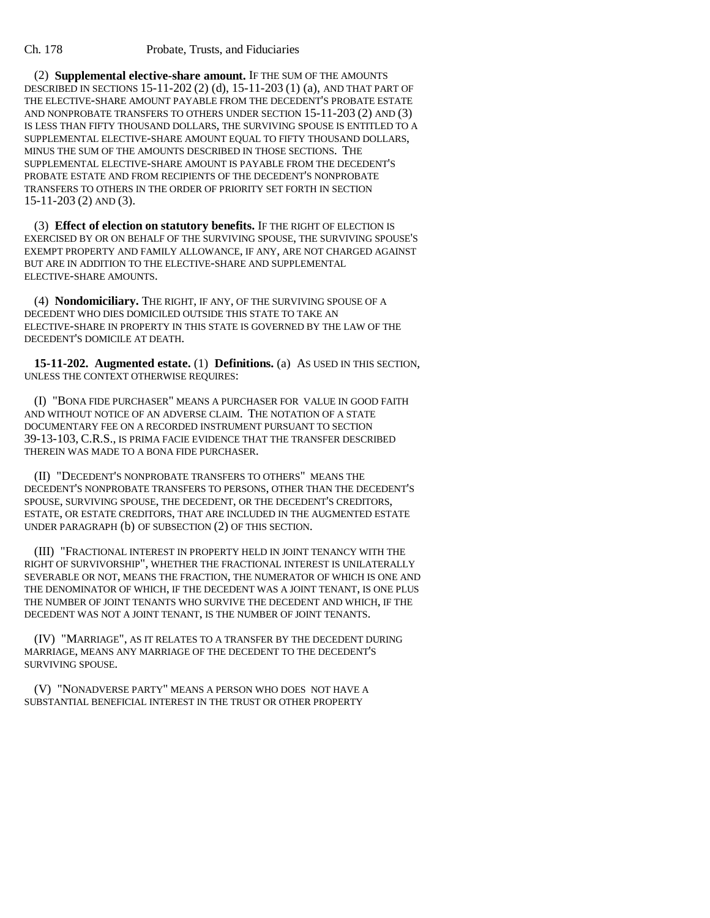(2) **Supplemental elective-share amount.** IF THE SUM OF THE AMOUNTS DESCRIBED IN SECTIONS 15-11-202 (2) (d), 15-11-203 (1) (a), AND THAT PART OF THE ELECTIVE-SHARE AMOUNT PAYABLE FROM THE DECEDENT'S PROBATE ESTATE AND NONPROBATE TRANSFERS TO OTHERS UNDER SECTION 15-11-203 (2) AND (3) IS LESS THAN FIFTY THOUSAND DOLLARS, THE SURVIVING SPOUSE IS ENTITLED TO A SUPPLEMENTAL ELECTIVE-SHARE AMOUNT EQUAL TO FIFTY THOUSAND DOLLARS, MINUS THE SUM OF THE AMOUNTS DESCRIBED IN THOSE SECTIONS. THE SUPPLEMENTAL ELECTIVE-SHARE AMOUNT IS PAYABLE FROM THE DECEDENT'S PROBATE ESTATE AND FROM RECIPIENTS OF THE DECEDENT'S NONPROBATE TRANSFERS TO OTHERS IN THE ORDER OF PRIORITY SET FORTH IN SECTION 15-11-203 (2) AND (3).

(3) **Effect of election on statutory benefits.** IF THE RIGHT OF ELECTION IS EXERCISED BY OR ON BEHALF OF THE SURVIVING SPOUSE, THE SURVIVING SPOUSE'S EXEMPT PROPERTY AND FAMILY ALLOWANCE, IF ANY, ARE NOT CHARGED AGAINST BUT ARE IN ADDITION TO THE ELECTIVE-SHARE AND SUPPLEMENTAL ELECTIVE-SHARE AMOUNTS.

(4) **Nondomiciliary.** THE RIGHT, IF ANY, OF THE SURVIVING SPOUSE OF A DECEDENT WHO DIES DOMICILED OUTSIDE THIS STATE TO TAKE AN ELECTIVE-SHARE IN PROPERTY IN THIS STATE IS GOVERNED BY THE LAW OF THE DECEDENT'S DOMICILE AT DEATH.

**15-11-202. Augmented estate.** (1) **Definitions.** (a) AS USED IN THIS SECTION, UNLESS THE CONTEXT OTHERWISE REQUIRES:

(I) "BONA FIDE PURCHASER" MEANS A PURCHASER FOR VALUE IN GOOD FAITH AND WITHOUT NOTICE OF AN ADVERSE CLAIM. THE NOTATION OF A STATE DOCUMENTARY FEE ON A RECORDED INSTRUMENT PURSUANT TO SECTION 39-13-103, C.R.S., IS PRIMA FACIE EVIDENCE THAT THE TRANSFER DESCRIBED THEREIN WAS MADE TO A BONA FIDE PURCHASER.

(II) "DECEDENT'S NONPROBATE TRANSFERS TO OTHERS" MEANS THE DECEDENT'S NONPROBATE TRANSFERS TO PERSONS, OTHER THAN THE DECEDENT'S SPOUSE, SURVIVING SPOUSE, THE DECEDENT, OR THE DECEDENT'S CREDITORS, ESTATE, OR ESTATE CREDITORS, THAT ARE INCLUDED IN THE AUGMENTED ESTATE UNDER PARAGRAPH (b) OF SUBSECTION (2) OF THIS SECTION.

(III) "FRACTIONAL INTEREST IN PROPERTY HELD IN JOINT TENANCY WITH THE RIGHT OF SURVIVORSHIP", WHETHER THE FRACTIONAL INTEREST IS UNILATERALLY SEVERABLE OR NOT, MEANS THE FRACTION, THE NUMERATOR OF WHICH IS ONE AND THE DENOMINATOR OF WHICH, IF THE DECEDENT WAS A JOINT TENANT, IS ONE PLUS THE NUMBER OF JOINT TENANTS WHO SURVIVE THE DECEDENT AND WHICH, IF THE DECEDENT WAS NOT A JOINT TENANT, IS THE NUMBER OF JOINT TENANTS.

(IV) "MARRIAGE", AS IT RELATES TO A TRANSFER BY THE DECEDENT DURING MARRIAGE, MEANS ANY MARRIAGE OF THE DECEDENT TO THE DECEDENT'S SURVIVING SPOUSE.

(V) "NONADVERSE PARTY" MEANS A PERSON WHO DOES NOT HAVE A SUBSTANTIAL BENEFICIAL INTEREST IN THE TRUST OR OTHER PROPERTY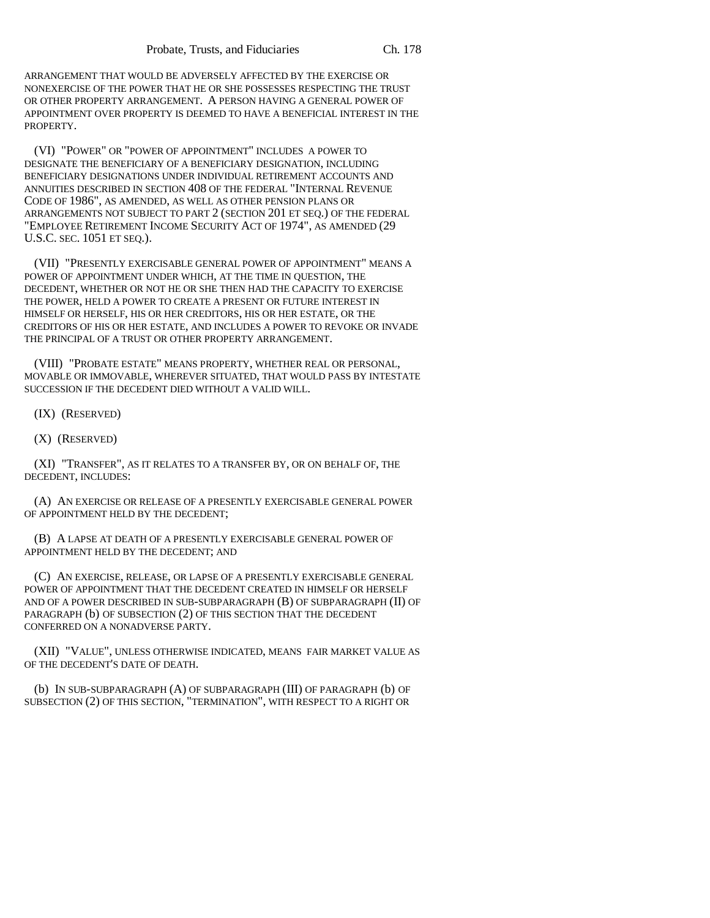ARRANGEMENT THAT WOULD BE ADVERSELY AFFECTED BY THE EXERCISE OR NONEXERCISE OF THE POWER THAT HE OR SHE POSSESSES RESPECTING THE TRUST OR OTHER PROPERTY ARRANGEMENT. A PERSON HAVING A GENERAL POWER OF APPOINTMENT OVER PROPERTY IS DEEMED TO HAVE A BENEFICIAL INTEREST IN THE PROPERTY.

(VI) "POWER" OR "POWER OF APPOINTMENT" INCLUDES A POWER TO DESIGNATE THE BENEFICIARY OF A BENEFICIARY DESIGNATION, INCLUDING BENEFICIARY DESIGNATIONS UNDER INDIVIDUAL RETIREMENT ACCOUNTS AND ANNUITIES DESCRIBED IN SECTION 408 OF THE FEDERAL "INTERNAL REVENUE CODE OF 1986", AS AMENDED, AS WELL AS OTHER PENSION PLANS OR ARRANGEMENTS NOT SUBJECT TO PART 2 (SECTION 201 ET SEQ.) OF THE FEDERAL "EMPLOYEE RETIREMENT INCOME SECURITY ACT OF 1974", AS AMENDED (29 U.S.C. SEC. 1051 ET SEQ.).

(VII) "PRESENTLY EXERCISABLE GENERAL POWER OF APPOINTMENT" MEANS A POWER OF APPOINTMENT UNDER WHICH, AT THE TIME IN QUESTION, THE DECEDENT, WHETHER OR NOT HE OR SHE THEN HAD THE CAPACITY TO EXERCISE THE POWER, HELD A POWER TO CREATE A PRESENT OR FUTURE INTEREST IN HIMSELF OR HERSELF, HIS OR HER CREDITORS, HIS OR HER ESTATE, OR THE CREDITORS OF HIS OR HER ESTATE, AND INCLUDES A POWER TO REVOKE OR INVADE THE PRINCIPAL OF A TRUST OR OTHER PROPERTY ARRANGEMENT.

(VIII) "PROBATE ESTATE" MEANS PROPERTY, WHETHER REAL OR PERSONAL, MOVABLE OR IMMOVABLE, WHEREVER SITUATED, THAT WOULD PASS BY INTESTATE SUCCESSION IF THE DECEDENT DIED WITHOUT A VALID WILL.

(IX) (RESERVED)

(X) (RESERVED)

(XI) "TRANSFER", AS IT RELATES TO A TRANSFER BY, OR ON BEHALF OF, THE DECEDENT, INCLUDES:

(A) AN EXERCISE OR RELEASE OF A PRESENTLY EXERCISABLE GENERAL POWER OF APPOINTMENT HELD BY THE DECEDENT;

(B) A LAPSE AT DEATH OF A PRESENTLY EXERCISABLE GENERAL POWER OF APPOINTMENT HELD BY THE DECEDENT; AND

(C) AN EXERCISE, RELEASE, OR LAPSE OF A PRESENTLY EXERCISABLE GENERAL POWER OF APPOINTMENT THAT THE DECEDENT CREATED IN HIMSELF OR HERSELF AND OF A POWER DESCRIBED IN SUB-SUBPARAGRAPH (B) OF SUBPARAGRAPH (II) OF PARAGRAPH (b) OF SUBSECTION (2) OF THIS SECTION THAT THE DECEDENT CONFERRED ON A NONADVERSE PARTY.

(XII) "VALUE", UNLESS OTHERWISE INDICATED, MEANS FAIR MARKET VALUE AS OF THE DECEDENT'S DATE OF DEATH.

(b) IN SUB-SUBPARAGRAPH (A) OF SUBPARAGRAPH (III) OF PARAGRAPH (b) OF SUBSECTION (2) OF THIS SECTION, "TERMINATION", WITH RESPECT TO A RIGHT OR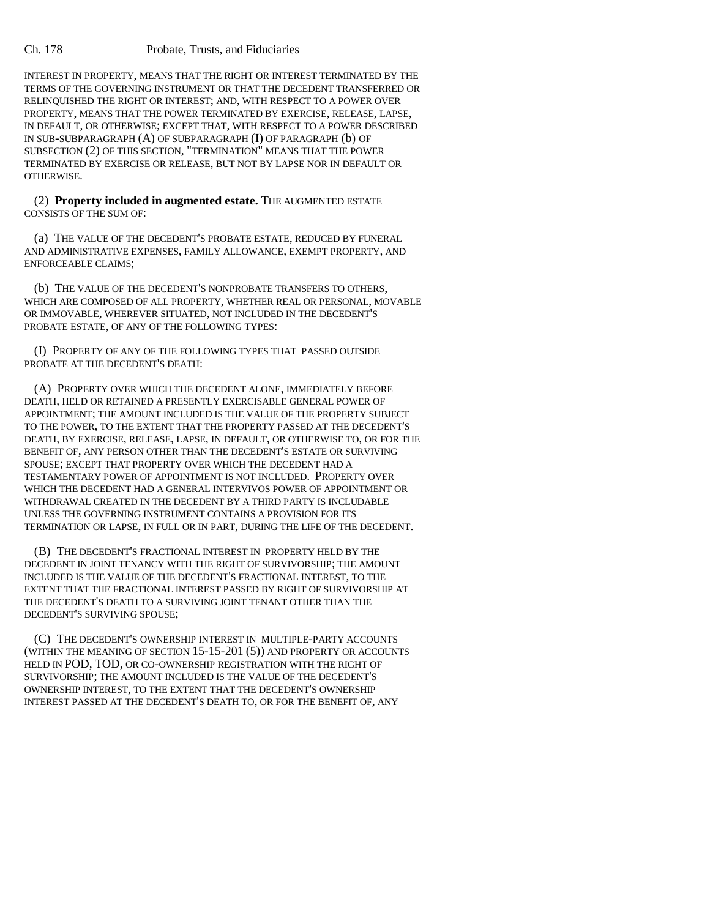INTEREST IN PROPERTY, MEANS THAT THE RIGHT OR INTEREST TERMINATED BY THE TERMS OF THE GOVERNING INSTRUMENT OR THAT THE DECEDENT TRANSFERRED OR RELINQUISHED THE RIGHT OR INTEREST; AND, WITH RESPECT TO A POWER OVER PROPERTY, MEANS THAT THE POWER TERMINATED BY EXERCISE, RELEASE, LAPSE, IN DEFAULT, OR OTHERWISE; EXCEPT THAT, WITH RESPECT TO A POWER DESCRIBED IN SUB-SUBPARAGRAPH (A) OF SUBPARAGRAPH (I) OF PARAGRAPH (b) OF SUBSECTION (2) OF THIS SECTION, "TERMINATION" MEANS THAT THE POWER TERMINATED BY EXERCISE OR RELEASE, BUT NOT BY LAPSE NOR IN DEFAULT OR OTHERWISE.

(2) **Property included in augmented estate.** THE AUGMENTED ESTATE CONSISTS OF THE SUM OF:

(a) THE VALUE OF THE DECEDENT'S PROBATE ESTATE, REDUCED BY FUNERAL AND ADMINISTRATIVE EXPENSES, FAMILY ALLOWANCE, EXEMPT PROPERTY, AND ENFORCEABLE CLAIMS;

(b) THE VALUE OF THE DECEDENT'S NONPROBATE TRANSFERS TO OTHERS, WHICH ARE COMPOSED OF ALL PROPERTY, WHETHER REAL OR PERSONAL, MOVABLE OR IMMOVABLE, WHEREVER SITUATED, NOT INCLUDED IN THE DECEDENT'S PROBATE ESTATE, OF ANY OF THE FOLLOWING TYPES:

(I) PROPERTY OF ANY OF THE FOLLOWING TYPES THAT PASSED OUTSIDE PROBATE AT THE DECEDENT'S DEATH:

(A) PROPERTY OVER WHICH THE DECEDENT ALONE, IMMEDIATELY BEFORE DEATH, HELD OR RETAINED A PRESENTLY EXERCISABLE GENERAL POWER OF APPOINTMENT; THE AMOUNT INCLUDED IS THE VALUE OF THE PROPERTY SUBJECT TO THE POWER, TO THE EXTENT THAT THE PROPERTY PASSED AT THE DECEDENT'S DEATH, BY EXERCISE, RELEASE, LAPSE, IN DEFAULT, OR OTHERWISE TO, OR FOR THE BENEFIT OF, ANY PERSON OTHER THAN THE DECEDENT'S ESTATE OR SURVIVING SPOUSE; EXCEPT THAT PROPERTY OVER WHICH THE DECEDENT HAD A TESTAMENTARY POWER OF APPOINTMENT IS NOT INCLUDED. PROPERTY OVER WHICH THE DECEDENT HAD A GENERAL INTERVIVOS POWER OF APPOINTMENT OR WITHDRAWAL CREATED IN THE DECEDENT BY A THIRD PARTY IS INCLUDABLE UNLESS THE GOVERNING INSTRUMENT CONTAINS A PROVISION FOR ITS TERMINATION OR LAPSE, IN FULL OR IN PART, DURING THE LIFE OF THE DECEDENT.

(B) THE DECEDENT'S FRACTIONAL INTEREST IN PROPERTY HELD BY THE DECEDENT IN JOINT TENANCY WITH THE RIGHT OF SURVIVORSHIP; THE AMOUNT INCLUDED IS THE VALUE OF THE DECEDENT'S FRACTIONAL INTEREST, TO THE EXTENT THAT THE FRACTIONAL INTEREST PASSED BY RIGHT OF SURVIVORSHIP AT THE DECEDENT'S DEATH TO A SURVIVING JOINT TENANT OTHER THAN THE DECEDENT'S SURVIVING SPOUSE;

(C) THE DECEDENT'S OWNERSHIP INTEREST IN MULTIPLE-PARTY ACCOUNTS (WITHIN THE MEANING OF SECTION 15-15-201 (5)) AND PROPERTY OR ACCOUNTS HELD IN POD, TOD, OR CO-OWNERSHIP REGISTRATION WITH THE RIGHT OF SURVIVORSHIP; THE AMOUNT INCLUDED IS THE VALUE OF THE DECEDENT'S OWNERSHIP INTEREST, TO THE EXTENT THAT THE DECEDENT'S OWNERSHIP INTEREST PASSED AT THE DECEDENT'S DEATH TO, OR FOR THE BENEFIT OF, ANY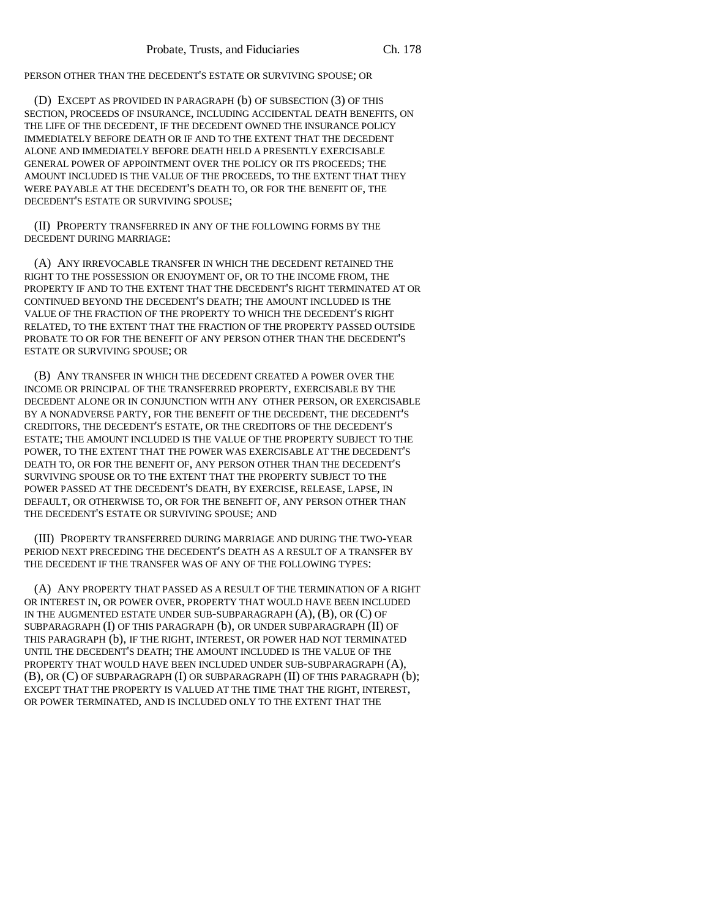PERSON OTHER THAN THE DECEDENT'S ESTATE OR SURVIVING SPOUSE; OR

(D) EXCEPT AS PROVIDED IN PARAGRAPH (b) OF SUBSECTION (3) OF THIS SECTION, PROCEEDS OF INSURANCE, INCLUDING ACCIDENTAL DEATH BENEFITS, ON THE LIFE OF THE DECEDENT, IF THE DECEDENT OWNED THE INSURANCE POLICY IMMEDIATELY BEFORE DEATH OR IF AND TO THE EXTENT THAT THE DECEDENT ALONE AND IMMEDIATELY BEFORE DEATH HELD A PRESENTLY EXERCISABLE GENERAL POWER OF APPOINTMENT OVER THE POLICY OR ITS PROCEEDS; THE AMOUNT INCLUDED IS THE VALUE OF THE PROCEEDS, TO THE EXTENT THAT THEY WERE PAYABLE AT THE DECEDENT'S DEATH TO, OR FOR THE BENEFIT OF, THE DECEDENT'S ESTATE OR SURVIVING SPOUSE;

(II) PROPERTY TRANSFERRED IN ANY OF THE FOLLOWING FORMS BY THE DECEDENT DURING MARRIAGE:

(A) ANY IRREVOCABLE TRANSFER IN WHICH THE DECEDENT RETAINED THE RIGHT TO THE POSSESSION OR ENJOYMENT OF, OR TO THE INCOME FROM, THE PROPERTY IF AND TO THE EXTENT THAT THE DECEDENT'S RIGHT TERMINATED AT OR CONTINUED BEYOND THE DECEDENT'S DEATH; THE AMOUNT INCLUDED IS THE VALUE OF THE FRACTION OF THE PROPERTY TO WHICH THE DECEDENT'S RIGHT RELATED, TO THE EXTENT THAT THE FRACTION OF THE PROPERTY PASSED OUTSIDE PROBATE TO OR FOR THE BENEFIT OF ANY PERSON OTHER THAN THE DECEDENT'S ESTATE OR SURVIVING SPOUSE; OR

(B) ANY TRANSFER IN WHICH THE DECEDENT CREATED A POWER OVER THE INCOME OR PRINCIPAL OF THE TRANSFERRED PROPERTY, EXERCISABLE BY THE DECEDENT ALONE OR IN CONJUNCTION WITH ANY OTHER PERSON, OR EXERCISABLE BY A NONADVERSE PARTY, FOR THE BENEFIT OF THE DECEDENT, THE DECEDENT'S CREDITORS, THE DECEDENT'S ESTATE, OR THE CREDITORS OF THE DECEDENT'S ESTATE; THE AMOUNT INCLUDED IS THE VALUE OF THE PROPERTY SUBJECT TO THE POWER, TO THE EXTENT THAT THE POWER WAS EXERCISABLE AT THE DECEDENT'S DEATH TO, OR FOR THE BENEFIT OF, ANY PERSON OTHER THAN THE DECEDENT'S SURVIVING SPOUSE OR TO THE EXTENT THAT THE PROPERTY SUBJECT TO THE POWER PASSED AT THE DECEDENT'S DEATH, BY EXERCISE, RELEASE, LAPSE, IN DEFAULT, OR OTHERWISE TO, OR FOR THE BENEFIT OF, ANY PERSON OTHER THAN THE DECEDENT'S ESTATE OR SURVIVING SPOUSE; AND

(III) PROPERTY TRANSFERRED DURING MARRIAGE AND DURING THE TWO-YEAR PERIOD NEXT PRECEDING THE DECEDENT'S DEATH AS A RESULT OF A TRANSFER BY THE DECEDENT IF THE TRANSFER WAS OF ANY OF THE FOLLOWING TYPES:

(A) ANY PROPERTY THAT PASSED AS A RESULT OF THE TERMINATION OF A RIGHT OR INTEREST IN, OR POWER OVER, PROPERTY THAT WOULD HAVE BEEN INCLUDED IN THE AUGMENTED ESTATE UNDER SUB-SUBPARAGRAPH (A), (B), OR (C) OF SUBPARAGRAPH (I) OF THIS PARAGRAPH (b), OR UNDER SUBPARAGRAPH (II) OF THIS PARAGRAPH (b), IF THE RIGHT, INTEREST, OR POWER HAD NOT TERMINATED UNTIL THE DECEDENT'S DEATH; THE AMOUNT INCLUDED IS THE VALUE OF THE PROPERTY THAT WOULD HAVE BEEN INCLUDED UNDER SUB-SUBPARAGRAPH (A), (B), OR (C) OF SUBPARAGRAPH (I) OR SUBPARAGRAPH (II) OF THIS PARAGRAPH (b); EXCEPT THAT THE PROPERTY IS VALUED AT THE TIME THAT THE RIGHT, INTEREST, OR POWER TERMINATED, AND IS INCLUDED ONLY TO THE EXTENT THAT THE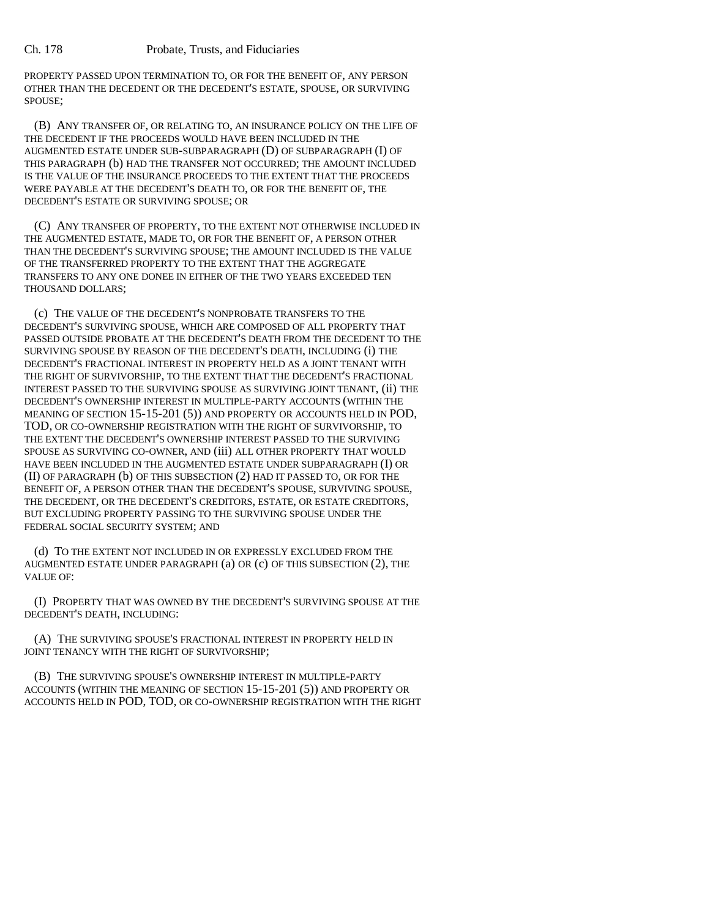PROPERTY PASSED UPON TERMINATION TO, OR FOR THE BENEFIT OF, ANY PERSON OTHER THAN THE DECEDENT OR THE DECEDENT'S ESTATE, SPOUSE, OR SURVIVING SPOUSE;

(B) ANY TRANSFER OF, OR RELATING TO, AN INSURANCE POLICY ON THE LIFE OF THE DECEDENT IF THE PROCEEDS WOULD HAVE BEEN INCLUDED IN THE AUGMENTED ESTATE UNDER SUB-SUBPARAGRAPH (D) OF SUBPARAGRAPH (I) OF THIS PARAGRAPH (b) HAD THE TRANSFER NOT OCCURRED; THE AMOUNT INCLUDED IS THE VALUE OF THE INSURANCE PROCEEDS TO THE EXTENT THAT THE PROCEEDS WERE PAYABLE AT THE DECEDENT'S DEATH TO, OR FOR THE BENEFIT OF, THE DECEDENT'S ESTATE OR SURVIVING SPOUSE; OR

(C) ANY TRANSFER OF PROPERTY, TO THE EXTENT NOT OTHERWISE INCLUDED IN THE AUGMENTED ESTATE, MADE TO, OR FOR THE BENEFIT OF, A PERSON OTHER THAN THE DECEDENT'S SURVIVING SPOUSE; THE AMOUNT INCLUDED IS THE VALUE OF THE TRANSFERRED PROPERTY TO THE EXTENT THAT THE AGGREGATE TRANSFERS TO ANY ONE DONEE IN EITHER OF THE TWO YEARS EXCEEDED TEN THOUSAND DOLLARS;

(c) THE VALUE OF THE DECEDENT'S NONPROBATE TRANSFERS TO THE DECEDENT'S SURVIVING SPOUSE, WHICH ARE COMPOSED OF ALL PROPERTY THAT PASSED OUTSIDE PROBATE AT THE DECEDENT'S DEATH FROM THE DECEDENT TO THE SURVIVING SPOUSE BY REASON OF THE DECEDENT'S DEATH, INCLUDING (i) THE DECEDENT'S FRACTIONAL INTEREST IN PROPERTY HELD AS A JOINT TENANT WITH THE RIGHT OF SURVIVORSHIP, TO THE EXTENT THAT THE DECEDENT'S FRACTIONAL INTEREST PASSED TO THE SURVIVING SPOUSE AS SURVIVING JOINT TENANT, (ii) THE DECEDENT'S OWNERSHIP INTEREST IN MULTIPLE-PARTY ACCOUNTS (WITHIN THE MEANING OF SECTION 15-15-201 (5)) AND PROPERTY OR ACCOUNTS HELD IN POD, TOD, OR CO-OWNERSHIP REGISTRATION WITH THE RIGHT OF SURVIVORSHIP, TO THE EXTENT THE DECEDENT'S OWNERSHIP INTEREST PASSED TO THE SURVIVING SPOUSE AS SURVIVING CO-OWNER, AND (iii) ALL OTHER PROPERTY THAT WOULD HAVE BEEN INCLUDED IN THE AUGMENTED ESTATE UNDER SUBPARAGRAPH (I) OR (II) OF PARAGRAPH (b) OF THIS SUBSECTION (2) HAD IT PASSED TO, OR FOR THE BENEFIT OF, A PERSON OTHER THAN THE DECEDENT'S SPOUSE, SURVIVING SPOUSE, THE DECEDENT, OR THE DECEDENT'S CREDITORS, ESTATE, OR ESTATE CREDITORS, BUT EXCLUDING PROPERTY PASSING TO THE SURVIVING SPOUSE UNDER THE FEDERAL SOCIAL SECURITY SYSTEM; AND

(d) TO THE EXTENT NOT INCLUDED IN OR EXPRESSLY EXCLUDED FROM THE AUGMENTED ESTATE UNDER PARAGRAPH (a) OR (c) OF THIS SUBSECTION (2), THE VALUE OF:

(I) PROPERTY THAT WAS OWNED BY THE DECEDENT'S SURVIVING SPOUSE AT THE DECEDENT'S DEATH, INCLUDING:

(A) THE SURVIVING SPOUSE'S FRACTIONAL INTEREST IN PROPERTY HELD IN JOINT TENANCY WITH THE RIGHT OF SURVIVORSHIP;

(B) THE SURVIVING SPOUSE'S OWNERSHIP INTEREST IN MULTIPLE-PARTY ACCOUNTS (WITHIN THE MEANING OF SECTION 15-15-201 (5)) AND PROPERTY OR ACCOUNTS HELD IN POD, TOD, OR CO-OWNERSHIP REGISTRATION WITH THE RIGHT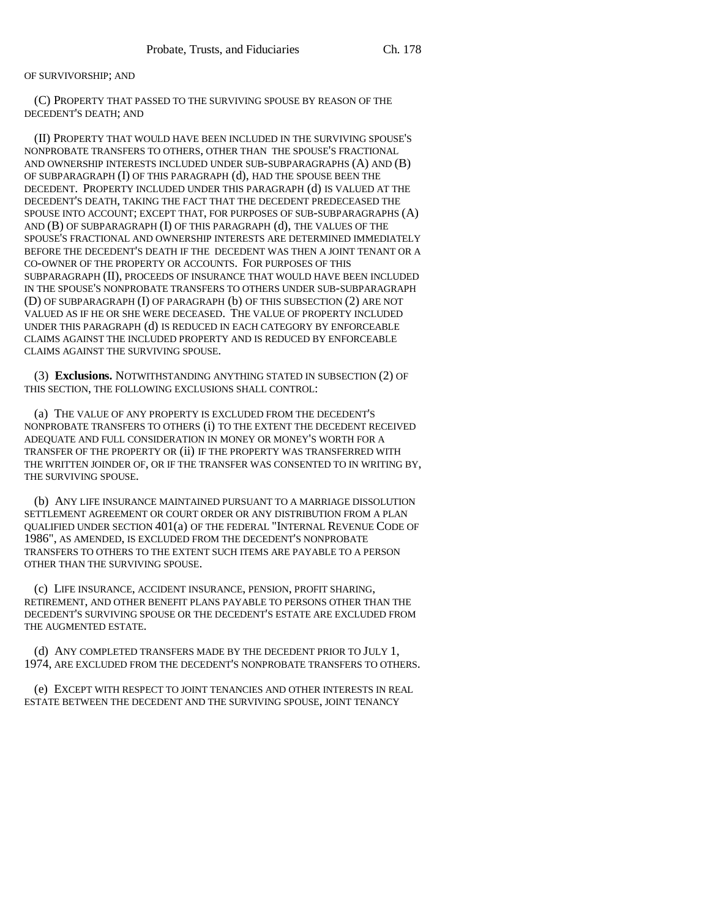#### OF SURVIVORSHIP; AND

(C) PROPERTY THAT PASSED TO THE SURVIVING SPOUSE BY REASON OF THE DECEDENT'S DEATH; AND

(II) PROPERTY THAT WOULD HAVE BEEN INCLUDED IN THE SURVIVING SPOUSE'S NONPROBATE TRANSFERS TO OTHERS, OTHER THAN THE SPOUSE'S FRACTIONAL AND OWNERSHIP INTERESTS INCLUDED UNDER SUB-SUBPARAGRAPHS (A) AND (B) OF SUBPARAGRAPH (I) OF THIS PARAGRAPH (d), HAD THE SPOUSE BEEN THE DECEDENT. PROPERTY INCLUDED UNDER THIS PARAGRAPH (d) IS VALUED AT THE DECEDENT'S DEATH, TAKING THE FACT THAT THE DECEDENT PREDECEASED THE SPOUSE INTO ACCOUNT; EXCEPT THAT, FOR PURPOSES OF SUB-SUBPARAGRAPHS (A) AND (B) OF SUBPARAGRAPH (I) OF THIS PARAGRAPH (d), THE VALUES OF THE SPOUSE'S FRACTIONAL AND OWNERSHIP INTERESTS ARE DETERMINED IMMEDIATELY BEFORE THE DECEDENT'S DEATH IF THE DECEDENT WAS THEN A JOINT TENANT OR A CO-OWNER OF THE PROPERTY OR ACCOUNTS. FOR PURPOSES OF THIS SUBPARAGRAPH (II), PROCEEDS OF INSURANCE THAT WOULD HAVE BEEN INCLUDED IN THE SPOUSE'S NONPROBATE TRANSFERS TO OTHERS UNDER SUB-SUBPARAGRAPH (D) OF SUBPARAGRAPH (I) OF PARAGRAPH (b) OF THIS SUBSECTION (2) ARE NOT VALUED AS IF HE OR SHE WERE DECEASED. THE VALUE OF PROPERTY INCLUDED UNDER THIS PARAGRAPH (d) IS REDUCED IN EACH CATEGORY BY ENFORCEABLE CLAIMS AGAINST THE INCLUDED PROPERTY AND IS REDUCED BY ENFORCEABLE CLAIMS AGAINST THE SURVIVING SPOUSE.

(3) **Exclusions.** NOTWITHSTANDING ANYTHING STATED IN SUBSECTION (2) OF THIS SECTION, THE FOLLOWING EXCLUSIONS SHALL CONTROL:

(a) THE VALUE OF ANY PROPERTY IS EXCLUDED FROM THE DECEDENT'S NONPROBATE TRANSFERS TO OTHERS (i) TO THE EXTENT THE DECEDENT RECEIVED ADEQUATE AND FULL CONSIDERATION IN MONEY OR MONEY'S WORTH FOR A TRANSFER OF THE PROPERTY OR (ii) IF THE PROPERTY WAS TRANSFERRED WITH THE WRITTEN JOINDER OF, OR IF THE TRANSFER WAS CONSENTED TO IN WRITING BY, THE SURVIVING SPOUSE.

(b) ANY LIFE INSURANCE MAINTAINED PURSUANT TO A MARRIAGE DISSOLUTION SETTLEMENT AGREEMENT OR COURT ORDER OR ANY DISTRIBUTION FROM A PLAN QUALIFIED UNDER SECTION 401(a) OF THE FEDERAL "INTERNAL REVENUE CODE OF 1986", AS AMENDED, IS EXCLUDED FROM THE DECEDENT'S NONPROBATE TRANSFERS TO OTHERS TO THE EXTENT SUCH ITEMS ARE PAYABLE TO A PERSON OTHER THAN THE SURVIVING SPOUSE.

(c) LIFE INSURANCE, ACCIDENT INSURANCE, PENSION, PROFIT SHARING, RETIREMENT, AND OTHER BENEFIT PLANS PAYABLE TO PERSONS OTHER THAN THE DECEDENT'S SURVIVING SPOUSE OR THE DECEDENT'S ESTATE ARE EXCLUDED FROM THE AUGMENTED ESTATE.

(d) ANY COMPLETED TRANSFERS MADE BY THE DECEDENT PRIOR TO JULY 1, 1974, ARE EXCLUDED FROM THE DECEDENT'S NONPROBATE TRANSFERS TO OTHERS.

(e) EXCEPT WITH RESPECT TO JOINT TENANCIES AND OTHER INTERESTS IN REAL ESTATE BETWEEN THE DECEDENT AND THE SURVIVING SPOUSE, JOINT TENANCY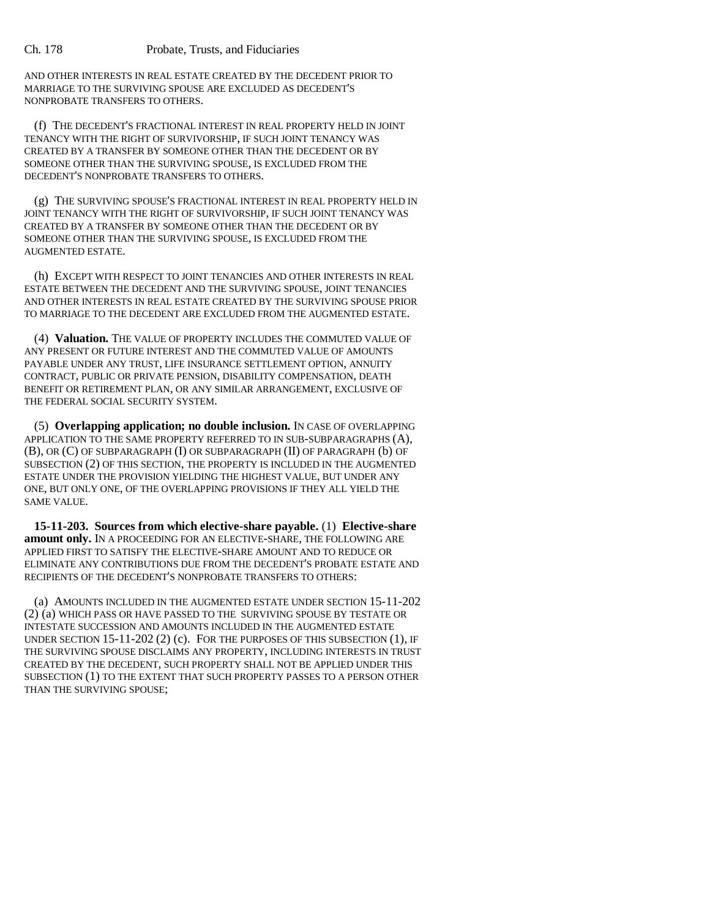AND OTHER INTERESTS IN REAL ESTATE CREATED BY THE DECEDENT PRIOR TO MARRIAGE TO THE SURVIVING SPOUSE ARE EXCLUDED AS DECEDENT'S NONPROBATE TRANSFERS TO OTHERS.

(f) THE DECEDENT'S FRACTIONAL INTEREST IN REAL PROPERTY HELD IN JOINT TENANCY WITH THE RIGHT OF SURVIVORSHIP, IF SUCH JOINT TENANCY WAS CREATED BY A TRANSFER BY SOMEONE OTHER THAN THE DECEDENT OR BY SOMEONE OTHER THAN THE SURVIVING SPOUSE, IS EXCLUDED FROM THE DECEDENT'S NONPROBATE TRANSFERS TO OTHERS.

(g) THE SURVIVING SPOUSE'S FRACTIONAL INTEREST IN REAL PROPERTY HELD IN JOINT TENANCY WITH THE RIGHT OF SURVIVORSHIP, IF SUCH JOINT TENANCY WAS CREATED BY A TRANSFER BY SOMEONE OTHER THAN THE DECEDENT OR BY SOMEONE OTHER THAN THE SURVIVING SPOUSE, IS EXCLUDED FROM THE AUGMENTED ESTATE.

(h) EXCEPT WITH RESPECT TO JOINT TENANCIES AND OTHER INTERESTS IN REAL ESTATE BETWEEN THE DECEDENT AND THE SURVIVING SPOUSE, JOINT TENANCIES AND OTHER INTERESTS IN REAL ESTATE CREATED BY THE SURVIVING SPOUSE PRIOR TO MARRIAGE TO THE DECEDENT ARE EXCLUDED FROM THE AUGMENTED ESTATE.

(4) **Valuation.** THE VALUE OF PROPERTY INCLUDES THE COMMUTED VALUE OF ANY PRESENT OR FUTURE INTEREST AND THE COMMUTED VALUE OF AMOUNTS PAYABLE UNDER ANY TRUST, LIFE INSURANCE SETTLEMENT OPTION, ANNUITY CONTRACT, PUBLIC OR PRIVATE PENSION, DISABILITY COMPENSATION, DEATH BENEFIT OR RETIREMENT PLAN, OR ANY SIMILAR ARRANGEMENT, EXCLUSIVE OF THE FEDERAL SOCIAL SECURITY SYSTEM.

(5) **Overlapping application; no double inclusion.** IN CASE OF OVERLAPPING APPLICATION TO THE SAME PROPERTY REFERRED TO IN SUB-SUBPARAGRAPHS (A), (B), OR (C) OF SUBPARAGRAPH (I) OR SUBPARAGRAPH (II) OF PARAGRAPH (b) OF SUBSECTION (2) OF THIS SECTION, THE PROPERTY IS INCLUDED IN THE AUGMENTED ESTATE UNDER THE PROVISION YIELDING THE HIGHEST VALUE, BUT UNDER ANY ONE, BUT ONLY ONE, OF THE OVERLAPPING PROVISIONS IF THEY ALL YIELD THE SAME VALUE.

**15-11-203. Sources from which elective-share payable.** (1) **Elective-share amount only.** IN A PROCEEDING FOR AN ELECTIVE-SHARE, THE FOLLOWING ARE APPLIED FIRST TO SATISFY THE ELECTIVE-SHARE AMOUNT AND TO REDUCE OR ELIMINATE ANY CONTRIBUTIONS DUE FROM THE DECEDENT'S PROBATE ESTATE AND RECIPIENTS OF THE DECEDENT'S NONPROBATE TRANSFERS TO OTHERS:

(a) AMOUNTS INCLUDED IN THE AUGMENTED ESTATE UNDER SECTION 15-11-202 (2) (a) WHICH PASS OR HAVE PASSED TO THE SURVIVING SPOUSE BY TESTATE OR INTESTATE SUCCESSION AND AMOUNTS INCLUDED IN THE AUGMENTED ESTATE UNDER SECTION  $15-11-202$  (2) (c). FOR THE PURPOSES OF THIS SUBSECTION  $(1)$ , IF THE SURVIVING SPOUSE DISCLAIMS ANY PROPERTY, INCLUDING INTERESTS IN TRUST CREATED BY THE DECEDENT, SUCH PROPERTY SHALL NOT BE APPLIED UNDER THIS SUBSECTION (1) TO THE EXTENT THAT SUCH PROPERTY PASSES TO A PERSON OTHER THAN THE SURVIVING SPOUSE;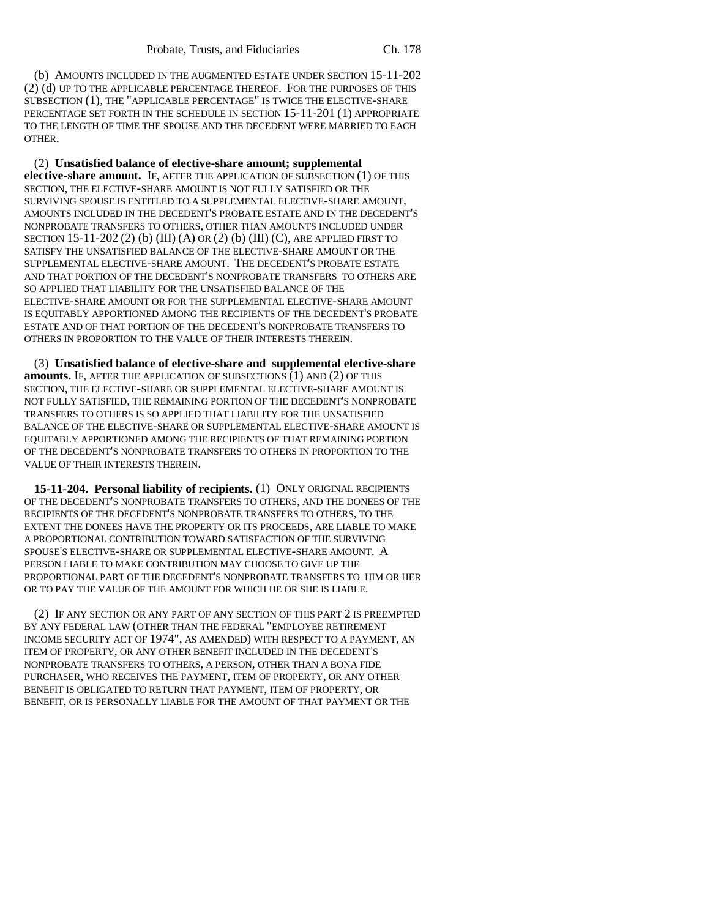(b) AMOUNTS INCLUDED IN THE AUGMENTED ESTATE UNDER SECTION 15-11-202 (2) (d) UP TO THE APPLICABLE PERCENTAGE THEREOF. FOR THE PURPOSES OF THIS SUBSECTION (1), THE "APPLICABLE PERCENTAGE" IS TWICE THE ELECTIVE-SHARE PERCENTAGE SET FORTH IN THE SCHEDULE IN SECTION 15-11-201 (1) APPROPRIATE TO THE LENGTH OF TIME THE SPOUSE AND THE DECEDENT WERE MARRIED TO EACH OTHER.

(2) **Unsatisfied balance of elective-share amount; supplemental elective-share amount.** IF, AFTER THE APPLICATION OF SUBSECTION (1) OF THIS SECTION, THE ELECTIVE-SHARE AMOUNT IS NOT FULLY SATISFIED OR THE SURVIVING SPOUSE IS ENTITLED TO A SUPPLEMENTAL ELECTIVE-SHARE AMOUNT, AMOUNTS INCLUDED IN THE DECEDENT'S PROBATE ESTATE AND IN THE DECEDENT'S NONPROBATE TRANSFERS TO OTHERS, OTHER THAN AMOUNTS INCLUDED UNDER SECTION  $15-11-202$  (2) (b) (III) (A) OR (2) (b) (III) (C), ARE APPLIED FIRST TO SATISFY THE UNSATISFIED BALANCE OF THE ELECTIVE-SHARE AMOUNT OR THE SUPPLEMENTAL ELECTIVE-SHARE AMOUNT. THE DECEDENT'S PROBATE ESTATE AND THAT PORTION OF THE DECEDENT'S NONPROBATE TRANSFERS TO OTHERS ARE SO APPLIED THAT LIABILITY FOR THE UNSATISFIED BALANCE OF THE ELECTIVE-SHARE AMOUNT OR FOR THE SUPPLEMENTAL ELECTIVE-SHARE AMOUNT IS EQUITABLY APPORTIONED AMONG THE RECIPIENTS OF THE DECEDENT'S PROBATE ESTATE AND OF THAT PORTION OF THE DECEDENT'S NONPROBATE TRANSFERS TO OTHERS IN PROPORTION TO THE VALUE OF THEIR INTERESTS THEREIN.

(3) **Unsatisfied balance of elective-share and supplemental elective-share amounts.** IF, AFTER THE APPLICATION OF SUBSECTIONS (1) AND (2) OF THIS SECTION, THE ELECTIVE-SHARE OR SUPPLEMENTAL ELECTIVE-SHARE AMOUNT IS NOT FULLY SATISFIED, THE REMAINING PORTION OF THE DECEDENT'S NONPROBATE TRANSFERS TO OTHERS IS SO APPLIED THAT LIABILITY FOR THE UNSATISFIED BALANCE OF THE ELECTIVE-SHARE OR SUPPLEMENTAL ELECTIVE-SHARE AMOUNT IS EQUITABLY APPORTIONED AMONG THE RECIPIENTS OF THAT REMAINING PORTION OF THE DECEDENT'S NONPROBATE TRANSFERS TO OTHERS IN PROPORTION TO THE VALUE OF THEIR INTERESTS THEREIN.

**15-11-204. Personal liability of recipients.** (1) ONLY ORIGINAL RECIPIENTS OF THE DECEDENT'S NONPROBATE TRANSFERS TO OTHERS, AND THE DONEES OF THE RECIPIENTS OF THE DECEDENT'S NONPROBATE TRANSFERS TO OTHERS, TO THE EXTENT THE DONEES HAVE THE PROPERTY OR ITS PROCEEDS, ARE LIABLE TO MAKE A PROPORTIONAL CONTRIBUTION TOWARD SATISFACTION OF THE SURVIVING SPOUSE'S ELECTIVE-SHARE OR SUPPLEMENTAL ELECTIVE-SHARE AMOUNT. A PERSON LIABLE TO MAKE CONTRIBUTION MAY CHOOSE TO GIVE UP THE PROPORTIONAL PART OF THE DECEDENT'S NONPROBATE TRANSFERS TO HIM OR HER OR TO PAY THE VALUE OF THE AMOUNT FOR WHICH HE OR SHE IS LIABLE.

(2) IF ANY SECTION OR ANY PART OF ANY SECTION OF THIS PART 2 IS PREEMPTED BY ANY FEDERAL LAW (OTHER THAN THE FEDERAL "EMPLOYEE RETIREMENT INCOME SECURITY ACT OF 1974", AS AMENDED) WITH RESPECT TO A PAYMENT, AN ITEM OF PROPERTY, OR ANY OTHER BENEFIT INCLUDED IN THE DECEDENT'S NONPROBATE TRANSFERS TO OTHERS, A PERSON, OTHER THAN A BONA FIDE PURCHASER, WHO RECEIVES THE PAYMENT, ITEM OF PROPERTY, OR ANY OTHER BENEFIT IS OBLIGATED TO RETURN THAT PAYMENT, ITEM OF PROPERTY, OR BENEFIT, OR IS PERSONALLY LIABLE FOR THE AMOUNT OF THAT PAYMENT OR THE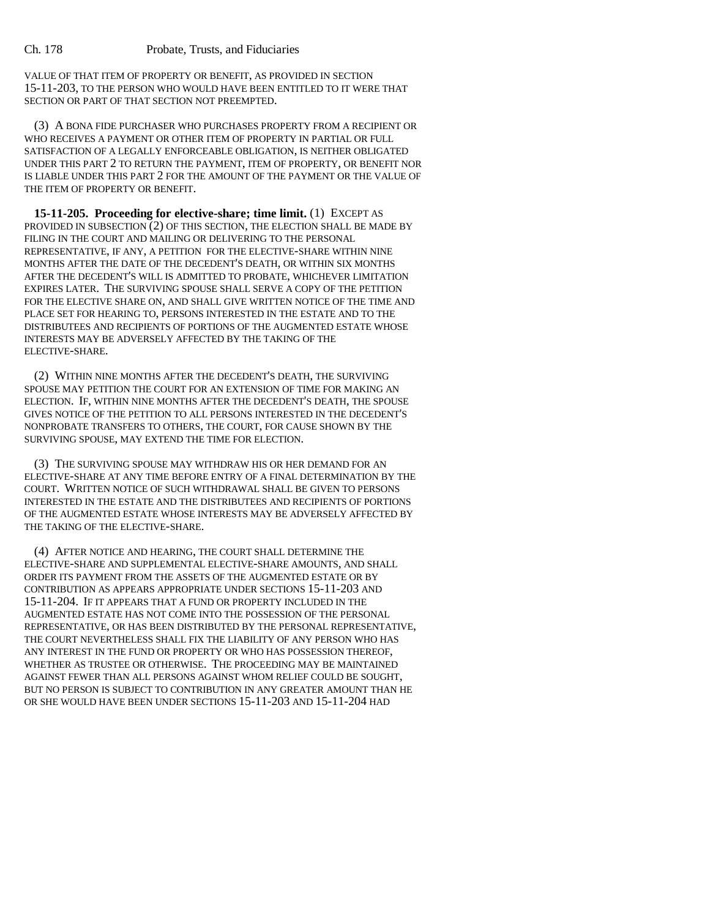VALUE OF THAT ITEM OF PROPERTY OR BENEFIT, AS PROVIDED IN SECTION 15-11-203, TO THE PERSON WHO WOULD HAVE BEEN ENTITLED TO IT WERE THAT SECTION OR PART OF THAT SECTION NOT PREEMPTED.

(3) A BONA FIDE PURCHASER WHO PURCHASES PROPERTY FROM A RECIPIENT OR WHO RECEIVES A PAYMENT OR OTHER ITEM OF PROPERTY IN PARTIAL OR FULL SATISFACTION OF A LEGALLY ENFORCEABLE OBLIGATION, IS NEITHER OBLIGATED UNDER THIS PART 2 TO RETURN THE PAYMENT, ITEM OF PROPERTY, OR BENEFIT NOR IS LIABLE UNDER THIS PART 2 FOR THE AMOUNT OF THE PAYMENT OR THE VALUE OF THE ITEM OF PROPERTY OR BENEFIT.

**15-11-205. Proceeding for elective-share; time limit.** (1) EXCEPT AS PROVIDED IN SUBSECTION (2) OF THIS SECTION, THE ELECTION SHALL BE MADE BY FILING IN THE COURT AND MAILING OR DELIVERING TO THE PERSONAL REPRESENTATIVE, IF ANY, A PETITION FOR THE ELECTIVE-SHARE WITHIN NINE MONTHS AFTER THE DATE OF THE DECEDENT'S DEATH, OR WITHIN SIX MONTHS AFTER THE DECEDENT'S WILL IS ADMITTED TO PROBATE, WHICHEVER LIMITATION EXPIRES LATER. THE SURVIVING SPOUSE SHALL SERVE A COPY OF THE PETITION FOR THE ELECTIVE SHARE ON, AND SHALL GIVE WRITTEN NOTICE OF THE TIME AND PLACE SET FOR HEARING TO, PERSONS INTERESTED IN THE ESTATE AND TO THE DISTRIBUTEES AND RECIPIENTS OF PORTIONS OF THE AUGMENTED ESTATE WHOSE INTERESTS MAY BE ADVERSELY AFFECTED BY THE TAKING OF THE ELECTIVE-SHARE.

(2) WITHIN NINE MONTHS AFTER THE DECEDENT'S DEATH, THE SURVIVING SPOUSE MAY PETITION THE COURT FOR AN EXTENSION OF TIME FOR MAKING AN ELECTION. IF, WITHIN NINE MONTHS AFTER THE DECEDENT'S DEATH, THE SPOUSE GIVES NOTICE OF THE PETITION TO ALL PERSONS INTERESTED IN THE DECEDENT'S NONPROBATE TRANSFERS TO OTHERS, THE COURT, FOR CAUSE SHOWN BY THE SURVIVING SPOUSE, MAY EXTEND THE TIME FOR ELECTION.

(3) THE SURVIVING SPOUSE MAY WITHDRAW HIS OR HER DEMAND FOR AN ELECTIVE-SHARE AT ANY TIME BEFORE ENTRY OF A FINAL DETERMINATION BY THE COURT. WRITTEN NOTICE OF SUCH WITHDRAWAL SHALL BE GIVEN TO PERSONS INTERESTED IN THE ESTATE AND THE DISTRIBUTEES AND RECIPIENTS OF PORTIONS OF THE AUGMENTED ESTATE WHOSE INTERESTS MAY BE ADVERSELY AFFECTED BY THE TAKING OF THE ELECTIVE-SHARE.

(4) AFTER NOTICE AND HEARING, THE COURT SHALL DETERMINE THE ELECTIVE-SHARE AND SUPPLEMENTAL ELECTIVE-SHARE AMOUNTS, AND SHALL ORDER ITS PAYMENT FROM THE ASSETS OF THE AUGMENTED ESTATE OR BY CONTRIBUTION AS APPEARS APPROPRIATE UNDER SECTIONS 15-11-203 AND 15-11-204. IF IT APPEARS THAT A FUND OR PROPERTY INCLUDED IN THE AUGMENTED ESTATE HAS NOT COME INTO THE POSSESSION OF THE PERSONAL REPRESENTATIVE, OR HAS BEEN DISTRIBUTED BY THE PERSONAL REPRESENTATIVE, THE COURT NEVERTHELESS SHALL FIX THE LIABILITY OF ANY PERSON WHO HAS ANY INTEREST IN THE FUND OR PROPERTY OR WHO HAS POSSESSION THEREOF, WHETHER AS TRUSTEE OR OTHERWISE. THE PROCEEDING MAY BE MAINTAINED AGAINST FEWER THAN ALL PERSONS AGAINST WHOM RELIEF COULD BE SOUGHT, BUT NO PERSON IS SUBJECT TO CONTRIBUTION IN ANY GREATER AMOUNT THAN HE OR SHE WOULD HAVE BEEN UNDER SECTIONS 15-11-203 AND 15-11-204 HAD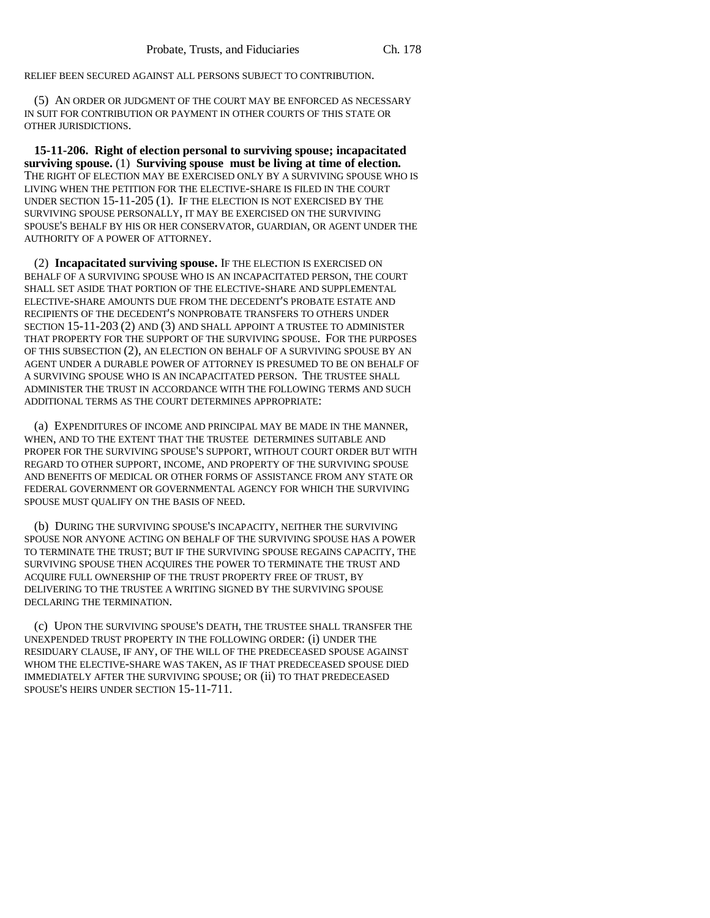RELIEF BEEN SECURED AGAINST ALL PERSONS SUBJECT TO CONTRIBUTION.

(5) AN ORDER OR JUDGMENT OF THE COURT MAY BE ENFORCED AS NECESSARY IN SUIT FOR CONTRIBUTION OR PAYMENT IN OTHER COURTS OF THIS STATE OR OTHER JURISDICTIONS.

**15-11-206. Right of election personal to surviving spouse; incapacitated surviving spouse.** (1) **Surviving spouse must be living at time of election.** THE RIGHT OF ELECTION MAY BE EXERCISED ONLY BY A SURVIVING SPOUSE WHO IS LIVING WHEN THE PETITION FOR THE ELECTIVE-SHARE IS FILED IN THE COURT UNDER SECTION 15-11-205 (1). IF THE ELECTION IS NOT EXERCISED BY THE SURVIVING SPOUSE PERSONALLY, IT MAY BE EXERCISED ON THE SURVIVING SPOUSE'S BEHALF BY HIS OR HER CONSERVATOR, GUARDIAN, OR AGENT UNDER THE AUTHORITY OF A POWER OF ATTORNEY.

(2) **Incapacitated surviving spouse.** IF THE ELECTION IS EXERCISED ON BEHALF OF A SURVIVING SPOUSE WHO IS AN INCAPACITATED PERSON, THE COURT SHALL SET ASIDE THAT PORTION OF THE ELECTIVE-SHARE AND SUPPLEMENTAL ELECTIVE-SHARE AMOUNTS DUE FROM THE DECEDENT'S PROBATE ESTATE AND RECIPIENTS OF THE DECEDENT'S NONPROBATE TRANSFERS TO OTHERS UNDER SECTION 15-11-203 (2) AND (3) AND SHALL APPOINT A TRUSTEE TO ADMINISTER THAT PROPERTY FOR THE SUPPORT OF THE SURVIVING SPOUSE. FOR THE PURPOSES OF THIS SUBSECTION (2), AN ELECTION ON BEHALF OF A SURVIVING SPOUSE BY AN AGENT UNDER A DURABLE POWER OF ATTORNEY IS PRESUMED TO BE ON BEHALF OF A SURVIVING SPOUSE WHO IS AN INCAPACITATED PERSON. THE TRUSTEE SHALL ADMINISTER THE TRUST IN ACCORDANCE WITH THE FOLLOWING TERMS AND SUCH ADDITIONAL TERMS AS THE COURT DETERMINES APPROPRIATE:

(a) EXPENDITURES OF INCOME AND PRINCIPAL MAY BE MADE IN THE MANNER, WHEN, AND TO THE EXTENT THAT THE TRUSTEE DETERMINES SUITABLE AND PROPER FOR THE SURVIVING SPOUSE'S SUPPORT, WITHOUT COURT ORDER BUT WITH REGARD TO OTHER SUPPORT, INCOME, AND PROPERTY OF THE SURVIVING SPOUSE AND BENEFITS OF MEDICAL OR OTHER FORMS OF ASSISTANCE FROM ANY STATE OR FEDERAL GOVERNMENT OR GOVERNMENTAL AGENCY FOR WHICH THE SURVIVING SPOUSE MUST QUALIFY ON THE BASIS OF NEED.

(b) DURING THE SURVIVING SPOUSE'S INCAPACITY, NEITHER THE SURVIVING SPOUSE NOR ANYONE ACTING ON BEHALF OF THE SURVIVING SPOUSE HAS A POWER TO TERMINATE THE TRUST; BUT IF THE SURVIVING SPOUSE REGAINS CAPACITY, THE SURVIVING SPOUSE THEN ACQUIRES THE POWER TO TERMINATE THE TRUST AND ACQUIRE FULL OWNERSHIP OF THE TRUST PROPERTY FREE OF TRUST, BY DELIVERING TO THE TRUSTEE A WRITING SIGNED BY THE SURVIVING SPOUSE DECLARING THE TERMINATION.

(c) UPON THE SURVIVING SPOUSE'S DEATH, THE TRUSTEE SHALL TRANSFER THE UNEXPENDED TRUST PROPERTY IN THE FOLLOWING ORDER: (i) UNDER THE RESIDUARY CLAUSE, IF ANY, OF THE WILL OF THE PREDECEASED SPOUSE AGAINST WHOM THE ELECTIVE-SHARE WAS TAKEN, AS IF THAT PREDECEASED SPOUSE DIED IMMEDIATELY AFTER THE SURVIVING SPOUSE; OR (ii) TO THAT PREDECEASED SPOUSE'S HEIRS UNDER SECTION 15-11-711.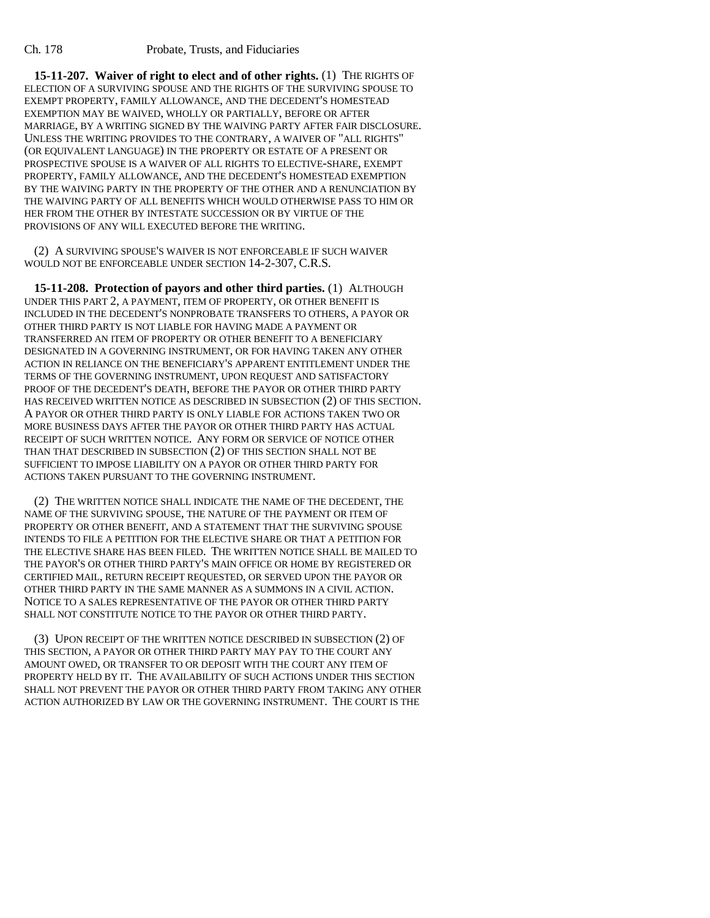**15-11-207. Waiver of right to elect and of other rights.** (1) THE RIGHTS OF ELECTION OF A SURVIVING SPOUSE AND THE RIGHTS OF THE SURVIVING SPOUSE TO EXEMPT PROPERTY, FAMILY ALLOWANCE, AND THE DECEDENT'S HOMESTEAD EXEMPTION MAY BE WAIVED, WHOLLY OR PARTIALLY, BEFORE OR AFTER MARRIAGE, BY A WRITING SIGNED BY THE WAIVING PARTY AFTER FAIR DISCLOSURE. UNLESS THE WRITING PROVIDES TO THE CONTRARY, A WAIVER OF "ALL RIGHTS" (OR EQUIVALENT LANGUAGE) IN THE PROPERTY OR ESTATE OF A PRESENT OR PROSPECTIVE SPOUSE IS A WAIVER OF ALL RIGHTS TO ELECTIVE-SHARE, EXEMPT PROPERTY, FAMILY ALLOWANCE, AND THE DECEDENT'S HOMESTEAD EXEMPTION BY THE WAIVING PARTY IN THE PROPERTY OF THE OTHER AND A RENUNCIATION BY THE WAIVING PARTY OF ALL BENEFITS WHICH WOULD OTHERWISE PASS TO HIM OR HER FROM THE OTHER BY INTESTATE SUCCESSION OR BY VIRTUE OF THE PROVISIONS OF ANY WILL EXECUTED BEFORE THE WRITING.

(2) A SURVIVING SPOUSE'S WAIVER IS NOT ENFORCEABLE IF SUCH WAIVER WOULD NOT BE ENFORCEABLE UNDER SECTION 14-2-307, C.R.S.

**15-11-208. Protection of payors and other third parties.** (1) ALTHOUGH UNDER THIS PART 2, A PAYMENT, ITEM OF PROPERTY, OR OTHER BENEFIT IS INCLUDED IN THE DECEDENT'S NONPROBATE TRANSFERS TO OTHERS, A PAYOR OR OTHER THIRD PARTY IS NOT LIABLE FOR HAVING MADE A PAYMENT OR TRANSFERRED AN ITEM OF PROPERTY OR OTHER BENEFIT TO A BENEFICIARY DESIGNATED IN A GOVERNING INSTRUMENT, OR FOR HAVING TAKEN ANY OTHER ACTION IN RELIANCE ON THE BENEFICIARY'S APPARENT ENTITLEMENT UNDER THE TERMS OF THE GOVERNING INSTRUMENT, UPON REQUEST AND SATISFACTORY PROOF OF THE DECEDENT'S DEATH, BEFORE THE PAYOR OR OTHER THIRD PARTY HAS RECEIVED WRITTEN NOTICE AS DESCRIBED IN SUBSECTION (2) OF THIS SECTION. A PAYOR OR OTHER THIRD PARTY IS ONLY LIABLE FOR ACTIONS TAKEN TWO OR MORE BUSINESS DAYS AFTER THE PAYOR OR OTHER THIRD PARTY HAS ACTUAL RECEIPT OF SUCH WRITTEN NOTICE. ANY FORM OR SERVICE OF NOTICE OTHER THAN THAT DESCRIBED IN SUBSECTION (2) OF THIS SECTION SHALL NOT BE SUFFICIENT TO IMPOSE LIABILITY ON A PAYOR OR OTHER THIRD PARTY FOR ACTIONS TAKEN PURSUANT TO THE GOVERNING INSTRUMENT.

(2) THE WRITTEN NOTICE SHALL INDICATE THE NAME OF THE DECEDENT, THE NAME OF THE SURVIVING SPOUSE, THE NATURE OF THE PAYMENT OR ITEM OF PROPERTY OR OTHER BENEFIT, AND A STATEMENT THAT THE SURVIVING SPOUSE INTENDS TO FILE A PETITION FOR THE ELECTIVE SHARE OR THAT A PETITION FOR THE ELECTIVE SHARE HAS BEEN FILED. THE WRITTEN NOTICE SHALL BE MAILED TO THE PAYOR'S OR OTHER THIRD PARTY'S MAIN OFFICE OR HOME BY REGISTERED OR CERTIFIED MAIL, RETURN RECEIPT REQUESTED, OR SERVED UPON THE PAYOR OR OTHER THIRD PARTY IN THE SAME MANNER AS A SUMMONS IN A CIVIL ACTION. NOTICE TO A SALES REPRESENTATIVE OF THE PAYOR OR OTHER THIRD PARTY SHALL NOT CONSTITUTE NOTICE TO THE PAYOR OR OTHER THIRD PARTY.

(3) UPON RECEIPT OF THE WRITTEN NOTICE DESCRIBED IN SUBSECTION (2) OF THIS SECTION, A PAYOR OR OTHER THIRD PARTY MAY PAY TO THE COURT ANY AMOUNT OWED, OR TRANSFER TO OR DEPOSIT WITH THE COURT ANY ITEM OF PROPERTY HELD BY IT. THE AVAILABILITY OF SUCH ACTIONS UNDER THIS SECTION SHALL NOT PREVENT THE PAYOR OR OTHER THIRD PARTY FROM TAKING ANY OTHER ACTION AUTHORIZED BY LAW OR THE GOVERNING INSTRUMENT. THE COURT IS THE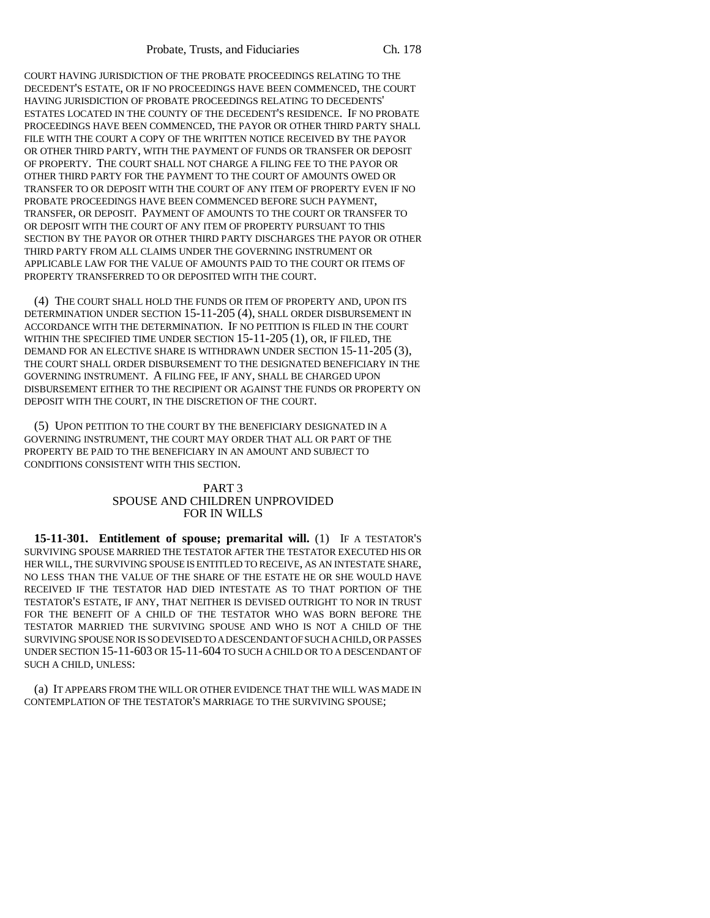COURT HAVING JURISDICTION OF THE PROBATE PROCEEDINGS RELATING TO THE DECEDENT'S ESTATE, OR IF NO PROCEEDINGS HAVE BEEN COMMENCED, THE COURT HAVING JURISDICTION OF PROBATE PROCEEDINGS RELATING TO DECEDENTS' ESTATES LOCATED IN THE COUNTY OF THE DECEDENT'S RESIDENCE. IF NO PROBATE PROCEEDINGS HAVE BEEN COMMENCED, THE PAYOR OR OTHER THIRD PARTY SHALL FILE WITH THE COURT A COPY OF THE WRITTEN NOTICE RECEIVED BY THE PAYOR OR OTHER THIRD PARTY, WITH THE PAYMENT OF FUNDS OR TRANSFER OR DEPOSIT OF PROPERTY. THE COURT SHALL NOT CHARGE A FILING FEE TO THE PAYOR OR OTHER THIRD PARTY FOR THE PAYMENT TO THE COURT OF AMOUNTS OWED OR TRANSFER TO OR DEPOSIT WITH THE COURT OF ANY ITEM OF PROPERTY EVEN IF NO PROBATE PROCEEDINGS HAVE BEEN COMMENCED BEFORE SUCH PAYMENT, TRANSFER, OR DEPOSIT. PAYMENT OF AMOUNTS TO THE COURT OR TRANSFER TO OR DEPOSIT WITH THE COURT OF ANY ITEM OF PROPERTY PURSUANT TO THIS SECTION BY THE PAYOR OR OTHER THIRD PARTY DISCHARGES THE PAYOR OR OTHER THIRD PARTY FROM ALL CLAIMS UNDER THE GOVERNING INSTRUMENT OR APPLICABLE LAW FOR THE VALUE OF AMOUNTS PAID TO THE COURT OR ITEMS OF PROPERTY TRANSFERRED TO OR DEPOSITED WITH THE COURT.

(4) THE COURT SHALL HOLD THE FUNDS OR ITEM OF PROPERTY AND, UPON ITS DETERMINATION UNDER SECTION 15-11-205 (4), SHALL ORDER DISBURSEMENT IN ACCORDANCE WITH THE DETERMINATION. IF NO PETITION IS FILED IN THE COURT WITHIN THE SPECIFIED TIME UNDER SECTION 15-11-205 (1), OR, IF FILED, THE DEMAND FOR AN ELECTIVE SHARE IS WITHDRAWN UNDER SECTION 15-11-205 (3), THE COURT SHALL ORDER DISBURSEMENT TO THE DESIGNATED BENEFICIARY IN THE GOVERNING INSTRUMENT. A FILING FEE, IF ANY, SHALL BE CHARGED UPON DISBURSEMENT EITHER TO THE RECIPIENT OR AGAINST THE FUNDS OR PROPERTY ON DEPOSIT WITH THE COURT, IN THE DISCRETION OF THE COURT.

(5) UPON PETITION TO THE COURT BY THE BENEFICIARY DESIGNATED IN A GOVERNING INSTRUMENT, THE COURT MAY ORDER THAT ALL OR PART OF THE PROPERTY BE PAID TO THE BENEFICIARY IN AN AMOUNT AND SUBJECT TO CONDITIONS CONSISTENT WITH THIS SECTION.

## PART 3 SPOUSE AND CHILDREN UNPROVIDED FOR IN WILLS

**15-11-301. Entitlement of spouse; premarital will.** (1) IF A TESTATOR'S SURVIVING SPOUSE MARRIED THE TESTATOR AFTER THE TESTATOR EXECUTED HIS OR HER WILL, THE SURVIVING SPOUSE IS ENTITLED TO RECEIVE, AS AN INTESTATE SHARE, NO LESS THAN THE VALUE OF THE SHARE OF THE ESTATE HE OR SHE WOULD HAVE RECEIVED IF THE TESTATOR HAD DIED INTESTATE AS TO THAT PORTION OF THE TESTATOR'S ESTATE, IF ANY, THAT NEITHER IS DEVISED OUTRIGHT TO NOR IN TRUST FOR THE BENEFIT OF A CHILD OF THE TESTATOR WHO WAS BORN BEFORE THE TESTATOR MARRIED THE SURVIVING SPOUSE AND WHO IS NOT A CHILD OF THE SURVIVING SPOUSE NOR IS SO DEVISED TO A DESCENDANT OF SUCH A CHILD, OR PASSES UNDER SECTION 15-11-603 OR 15-11-604 TO SUCH A CHILD OR TO A DESCENDANT OF SUCH A CHILD, UNLESS:

(a) IT APPEARS FROM THE WILL OR OTHER EVIDENCE THAT THE WILL WAS MADE IN CONTEMPLATION OF THE TESTATOR'S MARRIAGE TO THE SURVIVING SPOUSE;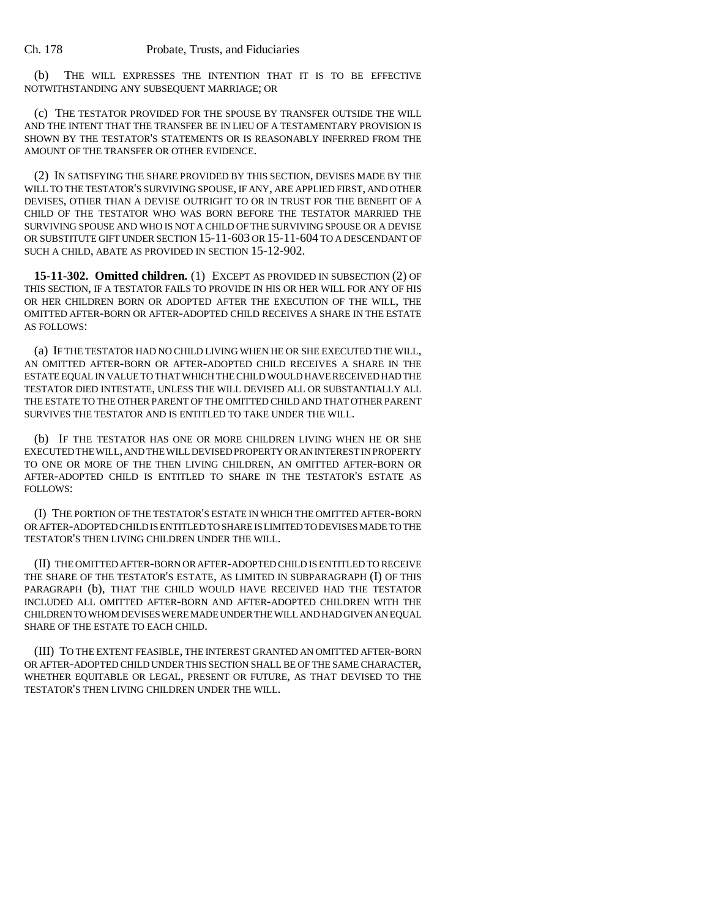(b) THE WILL EXPRESSES THE INTENTION THAT IT IS TO BE EFFECTIVE NOTWITHSTANDING ANY SUBSEQUENT MARRIAGE; OR

(c) THE TESTATOR PROVIDED FOR THE SPOUSE BY TRANSFER OUTSIDE THE WILL AND THE INTENT THAT THE TRANSFER BE IN LIEU OF A TESTAMENTARY PROVISION IS SHOWN BY THE TESTATOR'S STATEMENTS OR IS REASONABLY INFERRED FROM THE AMOUNT OF THE TRANSFER OR OTHER EVIDENCE.

(2) IN SATISFYING THE SHARE PROVIDED BY THIS SECTION, DEVISES MADE BY THE WILL TO THE TESTATOR'S SURVIVING SPOUSE, IF ANY, ARE APPLIED FIRST, AND OTHER DEVISES, OTHER THAN A DEVISE OUTRIGHT TO OR IN TRUST FOR THE BENEFIT OF A CHILD OF THE TESTATOR WHO WAS BORN BEFORE THE TESTATOR MARRIED THE SURVIVING SPOUSE AND WHO IS NOT A CHILD OF THE SURVIVING SPOUSE OR A DEVISE OR SUBSTITUTE GIFT UNDER SECTION 15-11-603 OR 15-11-604 TO A DESCENDANT OF SUCH A CHILD, ABATE AS PROVIDED IN SECTION 15-12-902.

**15-11-302. Omitted children.** (1) EXCEPT AS PROVIDED IN SUBSECTION (2) OF THIS SECTION, IF A TESTATOR FAILS TO PROVIDE IN HIS OR HER WILL FOR ANY OF HIS OR HER CHILDREN BORN OR ADOPTED AFTER THE EXECUTION OF THE WILL, THE OMITTED AFTER-BORN OR AFTER-ADOPTED CHILD RECEIVES A SHARE IN THE ESTATE AS FOLLOWS:

(a) IF THE TESTATOR HAD NO CHILD LIVING WHEN HE OR SHE EXECUTED THE WILL, AN OMITTED AFTER-BORN OR AFTER-ADOPTED CHILD RECEIVES A SHARE IN THE ESTATE EQUAL IN VALUE TO THAT WHICH THE CHILD WOULD HAVE RECEIVED HAD THE TESTATOR DIED INTESTATE, UNLESS THE WILL DEVISED ALL OR SUBSTANTIALLY ALL THE ESTATE TO THE OTHER PARENT OF THE OMITTED CHILD AND THAT OTHER PARENT SURVIVES THE TESTATOR AND IS ENTITLED TO TAKE UNDER THE WILL.

(b) IF THE TESTATOR HAS ONE OR MORE CHILDREN LIVING WHEN HE OR SHE EXECUTED THE WILL, AND THE WILL DEVISED PROPERTY OR AN INTEREST IN PROPERTY TO ONE OR MORE OF THE THEN LIVING CHILDREN, AN OMITTED AFTER-BORN OR AFTER-ADOPTED CHILD IS ENTITLED TO SHARE IN THE TESTATOR'S ESTATE AS FOLLOWS:

(I) THE PORTION OF THE TESTATOR'S ESTATE IN WHICH THE OMITTED AFTER-BORN OR AFTER-ADOPTED CHILD IS ENTITLED TO SHARE IS LIMITED TO DEVISES MADE TO THE TESTATOR'S THEN LIVING CHILDREN UNDER THE WILL.

(II) THE OMITTED AFTER-BORN OR AFTER-ADOPTED CHILD IS ENTITLED TO RECEIVE THE SHARE OF THE TESTATOR'S ESTATE, AS LIMITED IN SUBPARAGRAPH (I) OF THIS PARAGRAPH (b), THAT THE CHILD WOULD HAVE RECEIVED HAD THE TESTATOR INCLUDED ALL OMITTED AFTER-BORN AND AFTER-ADOPTED CHILDREN WITH THE CHILDREN TO WHOM DEVISES WERE MADE UNDER THE WILL AND HAD GIVEN AN EQUAL SHARE OF THE ESTATE TO EACH CHILD.

(III) TO THE EXTENT FEASIBLE, THE INTEREST GRANTED AN OMITTED AFTER-BORN OR AFTER-ADOPTED CHILD UNDER THIS SECTION SHALL BE OF THE SAME CHARACTER, WHETHER EQUITABLE OR LEGAL, PRESENT OR FUTURE, AS THAT DEVISED TO THE TESTATOR'S THEN LIVING CHILDREN UNDER THE WILL.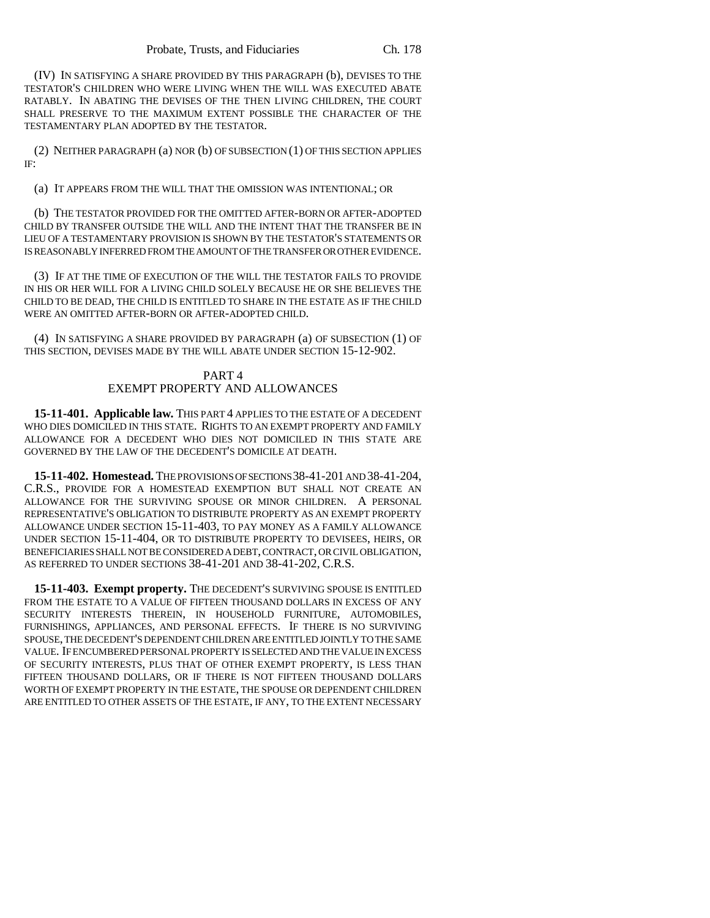(IV) IN SATISFYING A SHARE PROVIDED BY THIS PARAGRAPH (b), DEVISES TO THE TESTATOR'S CHILDREN WHO WERE LIVING WHEN THE WILL WAS EXECUTED ABATE RATABLY. IN ABATING THE DEVISES OF THE THEN LIVING CHILDREN, THE COURT SHALL PRESERVE TO THE MAXIMUM EXTENT POSSIBLE THE CHARACTER OF THE TESTAMENTARY PLAN ADOPTED BY THE TESTATOR.

(2) NEITHER PARAGRAPH (a) NOR (b) OF SUBSECTION (1) OF THIS SECTION APPLIES IF:

(a) IT APPEARS FROM THE WILL THAT THE OMISSION WAS INTENTIONAL; OR

(b) THE TESTATOR PROVIDED FOR THE OMITTED AFTER-BORN OR AFTER-ADOPTED CHILD BY TRANSFER OUTSIDE THE WILL AND THE INTENT THAT THE TRANSFER BE IN LIEU OF A TESTAMENTARY PROVISION IS SHOWN BY THE TESTATOR'S STATEMENTS OR IS REASONABLY INFERRED FROM THE AMOUNT OF THE TRANSFER OR OTHER EVIDENCE.

(3) IF AT THE TIME OF EXECUTION OF THE WILL THE TESTATOR FAILS TO PROVIDE IN HIS OR HER WILL FOR A LIVING CHILD SOLELY BECAUSE HE OR SHE BELIEVES THE CHILD TO BE DEAD, THE CHILD IS ENTITLED TO SHARE IN THE ESTATE AS IF THE CHILD WERE AN OMITTED AFTER-BORN OR AFTER-ADOPTED CHILD.

(4) IN SATISFYING A SHARE PROVIDED BY PARAGRAPH (a) OF SUBSECTION (1) OF THIS SECTION, DEVISES MADE BY THE WILL ABATE UNDER SECTION 15-12-902.

# PART 4 EXEMPT PROPERTY AND ALLOWANCES

**15-11-401. Applicable law.** THIS PART 4 APPLIES TO THE ESTATE OF A DECEDENT WHO DIES DOMICILED IN THIS STATE. RIGHTS TO AN EXEMPT PROPERTY AND FAMILY ALLOWANCE FOR A DECEDENT WHO DIES NOT DOMICILED IN THIS STATE ARE GOVERNED BY THE LAW OF THE DECEDENT'S DOMICILE AT DEATH.

**15-11-402. Homestead.** THE PROVISIONS OF SECTIONS 38-41-201 AND 38-41-204, C.R.S., PROVIDE FOR A HOMESTEAD EXEMPTION BUT SHALL NOT CREATE AN ALLOWANCE FOR THE SURVIVING SPOUSE OR MINOR CHILDREN. A PERSONAL REPRESENTATIVE'S OBLIGATION TO DISTRIBUTE PROPERTY AS AN EXEMPT PROPERTY ALLOWANCE UNDER SECTION 15-11-403, TO PAY MONEY AS A FAMILY ALLOWANCE UNDER SECTION 15-11-404, OR TO DISTRIBUTE PROPERTY TO DEVISEES, HEIRS, OR BENEFICIARIES SHALL NOT BE CONSIDERED A DEBT, CONTRACT, OR CIVIL OBLIGATION, AS REFERRED TO UNDER SECTIONS 38-41-201 AND 38-41-202, C.R.S.

**15-11-403. Exempt property.** THE DECEDENT'S SURVIVING SPOUSE IS ENTITLED FROM THE ESTATE TO A VALUE OF FIFTEEN THOUSAND DOLLARS IN EXCESS OF ANY SECURITY INTERESTS THEREIN, IN HOUSEHOLD FURNITURE, AUTOMOBILES, FURNISHINGS, APPLIANCES, AND PERSONAL EFFECTS. IF THERE IS NO SURVIVING SPOUSE, THE DECEDENT'S DEPENDENT CHILDREN ARE ENTITLED JOINTLY TO THE SAME VALUE. IF ENCUMBERED PERSONAL PROPERTY IS SELECTED AND THE VALUE IN EXCESS OF SECURITY INTERESTS, PLUS THAT OF OTHER EXEMPT PROPERTY, IS LESS THAN FIFTEEN THOUSAND DOLLARS, OR IF THERE IS NOT FIFTEEN THOUSAND DOLLARS WORTH OF EXEMPT PROPERTY IN THE ESTATE, THE SPOUSE OR DEPENDENT CHILDREN ARE ENTITLED TO OTHER ASSETS OF THE ESTATE, IF ANY, TO THE EXTENT NECESSARY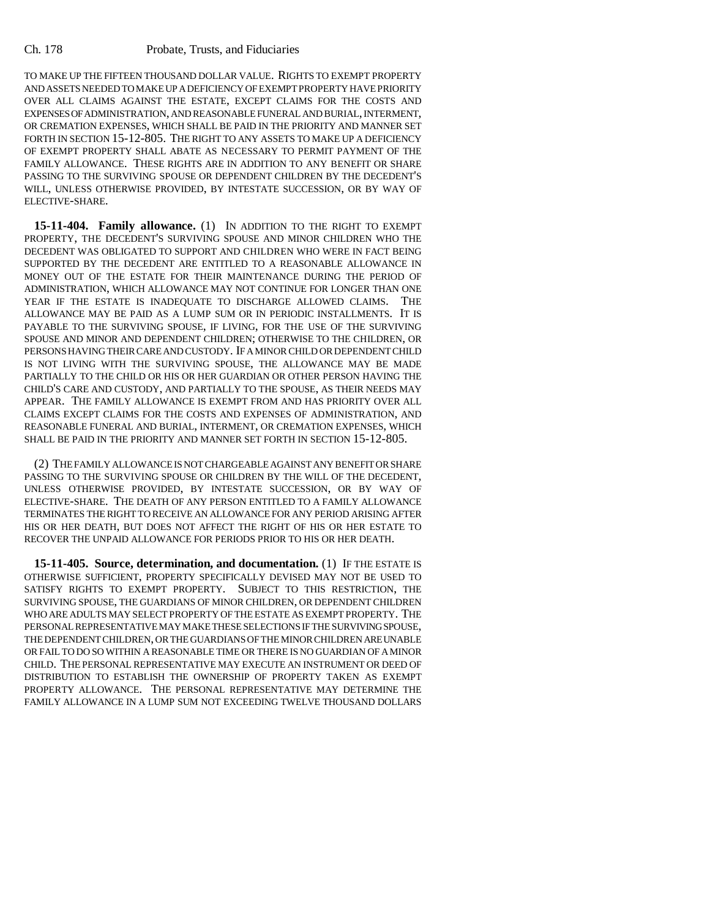TO MAKE UP THE FIFTEEN THOUSAND DOLLAR VALUE. RIGHTS TO EXEMPT PROPERTY AND ASSETS NEEDED TO MAKE UP A DEFICIENCY OF EXEMPT PROPERTY HAVE PRIORITY OVER ALL CLAIMS AGAINST THE ESTATE, EXCEPT CLAIMS FOR THE COSTS AND EXPENSES OF ADMINISTRATION, AND REASONABLE FUNERAL AND BURIAL, INTERMENT, OR CREMATION EXPENSES, WHICH SHALL BE PAID IN THE PRIORITY AND MANNER SET FORTH IN SECTION 15-12-805. THE RIGHT TO ANY ASSETS TO MAKE UP A DEFICIENCY OF EXEMPT PROPERTY SHALL ABATE AS NECESSARY TO PERMIT PAYMENT OF THE FAMILY ALLOWANCE. THESE RIGHTS ARE IN ADDITION TO ANY BENEFIT OR SHARE PASSING TO THE SURVIVING SPOUSE OR DEPENDENT CHILDREN BY THE DECEDENT'S WILL, UNLESS OTHERWISE PROVIDED, BY INTESTATE SUCCESSION, OR BY WAY OF ELECTIVE-SHARE.

**15-11-404. Family allowance.** (1) IN ADDITION TO THE RIGHT TO EXEMPT PROPERTY, THE DECEDENT'S SURVIVING SPOUSE AND MINOR CHILDREN WHO THE DECEDENT WAS OBLIGATED TO SUPPORT AND CHILDREN WHO WERE IN FACT BEING SUPPORTED BY THE DECEDENT ARE ENTITLED TO A REASONABLE ALLOWANCE IN MONEY OUT OF THE ESTATE FOR THEIR MAINTENANCE DURING THE PERIOD OF ADMINISTRATION, WHICH ALLOWANCE MAY NOT CONTINUE FOR LONGER THAN ONE YEAR IF THE ESTATE IS INADEQUATE TO DISCHARGE ALLOWED CLAIMS. THE ALLOWANCE MAY BE PAID AS A LUMP SUM OR IN PERIODIC INSTALLMENTS. IT IS PAYABLE TO THE SURVIVING SPOUSE, IF LIVING, FOR THE USE OF THE SURVIVING SPOUSE AND MINOR AND DEPENDENT CHILDREN; OTHERWISE TO THE CHILDREN, OR PERSONS HAVING THEIR CARE AND CUSTODY. IF A MINOR CHILD OR DEPENDENT CHILD IS NOT LIVING WITH THE SURVIVING SPOUSE, THE ALLOWANCE MAY BE MADE PARTIALLY TO THE CHILD OR HIS OR HER GUARDIAN OR OTHER PERSON HAVING THE CHILD'S CARE AND CUSTODY, AND PARTIALLY TO THE SPOUSE, AS THEIR NEEDS MAY APPEAR. THE FAMILY ALLOWANCE IS EXEMPT FROM AND HAS PRIORITY OVER ALL CLAIMS EXCEPT CLAIMS FOR THE COSTS AND EXPENSES OF ADMINISTRATION, AND REASONABLE FUNERAL AND BURIAL, INTERMENT, OR CREMATION EXPENSES, WHICH SHALL BE PAID IN THE PRIORITY AND MANNER SET FORTH IN SECTION 15-12-805.

(2) THE FAMILY ALLOWANCE IS NOT CHARGEABLE AGAINST ANY BENEFIT OR SHARE PASSING TO THE SURVIVING SPOUSE OR CHILDREN BY THE WILL OF THE DECEDENT, UNLESS OTHERWISE PROVIDED, BY INTESTATE SUCCESSION, OR BY WAY OF ELECTIVE-SHARE. THE DEATH OF ANY PERSON ENTITLED TO A FAMILY ALLOWANCE TERMINATES THE RIGHT TO RECEIVE AN ALLOWANCE FOR ANY PERIOD ARISING AFTER HIS OR HER DEATH, BUT DOES NOT AFFECT THE RIGHT OF HIS OR HER ESTATE TO RECOVER THE UNPAID ALLOWANCE FOR PERIODS PRIOR TO HIS OR HER DEATH.

**15-11-405. Source, determination, and documentation.** (1) IF THE ESTATE IS OTHERWISE SUFFICIENT, PROPERTY SPECIFICALLY DEVISED MAY NOT BE USED TO SATISFY RIGHTS TO EXEMPT PROPERTY. SUBJECT TO THIS RESTRICTION, THE SURVIVING SPOUSE, THE GUARDIANS OF MINOR CHILDREN, OR DEPENDENT CHILDREN WHO ARE ADULTS MAY SELECT PROPERTY OF THE ESTATE AS EXEMPT PROPERTY. THE PERSONAL REPRESENTATIVE MAY MAKE THESE SELECTIONS IF THE SURVIVING SPOUSE, THE DEPENDENT CHILDREN, OR THE GUARDIANS OF THE MINOR CHILDREN ARE UNABLE OR FAIL TO DO SO WITHIN A REASONABLE TIME OR THERE IS NO GUARDIAN OF A MINOR CHILD. THE PERSONAL REPRESENTATIVE MAY EXECUTE AN INSTRUMENT OR DEED OF DISTRIBUTION TO ESTABLISH THE OWNERSHIP OF PROPERTY TAKEN AS EXEMPT PROPERTY ALLOWANCE. THE PERSONAL REPRESENTATIVE MAY DETERMINE THE FAMILY ALLOWANCE IN A LUMP SUM NOT EXCEEDING TWELVE THOUSAND DOLLARS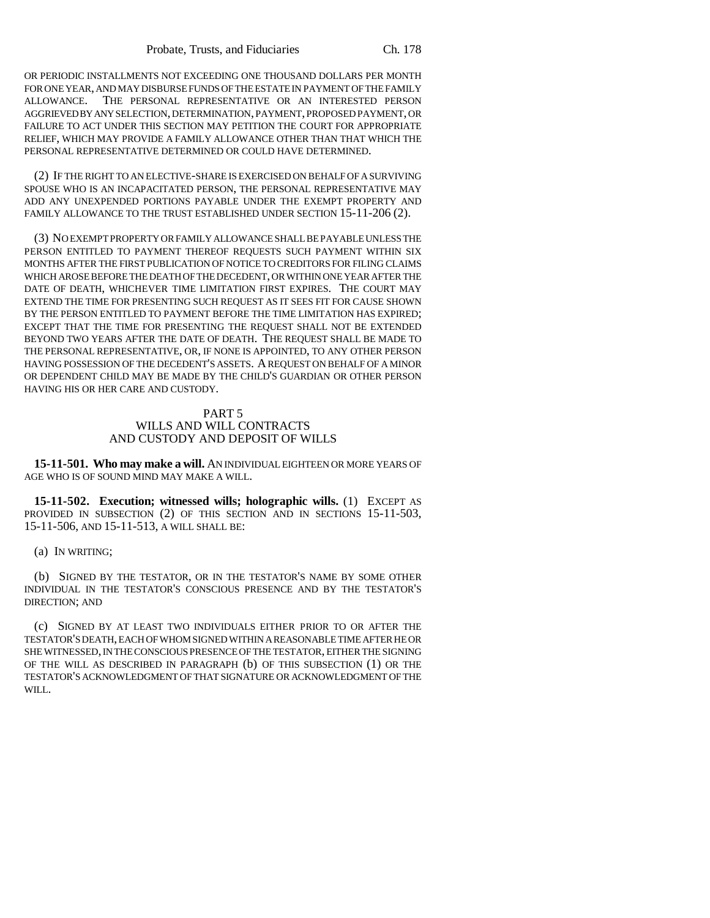OR PERIODIC INSTALLMENTS NOT EXCEEDING ONE THOUSAND DOLLARS PER MONTH FOR ONE YEAR, AND MAY DISBURSE FUNDS OF THE ESTATE IN PAYMENT OF THE FAMILY ALLOWANCE. THE PERSONAL REPRESENTATIVE OR AN INTERESTED PERSON AGGRIEVED BY ANY SELECTION, DETERMINATION, PAYMENT, PROPOSED PAYMENT, OR FAILURE TO ACT UNDER THIS SECTION MAY PETITION THE COURT FOR APPROPRIATE RELIEF, WHICH MAY PROVIDE A FAMILY ALLOWANCE OTHER THAN THAT WHICH THE PERSONAL REPRESENTATIVE DETERMINED OR COULD HAVE DETERMINED.

(2) IF THE RIGHT TO AN ELECTIVE-SHARE IS EXERCISED ON BEHALF OF A SURVIVING SPOUSE WHO IS AN INCAPACITATED PERSON, THE PERSONAL REPRESENTATIVE MAY ADD ANY UNEXPENDED PORTIONS PAYABLE UNDER THE EXEMPT PROPERTY AND FAMILY ALLOWANCE TO THE TRUST ESTABLISHED UNDER SECTION 15-11-206 (2).

(3) NO EXEMPT PROPERTY OR FAMILY ALLOWANCE SHALL BE PAYABLE UNLESS THE PERSON ENTITLED TO PAYMENT THEREOF REQUESTS SUCH PAYMENT WITHIN SIX MONTHS AFTER THE FIRST PUBLICATION OF NOTICE TO CREDITORS FOR FILING CLAIMS WHICH AROSE BEFORE THE DEATH OF THE DECEDENT, OR WITHIN ONE YEAR AFTER THE DATE OF DEATH, WHICHEVER TIME LIMITATION FIRST EXPIRES. THE COURT MAY EXTEND THE TIME FOR PRESENTING SUCH REQUEST AS IT SEES FIT FOR CAUSE SHOWN BY THE PERSON ENTITLED TO PAYMENT BEFORE THE TIME LIMITATION HAS EXPIRED; EXCEPT THAT THE TIME FOR PRESENTING THE REQUEST SHALL NOT BE EXTENDED BEYOND TWO YEARS AFTER THE DATE OF DEATH. THE REQUEST SHALL BE MADE TO THE PERSONAL REPRESENTATIVE, OR, IF NONE IS APPOINTED, TO ANY OTHER PERSON HAVING POSSESSION OF THE DECEDENT'S ASSETS. A REQUEST ON BEHALF OF A MINOR OR DEPENDENT CHILD MAY BE MADE BY THE CHILD'S GUARDIAN OR OTHER PERSON HAVING HIS OR HER CARE AND CUSTODY.

# PART 5 WILLS AND WILL CONTRACTS AND CUSTODY AND DEPOSIT OF WILLS

**15-11-501. Who may make a will.** AN INDIVIDUAL EIGHTEEN OR MORE YEARS OF AGE WHO IS OF SOUND MIND MAY MAKE A WILL.

**15-11-502. Execution; witnessed wills; holographic wills.** (1) EXCEPT AS PROVIDED IN SUBSECTION (2) OF THIS SECTION AND IN SECTIONS 15-11-503, 15-11-506, AND 15-11-513, A WILL SHALL BE:

## (a) IN WRITING;

(b) SIGNED BY THE TESTATOR, OR IN THE TESTATOR'S NAME BY SOME OTHER INDIVIDUAL IN THE TESTATOR'S CONSCIOUS PRESENCE AND BY THE TESTATOR'S DIRECTION; AND

(c) SIGNED BY AT LEAST TWO INDIVIDUALS EITHER PRIOR TO OR AFTER THE TESTATOR'S DEATH, EACH OF WHOM SIGNED WITHIN A REASONABLE TIME AFTER HE OR SHE WITNESSED, IN THE CONSCIOUS PRESENCE OF THE TESTATOR, EITHER THE SIGNING OF THE WILL AS DESCRIBED IN PARAGRAPH (b) OF THIS SUBSECTION (1) OR THE TESTATOR'S ACKNOWLEDGMENT OF THAT SIGNATURE OR ACKNOWLEDGMENT OF THE WILL.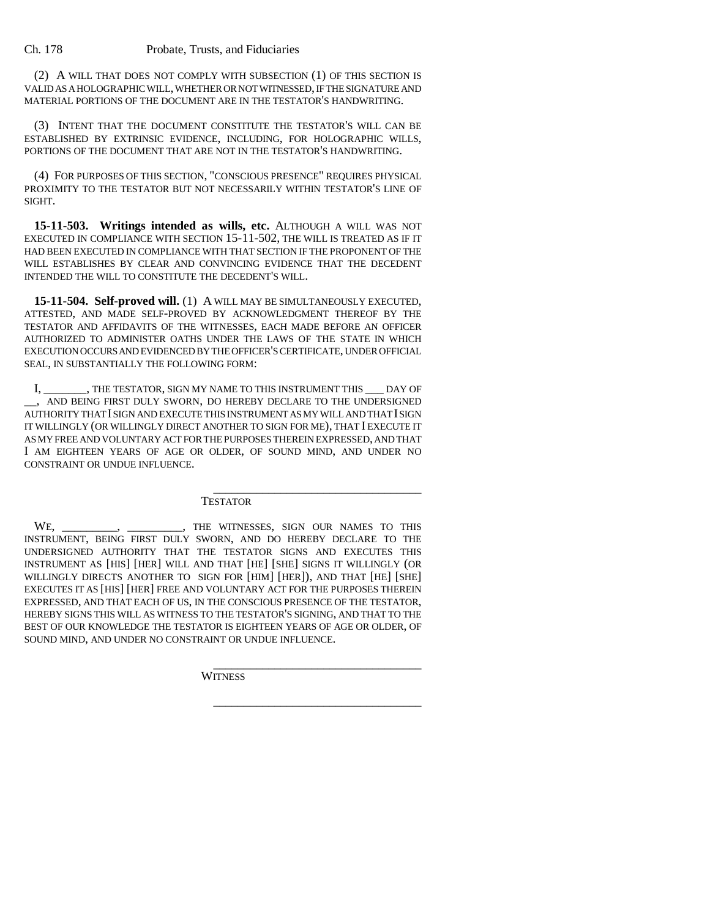(2) A WILL THAT DOES NOT COMPLY WITH SUBSECTION (1) OF THIS SECTION IS VALID AS A HOLOGRAPHIC WILL, WHETHER OR NOT WITNESSED, IF THE SIGNATURE AND MATERIAL PORTIONS OF THE DOCUMENT ARE IN THE TESTATOR'S HANDWRITING.

(3) INTENT THAT THE DOCUMENT CONSTITUTE THE TESTATOR'S WILL CAN BE ESTABLISHED BY EXTRINSIC EVIDENCE, INCLUDING, FOR HOLOGRAPHIC WILLS, PORTIONS OF THE DOCUMENT THAT ARE NOT IN THE TESTATOR'S HANDWRITING.

(4) FOR PURPOSES OF THIS SECTION, "CONSCIOUS PRESENCE" REQUIRES PHYSICAL PROXIMITY TO THE TESTATOR BUT NOT NECESSARILY WITHIN TESTATOR'S LINE OF SIGHT.

**15-11-503. Writings intended as wills, etc.** ALTHOUGH A WILL WAS NOT EXECUTED IN COMPLIANCE WITH SECTION 15-11-502, THE WILL IS TREATED AS IF IT HAD BEEN EXECUTED IN COMPLIANCE WITH THAT SECTION IF THE PROPONENT OF THE WILL ESTABLISHES BY CLEAR AND CONVINCING EVIDENCE THAT THE DECEDENT INTENDED THE WILL TO CONSTITUTE THE DECEDENT'S WILL.

**15-11-504. Self-proved will.** (1) A WILL MAY BE SIMULTANEOUSLY EXECUTED, ATTESTED, AND MADE SELF-PROVED BY ACKNOWLEDGMENT THEREOF BY THE TESTATOR AND AFFIDAVITS OF THE WITNESSES, EACH MADE BEFORE AN OFFICER AUTHORIZED TO ADMINISTER OATHS UNDER THE LAWS OF THE STATE IN WHICH EXECUTION OCCURS AND EVIDENCED BY THE OFFICER'S CERTIFICATE, UNDER OFFICIAL SEAL, IN SUBSTANTIALLY THE FOLLOWING FORM:

I, \_\_\_\_\_\_\_, THE TESTATOR, SIGN MY NAME TO THIS INSTRUMENT THIS \_\_\_ DAY OF \_\_, AND BEING FIRST DULY SWORN, DO HEREBY DECLARE TO THE UNDERSIGNED AUTHORITY THAT I SIGN AND EXECUTE THIS INSTRUMENT AS MY WILL AND THAT I SIGN IT WILLINGLY (OR WILLINGLY DIRECT ANOTHER TO SIGN FOR ME), THAT I EXECUTE IT AS MY FREE AND VOLUNTARY ACT FOR THE PURPOSES THEREIN EXPRESSED, AND THAT I AM EIGHTEEN YEARS OF AGE OR OLDER, OF SOUND MIND, AND UNDER NO CONSTRAINT OR UNDUE INFLUENCE.

## \_\_\_\_\_\_\_\_\_\_\_\_\_\_\_\_\_\_\_\_\_\_\_\_\_\_\_\_\_\_\_\_\_\_ **TESTATOR**

WE, \_\_\_\_\_\_\_\_, \_\_\_\_\_\_\_, THE WITNESSES, SIGN OUR NAMES TO THIS INSTRUMENT, BEING FIRST DULY SWORN, AND DO HEREBY DECLARE TO THE UNDERSIGNED AUTHORITY THAT THE TESTATOR SIGNS AND EXECUTES THIS INSTRUMENT AS [HIS] [HER] WILL AND THAT [HE] [SHE] SIGNS IT WILLINGLY (OR WILLINGLY DIRECTS ANOTHER TO SIGN FOR [HIM] [HER]), AND THAT [HE] [SHE] EXECUTES IT AS [HIS] [HER] FREE AND VOLUNTARY ACT FOR THE PURPOSES THEREIN EXPRESSED, AND THAT EACH OF US, IN THE CONSCIOUS PRESENCE OF THE TESTATOR, HEREBY SIGNS THIS WILL AS WITNESS TO THE TESTATOR'S SIGNING, AND THAT TO THE BEST OF OUR KNOWLEDGE THE TESTATOR IS EIGHTEEN YEARS OF AGE OR OLDER, OF SOUND MIND, AND UNDER NO CONSTRAINT OR UNDUE INFLUENCE.

**WITNESS** 

\_\_\_\_\_\_\_\_\_\_\_\_\_\_\_\_\_\_\_\_\_\_\_\_\_\_\_\_\_\_\_\_\_\_

\_\_\_\_\_\_\_\_\_\_\_\_\_\_\_\_\_\_\_\_\_\_\_\_\_\_\_\_\_\_\_\_\_\_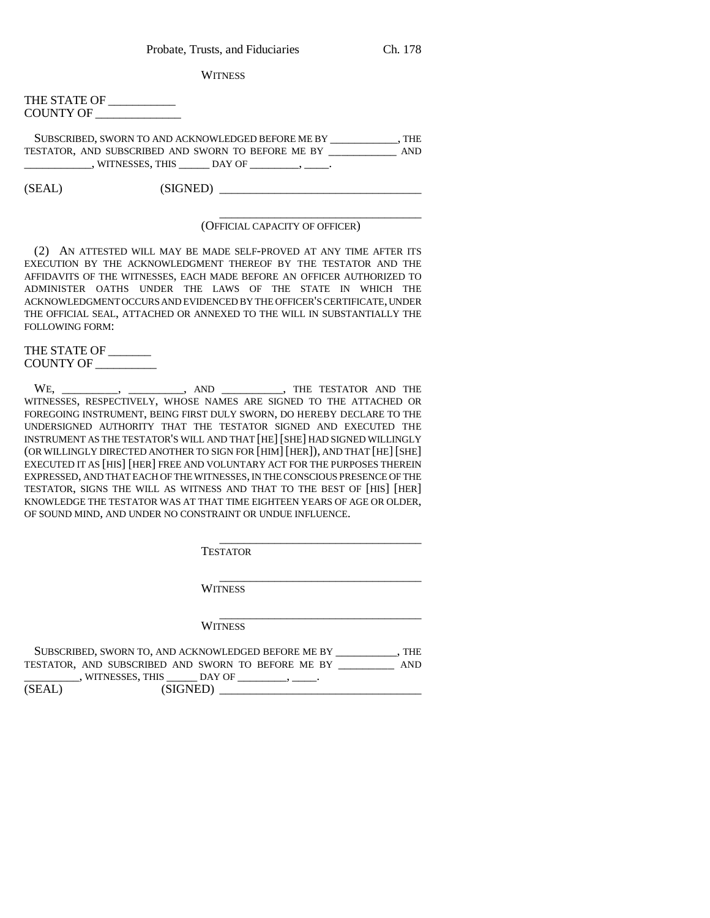Probate, Trusts, and Fiduciaries Ch. 178

**WITNESS** 

|        | THE STATE OF<br>COUNTY OF                                                                                                                                     |  |
|--------|---------------------------------------------------------------------------------------------------------------------------------------------------------------|--|
|        | SUBSCRIBED, SWORN TO AND ACKNOWLEDGED BEFORE ME BY<br>. THE<br>TESTATOR, AND SUBSCRIBED AND SWORN TO BEFORE ME BY<br><b>AND</b><br>WITNESSES, THIS DAY OF , . |  |
| (SEAL) | (SIGNED)<br><u> 1980 - Jan Barat, margaret amerikan basar dan berasal dan berasal dan berasal dan berasal dan berasal dan ber</u>                             |  |

# (OFFICIAL CAPACITY OF OFFICER)

\_\_\_\_\_\_\_\_\_\_\_\_\_\_\_\_\_\_\_\_\_\_\_\_\_\_\_\_\_\_\_\_\_

(2) AN ATTESTED WILL MAY BE MADE SELF-PROVED AT ANY TIME AFTER ITS EXECUTION BY THE ACKNOWLEDGMENT THEREOF BY THE TESTATOR AND THE AFFIDAVITS OF THE WITNESSES, EACH MADE BEFORE AN OFFICER AUTHORIZED TO ADMINISTER OATHS UNDER THE LAWS OF THE STATE IN WHICH THE ACKNOWLEDGMENT OCCURS AND EVIDENCED BY THE OFFICER'S CERTIFICATE, UNDER THE OFFICIAL SEAL, ATTACHED OR ANNEXED TO THE WILL IN SUBSTANTIALLY THE FOLLOWING FORM:

THE STATE OF \_\_\_\_\_\_\_ COUNTY OF \_\_\_\_\_\_\_\_\_\_

WE, \_\_\_\_\_\_\_\_\_, \_\_\_\_\_\_\_\_, AND \_\_\_\_\_\_\_\_, THE TESTATOR AND THE WITNESSES, RESPECTIVELY, WHOSE NAMES ARE SIGNED TO THE ATTACHED OR FOREGOING INSTRUMENT, BEING FIRST DULY SWORN, DO HEREBY DECLARE TO THE UNDERSIGNED AUTHORITY THAT THE TESTATOR SIGNED AND EXECUTED THE INSTRUMENT AS THE TESTATOR'S WILL AND THAT [HE] [SHE] HAD SIGNED WILLINGLY (OR WILLINGLY DIRECTED ANOTHER TO SIGN FOR [HIM] [HER]), AND THAT [HE] [SHE] EXECUTED IT AS [HIS] [HER] FREE AND VOLUNTARY ACT FOR THE PURPOSES THEREIN EXPRESSED, AND THAT EACH OF THE WITNESSES, IN THE CONSCIOUS PRESENCE OF THE TESTATOR, SIGNS THE WILL AS WITNESS AND THAT TO THE BEST OF [HIS] [HER] KNOWLEDGE THE TESTATOR WAS AT THAT TIME EIGHTEEN YEARS OF AGE OR OLDER, OF SOUND MIND, AND UNDER NO CONSTRAINT OR UNDUE INFLUENCE.

> \_\_\_\_\_\_\_\_\_\_\_\_\_\_\_\_\_\_\_\_\_\_\_\_\_\_\_\_\_\_\_\_\_ **TESTATOR**

> \_\_\_\_\_\_\_\_\_\_\_\_\_\_\_\_\_\_\_\_\_\_\_\_\_\_\_\_\_\_\_\_\_ **WITNESS**

> \_\_\_\_\_\_\_\_\_\_\_\_\_\_\_\_\_\_\_\_\_\_\_\_\_\_\_\_\_\_\_\_\_ **WITNESS**

|        | SUBSCRIBED, SWORN TO, AND ACKNOWLEDGED BEFORE ME BY |          | . THE |
|--------|-----------------------------------------------------|----------|-------|
|        | TESTATOR, AND SUBSCRIBED AND SWORN TO BEFORE ME BY  |          | AND.  |
|        | WITNESSES, THIS DAY OF , .                          |          |       |
| (SEAL) |                                                     | (SIGNED) |       |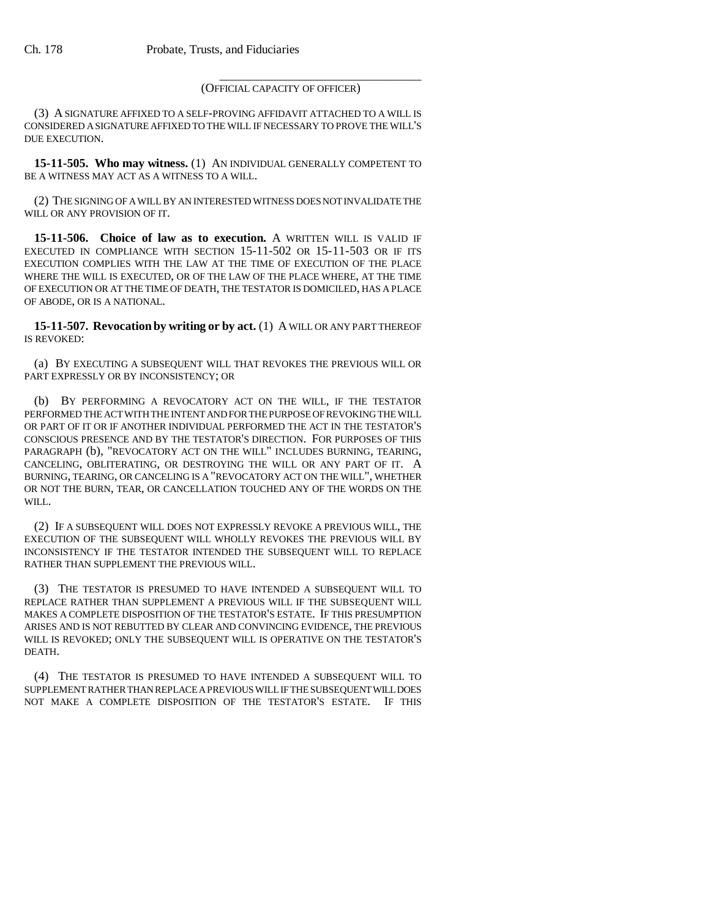#### (OFFICIAL CAPACITY OF OFFICER)

\_\_\_\_\_\_\_\_\_\_\_\_\_\_\_\_\_\_\_\_\_\_\_\_\_\_\_\_\_\_\_\_\_

(3) A SIGNATURE AFFIXED TO A SELF-PROVING AFFIDAVIT ATTACHED TO A WILL IS CONSIDERED A SIGNATURE AFFIXED TO THE WILL IF NECESSARY TO PROVE THE WILL'S DUE EXECUTION.

**15-11-505. Who may witness.** (1) AN INDIVIDUAL GENERALLY COMPETENT TO BE A WITNESS MAY ACT AS A WITNESS TO A WILL.

(2) THE SIGNING OF A WILL BY AN INTERESTED WITNESS DOES NOT INVALIDATE THE WILL OR ANY PROVISION OF IT.

**15-11-506. Choice of law as to execution.** A WRITTEN WILL IS VALID IF EXECUTED IN COMPLIANCE WITH SECTION 15-11-502 OR 15-11-503 OR IF ITS EXECUTION COMPLIES WITH THE LAW AT THE TIME OF EXECUTION OF THE PLACE WHERE THE WILL IS EXECUTED, OR OF THE LAW OF THE PLACE WHERE, AT THE TIME OF EXECUTION OR AT THE TIME OF DEATH, THE TESTATOR IS DOMICILED, HAS A PLACE OF ABODE, OR IS A NATIONAL.

**15-11-507. Revocation by writing or by act.** (1) A WILL OR ANY PART THEREOF IS REVOKED:

(a) BY EXECUTING A SUBSEQUENT WILL THAT REVOKES THE PREVIOUS WILL OR PART EXPRESSLY OR BY INCONSISTENCY; OR

(b) BY PERFORMING A REVOCATORY ACT ON THE WILL, IF THE TESTATOR PERFORMED THE ACT WITH THE INTENT AND FOR THE PURPOSE OF REVOKING THE WILL OR PART OF IT OR IF ANOTHER INDIVIDUAL PERFORMED THE ACT IN THE TESTATOR'S CONSCIOUS PRESENCE AND BY THE TESTATOR'S DIRECTION. FOR PURPOSES OF THIS PARAGRAPH (b), "REVOCATORY ACT ON THE WILL" INCLUDES BURNING, TEARING, CANCELING, OBLITERATING, OR DESTROYING THE WILL OR ANY PART OF IT. A BURNING, TEARING, OR CANCELING IS A "REVOCATORY ACT ON THE WILL", WHETHER OR NOT THE BURN, TEAR, OR CANCELLATION TOUCHED ANY OF THE WORDS ON THE WILL.

(2) IF A SUBSEQUENT WILL DOES NOT EXPRESSLY REVOKE A PREVIOUS WILL, THE EXECUTION OF THE SUBSEQUENT WILL WHOLLY REVOKES THE PREVIOUS WILL BY INCONSISTENCY IF THE TESTATOR INTENDED THE SUBSEQUENT WILL TO REPLACE RATHER THAN SUPPLEMENT THE PREVIOUS WILL.

(3) THE TESTATOR IS PRESUMED TO HAVE INTENDED A SUBSEQUENT WILL TO REPLACE RATHER THAN SUPPLEMENT A PREVIOUS WILL IF THE SUBSEQUENT WILL MAKES A COMPLETE DISPOSITION OF THE TESTATOR'S ESTATE. IF THIS PRESUMPTION ARISES AND IS NOT REBUTTED BY CLEAR AND CONVINCING EVIDENCE, THE PREVIOUS WILL IS REVOKED; ONLY THE SUBSEQUENT WILL IS OPERATIVE ON THE TESTATOR'S DEATH.

(4) THE TESTATOR IS PRESUMED TO HAVE INTENDED A SUBSEQUENT WILL TO SUPPLEMENT RATHER THAN REPLACE A PREVIOUS WILL IF THE SUBSEQUENT WILL DOES NOT MAKE A COMPLETE DISPOSITION OF THE TESTATOR'S ESTATE. IF THIS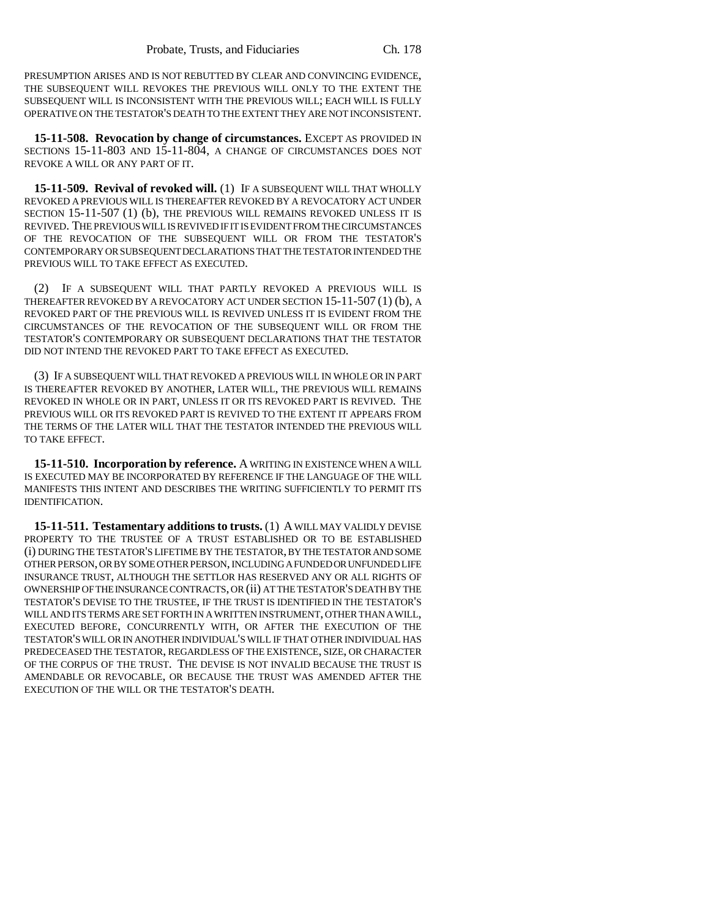PRESUMPTION ARISES AND IS NOT REBUTTED BY CLEAR AND CONVINCING EVIDENCE, THE SUBSEQUENT WILL REVOKES THE PREVIOUS WILL ONLY TO THE EXTENT THE SUBSEQUENT WILL IS INCONSISTENT WITH THE PREVIOUS WILL; EACH WILL IS FULLY OPERATIVE ON THE TESTATOR'S DEATH TO THE EXTENT THEY ARE NOT INCONSISTENT.

**15-11-508. Revocation by change of circumstances.** EXCEPT AS PROVIDED IN SECTIONS 15-11-803 AND 15-11-804, A CHANGE OF CIRCUMSTANCES DOES NOT REVOKE A WILL OR ANY PART OF IT.

**15-11-509. Revival of revoked will.** (1) IF A SUBSEQUENT WILL THAT WHOLLY REVOKED A PREVIOUS WILL IS THEREAFTER REVOKED BY A REVOCATORY ACT UNDER SECTION 15-11-507 (1) (b), THE PREVIOUS WILL REMAINS REVOKED UNLESS IT IS REVIVED. THE PREVIOUS WILL IS REVIVED IF IT IS EVIDENT FROM THE CIRCUMSTANCES OF THE REVOCATION OF THE SUBSEQUENT WILL OR FROM THE TESTATOR'S CONTEMPORARY OR SUBSEQUENT DECLARATIONS THAT THE TESTATOR INTENDED THE PREVIOUS WILL TO TAKE EFFECT AS EXECUTED.

(2) IF A SUBSEQUENT WILL THAT PARTLY REVOKED A PREVIOUS WILL IS THEREAFTER REVOKED BY A REVOCATORY ACT UNDER SECTION 15-11-507 (1) (b), A REVOKED PART OF THE PREVIOUS WILL IS REVIVED UNLESS IT IS EVIDENT FROM THE CIRCUMSTANCES OF THE REVOCATION OF THE SUBSEQUENT WILL OR FROM THE TESTATOR'S CONTEMPORARY OR SUBSEQUENT DECLARATIONS THAT THE TESTATOR DID NOT INTEND THE REVOKED PART TO TAKE EFFECT AS EXECUTED.

(3) IF A SUBSEQUENT WILL THAT REVOKED A PREVIOUS WILL IN WHOLE OR IN PART IS THEREAFTER REVOKED BY ANOTHER, LATER WILL, THE PREVIOUS WILL REMAINS REVOKED IN WHOLE OR IN PART, UNLESS IT OR ITS REVOKED PART IS REVIVED. THE PREVIOUS WILL OR ITS REVOKED PART IS REVIVED TO THE EXTENT IT APPEARS FROM THE TERMS OF THE LATER WILL THAT THE TESTATOR INTENDED THE PREVIOUS WILL TO TAKE EFFECT.

**15-11-510. Incorporation by reference.** A WRITING IN EXISTENCE WHEN A WILL IS EXECUTED MAY BE INCORPORATED BY REFERENCE IF THE LANGUAGE OF THE WILL MANIFESTS THIS INTENT AND DESCRIBES THE WRITING SUFFICIENTLY TO PERMIT ITS IDENTIFICATION.

**15-11-511. Testamentary additions to trusts.** (1) A WILL MAY VALIDLY DEVISE PROPERTY TO THE TRUSTEE OF A TRUST ESTABLISHED OR TO BE ESTABLISHED (i) DURING THE TESTATOR'S LIFETIME BY THE TESTATOR, BY THE TESTATOR AND SOME OTHER PERSON, OR BY SOME OTHER PERSON, INCLUDING A FUNDED OR UNFUNDED LIFE INSURANCE TRUST, ALTHOUGH THE SETTLOR HAS RESERVED ANY OR ALL RIGHTS OF OWNERSHIP OF THE INSURANCE CONTRACTS, OR (ii) AT THE TESTATOR'S DEATH BY THE TESTATOR'S DEVISE TO THE TRUSTEE, IF THE TRUST IS IDENTIFIED IN THE TESTATOR'S WILL AND ITS TERMS ARE SET FORTH IN A WRITTEN INSTRUMENT, OTHER THAN A WILL, EXECUTED BEFORE, CONCURRENTLY WITH, OR AFTER THE EXECUTION OF THE TESTATOR'S WILL OR IN ANOTHER INDIVIDUAL'S WILL IF THAT OTHER INDIVIDUAL HAS PREDECEASED THE TESTATOR, REGARDLESS OF THE EXISTENCE, SIZE, OR CHARACTER OF THE CORPUS OF THE TRUST. THE DEVISE IS NOT INVALID BECAUSE THE TRUST IS AMENDABLE OR REVOCABLE, OR BECAUSE THE TRUST WAS AMENDED AFTER THE EXECUTION OF THE WILL OR THE TESTATOR'S DEATH.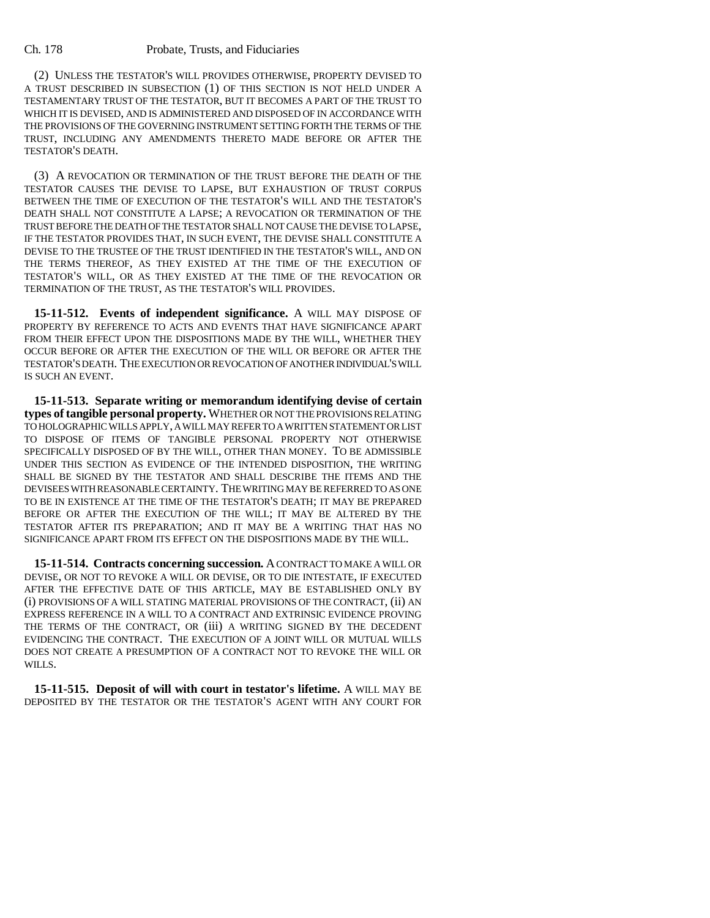(2) UNLESS THE TESTATOR'S WILL PROVIDES OTHERWISE, PROPERTY DEVISED TO A TRUST DESCRIBED IN SUBSECTION (1) OF THIS SECTION IS NOT HELD UNDER A TESTAMENTARY TRUST OF THE TESTATOR, BUT IT BECOMES A PART OF THE TRUST TO WHICH IT IS DEVISED, AND IS ADMINISTERED AND DISPOSED OF IN ACCORDANCE WITH THE PROVISIONS OF THE GOVERNING INSTRUMENT SETTING FORTH THE TERMS OF THE TRUST, INCLUDING ANY AMENDMENTS THERETO MADE BEFORE OR AFTER THE TESTATOR'S DEATH.

(3) A REVOCATION OR TERMINATION OF THE TRUST BEFORE THE DEATH OF THE TESTATOR CAUSES THE DEVISE TO LAPSE, BUT EXHAUSTION OF TRUST CORPUS BETWEEN THE TIME OF EXECUTION OF THE TESTATOR'S WILL AND THE TESTATOR'S DEATH SHALL NOT CONSTITUTE A LAPSE; A REVOCATION OR TERMINATION OF THE TRUST BEFORE THE DEATH OF THE TESTATOR SHALL NOT CAUSE THE DEVISE TO LAPSE, IF THE TESTATOR PROVIDES THAT, IN SUCH EVENT, THE DEVISE SHALL CONSTITUTE A DEVISE TO THE TRUSTEE OF THE TRUST IDENTIFIED IN THE TESTATOR'S WILL, AND ON THE TERMS THEREOF, AS THEY EXISTED AT THE TIME OF THE EXECUTION OF TESTATOR'S WILL, OR AS THEY EXISTED AT THE TIME OF THE REVOCATION OR TERMINATION OF THE TRUST, AS THE TESTATOR'S WILL PROVIDES.

**15-11-512. Events of independent significance.** A WILL MAY DISPOSE OF PROPERTY BY REFERENCE TO ACTS AND EVENTS THAT HAVE SIGNIFICANCE APART FROM THEIR EFFECT UPON THE DISPOSITIONS MADE BY THE WILL, WHETHER THEY OCCUR BEFORE OR AFTER THE EXECUTION OF THE WILL OR BEFORE OR AFTER THE TESTATOR'S DEATH. THE EXECUTION OR REVOCATION OF ANOTHER INDIVIDUAL'S WILL IS SUCH AN EVENT.

**15-11-513. Separate writing or memorandum identifying devise of certain types of tangible personal property.** WHETHER OR NOT THE PROVISIONS RELATING TO HOLOGRAPHIC WILLS APPLY, A WILL MAY REFER TO A WRITTEN STATEMENT OR LIST TO DISPOSE OF ITEMS OF TANGIBLE PERSONAL PROPERTY NOT OTHERWISE SPECIFICALLY DISPOSED OF BY THE WILL, OTHER THAN MONEY. TO BE ADMISSIBLE UNDER THIS SECTION AS EVIDENCE OF THE INTENDED DISPOSITION, THE WRITING SHALL BE SIGNED BY THE TESTATOR AND SHALL DESCRIBE THE ITEMS AND THE DEVISEES WITH REASONABLE CERTAINTY. THE WRITING MAY BE REFERRED TO AS ONE TO BE IN EXISTENCE AT THE TIME OF THE TESTATOR'S DEATH; IT MAY BE PREPARED BEFORE OR AFTER THE EXECUTION OF THE WILL; IT MAY BE ALTERED BY THE TESTATOR AFTER ITS PREPARATION; AND IT MAY BE A WRITING THAT HAS NO SIGNIFICANCE APART FROM ITS EFFECT ON THE DISPOSITIONS MADE BY THE WILL.

**15-11-514. Contracts concerning succession.** A CONTRACT TO MAKE A WILL OR DEVISE, OR NOT TO REVOKE A WILL OR DEVISE, OR TO DIE INTESTATE, IF EXECUTED AFTER THE EFFECTIVE DATE OF THIS ARTICLE, MAY BE ESTABLISHED ONLY BY (i) PROVISIONS OF A WILL STATING MATERIAL PROVISIONS OF THE CONTRACT, (ii) AN EXPRESS REFERENCE IN A WILL TO A CONTRACT AND EXTRINSIC EVIDENCE PROVING THE TERMS OF THE CONTRACT, OR (iii) A WRITING SIGNED BY THE DECEDENT EVIDENCING THE CONTRACT. THE EXECUTION OF A JOINT WILL OR MUTUAL WILLS DOES NOT CREATE A PRESUMPTION OF A CONTRACT NOT TO REVOKE THE WILL OR WILLS.

**15-11-515. Deposit of will with court in testator's lifetime.** A WILL MAY BE DEPOSITED BY THE TESTATOR OR THE TESTATOR'S AGENT WITH ANY COURT FOR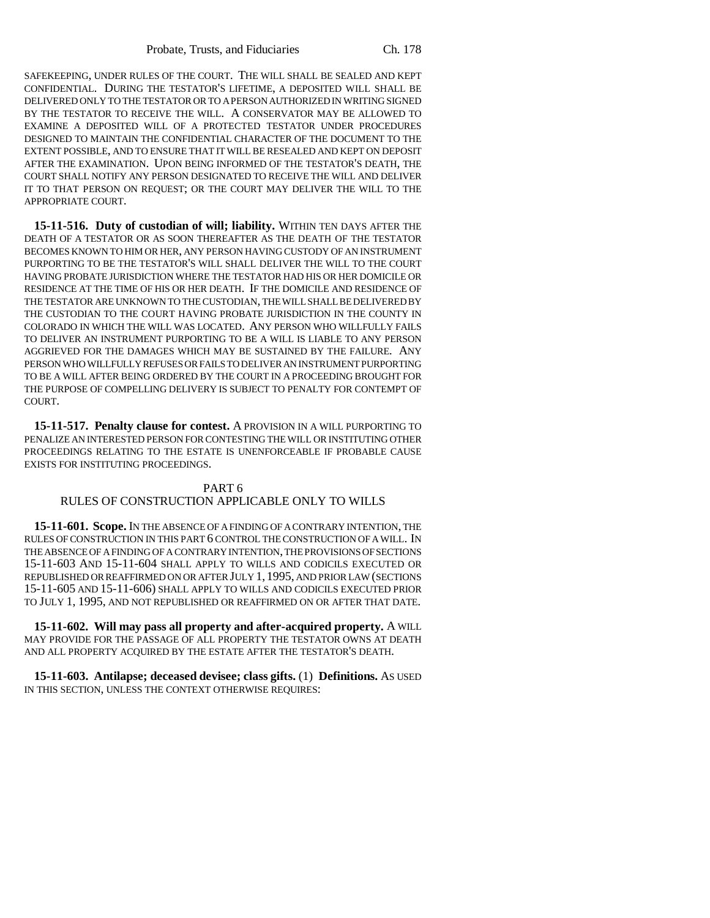SAFEKEEPING, UNDER RULES OF THE COURT. THE WILL SHALL BE SEALED AND KEPT CONFIDENTIAL. DURING THE TESTATOR'S LIFETIME, A DEPOSITED WILL SHALL BE DELIVERED ONLY TO THE TESTATOR OR TO A PERSON AUTHORIZED IN WRITING SIGNED BY THE TESTATOR TO RECEIVE THE WILL. A CONSERVATOR MAY BE ALLOWED TO EXAMINE A DEPOSITED WILL OF A PROTECTED TESTATOR UNDER PROCEDURES DESIGNED TO MAINTAIN THE CONFIDENTIAL CHARACTER OF THE DOCUMENT TO THE EXTENT POSSIBLE, AND TO ENSURE THAT IT WILL BE RESEALED AND KEPT ON DEPOSIT AFTER THE EXAMINATION. UPON BEING INFORMED OF THE TESTATOR'S DEATH, THE COURT SHALL NOTIFY ANY PERSON DESIGNATED TO RECEIVE THE WILL AND DELIVER IT TO THAT PERSON ON REQUEST; OR THE COURT MAY DELIVER THE WILL TO THE APPROPRIATE COURT.

**15-11-516. Duty of custodian of will; liability.** WITHIN TEN DAYS AFTER THE DEATH OF A TESTATOR OR AS SOON THEREAFTER AS THE DEATH OF THE TESTATOR BECOMES KNOWN TO HIM OR HER, ANY PERSON HAVING CUSTODY OF AN INSTRUMENT PURPORTING TO BE THE TESTATOR'S WILL SHALL DELIVER THE WILL TO THE COURT HAVING PROBATE JURISDICTION WHERE THE TESTATOR HAD HIS OR HER DOMICILE OR RESIDENCE AT THE TIME OF HIS OR HER DEATH. IF THE DOMICILE AND RESIDENCE OF THE TESTATOR ARE UNKNOWN TO THE CUSTODIAN, THE WILL SHALL BE DELIVERED BY THE CUSTODIAN TO THE COURT HAVING PROBATE JURISDICTION IN THE COUNTY IN COLORADO IN WHICH THE WILL WAS LOCATED. ANY PERSON WHO WILLFULLY FAILS TO DELIVER AN INSTRUMENT PURPORTING TO BE A WILL IS LIABLE TO ANY PERSON AGGRIEVED FOR THE DAMAGES WHICH MAY BE SUSTAINED BY THE FAILURE. ANY PERSON WHO WILLFULLY REFUSES OR FAILS TO DELIVER AN INSTRUMENT PURPORTING TO BE A WILL AFTER BEING ORDERED BY THE COURT IN A PROCEEDING BROUGHT FOR THE PURPOSE OF COMPELLING DELIVERY IS SUBJECT TO PENALTY FOR CONTEMPT OF COURT.

**15-11-517. Penalty clause for contest.** A PROVISION IN A WILL PURPORTING TO PENALIZE AN INTERESTED PERSON FOR CONTESTING THE WILL OR INSTITUTING OTHER PROCEEDINGS RELATING TO THE ESTATE IS UNENFORCEABLE IF PROBABLE CAUSE EXISTS FOR INSTITUTING PROCEEDINGS.

# PART 6 RULES OF CONSTRUCTION APPLICABLE ONLY TO WILLS

**15-11-601. Scope.** IN THE ABSENCE OF A FINDING OF A CONTRARY INTENTION, THE RULES OF CONSTRUCTION IN THIS PART 6 CONTROL THE CONSTRUCTION OF A WILL. IN THE ABSENCE OF A FINDING OF A CONTRARY INTENTION, THE PROVISIONS OF SECTIONS 15-11-603 AND 15-11-604 SHALL APPLY TO WILLS AND CODICILS EXECUTED OR REPUBLISHED OR REAFFIRMED ON OR AFTER JULY 1, 1995, AND PRIOR LAW (SECTIONS 15-11-605 AND 15-11-606) SHALL APPLY TO WILLS AND CODICILS EXECUTED PRIOR TO JULY 1, 1995, AND NOT REPUBLISHED OR REAFFIRMED ON OR AFTER THAT DATE.

**15-11-602. Will may pass all property and after-acquired property.** A WILL MAY PROVIDE FOR THE PASSAGE OF ALL PROPERTY THE TESTATOR OWNS AT DEATH AND ALL PROPERTY ACQUIRED BY THE ESTATE AFTER THE TESTATOR'S DEATH.

**15-11-603. Antilapse; deceased devisee; class gifts.** (1) **Definitions.** AS USED IN THIS SECTION, UNLESS THE CONTEXT OTHERWISE REQUIRES: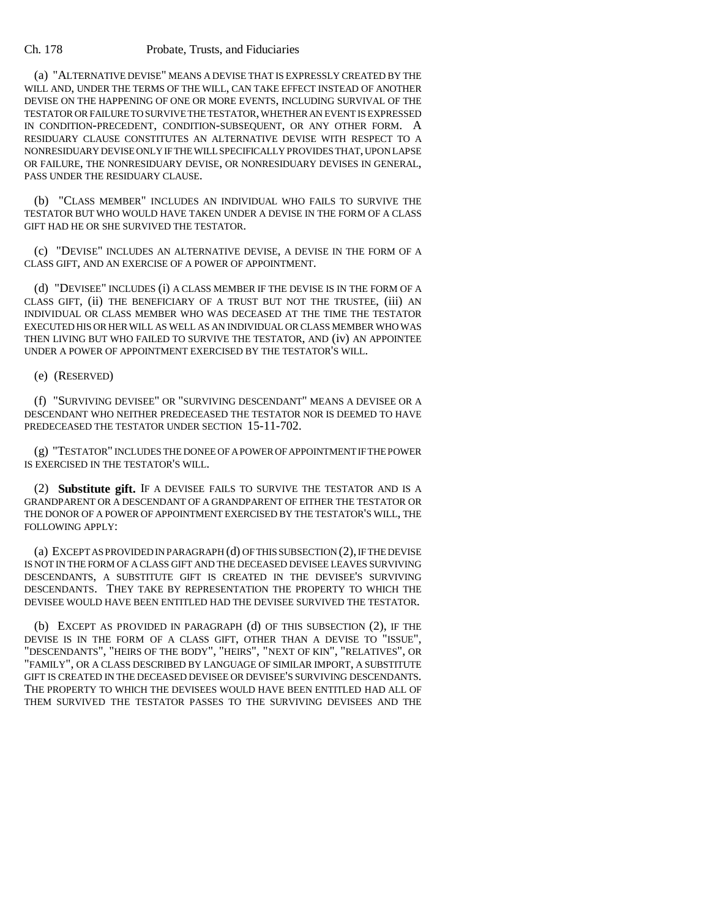(a) "ALTERNATIVE DEVISE" MEANS A DEVISE THAT IS EXPRESSLY CREATED BY THE WILL AND, UNDER THE TERMS OF THE WILL, CAN TAKE EFFECT INSTEAD OF ANOTHER DEVISE ON THE HAPPENING OF ONE OR MORE EVENTS, INCLUDING SURVIVAL OF THE TESTATOR OR FAILURE TO SURVIVE THE TESTATOR, WHETHER AN EVENT IS EXPRESSED IN CONDITION-PRECEDENT, CONDITION-SUBSEQUENT, OR ANY OTHER FORM. A RESIDUARY CLAUSE CONSTITUTES AN ALTERNATIVE DEVISE WITH RESPECT TO A NONRESIDUARY DEVISE ONLY IF THE WILL SPECIFICALLY PROVIDES THAT, UPON LAPSE OR FAILURE, THE NONRESIDUARY DEVISE, OR NONRESIDUARY DEVISES IN GENERAL, PASS UNDER THE RESIDUARY CLAUSE.

(b) "CLASS MEMBER" INCLUDES AN INDIVIDUAL WHO FAILS TO SURVIVE THE TESTATOR BUT WHO WOULD HAVE TAKEN UNDER A DEVISE IN THE FORM OF A CLASS GIFT HAD HE OR SHE SURVIVED THE TESTATOR.

(c) "DEVISE" INCLUDES AN ALTERNATIVE DEVISE, A DEVISE IN THE FORM OF A CLASS GIFT, AND AN EXERCISE OF A POWER OF APPOINTMENT.

(d) "DEVISEE" INCLUDES (i) A CLASS MEMBER IF THE DEVISE IS IN THE FORM OF A CLASS GIFT, (ii) THE BENEFICIARY OF A TRUST BUT NOT THE TRUSTEE, (iii) AN INDIVIDUAL OR CLASS MEMBER WHO WAS DECEASED AT THE TIME THE TESTATOR EXECUTED HIS OR HER WILL AS WELL AS AN INDIVIDUAL OR CLASS MEMBER WHO WAS THEN LIVING BUT WHO FAILED TO SURVIVE THE TESTATOR, AND (iv) AN APPOINTEE UNDER A POWER OF APPOINTMENT EXERCISED BY THE TESTATOR'S WILL.

#### (e) (RESERVED)

(f) "SURVIVING DEVISEE" OR "SURVIVING DESCENDANT" MEANS A DEVISEE OR A DESCENDANT WHO NEITHER PREDECEASED THE TESTATOR NOR IS DEEMED TO HAVE PREDECEASED THE TESTATOR UNDER SECTION 15-11-702.

(g) "TESTATOR" INCLUDES THE DONEE OF A POWER OF APPOINTMENT IF THE POWER IS EXERCISED IN THE TESTATOR'S WILL.

(2) **Substitute gift.** IF A DEVISEE FAILS TO SURVIVE THE TESTATOR AND IS A GRANDPARENT OR A DESCENDANT OF A GRANDPARENT OF EITHER THE TESTATOR OR THE DONOR OF A POWER OF APPOINTMENT EXERCISED BY THE TESTATOR'S WILL, THE FOLLOWING APPLY:

(a) EXCEPT AS PROVIDED IN PARAGRAPH (d) OF THIS SUBSECTION (2), IF THE DEVISE IS NOT IN THE FORM OF A CLASS GIFT AND THE DECEASED DEVISEE LEAVES SURVIVING DESCENDANTS, A SUBSTITUTE GIFT IS CREATED IN THE DEVISEE'S SURVIVING DESCENDANTS. THEY TAKE BY REPRESENTATION THE PROPERTY TO WHICH THE DEVISEE WOULD HAVE BEEN ENTITLED HAD THE DEVISEE SURVIVED THE TESTATOR.

(b) EXCEPT AS PROVIDED IN PARAGRAPH (d) OF THIS SUBSECTION (2), IF THE DEVISE IS IN THE FORM OF A CLASS GIFT, OTHER THAN A DEVISE TO "ISSUE", "DESCENDANTS", "HEIRS OF THE BODY", "HEIRS", "NEXT OF KIN", "RELATIVES", OR "FAMILY", OR A CLASS DESCRIBED BY LANGUAGE OF SIMILAR IMPORT, A SUBSTITUTE GIFT IS CREATED IN THE DECEASED DEVISEE OR DEVISEE'S SURVIVING DESCENDANTS. THE PROPERTY TO WHICH THE DEVISEES WOULD HAVE BEEN ENTITLED HAD ALL OF THEM SURVIVED THE TESTATOR PASSES TO THE SURVIVING DEVISEES AND THE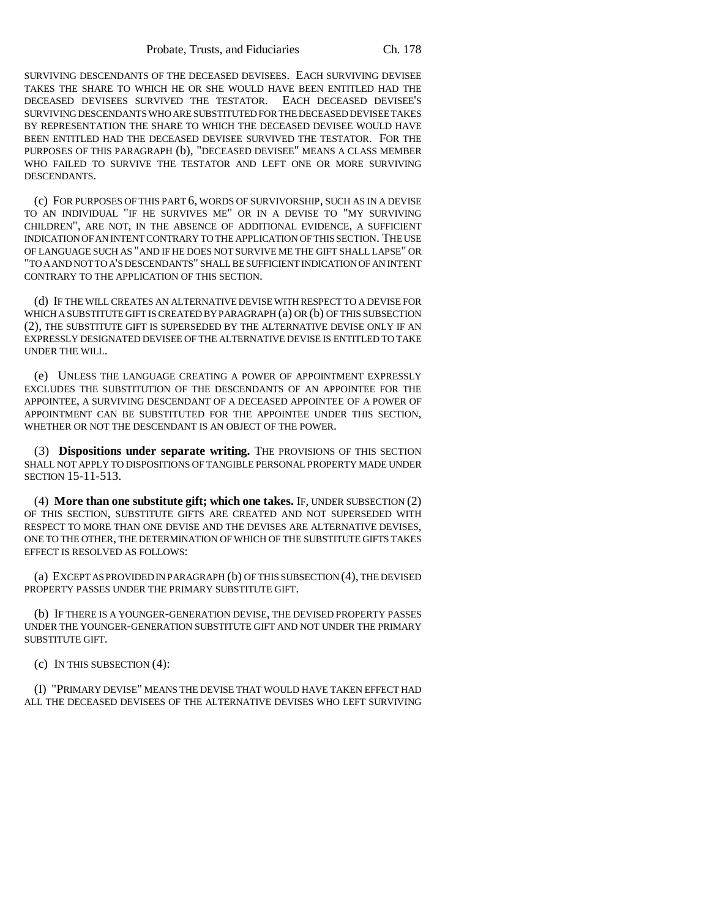SURVIVING DESCENDANTS OF THE DECEASED DEVISEES. EACH SURVIVING DEVISEE TAKES THE SHARE TO WHICH HE OR SHE WOULD HAVE BEEN ENTITLED HAD THE DECEASED DEVISEES SURVIVED THE TESTATOR. EACH DECEASED DEVISEE'S SURVIVING DESCENDANTS WHO ARE SUBSTITUTED FOR THE DECEASED DEVISEE TAKES BY REPRESENTATION THE SHARE TO WHICH THE DECEASED DEVISEE WOULD HAVE BEEN ENTITLED HAD THE DECEASED DEVISEE SURVIVED THE TESTATOR. FOR THE PURPOSES OF THIS PARAGRAPH (b), "DECEASED DEVISEE" MEANS A CLASS MEMBER WHO FAILED TO SURVIVE THE TESTATOR AND LEFT ONE OR MORE SURVIVING DESCENDANTS.

(c) FOR PURPOSES OF THIS PART 6, WORDS OF SURVIVORSHIP, SUCH AS IN A DEVISE TO AN INDIVIDUAL "IF HE SURVIVES ME" OR IN A DEVISE TO "MY SURVIVING CHILDREN", ARE NOT, IN THE ABSENCE OF ADDITIONAL EVIDENCE, A SUFFICIENT INDICATION OF AN INTENT CONTRARY TO THE APPLICATION OF THIS SECTION. THE USE OF LANGUAGE SUCH AS "AND IF HE DOES NOT SURVIVE ME THE GIFT SHALL LAPSE" OR "TO A AND NOT TO A'S DESCENDANTS" SHALL BE SUFFICIENT INDICATION OF AN INTENT CONTRARY TO THE APPLICATION OF THIS SECTION.

(d) IF THE WILL CREATES AN ALTERNATIVE DEVISE WITH RESPECT TO A DEVISE FOR WHICH A SUBSTITUTE GIFT IS CREATED BY PARAGRAPH (a) OR (b) OF THIS SUBSECTION (2), THE SUBSTITUTE GIFT IS SUPERSEDED BY THE ALTERNATIVE DEVISE ONLY IF AN EXPRESSLY DESIGNATED DEVISEE OF THE ALTERNATIVE DEVISE IS ENTITLED TO TAKE UNDER THE WILL.

(e) UNLESS THE LANGUAGE CREATING A POWER OF APPOINTMENT EXPRESSLY EXCLUDES THE SUBSTITUTION OF THE DESCENDANTS OF AN APPOINTEE FOR THE APPOINTEE, A SURVIVING DESCENDANT OF A DECEASED APPOINTEE OF A POWER OF APPOINTMENT CAN BE SUBSTITUTED FOR THE APPOINTEE UNDER THIS SECTION, WHETHER OR NOT THE DESCENDANT IS AN OBJECT OF THE POWER.

(3) **Dispositions under separate writing.** THE PROVISIONS OF THIS SECTION SHALL NOT APPLY TO DISPOSITIONS OF TANGIBLE PERSONAL PROPERTY MADE UNDER SECTION 15-11-513.

(4) **More than one substitute gift; which one takes.** IF, UNDER SUBSECTION (2) OF THIS SECTION, SUBSTITUTE GIFTS ARE CREATED AND NOT SUPERSEDED WITH RESPECT TO MORE THAN ONE DEVISE AND THE DEVISES ARE ALTERNATIVE DEVISES, ONE TO THE OTHER, THE DETERMINATION OF WHICH OF THE SUBSTITUTE GIFTS TAKES EFFECT IS RESOLVED AS FOLLOWS:

(a) EXCEPT AS PROVIDED IN PARAGRAPH (b) OF THIS SUBSECTION (4), THE DEVISED PROPERTY PASSES UNDER THE PRIMARY SUBSTITUTE GIFT.

(b) IF THERE IS A YOUNGER-GENERATION DEVISE, THE DEVISED PROPERTY PASSES UNDER THE YOUNGER-GENERATION SUBSTITUTE GIFT AND NOT UNDER THE PRIMARY SUBSTITUTE GIFT.

(c) IN THIS SUBSECTION (4):

(I) "PRIMARY DEVISE" MEANS THE DEVISE THAT WOULD HAVE TAKEN EFFECT HAD ALL THE DECEASED DEVISEES OF THE ALTERNATIVE DEVISES WHO LEFT SURVIVING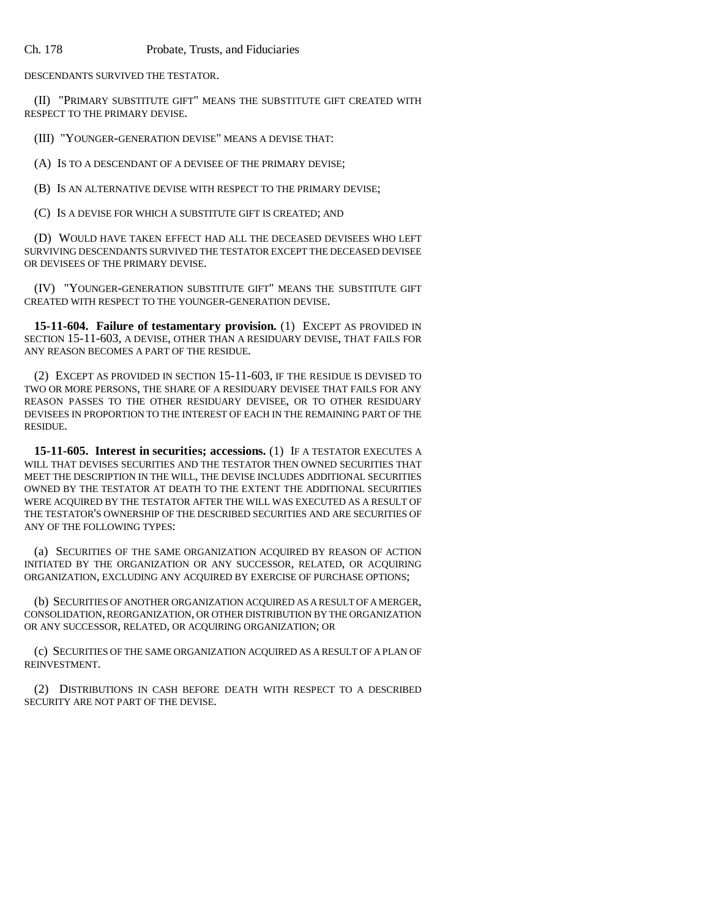DESCENDANTS SURVIVED THE TESTATOR.

(II) "PRIMARY SUBSTITUTE GIFT" MEANS THE SUBSTITUTE GIFT CREATED WITH RESPECT TO THE PRIMARY DEVISE.

(III) "YOUNGER-GENERATION DEVISE" MEANS A DEVISE THAT:

(A) IS TO A DESCENDANT OF A DEVISEE OF THE PRIMARY DEVISE;

(B) IS AN ALTERNATIVE DEVISE WITH RESPECT TO THE PRIMARY DEVISE;

(C) IS A DEVISE FOR WHICH A SUBSTITUTE GIFT IS CREATED; AND

(D) WOULD HAVE TAKEN EFFECT HAD ALL THE DECEASED DEVISEES WHO LEFT SURVIVING DESCENDANTS SURVIVED THE TESTATOR EXCEPT THE DECEASED DEVISEE OR DEVISEES OF THE PRIMARY DEVISE.

(IV) "YOUNGER-GENERATION SUBSTITUTE GIFT" MEANS THE SUBSTITUTE GIFT CREATED WITH RESPECT TO THE YOUNGER-GENERATION DEVISE.

**15-11-604. Failure of testamentary provision.** (1) EXCEPT AS PROVIDED IN SECTION 15-11-603, A DEVISE, OTHER THAN A RESIDUARY DEVISE, THAT FAILS FOR ANY REASON BECOMES A PART OF THE RESIDUE.

(2) EXCEPT AS PROVIDED IN SECTION 15-11-603, IF THE RESIDUE IS DEVISED TO TWO OR MORE PERSONS, THE SHARE OF A RESIDUARY DEVISEE THAT FAILS FOR ANY REASON PASSES TO THE OTHER RESIDUARY DEVISEE, OR TO OTHER RESIDUARY DEVISEES IN PROPORTION TO THE INTEREST OF EACH IN THE REMAINING PART OF THE RESIDUE.

**15-11-605. Interest in securities; accessions.** (1) IF A TESTATOR EXECUTES A WILL THAT DEVISES SECURITIES AND THE TESTATOR THEN OWNED SECURITIES THAT MEET THE DESCRIPTION IN THE WILL, THE DEVISE INCLUDES ADDITIONAL SECURITIES OWNED BY THE TESTATOR AT DEATH TO THE EXTENT THE ADDITIONAL SECURITIES WERE ACQUIRED BY THE TESTATOR AFTER THE WILL WAS EXECUTED AS A RESULT OF THE TESTATOR'S OWNERSHIP OF THE DESCRIBED SECURITIES AND ARE SECURITIES OF ANY OF THE FOLLOWING TYPES:

(a) SECURITIES OF THE SAME ORGANIZATION ACQUIRED BY REASON OF ACTION INITIATED BY THE ORGANIZATION OR ANY SUCCESSOR, RELATED, OR ACQUIRING ORGANIZATION, EXCLUDING ANY ACQUIRED BY EXERCISE OF PURCHASE OPTIONS;

(b) SECURITIES OF ANOTHER ORGANIZATION ACQUIRED AS A RESULT OF A MERGER, CONSOLIDATION, REORGANIZATION, OR OTHER DISTRIBUTION BY THE ORGANIZATION OR ANY SUCCESSOR, RELATED, OR ACQUIRING ORGANIZATION; OR

(c) SECURITIES OF THE SAME ORGANIZATION ACQUIRED AS A RESULT OF A PLAN OF REINVESTMENT.

(2) DISTRIBUTIONS IN CASH BEFORE DEATH WITH RESPECT TO A DESCRIBED SECURITY ARE NOT PART OF THE DEVISE.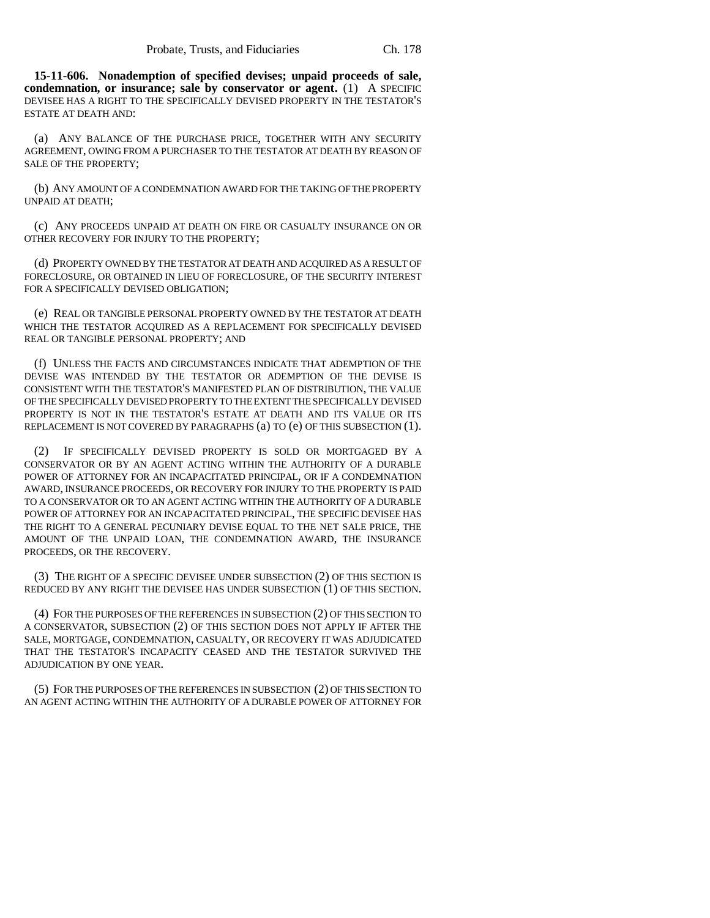**15-11-606. Nonademption of specified devises; unpaid proceeds of sale, condemnation, or insurance; sale by conservator or agent.** (1) A SPECIFIC DEVISEE HAS A RIGHT TO THE SPECIFICALLY DEVISED PROPERTY IN THE TESTATOR'S ESTATE AT DEATH AND:

(a) ANY BALANCE OF THE PURCHASE PRICE, TOGETHER WITH ANY SECURITY AGREEMENT, OWING FROM A PURCHASER TO THE TESTATOR AT DEATH BY REASON OF SALE OF THE PROPERTY;

(b) ANY AMOUNT OF A CONDEMNATION AWARD FOR THE TAKING OF THE PROPERTY UNPAID AT DEATH;

(c) ANY PROCEEDS UNPAID AT DEATH ON FIRE OR CASUALTY INSURANCE ON OR OTHER RECOVERY FOR INJURY TO THE PROPERTY;

(d) PROPERTY OWNED BY THE TESTATOR AT DEATH AND ACQUIRED AS A RESULT OF FORECLOSURE, OR OBTAINED IN LIEU OF FORECLOSURE, OF THE SECURITY INTEREST FOR A SPECIFICALLY DEVISED OBLIGATION;

(e) REAL OR TANGIBLE PERSONAL PROPERTY OWNED BY THE TESTATOR AT DEATH WHICH THE TESTATOR ACQUIRED AS A REPLACEMENT FOR SPECIFICALLY DEVISED REAL OR TANGIBLE PERSONAL PROPERTY; AND

(f) UNLESS THE FACTS AND CIRCUMSTANCES INDICATE THAT ADEMPTION OF THE DEVISE WAS INTENDED BY THE TESTATOR OR ADEMPTION OF THE DEVISE IS CONSISTENT WITH THE TESTATOR'S MANIFESTED PLAN OF DISTRIBUTION, THE VALUE OF THE SPECIFICALLY DEVISED PROPERTY TO THE EXTENT THE SPECIFICALLY DEVISED PROPERTY IS NOT IN THE TESTATOR'S ESTATE AT DEATH AND ITS VALUE OR ITS REPLACEMENT IS NOT COVERED BY PARAGRAPHS (a) TO (e) OF THIS SUBSECTION (1).

(2) IF SPECIFICALLY DEVISED PROPERTY IS SOLD OR MORTGAGED BY A CONSERVATOR OR BY AN AGENT ACTING WITHIN THE AUTHORITY OF A DURABLE POWER OF ATTORNEY FOR AN INCAPACITATED PRINCIPAL, OR IF A CONDEMNATION AWARD, INSURANCE PROCEEDS, OR RECOVERY FOR INJURY TO THE PROPERTY IS PAID TO A CONSERVATOR OR TO AN AGENT ACTING WITHIN THE AUTHORITY OF A DURABLE POWER OF ATTORNEY FOR AN INCAPACITATED PRINCIPAL, THE SPECIFIC DEVISEE HAS THE RIGHT TO A GENERAL PECUNIARY DEVISE EQUAL TO THE NET SALE PRICE, THE AMOUNT OF THE UNPAID LOAN, THE CONDEMNATION AWARD, THE INSURANCE PROCEEDS, OR THE RECOVERY.

(3) THE RIGHT OF A SPECIFIC DEVISEE UNDER SUBSECTION (2) OF THIS SECTION IS REDUCED BY ANY RIGHT THE DEVISEE HAS UNDER SUBSECTION (1) OF THIS SECTION.

(4) FOR THE PURPOSES OF THE REFERENCES IN SUBSECTION (2) OF THIS SECTION TO A CONSERVATOR, SUBSECTION (2) OF THIS SECTION DOES NOT APPLY IF AFTER THE SALE, MORTGAGE, CONDEMNATION, CASUALTY, OR RECOVERY IT WAS ADJUDICATED THAT THE TESTATOR'S INCAPACITY CEASED AND THE TESTATOR SURVIVED THE ADJUDICATION BY ONE YEAR.

(5) FOR THE PURPOSES OF THE REFERENCES IN SUBSECTION (2) OF THIS SECTION TO AN AGENT ACTING WITHIN THE AUTHORITY OF A DURABLE POWER OF ATTORNEY FOR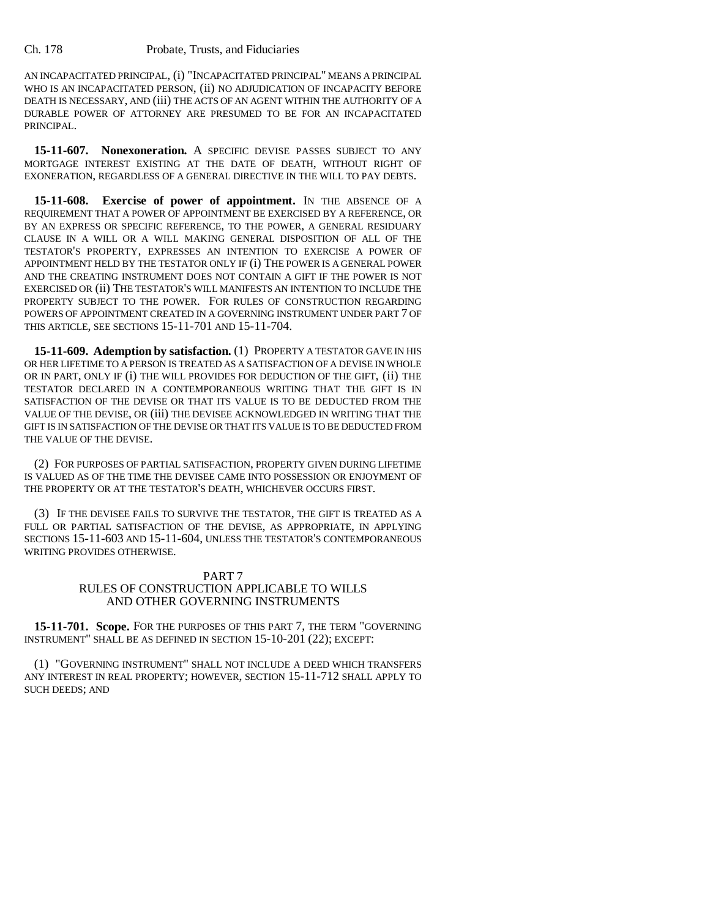AN INCAPACITATED PRINCIPAL, (i) "INCAPACITATED PRINCIPAL" MEANS A PRINCIPAL WHO IS AN INCAPACITATED PERSON, (ii) NO ADJUDICATION OF INCAPACITY BEFORE DEATH IS NECESSARY, AND (iii) THE ACTS OF AN AGENT WITHIN THE AUTHORITY OF A DURABLE POWER OF ATTORNEY ARE PRESUMED TO BE FOR AN INCAPACITATED PRINCIPAL.

**15-11-607. Nonexoneration.** A SPECIFIC DEVISE PASSES SUBJECT TO ANY MORTGAGE INTEREST EXISTING AT THE DATE OF DEATH, WITHOUT RIGHT OF EXONERATION, REGARDLESS OF A GENERAL DIRECTIVE IN THE WILL TO PAY DEBTS.

**15-11-608. Exercise of power of appointment.** IN THE ABSENCE OF A REQUIREMENT THAT A POWER OF APPOINTMENT BE EXERCISED BY A REFERENCE, OR BY AN EXPRESS OR SPECIFIC REFERENCE, TO THE POWER, A GENERAL RESIDUARY CLAUSE IN A WILL OR A WILL MAKING GENERAL DISPOSITION OF ALL OF THE TESTATOR'S PROPERTY, EXPRESSES AN INTENTION TO EXERCISE A POWER OF APPOINTMENT HELD BY THE TESTATOR ONLY IF (i) THE POWER IS A GENERAL POWER AND THE CREATING INSTRUMENT DOES NOT CONTAIN A GIFT IF THE POWER IS NOT EXERCISED OR (ii) THE TESTATOR'S WILL MANIFESTS AN INTENTION TO INCLUDE THE PROPERTY SUBJECT TO THE POWER. FOR RULES OF CONSTRUCTION REGARDING POWERS OF APPOINTMENT CREATED IN A GOVERNING INSTRUMENT UNDER PART 7 OF THIS ARTICLE, SEE SECTIONS 15-11-701 AND 15-11-704.

**15-11-609. Ademption by satisfaction.** (1) PROPERTY A TESTATOR GAVE IN HIS OR HER LIFETIME TO A PERSON IS TREATED AS A SATISFACTION OF A DEVISE IN WHOLE OR IN PART, ONLY IF (i) THE WILL PROVIDES FOR DEDUCTION OF THE GIFT, (ii) THE TESTATOR DECLARED IN A CONTEMPORANEOUS WRITING THAT THE GIFT IS IN SATISFACTION OF THE DEVISE OR THAT ITS VALUE IS TO BE DEDUCTED FROM THE VALUE OF THE DEVISE, OR (iii) THE DEVISEE ACKNOWLEDGED IN WRITING THAT THE GIFT IS IN SATISFACTION OF THE DEVISE OR THAT ITS VALUE IS TO BE DEDUCTED FROM THE VALUE OF THE DEVISE.

(2) FOR PURPOSES OF PARTIAL SATISFACTION, PROPERTY GIVEN DURING LIFETIME IS VALUED AS OF THE TIME THE DEVISEE CAME INTO POSSESSION OR ENJOYMENT OF THE PROPERTY OR AT THE TESTATOR'S DEATH, WHICHEVER OCCURS FIRST.

(3) IF THE DEVISEE FAILS TO SURVIVE THE TESTATOR, THE GIFT IS TREATED AS A FULL OR PARTIAL SATISFACTION OF THE DEVISE, AS APPROPRIATE, IN APPLYING SECTIONS 15-11-603 AND 15-11-604, UNLESS THE TESTATOR'S CONTEMPORANEOUS WRITING PROVIDES OTHERWISE.

### PART 7 RULES OF CONSTRUCTION APPLICABLE TO WILLS AND OTHER GOVERNING INSTRUMENTS

**15-11-701. Scope.** FOR THE PURPOSES OF THIS PART 7, THE TERM "GOVERNING INSTRUMENT" SHALL BE AS DEFINED IN SECTION 15-10-201 (22); EXCEPT:

(1) "GOVERNING INSTRUMENT" SHALL NOT INCLUDE A DEED WHICH TRANSFERS ANY INTEREST IN REAL PROPERTY; HOWEVER, SECTION 15-11-712 SHALL APPLY TO SUCH DEEDS; AND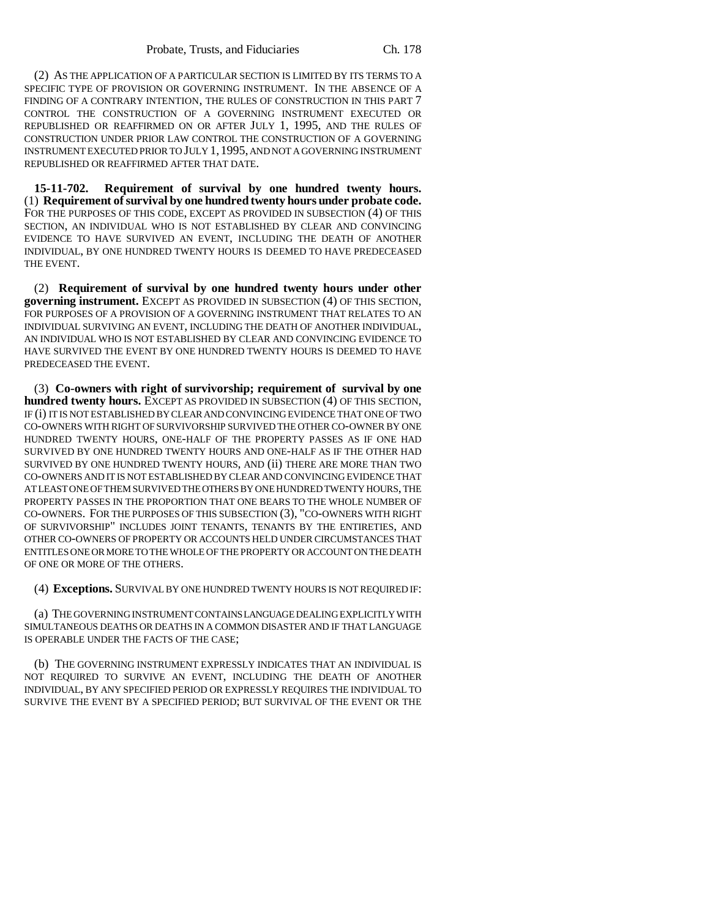(2) AS THE APPLICATION OF A PARTICULAR SECTION IS LIMITED BY ITS TERMS TO A SPECIFIC TYPE OF PROVISION OR GOVERNING INSTRUMENT. IN THE ABSENCE OF A FINDING OF A CONTRARY INTENTION, THE RULES OF CONSTRUCTION IN THIS PART 7 CONTROL THE CONSTRUCTION OF A GOVERNING INSTRUMENT EXECUTED OR REPUBLISHED OR REAFFIRMED ON OR AFTER JULY 1, 1995, AND THE RULES OF CONSTRUCTION UNDER PRIOR LAW CONTROL THE CONSTRUCTION OF A GOVERNING INSTRUMENT EXECUTED PRIOR TO JULY 1,1995, AND NOT A GOVERNING INSTRUMENT REPUBLISHED OR REAFFIRMED AFTER THAT DATE.

**15-11-702. Requirement of survival by one hundred twenty hours.** (1) **Requirement of survival by one hundred twenty hours under probate code.** FOR THE PURPOSES OF THIS CODE, EXCEPT AS PROVIDED IN SUBSECTION (4) OF THIS SECTION, AN INDIVIDUAL WHO IS NOT ESTABLISHED BY CLEAR AND CONVINCING EVIDENCE TO HAVE SURVIVED AN EVENT, INCLUDING THE DEATH OF ANOTHER INDIVIDUAL, BY ONE HUNDRED TWENTY HOURS IS DEEMED TO HAVE PREDECEASED THE EVENT.

(2) **Requirement of survival by one hundred twenty hours under other governing instrument.** EXCEPT AS PROVIDED IN SUBSECTION (4) OF THIS SECTION, FOR PURPOSES OF A PROVISION OF A GOVERNING INSTRUMENT THAT RELATES TO AN INDIVIDUAL SURVIVING AN EVENT, INCLUDING THE DEATH OF ANOTHER INDIVIDUAL, AN INDIVIDUAL WHO IS NOT ESTABLISHED BY CLEAR AND CONVINCING EVIDENCE TO HAVE SURVIVED THE EVENT BY ONE HUNDRED TWENTY HOURS IS DEEMED TO HAVE PREDECEASED THE EVENT.

(3) **Co-owners with right of survivorship; requirement of survival by one hundred twenty hours.** EXCEPT AS PROVIDED IN SUBSECTION (4) OF THIS SECTION, IF (i) IT IS NOT ESTABLISHED BY CLEAR AND CONVINCING EVIDENCE THAT ONE OF TWO CO-OWNERS WITH RIGHT OF SURVIVORSHIP SURVIVED THE OTHER CO-OWNER BY ONE HUNDRED TWENTY HOURS, ONE-HALF OF THE PROPERTY PASSES AS IF ONE HAD SURVIVED BY ONE HUNDRED TWENTY HOURS AND ONE-HALF AS IF THE OTHER HAD SURVIVED BY ONE HUNDRED TWENTY HOURS, AND (ii) THERE ARE MORE THAN TWO CO-OWNERS AND IT IS NOT ESTABLISHED BY CLEAR AND CONVINCING EVIDENCE THAT AT LEAST ONE OF THEM SURVIVED THE OTHERS BY ONE HUNDRED TWENTY HOURS, THE PROPERTY PASSES IN THE PROPORTION THAT ONE BEARS TO THE WHOLE NUMBER OF CO-OWNERS. FOR THE PURPOSES OF THIS SUBSECTION (3), "CO-OWNERS WITH RIGHT OF SURVIVORSHIP" INCLUDES JOINT TENANTS, TENANTS BY THE ENTIRETIES, AND OTHER CO-OWNERS OF PROPERTY OR ACCOUNTS HELD UNDER CIRCUMSTANCES THAT ENTITLES ONE OR MORE TO THE WHOLE OF THE PROPERTY OR ACCOUNT ON THE DEATH OF ONE OR MORE OF THE OTHERS.

(4) **Exceptions.** SURVIVAL BY ONE HUNDRED TWENTY HOURS IS NOT REQUIRED IF:

(a) THE GOVERNING INSTRUMENT CONTAINS LANGUAGE DEALING EXPLICITLY WITH SIMULTANEOUS DEATHS OR DEATHS IN A COMMON DISASTER AND IF THAT LANGUAGE IS OPERABLE UNDER THE FACTS OF THE CASE;

(b) THE GOVERNING INSTRUMENT EXPRESSLY INDICATES THAT AN INDIVIDUAL IS NOT REQUIRED TO SURVIVE AN EVENT, INCLUDING THE DEATH OF ANOTHER INDIVIDUAL, BY ANY SPECIFIED PERIOD OR EXPRESSLY REQUIRES THE INDIVIDUAL TO SURVIVE THE EVENT BY A SPECIFIED PERIOD; BUT SURVIVAL OF THE EVENT OR THE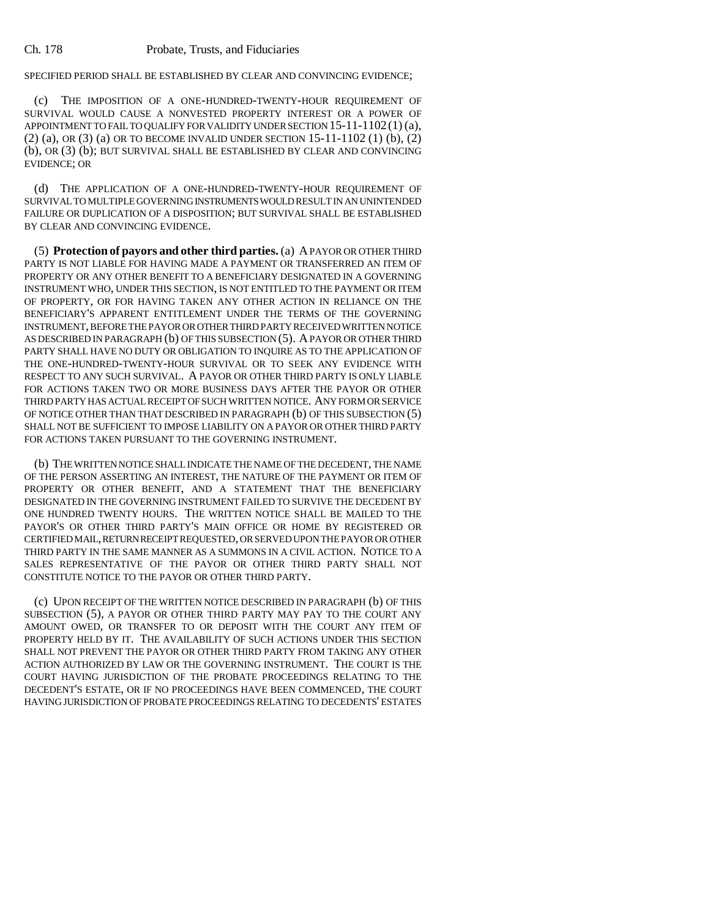SPECIFIED PERIOD SHALL BE ESTABLISHED BY CLEAR AND CONVINCING EVIDENCE;

(c) THE IMPOSITION OF A ONE-HUNDRED-TWENTY-HOUR REQUIREMENT OF SURVIVAL WOULD CAUSE A NONVESTED PROPERTY INTEREST OR A POWER OF APPOINTMENT TO FAIL TO OUALIFY FOR VALIDITY UNDER SECTION  $15-11-1102(1)(a)$ , (2) (a), OR (3) (a) OR TO BECOME INVALID UNDER SECTION 15-11-1102 (1) (b), (2) (b), OR (3) (b); BUT SURVIVAL SHALL BE ESTABLISHED BY CLEAR AND CONVINCING EVIDENCE; OR

(d) THE APPLICATION OF A ONE-HUNDRED-TWENTY-HOUR REQUIREMENT OF SURVIVAL TO MULTIPLE GOVERNING INSTRUMENTS WOULD RESULT IN AN UNINTENDED FAILURE OR DUPLICATION OF A DISPOSITION; BUT SURVIVAL SHALL BE ESTABLISHED BY CLEAR AND CONVINCING EVIDENCE.

(5) **Protection of payors and other third parties.** (a) A PAYOR OR OTHER THIRD PARTY IS NOT LIABLE FOR HAVING MADE A PAYMENT OR TRANSFERRED AN ITEM OF PROPERTY OR ANY OTHER BENEFIT TO A BENEFICIARY DESIGNATED IN A GOVERNING INSTRUMENT WHO, UNDER THIS SECTION, IS NOT ENTITLED TO THE PAYMENT OR ITEM OF PROPERTY, OR FOR HAVING TAKEN ANY OTHER ACTION IN RELIANCE ON THE BENEFICIARY'S APPARENT ENTITLEMENT UNDER THE TERMS OF THE GOVERNING INSTRUMENT, BEFORE THE PAYOR OR OTHER THIRD PARTY RECEIVED WRITTEN NOTICE AS DESCRIBED IN PARAGRAPH (b) OF THIS SUBSECTION (5). A PAYOR OR OTHER THIRD PARTY SHALL HAVE NO DUTY OR OBLIGATION TO INQUIRE AS TO THE APPLICATION OF THE ONE-HUNDRED-TWENTY-HOUR SURVIVAL OR TO SEEK ANY EVIDENCE WITH RESPECT TO ANY SUCH SURVIVAL. A PAYOR OR OTHER THIRD PARTY IS ONLY LIABLE FOR ACTIONS TAKEN TWO OR MORE BUSINESS DAYS AFTER THE PAYOR OR OTHER THIRD PARTY HAS ACTUAL RECEIPT OF SUCH WRITTEN NOTICE. ANY FORM OR SERVICE OF NOTICE OTHER THAN THAT DESCRIBED IN PARAGRAPH (b) OF THIS SUBSECTION (5) SHALL NOT BE SUFFICIENT TO IMPOSE LIABILITY ON A PAYOR OR OTHER THIRD PARTY FOR ACTIONS TAKEN PURSUANT TO THE GOVERNING INSTRUMENT.

(b) THE WRITTEN NOTICE SHALL INDICATE THE NAME OF THE DECEDENT, THE NAME OF THE PERSON ASSERTING AN INTEREST, THE NATURE OF THE PAYMENT OR ITEM OF PROPERTY OR OTHER BENEFIT, AND A STATEMENT THAT THE BENEFICIARY DESIGNATED IN THE GOVERNING INSTRUMENT FAILED TO SURVIVE THE DECEDENT BY ONE HUNDRED TWENTY HOURS. THE WRITTEN NOTICE SHALL BE MAILED TO THE PAYOR'S OR OTHER THIRD PARTY'S MAIN OFFICE OR HOME BY REGISTERED OR CERTIFIED MAIL, RETURN RECEIPT REQUESTED, OR SERVED UPON THE PAYOR OR OTHER THIRD PARTY IN THE SAME MANNER AS A SUMMONS IN A CIVIL ACTION. NOTICE TO A SALES REPRESENTATIVE OF THE PAYOR OR OTHER THIRD PARTY SHALL NOT CONSTITUTE NOTICE TO THE PAYOR OR OTHER THIRD PARTY.

(c) UPON RECEIPT OF THE WRITTEN NOTICE DESCRIBED IN PARAGRAPH (b) OF THIS SUBSECTION (5), A PAYOR OR OTHER THIRD PARTY MAY PAY TO THE COURT ANY AMOUNT OWED, OR TRANSFER TO OR DEPOSIT WITH THE COURT ANY ITEM OF PROPERTY HELD BY IT. THE AVAILABILITY OF SUCH ACTIONS UNDER THIS SECTION SHALL NOT PREVENT THE PAYOR OR OTHER THIRD PARTY FROM TAKING ANY OTHER ACTION AUTHORIZED BY LAW OR THE GOVERNING INSTRUMENT. THE COURT IS THE COURT HAVING JURISDICTION OF THE PROBATE PROCEEDINGS RELATING TO THE DECEDENT'S ESTATE, OR IF NO PROCEEDINGS HAVE BEEN COMMENCED, THE COURT HAVING JURISDICTION OF PROBATE PROCEEDINGS RELATING TO DECEDENTS' ESTATES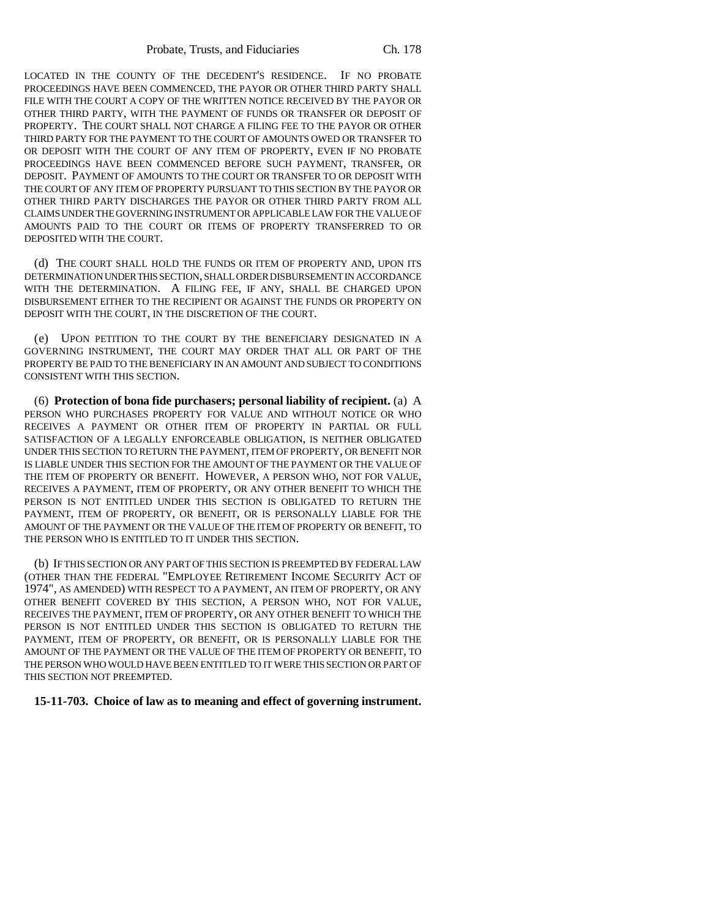LOCATED IN THE COUNTY OF THE DECEDENT'S RESIDENCE. IF NO PROBATE PROCEEDINGS HAVE BEEN COMMENCED, THE PAYOR OR OTHER THIRD PARTY SHALL FILE WITH THE COURT A COPY OF THE WRITTEN NOTICE RECEIVED BY THE PAYOR OR OTHER THIRD PARTY, WITH THE PAYMENT OF FUNDS OR TRANSFER OR DEPOSIT OF PROPERTY. THE COURT SHALL NOT CHARGE A FILING FEE TO THE PAYOR OR OTHER THIRD PARTY FOR THE PAYMENT TO THE COURT OF AMOUNTS OWED OR TRANSFER TO OR DEPOSIT WITH THE COURT OF ANY ITEM OF PROPERTY, EVEN IF NO PROBATE PROCEEDINGS HAVE BEEN COMMENCED BEFORE SUCH PAYMENT, TRANSFER, OR DEPOSIT. PAYMENT OF AMOUNTS TO THE COURT OR TRANSFER TO OR DEPOSIT WITH THE COURT OF ANY ITEM OF PROPERTY PURSUANT TO THIS SECTION BY THE PAYOR OR OTHER THIRD PARTY DISCHARGES THE PAYOR OR OTHER THIRD PARTY FROM ALL CLAIMS UNDER THE GOVERNING INSTRUMENT OR APPLICABLE LAW FOR THE VALUE OF AMOUNTS PAID TO THE COURT OR ITEMS OF PROPERTY TRANSFERRED TO OR DEPOSITED WITH THE COURT.

(d) THE COURT SHALL HOLD THE FUNDS OR ITEM OF PROPERTY AND, UPON ITS DETERMINATION UNDER THIS SECTION, SHALL ORDER DISBURSEMENT IN ACCORDANCE WITH THE DETERMINATION. A FILING FEE, IF ANY, SHALL BE CHARGED UPON DISBURSEMENT EITHER TO THE RECIPIENT OR AGAINST THE FUNDS OR PROPERTY ON DEPOSIT WITH THE COURT, IN THE DISCRETION OF THE COURT.

(e) UPON PETITION TO THE COURT BY THE BENEFICIARY DESIGNATED IN A GOVERNING INSTRUMENT, THE COURT MAY ORDER THAT ALL OR PART OF THE PROPERTY BE PAID TO THE BENEFICIARY IN AN AMOUNT AND SUBJECT TO CONDITIONS CONSISTENT WITH THIS SECTION.

(6) **Protection of bona fide purchasers; personal liability of recipient.** (a) A PERSON WHO PURCHASES PROPERTY FOR VALUE AND WITHOUT NOTICE OR WHO RECEIVES A PAYMENT OR OTHER ITEM OF PROPERTY IN PARTIAL OR FULL SATISFACTION OF A LEGALLY ENFORCEABLE OBLIGATION, IS NEITHER OBLIGATED UNDER THIS SECTION TO RETURN THE PAYMENT, ITEM OF PROPERTY, OR BENEFIT NOR IS LIABLE UNDER THIS SECTION FOR THE AMOUNT OF THE PAYMENT OR THE VALUE OF THE ITEM OF PROPERTY OR BENEFIT. HOWEVER, A PERSON WHO, NOT FOR VALUE, RECEIVES A PAYMENT, ITEM OF PROPERTY, OR ANY OTHER BENEFIT TO WHICH THE PERSON IS NOT ENTITLED UNDER THIS SECTION IS OBLIGATED TO RETURN THE PAYMENT, ITEM OF PROPERTY, OR BENEFIT, OR IS PERSONALLY LIABLE FOR THE AMOUNT OF THE PAYMENT OR THE VALUE OF THE ITEM OF PROPERTY OR BENEFIT, TO THE PERSON WHO IS ENTITLED TO IT UNDER THIS SECTION.

(b) IF THIS SECTION OR ANY PART OF THIS SECTION IS PREEMPTED BY FEDERAL LAW (OTHER THAN THE FEDERAL "EMPLOYEE RETIREMENT INCOME SECURITY ACT OF 1974", AS AMENDED) WITH RESPECT TO A PAYMENT, AN ITEM OF PROPERTY, OR ANY OTHER BENEFIT COVERED BY THIS SECTION, A PERSON WHO, NOT FOR VALUE, RECEIVES THE PAYMENT, ITEM OF PROPERTY, OR ANY OTHER BENEFIT TO WHICH THE PERSON IS NOT ENTITLED UNDER THIS SECTION IS OBLIGATED TO RETURN THE PAYMENT, ITEM OF PROPERTY, OR BENEFIT, OR IS PERSONALLY LIABLE FOR THE AMOUNT OF THE PAYMENT OR THE VALUE OF THE ITEM OF PROPERTY OR BENEFIT, TO THE PERSON WHO WOULD HAVE BEEN ENTITLED TO IT WERE THIS SECTION OR PART OF THIS SECTION NOT PREEMPTED.

# **15-11-703. Choice of law as to meaning and effect of governing instrument.**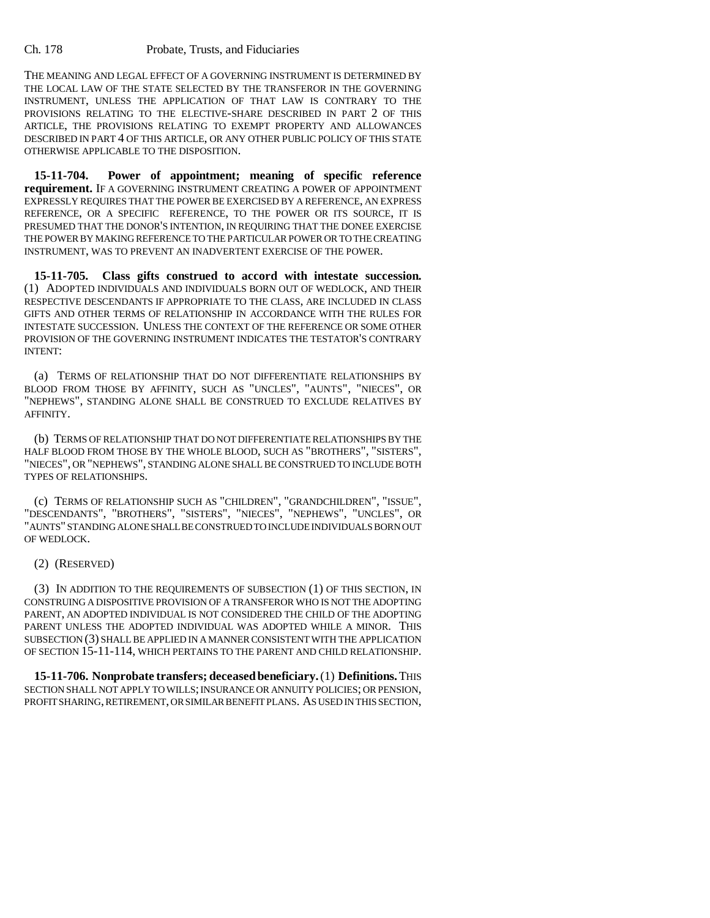THE MEANING AND LEGAL EFFECT OF A GOVERNING INSTRUMENT IS DETERMINED BY THE LOCAL LAW OF THE STATE SELECTED BY THE TRANSFEROR IN THE GOVERNING INSTRUMENT, UNLESS THE APPLICATION OF THAT LAW IS CONTRARY TO THE PROVISIONS RELATING TO THE ELECTIVE-SHARE DESCRIBED IN PART 2 OF THIS ARTICLE, THE PROVISIONS RELATING TO EXEMPT PROPERTY AND ALLOWANCES DESCRIBED IN PART 4 OF THIS ARTICLE, OR ANY OTHER PUBLIC POLICY OF THIS STATE OTHERWISE APPLICABLE TO THE DISPOSITION.

**15-11-704. Power of appointment; meaning of specific reference requirement.** IF A GOVERNING INSTRUMENT CREATING A POWER OF APPOINTMENT EXPRESSLY REQUIRES THAT THE POWER BE EXERCISED BY A REFERENCE, AN EXPRESS REFERENCE, OR A SPECIFIC REFERENCE, TO THE POWER OR ITS SOURCE, IT IS PRESUMED THAT THE DONOR'S INTENTION, IN REQUIRING THAT THE DONEE EXERCISE THE POWER BY MAKING REFERENCE TO THE PARTICULAR POWER OR TO THE CREATING INSTRUMENT, WAS TO PREVENT AN INADVERTENT EXERCISE OF THE POWER.

**15-11-705. Class gifts construed to accord with intestate succession.** (1) ADOPTED INDIVIDUALS AND INDIVIDUALS BORN OUT OF WEDLOCK, AND THEIR RESPECTIVE DESCENDANTS IF APPROPRIATE TO THE CLASS, ARE INCLUDED IN CLASS GIFTS AND OTHER TERMS OF RELATIONSHIP IN ACCORDANCE WITH THE RULES FOR INTESTATE SUCCESSION. UNLESS THE CONTEXT OF THE REFERENCE OR SOME OTHER PROVISION OF THE GOVERNING INSTRUMENT INDICATES THE TESTATOR'S CONTRARY INTENT:

(a) TERMS OF RELATIONSHIP THAT DO NOT DIFFERENTIATE RELATIONSHIPS BY BLOOD FROM THOSE BY AFFINITY, SUCH AS "UNCLES", "AUNTS", "NIECES", OR "NEPHEWS", STANDING ALONE SHALL BE CONSTRUED TO EXCLUDE RELATIVES BY AFFINITY.

(b) TERMS OF RELATIONSHIP THAT DO NOT DIFFERENTIATE RELATIONSHIPS BY THE HALF BLOOD FROM THOSE BY THE WHOLE BLOOD, SUCH AS "BROTHERS", "SISTERS", "NIECES", OR "NEPHEWS", STANDING ALONE SHALL BE CONSTRUED TO INCLUDE BOTH TYPES OF RELATIONSHIPS.

(c) TERMS OF RELATIONSHIP SUCH AS "CHILDREN", "GRANDCHILDREN", "ISSUE", "DESCENDANTS", "BROTHERS", "SISTERS", "NIECES", "NEPHEWS", "UNCLES", OR "AUNTS" STANDING ALONE SHALL BE CONSTRUED TO INCLUDE INDIVIDUALS BORN OUT OF WEDLOCK.

## (2) (RESERVED)

(3) IN ADDITION TO THE REQUIREMENTS OF SUBSECTION (1) OF THIS SECTION, IN CONSTRUING A DISPOSITIVE PROVISION OF A TRANSFEROR WHO IS NOT THE ADOPTING PARENT, AN ADOPTED INDIVIDUAL IS NOT CONSIDERED THE CHILD OF THE ADOPTING PARENT UNLESS THE ADOPTED INDIVIDUAL WAS ADOPTED WHILE A MINOR. THIS SUBSECTION (3) SHALL BE APPLIED IN A MANNER CONSISTENT WITH THE APPLICATION OF SECTION 15-11-114, WHICH PERTAINS TO THE PARENT AND CHILD RELATIONSHIP.

**15-11-706. Nonprobate transfers; deceased beneficiary.** (1) **Definitions.** THIS SECTION SHALL NOT APPLY TO WILLS; INSURANCE OR ANNUITY POLICIES; OR PENSION, PROFIT SHARING, RETIREMENT, OR SIMILAR BENEFIT PLANS. AS USED IN THIS SECTION,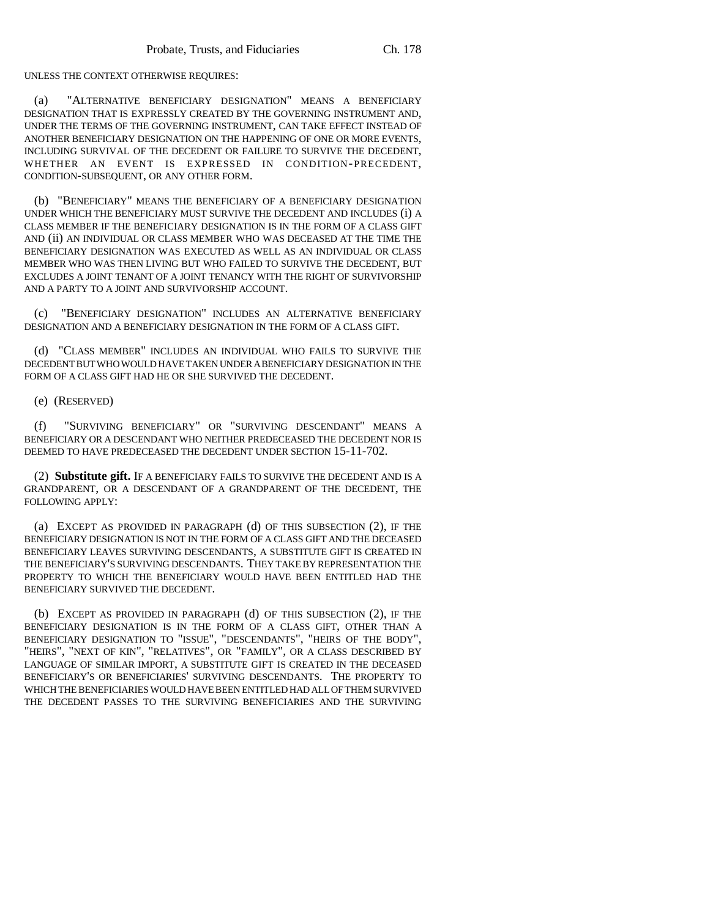UNLESS THE CONTEXT OTHERWISE REQUIRES:

(a) "ALTERNATIVE BENEFICIARY DESIGNATION" MEANS A BENEFICIARY DESIGNATION THAT IS EXPRESSLY CREATED BY THE GOVERNING INSTRUMENT AND, UNDER THE TERMS OF THE GOVERNING INSTRUMENT, CAN TAKE EFFECT INSTEAD OF ANOTHER BENEFICIARY DESIGNATION ON THE HAPPENING OF ONE OR MORE EVENTS, INCLUDING SURVIVAL OF THE DECEDENT OR FAILURE TO SURVIVE THE DECEDENT, WHETHER AN EVENT IS EXPRESSED IN CONDITION-PRECEDENT, CONDITION-SUBSEQUENT, OR ANY OTHER FORM.

(b) "BENEFICIARY" MEANS THE BENEFICIARY OF A BENEFICIARY DESIGNATION UNDER WHICH THE BENEFICIARY MUST SURVIVE THE DECEDENT AND INCLUDES (i) A CLASS MEMBER IF THE BENEFICIARY DESIGNATION IS IN THE FORM OF A CLASS GIFT AND (ii) AN INDIVIDUAL OR CLASS MEMBER WHO WAS DECEASED AT THE TIME THE BENEFICIARY DESIGNATION WAS EXECUTED AS WELL AS AN INDIVIDUAL OR CLASS MEMBER WHO WAS THEN LIVING BUT WHO FAILED TO SURVIVE THE DECEDENT, BUT EXCLUDES A JOINT TENANT OF A JOINT TENANCY WITH THE RIGHT OF SURVIVORSHIP AND A PARTY TO A JOINT AND SURVIVORSHIP ACCOUNT.

(c) "BENEFICIARY DESIGNATION" INCLUDES AN ALTERNATIVE BENEFICIARY DESIGNATION AND A BENEFICIARY DESIGNATION IN THE FORM OF A CLASS GIFT.

(d) "CLASS MEMBER" INCLUDES AN INDIVIDUAL WHO FAILS TO SURVIVE THE DECEDENT BUT WHO WOULD HAVE TAKEN UNDER A BENEFICIARY DESIGNATION IN THE FORM OF A CLASS GIFT HAD HE OR SHE SURVIVED THE DECEDENT.

# (e) (RESERVED)

(f) "SURVIVING BENEFICIARY" OR "SURVIVING DESCENDANT" MEANS A BENEFICIARY OR A DESCENDANT WHO NEITHER PREDECEASED THE DECEDENT NOR IS DEEMED TO HAVE PREDECEASED THE DECEDENT UNDER SECTION 15-11-702.

(2) **Substitute gift.** IF A BENEFICIARY FAILS TO SURVIVE THE DECEDENT AND IS A GRANDPARENT, OR A DESCENDANT OF A GRANDPARENT OF THE DECEDENT, THE FOLLOWING APPLY:

(a) EXCEPT AS PROVIDED IN PARAGRAPH (d) OF THIS SUBSECTION (2), IF THE BENEFICIARY DESIGNATION IS NOT IN THE FORM OF A CLASS GIFT AND THE DECEASED BENEFICIARY LEAVES SURVIVING DESCENDANTS, A SUBSTITUTE GIFT IS CREATED IN THE BENEFICIARY'S SURVIVING DESCENDANTS. THEY TAKE BY REPRESENTATION THE PROPERTY TO WHICH THE BENEFICIARY WOULD HAVE BEEN ENTITLED HAD THE BENEFICIARY SURVIVED THE DECEDENT.

(b) EXCEPT AS PROVIDED IN PARAGRAPH (d) OF THIS SUBSECTION (2), IF THE BENEFICIARY DESIGNATION IS IN THE FORM OF A CLASS GIFT, OTHER THAN A BENEFICIARY DESIGNATION TO "ISSUE", "DESCENDANTS", "HEIRS OF THE BODY", "HEIRS", "NEXT OF KIN", "RELATIVES", OR "FAMILY", OR A CLASS DESCRIBED BY LANGUAGE OF SIMILAR IMPORT, A SUBSTITUTE GIFT IS CREATED IN THE DECEASED BENEFICIARY'S OR BENEFICIARIES' SURVIVING DESCENDANTS. THE PROPERTY TO WHICH THE BENEFICIARIES WOULD HAVE BEEN ENTITLED HAD ALL OF THEM SURVIVED THE DECEDENT PASSES TO THE SURVIVING BENEFICIARIES AND THE SURVIVING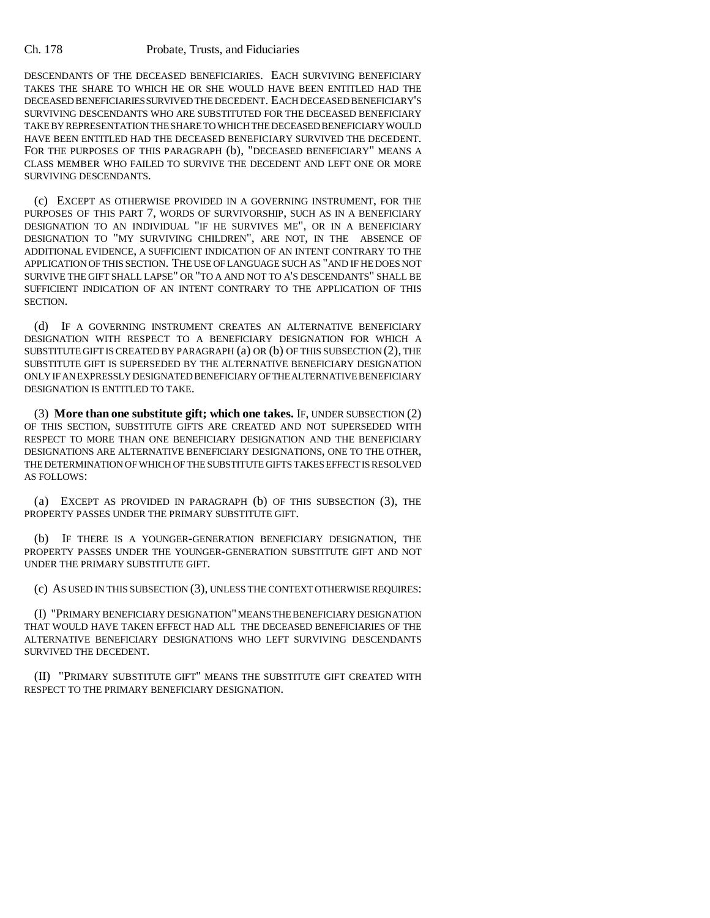DESCENDANTS OF THE DECEASED BENEFICIARIES. EACH SURVIVING BENEFICIARY TAKES THE SHARE TO WHICH HE OR SHE WOULD HAVE BEEN ENTITLED HAD THE DECEASED BENEFICIARIES SURVIVED THE DECEDENT. EACH DECEASED BENEFICIARY'S SURVIVING DESCENDANTS WHO ARE SUBSTITUTED FOR THE DECEASED BENEFICIARY TAKE BY REPRESENTATION THE SHARE TO WHICH THE DECEASED BENEFICIARY WOULD HAVE BEEN ENTITLED HAD THE DECEASED BENEFICIARY SURVIVED THE DECEDENT. FOR THE PURPOSES OF THIS PARAGRAPH (b), "DECEASED BENEFICIARY" MEANS A CLASS MEMBER WHO FAILED TO SURVIVE THE DECEDENT AND LEFT ONE OR MORE SURVIVING DESCENDANTS.

(c) EXCEPT AS OTHERWISE PROVIDED IN A GOVERNING INSTRUMENT, FOR THE PURPOSES OF THIS PART 7, WORDS OF SURVIVORSHIP, SUCH AS IN A BENEFICIARY DESIGNATION TO AN INDIVIDUAL "IF HE SURVIVES ME", OR IN A BENEFICIARY DESIGNATION TO "MY SURVIVING CHILDREN", ARE NOT, IN THE ABSENCE OF ADDITIONAL EVIDENCE, A SUFFICIENT INDICATION OF AN INTENT CONTRARY TO THE APPLICATION OF THIS SECTION. THE USE OF LANGUAGE SUCH AS "AND IF HE DOES NOT SURVIVE THE GIFT SHALL LAPSE" OR "TO A AND NOT TO A'S DESCENDANTS" SHALL BE SUFFICIENT INDICATION OF AN INTENT CONTRARY TO THE APPLICATION OF THIS SECTION.

(d) IF A GOVERNING INSTRUMENT CREATES AN ALTERNATIVE BENEFICIARY DESIGNATION WITH RESPECT TO A BENEFICIARY DESIGNATION FOR WHICH A SUBSTITUTE GIFT IS CREATED BY PARAGRAPH (a) OR (b) OF THIS SUBSECTION (2), THE SUBSTITUTE GIFT IS SUPERSEDED BY THE ALTERNATIVE BENEFICIARY DESIGNATION ONLY IF AN EXPRESSLY DESIGNATED BENEFICIARY OF THE ALTERNATIVE BENEFICIARY DESIGNATION IS ENTITLED TO TAKE.

(3) **More than one substitute gift; which one takes.** IF, UNDER SUBSECTION (2) OF THIS SECTION, SUBSTITUTE GIFTS ARE CREATED AND NOT SUPERSEDED WITH RESPECT TO MORE THAN ONE BENEFICIARY DESIGNATION AND THE BENEFICIARY DESIGNATIONS ARE ALTERNATIVE BENEFICIARY DESIGNATIONS, ONE TO THE OTHER, THE DETERMINATION OF WHICH OF THE SUBSTITUTE GIFTS TAKES EFFECT IS RESOLVED AS FOLLOWS:

(a) EXCEPT AS PROVIDED IN PARAGRAPH (b) OF THIS SUBSECTION (3), THE PROPERTY PASSES UNDER THE PRIMARY SUBSTITUTE GIFT.

(b) IF THERE IS A YOUNGER-GENERATION BENEFICIARY DESIGNATION, THE PROPERTY PASSES UNDER THE YOUNGER-GENERATION SUBSTITUTE GIFT AND NOT UNDER THE PRIMARY SUBSTITUTE GIFT.

(c) AS USED IN THIS SUBSECTION (3), UNLESS THE CONTEXT OTHERWISE REQUIRES:

(I) "PRIMARY BENEFICIARY DESIGNATION" MEANS THE BENEFICIARY DESIGNATION THAT WOULD HAVE TAKEN EFFECT HAD ALL THE DECEASED BENEFICIARIES OF THE ALTERNATIVE BENEFICIARY DESIGNATIONS WHO LEFT SURVIVING DESCENDANTS SURVIVED THE DECEDENT.

(II) "PRIMARY SUBSTITUTE GIFT" MEANS THE SUBSTITUTE GIFT CREATED WITH RESPECT TO THE PRIMARY BENEFICIARY DESIGNATION.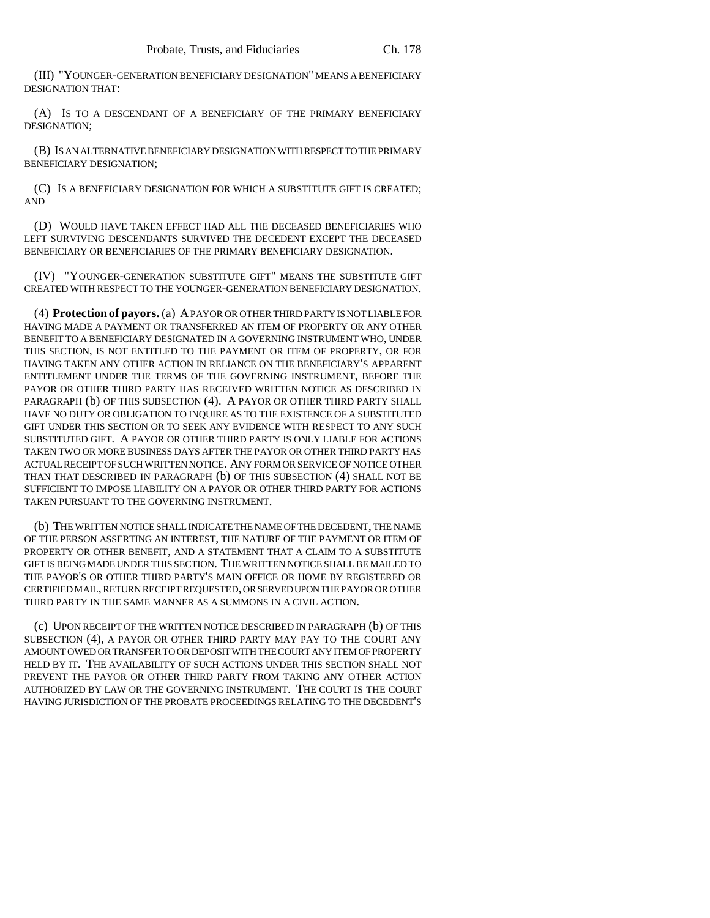(III) "YOUNGER-GENERATION BENEFICIARY DESIGNATION" MEANS A BENEFICIARY DESIGNATION THAT:

(A) IS TO A DESCENDANT OF A BENEFICIARY OF THE PRIMARY BENEFICIARY DESIGNATION;

(B) IS AN ALTERNATIVE BENEFICIARY DESIGNATION WITH RESPECT TO THE PRIMARY BENEFICIARY DESIGNATION;

(C) IS A BENEFICIARY DESIGNATION FOR WHICH A SUBSTITUTE GIFT IS CREATED; AND

(D) WOULD HAVE TAKEN EFFECT HAD ALL THE DECEASED BENEFICIARIES WHO LEFT SURVIVING DESCENDANTS SURVIVED THE DECEDENT EXCEPT THE DECEASED BENEFICIARY OR BENEFICIARIES OF THE PRIMARY BENEFICIARY DESIGNATION.

(IV) "YOUNGER-GENERATION SUBSTITUTE GIFT" MEANS THE SUBSTITUTE GIFT CREATED WITH RESPECT TO THE YOUNGER-GENERATION BENEFICIARY DESIGNATION.

(4) **Protection of payors.** (a) A PAYOR OR OTHER THIRD PARTY IS NOT LIABLE FOR HAVING MADE A PAYMENT OR TRANSFERRED AN ITEM OF PROPERTY OR ANY OTHER BENEFIT TO A BENEFICIARY DESIGNATED IN A GOVERNING INSTRUMENT WHO, UNDER THIS SECTION, IS NOT ENTITLED TO THE PAYMENT OR ITEM OF PROPERTY, OR FOR HAVING TAKEN ANY OTHER ACTION IN RELIANCE ON THE BENEFICIARY'S APPARENT ENTITLEMENT UNDER THE TERMS OF THE GOVERNING INSTRUMENT, BEFORE THE PAYOR OR OTHER THIRD PARTY HAS RECEIVED WRITTEN NOTICE AS DESCRIBED IN PARAGRAPH (b) OF THIS SUBSECTION (4). A PAYOR OR OTHER THIRD PARTY SHALL HAVE NO DUTY OR OBLIGATION TO INQUIRE AS TO THE EXISTENCE OF A SUBSTITUTED GIFT UNDER THIS SECTION OR TO SEEK ANY EVIDENCE WITH RESPECT TO ANY SUCH SUBSTITUTED GIFT. A PAYOR OR OTHER THIRD PARTY IS ONLY LIABLE FOR ACTIONS TAKEN TWO OR MORE BUSINESS DAYS AFTER THE PAYOR OR OTHER THIRD PARTY HAS ACTUAL RECEIPT OF SUCH WRITTEN NOTICE. ANY FORM OR SERVICE OF NOTICE OTHER THAN THAT DESCRIBED IN PARAGRAPH (b) OF THIS SUBSECTION (4) SHALL NOT BE SUFFICIENT TO IMPOSE LIABILITY ON A PAYOR OR OTHER THIRD PARTY FOR ACTIONS TAKEN PURSUANT TO THE GOVERNING INSTRUMENT.

(b) THE WRITTEN NOTICE SHALL INDICATE THE NAME OF THE DECEDENT, THE NAME OF THE PERSON ASSERTING AN INTEREST, THE NATURE OF THE PAYMENT OR ITEM OF PROPERTY OR OTHER BENEFIT, AND A STATEMENT THAT A CLAIM TO A SUBSTITUTE GIFT IS BEING MADE UNDER THIS SECTION. THE WRITTEN NOTICE SHALL BE MAILED TO THE PAYOR'S OR OTHER THIRD PARTY'S MAIN OFFICE OR HOME BY REGISTERED OR CERTIFIED MAIL, RETURN RECEIPT REQUESTED, OR SERVED UPON THE PAYOR OR OTHER THIRD PARTY IN THE SAME MANNER AS A SUMMONS IN A CIVIL ACTION.

(c) UPON RECEIPT OF THE WRITTEN NOTICE DESCRIBED IN PARAGRAPH (b) OF THIS SUBSECTION (4), A PAYOR OR OTHER THIRD PARTY MAY PAY TO THE COURT ANY AMOUNT OWED OR TRANSFER TO OR DEPOSIT WITH THE COURT ANY ITEM OF PROPERTY HELD BY IT. THE AVAILABILITY OF SUCH ACTIONS UNDER THIS SECTION SHALL NOT PREVENT THE PAYOR OR OTHER THIRD PARTY FROM TAKING ANY OTHER ACTION AUTHORIZED BY LAW OR THE GOVERNING INSTRUMENT. THE COURT IS THE COURT HAVING JURISDICTION OF THE PROBATE PROCEEDINGS RELATING TO THE DECEDENT'S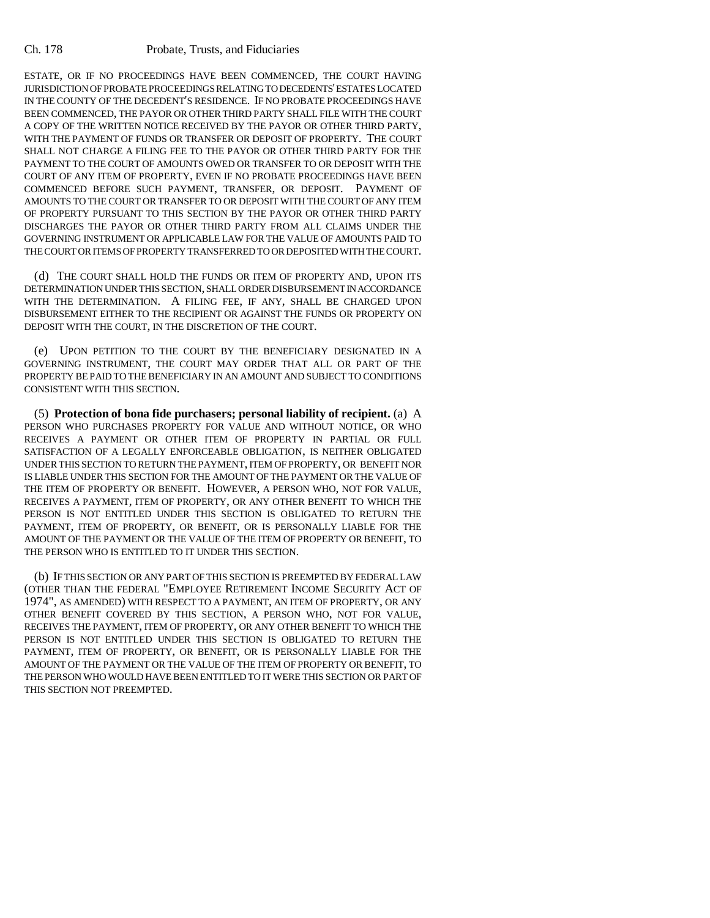ESTATE, OR IF NO PROCEEDINGS HAVE BEEN COMMENCED, THE COURT HAVING JURISDICTION OF PROBATE PROCEEDINGS RELATING TO DECEDENTS' ESTATES LOCATED IN THE COUNTY OF THE DECEDENT'S RESIDENCE. IF NO PROBATE PROCEEDINGS HAVE BEEN COMMENCED, THE PAYOR OR OTHER THIRD PARTY SHALL FILE WITH THE COURT A COPY OF THE WRITTEN NOTICE RECEIVED BY THE PAYOR OR OTHER THIRD PARTY, WITH THE PAYMENT OF FUNDS OR TRANSFER OR DEPOSIT OF PROPERTY. THE COURT SHALL NOT CHARGE A FILING FEE TO THE PAYOR OR OTHER THIRD PARTY FOR THE PAYMENT TO THE COURT OF AMOUNTS OWED OR TRANSFER TO OR DEPOSIT WITH THE COURT OF ANY ITEM OF PROPERTY, EVEN IF NO PROBATE PROCEEDINGS HAVE BEEN COMMENCED BEFORE SUCH PAYMENT, TRANSFER, OR DEPOSIT. PAYMENT OF AMOUNTS TO THE COURT OR TRANSFER TO OR DEPOSIT WITH THE COURT OF ANY ITEM OF PROPERTY PURSUANT TO THIS SECTION BY THE PAYOR OR OTHER THIRD PARTY DISCHARGES THE PAYOR OR OTHER THIRD PARTY FROM ALL CLAIMS UNDER THE GOVERNING INSTRUMENT OR APPLICABLE LAW FOR THE VALUE OF AMOUNTS PAID TO THE COURT OR ITEMS OF PROPERTY TRANSFERRED TO OR DEPOSITED WITH THE COURT.

(d) THE COURT SHALL HOLD THE FUNDS OR ITEM OF PROPERTY AND, UPON ITS DETERMINATION UNDER THIS SECTION, SHALL ORDER DISBURSEMENT IN ACCORDANCE WITH THE DETERMINATION. A FILING FEE, IF ANY, SHALL BE CHARGED UPON DISBURSEMENT EITHER TO THE RECIPIENT OR AGAINST THE FUNDS OR PROPERTY ON DEPOSIT WITH THE COURT, IN THE DISCRETION OF THE COURT.

(e) UPON PETITION TO THE COURT BY THE BENEFICIARY DESIGNATED IN A GOVERNING INSTRUMENT, THE COURT MAY ORDER THAT ALL OR PART OF THE PROPERTY BE PAID TO THE BENEFICIARY IN AN AMOUNT AND SUBJECT TO CONDITIONS CONSISTENT WITH THIS SECTION.

(5) **Protection of bona fide purchasers; personal liability of recipient.** (a) A PERSON WHO PURCHASES PROPERTY FOR VALUE AND WITHOUT NOTICE, OR WHO RECEIVES A PAYMENT OR OTHER ITEM OF PROPERTY IN PARTIAL OR FULL SATISFACTION OF A LEGALLY ENFORCEABLE OBLIGATION, IS NEITHER OBLIGATED UNDER THIS SECTION TO RETURN THE PAYMENT, ITEM OF PROPERTY, OR BENEFIT NOR IS LIABLE UNDER THIS SECTION FOR THE AMOUNT OF THE PAYMENT OR THE VALUE OF THE ITEM OF PROPERTY OR BENEFIT. HOWEVER, A PERSON WHO, NOT FOR VALUE, RECEIVES A PAYMENT, ITEM OF PROPERTY, OR ANY OTHER BENEFIT TO WHICH THE PERSON IS NOT ENTITLED UNDER THIS SECTION IS OBLIGATED TO RETURN THE PAYMENT, ITEM OF PROPERTY, OR BENEFIT, OR IS PERSONALLY LIABLE FOR THE AMOUNT OF THE PAYMENT OR THE VALUE OF THE ITEM OF PROPERTY OR BENEFIT, TO THE PERSON WHO IS ENTITLED TO IT UNDER THIS SECTION.

(b) IF THIS SECTION OR ANY PART OF THIS SECTION IS PREEMPTED BY FEDERAL LAW (OTHER THAN THE FEDERAL "EMPLOYEE RETIREMENT INCOME SECURITY ACT OF 1974", AS AMENDED) WITH RESPECT TO A PAYMENT, AN ITEM OF PROPERTY, OR ANY OTHER BENEFIT COVERED BY THIS SECTION, A PERSON WHO, NOT FOR VALUE, RECEIVES THE PAYMENT, ITEM OF PROPERTY, OR ANY OTHER BENEFIT TO WHICH THE PERSON IS NOT ENTITLED UNDER THIS SECTION IS OBLIGATED TO RETURN THE PAYMENT, ITEM OF PROPERTY, OR BENEFIT, OR IS PERSONALLY LIABLE FOR THE AMOUNT OF THE PAYMENT OR THE VALUE OF THE ITEM OF PROPERTY OR BENEFIT, TO THE PERSON WHO WOULD HAVE BEEN ENTITLED TO IT WERE THIS SECTION OR PART OF THIS SECTION NOT PREEMPTED.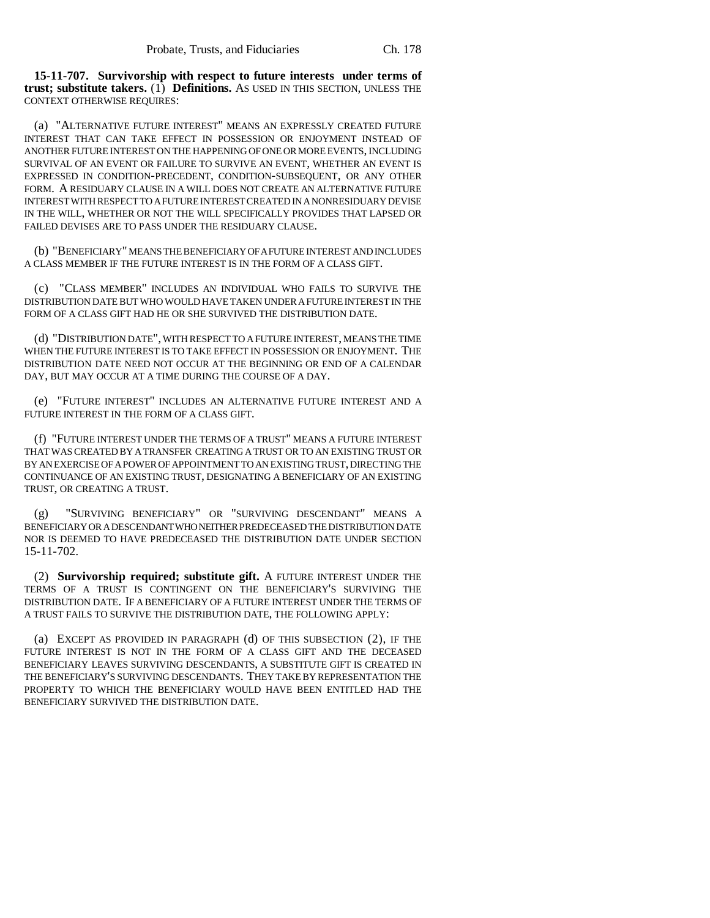**15-11-707. Survivorship with respect to future interests under terms of trust; substitute takers.** (1) **Definitions.** AS USED IN THIS SECTION, UNLESS THE CONTEXT OTHERWISE REQUIRES:

(a) "ALTERNATIVE FUTURE INTEREST" MEANS AN EXPRESSLY CREATED FUTURE INTEREST THAT CAN TAKE EFFECT IN POSSESSION OR ENJOYMENT INSTEAD OF ANOTHER FUTURE INTEREST ON THE HAPPENING OF ONE OR MORE EVENTS, INCLUDING SURVIVAL OF AN EVENT OR FAILURE TO SURVIVE AN EVENT, WHETHER AN EVENT IS EXPRESSED IN CONDITION-PRECEDENT, CONDITION-SUBSEQUENT, OR ANY OTHER FORM. A RESIDUARY CLAUSE IN A WILL DOES NOT CREATE AN ALTERNATIVE FUTURE INTEREST WITH RESPECT TO A FUTURE INTEREST CREATED IN A NONRESIDUARY DEVISE IN THE WILL, WHETHER OR NOT THE WILL SPECIFICALLY PROVIDES THAT LAPSED OR FAILED DEVISES ARE TO PASS UNDER THE RESIDUARY CLAUSE.

(b) "BENEFICIARY" MEANS THE BENEFICIARY OF A FUTURE INTEREST AND INCLUDES A CLASS MEMBER IF THE FUTURE INTEREST IS IN THE FORM OF A CLASS GIFT.

(c) "CLASS MEMBER" INCLUDES AN INDIVIDUAL WHO FAILS TO SURVIVE THE DISTRIBUTION DATE BUT WHO WOULD HAVE TAKEN UNDER A FUTURE INTEREST IN THE FORM OF A CLASS GIFT HAD HE OR SHE SURVIVED THE DISTRIBUTION DATE.

(d) "DISTRIBUTION DATE", WITH RESPECT TO A FUTURE INTEREST, MEANS THE TIME WHEN THE FUTURE INTEREST IS TO TAKE EFFECT IN POSSESSION OR ENJOYMENT. THE DISTRIBUTION DATE NEED NOT OCCUR AT THE BEGINNING OR END OF A CALENDAR DAY, BUT MAY OCCUR AT A TIME DURING THE COURSE OF A DAY.

(e) "FUTURE INTEREST" INCLUDES AN ALTERNATIVE FUTURE INTEREST AND A FUTURE INTEREST IN THE FORM OF A CLASS GIFT.

(f) "FUTURE INTEREST UNDER THE TERMS OF A TRUST" MEANS A FUTURE INTEREST THAT WAS CREATED BY A TRANSFER CREATING A TRUST OR TO AN EXISTING TRUST OR BY AN EXERCISE OF A POWER OF APPOINTMENT TO AN EXISTING TRUST, DIRECTING THE CONTINUANCE OF AN EXISTING TRUST, DESIGNATING A BENEFICIARY OF AN EXISTING TRUST, OR CREATING A TRUST.

(g) "SURVIVING BENEFICIARY" OR "SURVIVING DESCENDANT" MEANS A BENEFICIARY OR A DESCENDANT WHO NEITHER PREDECEASED THE DISTRIBUTION DATE NOR IS DEEMED TO HAVE PREDECEASED THE DISTRIBUTION DATE UNDER SECTION 15-11-702.

(2) **Survivorship required; substitute gift.** A FUTURE INTEREST UNDER THE TERMS OF A TRUST IS CONTINGENT ON THE BENEFICIARY'S SURVIVING THE DISTRIBUTION DATE. IF A BENEFICIARY OF A FUTURE INTEREST UNDER THE TERMS OF A TRUST FAILS TO SURVIVE THE DISTRIBUTION DATE, THE FOLLOWING APPLY:

(a) EXCEPT AS PROVIDED IN PARAGRAPH (d) OF THIS SUBSECTION (2), IF THE FUTURE INTEREST IS NOT IN THE FORM OF A CLASS GIFT AND THE DECEASED BENEFICIARY LEAVES SURVIVING DESCENDANTS, A SUBSTITUTE GIFT IS CREATED IN THE BENEFICIARY'S SURVIVING DESCENDANTS. THEY TAKE BY REPRESENTATION THE PROPERTY TO WHICH THE BENEFICIARY WOULD HAVE BEEN ENTITLED HAD THE BENEFICIARY SURVIVED THE DISTRIBUTION DATE.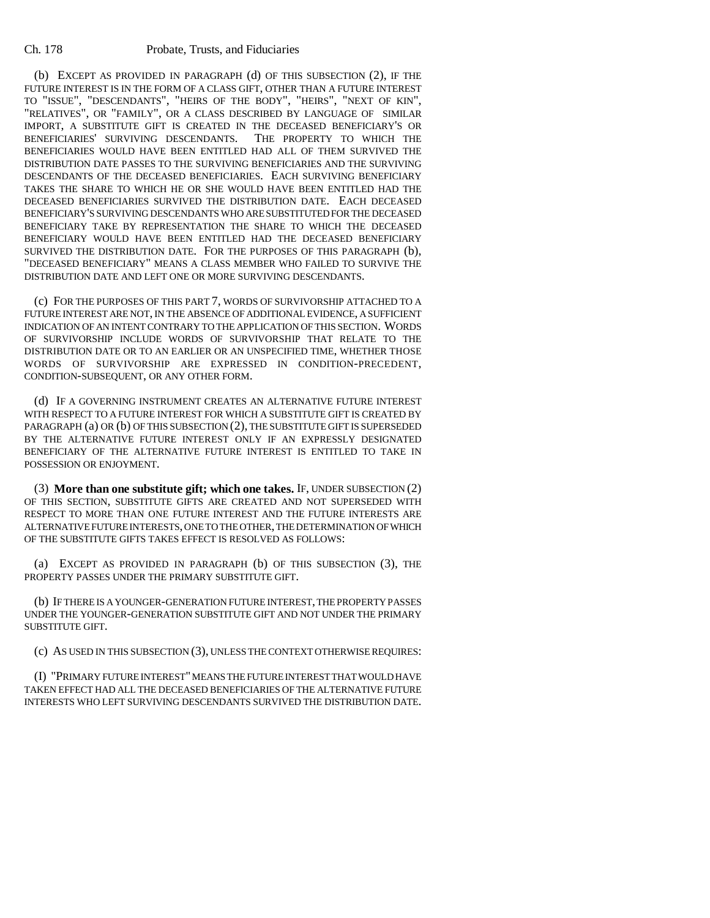(b) EXCEPT AS PROVIDED IN PARAGRAPH (d) OF THIS SUBSECTION (2), IF THE FUTURE INTEREST IS IN THE FORM OF A CLASS GIFT, OTHER THAN A FUTURE INTEREST TO "ISSUE", "DESCENDANTS", "HEIRS OF THE BODY", "HEIRS", "NEXT OF KIN", "RELATIVES", OR "FAMILY", OR A CLASS DESCRIBED BY LANGUAGE OF SIMILAR IMPORT, A SUBSTITUTE GIFT IS CREATED IN THE DECEASED BENEFICIARY'S OR BENEFICIARIES' SURVIVING DESCENDANTS. THE PROPERTY TO WHICH THE BENEFICIARIES WOULD HAVE BEEN ENTITLED HAD ALL OF THEM SURVIVED THE DISTRIBUTION DATE PASSES TO THE SURVIVING BENEFICIARIES AND THE SURVIVING DESCENDANTS OF THE DECEASED BENEFICIARIES. EACH SURVIVING BENEFICIARY TAKES THE SHARE TO WHICH HE OR SHE WOULD HAVE BEEN ENTITLED HAD THE DECEASED BENEFICIARIES SURVIVED THE DISTRIBUTION DATE. EACH DECEASED BENEFICIARY'S SURVIVING DESCENDANTS WHO ARE SUBSTITUTED FOR THE DECEASED BENEFICIARY TAKE BY REPRESENTATION THE SHARE TO WHICH THE DECEASED BENEFICIARY WOULD HAVE BEEN ENTITLED HAD THE DECEASED BENEFICIARY SURVIVED THE DISTRIBUTION DATE. FOR THE PURPOSES OF THIS PARAGRAPH (b), "DECEASED BENEFICIARY" MEANS A CLASS MEMBER WHO FAILED TO SURVIVE THE DISTRIBUTION DATE AND LEFT ONE OR MORE SURVIVING DESCENDANTS.

(c) FOR THE PURPOSES OF THIS PART 7, WORDS OF SURVIVORSHIP ATTACHED TO A FUTURE INTEREST ARE NOT, IN THE ABSENCE OF ADDITIONAL EVIDENCE, A SUFFICIENT INDICATION OF AN INTENT CONTRARY TO THE APPLICATION OF THIS SECTION. WORDS OF SURVIVORSHIP INCLUDE WORDS OF SURVIVORSHIP THAT RELATE TO THE DISTRIBUTION DATE OR TO AN EARLIER OR AN UNSPECIFIED TIME, WHETHER THOSE WORDS OF SURVIVORSHIP ARE EXPRESSED IN CONDITION-PRECEDENT, CONDITION-SUBSEQUENT, OR ANY OTHER FORM.

(d) IF A GOVERNING INSTRUMENT CREATES AN ALTERNATIVE FUTURE INTEREST WITH RESPECT TO A FUTURE INTEREST FOR WHICH A SUBSTITUTE GIFT IS CREATED BY PARAGRAPH (a) OR (b) OF THIS SUBSECTION (2), THE SUBSTITUTE GIFT IS SUPERSEDED BY THE ALTERNATIVE FUTURE INTEREST ONLY IF AN EXPRESSLY DESIGNATED BENEFICIARY OF THE ALTERNATIVE FUTURE INTEREST IS ENTITLED TO TAKE IN POSSESSION OR ENJOYMENT.

(3) **More than one substitute gift; which one takes.** IF, UNDER SUBSECTION (2) OF THIS SECTION, SUBSTITUTE GIFTS ARE CREATED AND NOT SUPERSEDED WITH RESPECT TO MORE THAN ONE FUTURE INTEREST AND THE FUTURE INTERESTS ARE ALTERNATIVE FUTURE INTERESTS, ONE TO THE OTHER, THE DETERMINATION OF WHICH OF THE SUBSTITUTE GIFTS TAKES EFFECT IS RESOLVED AS FOLLOWS:

(a) EXCEPT AS PROVIDED IN PARAGRAPH (b) OF THIS SUBSECTION (3), THE PROPERTY PASSES UNDER THE PRIMARY SUBSTITUTE GIFT.

(b) IF THERE IS A YOUNGER-GENERATION FUTURE INTEREST, THE PROPERTY PASSES UNDER THE YOUNGER-GENERATION SUBSTITUTE GIFT AND NOT UNDER THE PRIMARY SUBSTITUTE GIFT.

(c) AS USED IN THIS SUBSECTION (3), UNLESS THE CONTEXT OTHERWISE REQUIRES:

(I) "PRIMARY FUTURE INTEREST" MEANS THE FUTURE INTEREST THAT WOULD HAVE TAKEN EFFECT HAD ALL THE DECEASED BENEFICIARIES OF THE ALTERNATIVE FUTURE INTERESTS WHO LEFT SURVIVING DESCENDANTS SURVIVED THE DISTRIBUTION DATE.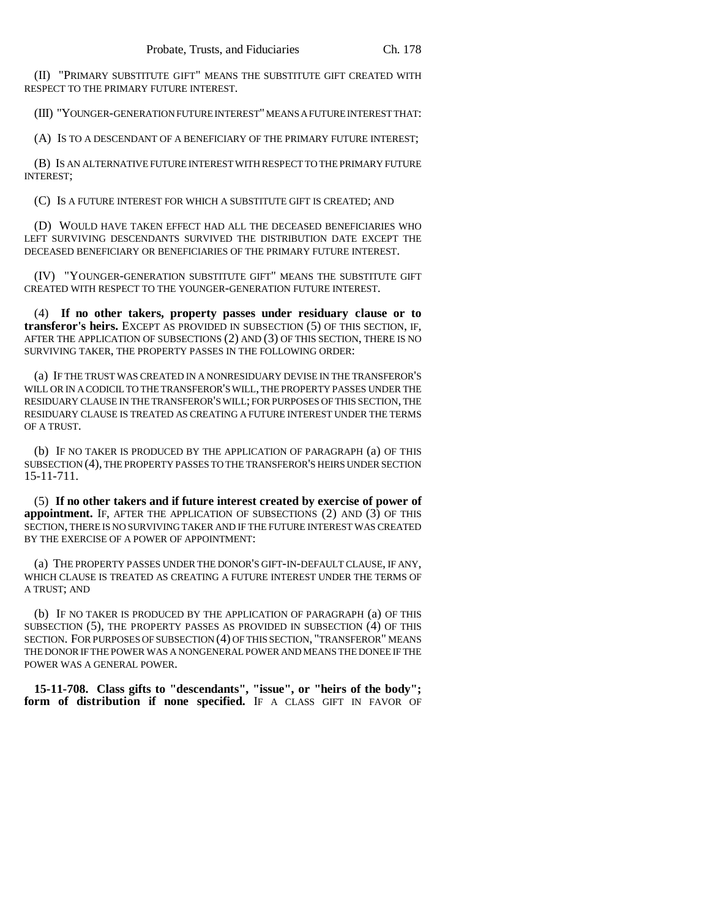(II) "PRIMARY SUBSTITUTE GIFT" MEANS THE SUBSTITUTE GIFT CREATED WITH RESPECT TO THE PRIMARY FUTURE INTEREST.

(III) "YOUNGER-GENERATION FUTURE INTEREST" MEANS A FUTURE INTEREST THAT:

(A) IS TO A DESCENDANT OF A BENEFICIARY OF THE PRIMARY FUTURE INTEREST;

(B) IS AN ALTERNATIVE FUTURE INTEREST WITH RESPECT TO THE PRIMARY FUTURE INTEREST;

(C) IS A FUTURE INTEREST FOR WHICH A SUBSTITUTE GIFT IS CREATED; AND

(D) WOULD HAVE TAKEN EFFECT HAD ALL THE DECEASED BENEFICIARIES WHO LEFT SURVIVING DESCENDANTS SURVIVED THE DISTRIBUTION DATE EXCEPT THE DECEASED BENEFICIARY OR BENEFICIARIES OF THE PRIMARY FUTURE INTEREST.

(IV) "YOUNGER-GENERATION SUBSTITUTE GIFT" MEANS THE SUBSTITUTE GIFT CREATED WITH RESPECT TO THE YOUNGER-GENERATION FUTURE INTEREST.

(4) **If no other takers, property passes under residuary clause or to transferor's heirs.** EXCEPT AS PROVIDED IN SUBSECTION (5) OF THIS SECTION, IF, AFTER THE APPLICATION OF SUBSECTIONS (2) AND (3) OF THIS SECTION, THERE IS NO SURVIVING TAKER, THE PROPERTY PASSES IN THE FOLLOWING ORDER:

(a) IF THE TRUST WAS CREATED IN A NONRESIDUARY DEVISE IN THE TRANSFEROR'S WILL OR IN A CODICIL TO THE TRANSFEROR'S WILL, THE PROPERTY PASSES UNDER THE RESIDUARY CLAUSE IN THE TRANSFEROR'S WILL; FOR PURPOSES OF THIS SECTION, THE RESIDUARY CLAUSE IS TREATED AS CREATING A FUTURE INTEREST UNDER THE TERMS OF A TRUST.

(b) IF NO TAKER IS PRODUCED BY THE APPLICATION OF PARAGRAPH (a) OF THIS SUBSECTION (4), THE PROPERTY PASSES TO THE TRANSFEROR'S HEIRS UNDER SECTION 15-11-711.

(5) **If no other takers and if future interest created by exercise of power of appointment.** IF, AFTER THE APPLICATION OF SUBSECTIONS (2) AND (3) OF THIS SECTION, THERE IS NO SURVIVING TAKER AND IF THE FUTURE INTEREST WAS CREATED BY THE EXERCISE OF A POWER OF APPOINTMENT:

(a) THE PROPERTY PASSES UNDER THE DONOR'S GIFT-IN-DEFAULT CLAUSE, IF ANY, WHICH CLAUSE IS TREATED AS CREATING A FUTURE INTEREST UNDER THE TERMS OF A TRUST; AND

(b) IF NO TAKER IS PRODUCED BY THE APPLICATION OF PARAGRAPH (a) OF THIS SUBSECTION (5), THE PROPERTY PASSES AS PROVIDED IN SUBSECTION (4) OF THIS SECTION. FOR PURPOSES OF SUBSECTION (4) OF THIS SECTION, "TRANSFEROR" MEANS THE DONOR IF THE POWER WAS A NONGENERAL POWER AND MEANS THE DONEE IF THE POWER WAS A GENERAL POWER.

**15-11-708. Class gifts to "descendants", "issue", or "heirs of the body"; form of distribution if none specified.** IF A CLASS GIFT IN FAVOR OF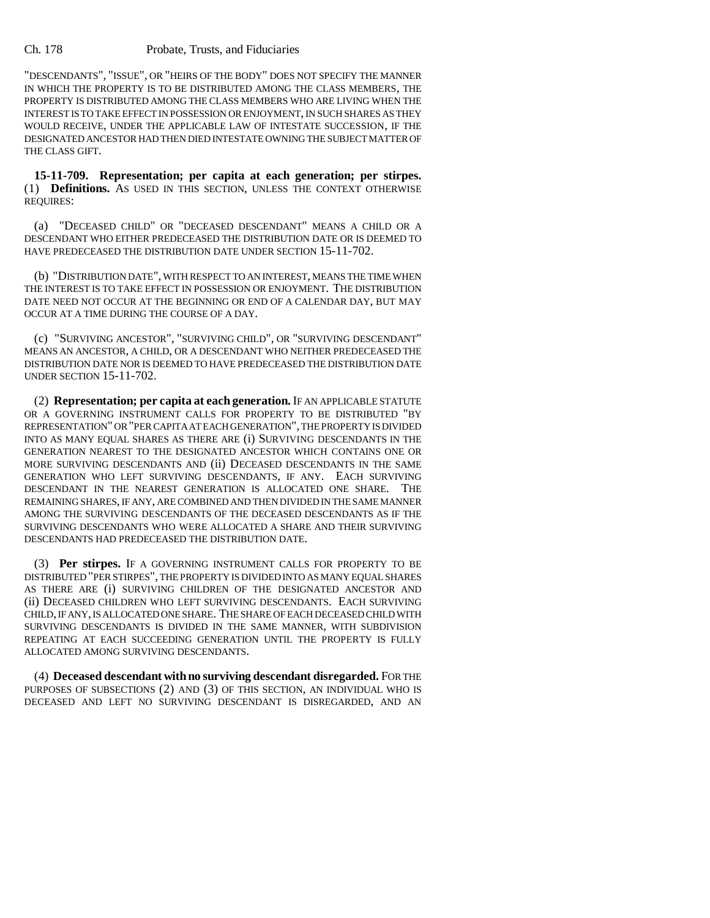"DESCENDANTS", "ISSUE", OR "HEIRS OF THE BODY" DOES NOT SPECIFY THE MANNER IN WHICH THE PROPERTY IS TO BE DISTRIBUTED AMONG THE CLASS MEMBERS, THE PROPERTY IS DISTRIBUTED AMONG THE CLASS MEMBERS WHO ARE LIVING WHEN THE INTEREST IS TO TAKE EFFECT IN POSSESSION OR ENJOYMENT, IN SUCH SHARES AS THEY WOULD RECEIVE, UNDER THE APPLICABLE LAW OF INTESTATE SUCCESSION, IF THE DESIGNATED ANCESTOR HAD THEN DIED INTESTATE OWNING THE SUBJECT MATTER OF THE CLASS GIFT.

**15-11-709. Representation; per capita at each generation; per stirpes.** (1) **Definitions.** AS USED IN THIS SECTION, UNLESS THE CONTEXT OTHERWISE REQUIRES:

(a) "DECEASED CHILD" OR "DECEASED DESCENDANT" MEANS A CHILD OR A DESCENDANT WHO EITHER PREDECEASED THE DISTRIBUTION DATE OR IS DEEMED TO HAVE PREDECEASED THE DISTRIBUTION DATE UNDER SECTION 15-11-702.

(b) "DISTRIBUTION DATE", WITH RESPECT TO AN INTEREST, MEANS THE TIME WHEN THE INTEREST IS TO TAKE EFFECT IN POSSESSION OR ENJOYMENT. THE DISTRIBUTION DATE NEED NOT OCCUR AT THE BEGINNING OR END OF A CALENDAR DAY, BUT MAY OCCUR AT A TIME DURING THE COURSE OF A DAY.

(c) "SURVIVING ANCESTOR", "SURVIVING CHILD", OR "SURVIVING DESCENDANT" MEANS AN ANCESTOR, A CHILD, OR A DESCENDANT WHO NEITHER PREDECEASED THE DISTRIBUTION DATE NOR IS DEEMED TO HAVE PREDECEASED THE DISTRIBUTION DATE UNDER SECTION 15-11-702.

(2) **Representation; per capita at each generation.** IF AN APPLICABLE STATUTE OR A GOVERNING INSTRUMENT CALLS FOR PROPERTY TO BE DISTRIBUTED "BY REPRESENTATION" OR "PER CAPITA AT EACH GENERATION", THE PROPERTY IS DIVIDED INTO AS MANY EQUAL SHARES AS THERE ARE (i) SURVIVING DESCENDANTS IN THE GENERATION NEAREST TO THE DESIGNATED ANCESTOR WHICH CONTAINS ONE OR MORE SURVIVING DESCENDANTS AND (ii) DECEASED DESCENDANTS IN THE SAME GENERATION WHO LEFT SURVIVING DESCENDANTS, IF ANY. EACH SURVIVING DESCENDANT IN THE NEAREST GENERATION IS ALLOCATED ONE SHARE. THE REMAINING SHARES, IF ANY, ARE COMBINED AND THEN DIVIDED IN THE SAME MANNER AMONG THE SURVIVING DESCENDANTS OF THE DECEASED DESCENDANTS AS IF THE SURVIVING DESCENDANTS WHO WERE ALLOCATED A SHARE AND THEIR SURVIVING DESCENDANTS HAD PREDECEASED THE DISTRIBUTION DATE.

(3) **Per stirpes.** IF A GOVERNING INSTRUMENT CALLS FOR PROPERTY TO BE DISTRIBUTED "PER STIRPES", THE PROPERTY IS DIVIDED INTO AS MANY EQUAL SHARES AS THERE ARE (i) SURVIVING CHILDREN OF THE DESIGNATED ANCESTOR AND (ii) DECEASED CHILDREN WHO LEFT SURVIVING DESCENDANTS. EACH SURVIVING CHILD, IF ANY, IS ALLOCATED ONE SHARE. THE SHARE OF EACH DECEASED CHILD WITH SURVIVING DESCENDANTS IS DIVIDED IN THE SAME MANNER, WITH SUBDIVISION REPEATING AT EACH SUCCEEDING GENERATION UNTIL THE PROPERTY IS FULLY ALLOCATED AMONG SURVIVING DESCENDANTS.

(4) **Deceased descendant with no surviving descendant disregarded.** FOR THE PURPOSES OF SUBSECTIONS (2) AND (3) OF THIS SECTION, AN INDIVIDUAL WHO IS DECEASED AND LEFT NO SURVIVING DESCENDANT IS DISREGARDED, AND AN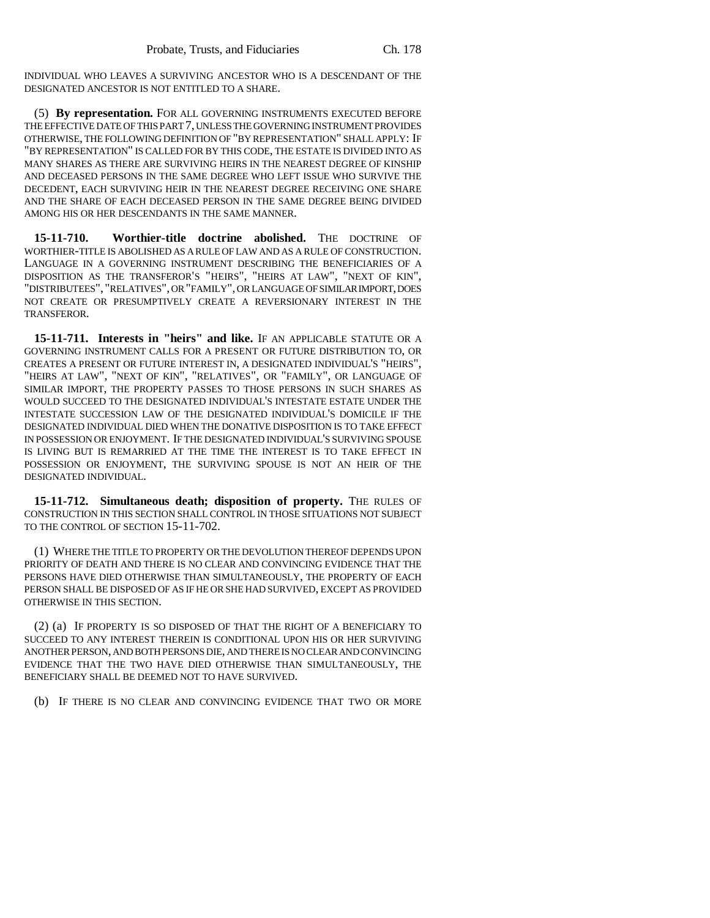INDIVIDUAL WHO LEAVES A SURVIVING ANCESTOR WHO IS A DESCENDANT OF THE DESIGNATED ANCESTOR IS NOT ENTITLED TO A SHARE.

(5) **By representation.** FOR ALL GOVERNING INSTRUMENTS EXECUTED BEFORE THE EFFECTIVE DATE OF THIS PART 7, UNLESS THE GOVERNING INSTRUMENT PROVIDES OTHERWISE, THE FOLLOWING DEFINITION OF "BY REPRESENTATION" SHALL APPLY: IF "BY REPRESENTATION" IS CALLED FOR BY THIS CODE, THE ESTATE IS DIVIDED INTO AS MANY SHARES AS THERE ARE SURVIVING HEIRS IN THE NEAREST DEGREE OF KINSHIP AND DECEASED PERSONS IN THE SAME DEGREE WHO LEFT ISSUE WHO SURVIVE THE DECEDENT, EACH SURVIVING HEIR IN THE NEAREST DEGREE RECEIVING ONE SHARE AND THE SHARE OF EACH DECEASED PERSON IN THE SAME DEGREE BEING DIVIDED AMONG HIS OR HER DESCENDANTS IN THE SAME MANNER.

**15-11-710. Worthier-title doctrine abolished.** THE DOCTRINE OF WORTHIER-TITLE IS ABOLISHED AS A RULE OF LAW AND AS A RULE OF CONSTRUCTION. LANGUAGE IN A GOVERNING INSTRUMENT DESCRIBING THE BENEFICIARIES OF A DISPOSITION AS THE TRANSFEROR'S "HEIRS", "HEIRS AT LAW", "NEXT OF KIN", "DISTRIBUTEES", "RELATIVES", OR "FAMILY", OR LANGUAGE OF SIMILAR IMPORT, DOES NOT CREATE OR PRESUMPTIVELY CREATE A REVERSIONARY INTEREST IN THE TRANSFEROR.

**15-11-711. Interests in "heirs" and like.** IF AN APPLICABLE STATUTE OR A GOVERNING INSTRUMENT CALLS FOR A PRESENT OR FUTURE DISTRIBUTION TO, OR CREATES A PRESENT OR FUTURE INTEREST IN, A DESIGNATED INDIVIDUAL'S "HEIRS", "HEIRS AT LAW", "NEXT OF KIN", "RELATIVES", OR "FAMILY", OR LANGUAGE OF SIMILAR IMPORT, THE PROPERTY PASSES TO THOSE PERSONS IN SUCH SHARES AS WOULD SUCCEED TO THE DESIGNATED INDIVIDUAL'S INTESTATE ESTATE UNDER THE INTESTATE SUCCESSION LAW OF THE DESIGNATED INDIVIDUAL'S DOMICILE IF THE DESIGNATED INDIVIDUAL DIED WHEN THE DONATIVE DISPOSITION IS TO TAKE EFFECT IN POSSESSION OR ENJOYMENT. IF THE DESIGNATED INDIVIDUAL'S SURVIVING SPOUSE IS LIVING BUT IS REMARRIED AT THE TIME THE INTEREST IS TO TAKE EFFECT IN POSSESSION OR ENJOYMENT, THE SURVIVING SPOUSE IS NOT AN HEIR OF THE DESIGNATED INDIVIDUAL.

**15-11-712. Simultaneous death; disposition of property.** THE RULES OF CONSTRUCTION IN THIS SECTION SHALL CONTROL IN THOSE SITUATIONS NOT SUBJECT TO THE CONTROL OF SECTION 15-11-702.

(1) WHERE THE TITLE TO PROPERTY OR THE DEVOLUTION THEREOF DEPENDS UPON PRIORITY OF DEATH AND THERE IS NO CLEAR AND CONVINCING EVIDENCE THAT THE PERSONS HAVE DIED OTHERWISE THAN SIMULTANEOUSLY, THE PROPERTY OF EACH PERSON SHALL BE DISPOSED OF AS IF HE OR SHE HAD SURVIVED, EXCEPT AS PROVIDED OTHERWISE IN THIS SECTION.

(2) (a) IF PROPERTY IS SO DISPOSED OF THAT THE RIGHT OF A BENEFICIARY TO SUCCEED TO ANY INTEREST THEREIN IS CONDITIONAL UPON HIS OR HER SURVIVING ANOTHER PERSON, AND BOTH PERSONS DIE, AND THERE IS NO CLEAR AND CONVINCING EVIDENCE THAT THE TWO HAVE DIED OTHERWISE THAN SIMULTANEOUSLY, THE BENEFICIARY SHALL BE DEEMED NOT TO HAVE SURVIVED.

(b) IF THERE IS NO CLEAR AND CONVINCING EVIDENCE THAT TWO OR MORE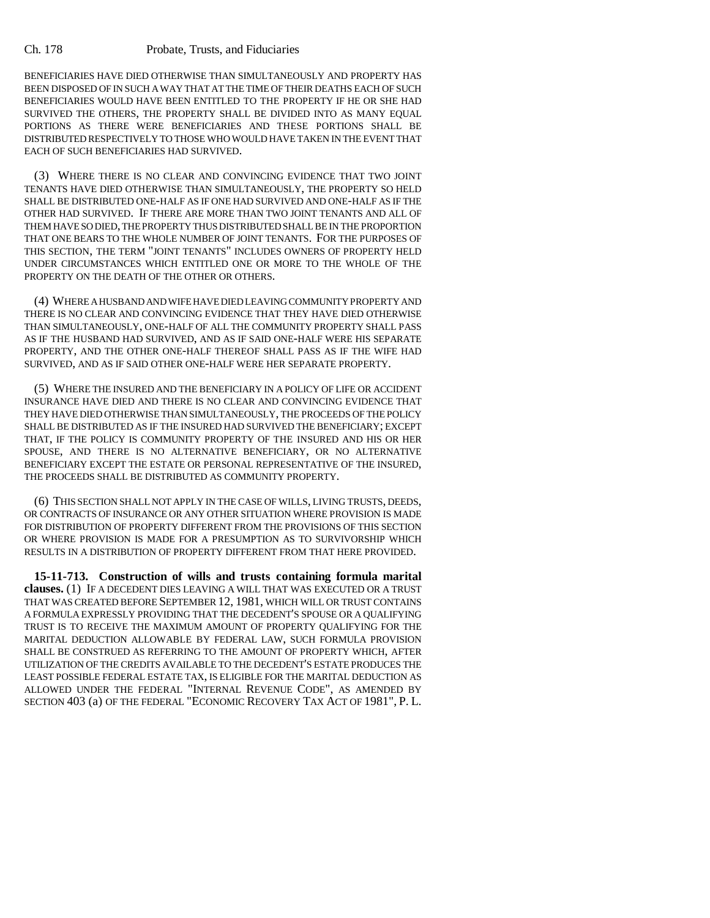BENEFICIARIES HAVE DIED OTHERWISE THAN SIMULTANEOUSLY AND PROPERTY HAS BEEN DISPOSED OF IN SUCH A WAY THAT AT THE TIME OF THEIR DEATHS EACH OF SUCH BENEFICIARIES WOULD HAVE BEEN ENTITLED TO THE PROPERTY IF HE OR SHE HAD SURVIVED THE OTHERS, THE PROPERTY SHALL BE DIVIDED INTO AS MANY EQUAL PORTIONS AS THERE WERE BENEFICIARIES AND THESE PORTIONS SHALL BE DISTRIBUTED RESPECTIVELY TO THOSE WHO WOULD HAVE TAKEN IN THE EVENT THAT EACH OF SUCH BENEFICIARIES HAD SURVIVED.

(3) WHERE THERE IS NO CLEAR AND CONVINCING EVIDENCE THAT TWO JOINT TENANTS HAVE DIED OTHERWISE THAN SIMULTANEOUSLY, THE PROPERTY SO HELD SHALL BE DISTRIBUTED ONE-HALF AS IF ONE HAD SURVIVED AND ONE-HALF AS IF THE OTHER HAD SURVIVED. IF THERE ARE MORE THAN TWO JOINT TENANTS AND ALL OF THEM HAVE SO DIED, THE PROPERTY THUS DISTRIBUTED SHALL BE IN THE PROPORTION THAT ONE BEARS TO THE WHOLE NUMBER OF JOINT TENANTS. FOR THE PURPOSES OF THIS SECTION, THE TERM "JOINT TENANTS" INCLUDES OWNERS OF PROPERTY HELD UNDER CIRCUMSTANCES WHICH ENTITLED ONE OR MORE TO THE WHOLE OF THE PROPERTY ON THE DEATH OF THE OTHER OR OTHERS.

(4) WHERE A HUSBAND AND WIFE HAVE DIED LEAVING COMMUNITY PROPERTY AND THERE IS NO CLEAR AND CONVINCING EVIDENCE THAT THEY HAVE DIED OTHERWISE THAN SIMULTANEOUSLY, ONE-HALF OF ALL THE COMMUNITY PROPERTY SHALL PASS AS IF THE HUSBAND HAD SURVIVED, AND AS IF SAID ONE-HALF WERE HIS SEPARATE PROPERTY, AND THE OTHER ONE-HALF THEREOF SHALL PASS AS IF THE WIFE HAD SURVIVED, AND AS IF SAID OTHER ONE-HALF WERE HER SEPARATE PROPERTY.

(5) WHERE THE INSURED AND THE BENEFICIARY IN A POLICY OF LIFE OR ACCIDENT INSURANCE HAVE DIED AND THERE IS NO CLEAR AND CONVINCING EVIDENCE THAT THEY HAVE DIED OTHERWISE THAN SIMULTANEOUSLY, THE PROCEEDS OF THE POLICY SHALL BE DISTRIBUTED AS IF THE INSURED HAD SURVIVED THE BENEFICIARY; EXCEPT THAT, IF THE POLICY IS COMMUNITY PROPERTY OF THE INSURED AND HIS OR HER SPOUSE, AND THERE IS NO ALTERNATIVE BENEFICIARY, OR NO ALTERNATIVE BENEFICIARY EXCEPT THE ESTATE OR PERSONAL REPRESENTATIVE OF THE INSURED, THE PROCEEDS SHALL BE DISTRIBUTED AS COMMUNITY PROPERTY.

(6) THIS SECTION SHALL NOT APPLY IN THE CASE OF WILLS, LIVING TRUSTS, DEEDS, OR CONTRACTS OF INSURANCE OR ANY OTHER SITUATION WHERE PROVISION IS MADE FOR DISTRIBUTION OF PROPERTY DIFFERENT FROM THE PROVISIONS OF THIS SECTION OR WHERE PROVISION IS MADE FOR A PRESUMPTION AS TO SURVIVORSHIP WHICH RESULTS IN A DISTRIBUTION OF PROPERTY DIFFERENT FROM THAT HERE PROVIDED.

**15-11-713. Construction of wills and trusts containing formula marital clauses.** (1) IF A DECEDENT DIES LEAVING A WILL THAT WAS EXECUTED OR A TRUST THAT WAS CREATED BEFORE SEPTEMBER 12, 1981, WHICH WILL OR TRUST CONTAINS A FORMULA EXPRESSLY PROVIDING THAT THE DECEDENT'S SPOUSE OR A QUALIFYING TRUST IS TO RECEIVE THE MAXIMUM AMOUNT OF PROPERTY QUALIFYING FOR THE MARITAL DEDUCTION ALLOWABLE BY FEDERAL LAW, SUCH FORMULA PROVISION SHALL BE CONSTRUED AS REFERRING TO THE AMOUNT OF PROPERTY WHICH, AFTER UTILIZATION OF THE CREDITS AVAILABLE TO THE DECEDENT'S ESTATE PRODUCES THE LEAST POSSIBLE FEDERAL ESTATE TAX, IS ELIGIBLE FOR THE MARITAL DEDUCTION AS ALLOWED UNDER THE FEDERAL "INTERNAL REVENUE CODE", AS AMENDED BY SECTION 403 (a) OF THE FEDERAL "ECONOMIC RECOVERY TAX ACT OF 1981", P. L.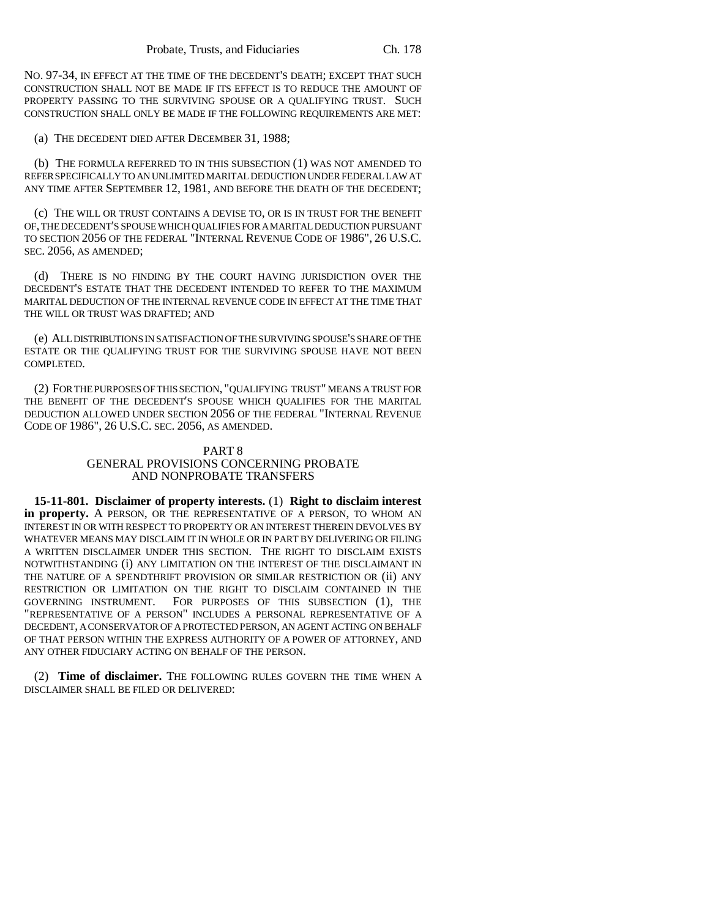NO. 97-34, IN EFFECT AT THE TIME OF THE DECEDENT'S DEATH; EXCEPT THAT SUCH CONSTRUCTION SHALL NOT BE MADE IF ITS EFFECT IS TO REDUCE THE AMOUNT OF PROPERTY PASSING TO THE SURVIVING SPOUSE OR A QUALIFYING TRUST. SUCH CONSTRUCTION SHALL ONLY BE MADE IF THE FOLLOWING REQUIREMENTS ARE MET:

(a) THE DECEDENT DIED AFTER DECEMBER 31, 1988;

(b) THE FORMULA REFERRED TO IN THIS SUBSECTION (1) WAS NOT AMENDED TO REFER SPECIFICALLY TO AN UNLIMITED MARITAL DEDUCTION UNDER FEDERAL LAW AT ANY TIME AFTER SEPTEMBER 12, 1981, AND BEFORE THE DEATH OF THE DECEDENT;

(c) THE WILL OR TRUST CONTAINS A DEVISE TO, OR IS IN TRUST FOR THE BENEFIT OF, THE DECEDENT'S SPOUSE WHICH QUALIFIES FOR A MARITAL DEDUCTION PURSUANT TO SECTION 2056 OF THE FEDERAL "INTERNAL REVENUE CODE OF 1986", 26 U.S.C. SEC. 2056, AS AMENDED;

(d) THERE IS NO FINDING BY THE COURT HAVING JURISDICTION OVER THE DECEDENT'S ESTATE THAT THE DECEDENT INTENDED TO REFER TO THE MAXIMUM MARITAL DEDUCTION OF THE INTERNAL REVENUE CODE IN EFFECT AT THE TIME THAT THE WILL OR TRUST WAS DRAFTED; AND

(e) ALL DISTRIBUTIONS IN SATISFACTION OF THE SURVIVING SPOUSE'S SHARE OF THE ESTATE OR THE QUALIFYING TRUST FOR THE SURVIVING SPOUSE HAVE NOT BEEN COMPLETED.

(2) FOR THE PURPOSES OF THIS SECTION, "QUALIFYING TRUST" MEANS A TRUST FOR THE BENEFIT OF THE DECEDENT'S SPOUSE WHICH QUALIFIES FOR THE MARITAL DEDUCTION ALLOWED UNDER SECTION 2056 OF THE FEDERAL "INTERNAL REVENUE CODE OF 1986", 26 U.S.C. SEC. 2056, AS AMENDED.

## PART 8 GENERAL PROVISIONS CONCERNING PROBATE AND NONPROBATE TRANSFERS

**15-11-801. Disclaimer of property interests.** (1) **Right to disclaim interest in property.** A PERSON, OR THE REPRESENTATIVE OF A PERSON, TO WHOM AN INTEREST IN OR WITH RESPECT TO PROPERTY OR AN INTEREST THEREIN DEVOLVES BY WHATEVER MEANS MAY DISCLAIM IT IN WHOLE OR IN PART BY DELIVERING OR FILING A WRITTEN DISCLAIMER UNDER THIS SECTION. THE RIGHT TO DISCLAIM EXISTS NOTWITHSTANDING (i) ANY LIMITATION ON THE INTEREST OF THE DISCLAIMANT IN THE NATURE OF A SPENDTHRIFT PROVISION OR SIMILAR RESTRICTION OR (ii) ANY RESTRICTION OR LIMITATION ON THE RIGHT TO DISCLAIM CONTAINED IN THE GOVERNING INSTRUMENT. FOR PURPOSES OF THIS SUBSECTION (1), THE "REPRESENTATIVE OF A PERSON" INCLUDES A PERSONAL REPRESENTATIVE OF A DECEDENT, A CONSERVATOR OF A PROTECTED PERSON, AN AGENT ACTING ON BEHALF OF THAT PERSON WITHIN THE EXPRESS AUTHORITY OF A POWER OF ATTORNEY, AND ANY OTHER FIDUCIARY ACTING ON BEHALF OF THE PERSON.

(2) **Time of disclaimer.** THE FOLLOWING RULES GOVERN THE TIME WHEN A DISCLAIMER SHALL BE FILED OR DELIVERED: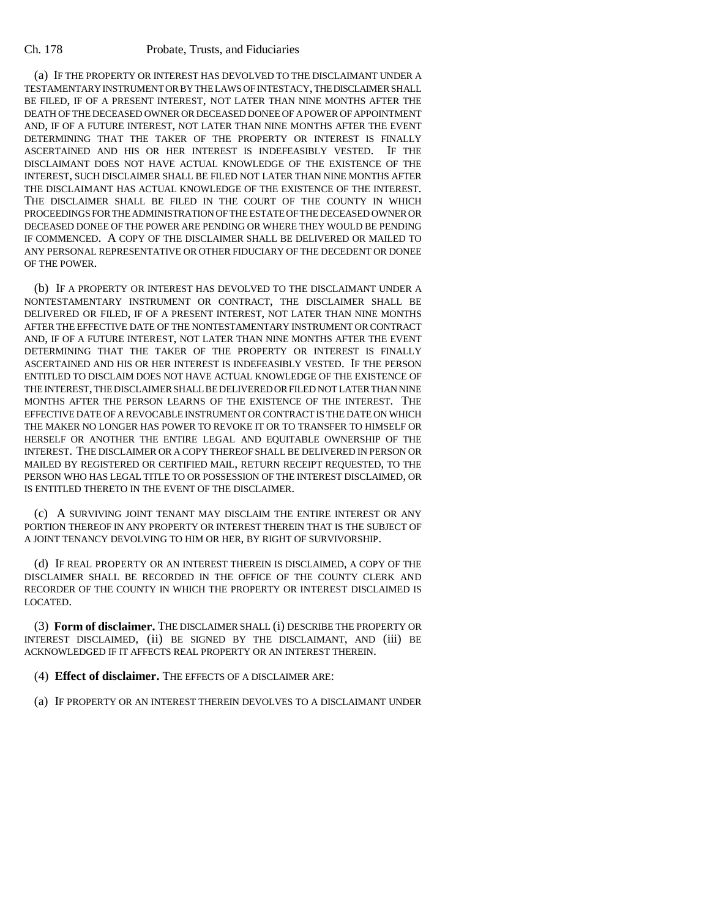(a) IF THE PROPERTY OR INTEREST HAS DEVOLVED TO THE DISCLAIMANT UNDER A TESTAMENTARY INSTRUMENT OR BY THE LAWS OF INTESTACY, THE DISCLAIMER SHALL BE FILED, IF OF A PRESENT INTEREST, NOT LATER THAN NINE MONTHS AFTER THE DEATH OF THE DECEASED OWNER OR DECEASED DONEE OF A POWER OF APPOINTMENT AND, IF OF A FUTURE INTEREST, NOT LATER THAN NINE MONTHS AFTER THE EVENT DETERMINING THAT THE TAKER OF THE PROPERTY OR INTEREST IS FINALLY ASCERTAINED AND HIS OR HER INTEREST IS INDEFEASIBLY VESTED. IF THE DISCLAIMANT DOES NOT HAVE ACTUAL KNOWLEDGE OF THE EXISTENCE OF THE INTEREST, SUCH DISCLAIMER SHALL BE FILED NOT LATER THAN NINE MONTHS AFTER THE DISCLAIMANT HAS ACTUAL KNOWLEDGE OF THE EXISTENCE OF THE INTEREST. THE DISCLAIMER SHALL BE FILED IN THE COURT OF THE COUNTY IN WHICH PROCEEDINGS FOR THE ADMINISTRATION OF THE ESTATE OF THE DECEASED OWNER OR DECEASED DONEE OF THE POWER ARE PENDING OR WHERE THEY WOULD BE PENDING IF COMMENCED. A COPY OF THE DISCLAIMER SHALL BE DELIVERED OR MAILED TO ANY PERSONAL REPRESENTATIVE OR OTHER FIDUCIARY OF THE DECEDENT OR DONEE OF THE POWER.

(b) IF A PROPERTY OR INTEREST HAS DEVOLVED TO THE DISCLAIMANT UNDER A NONTESTAMENTARY INSTRUMENT OR CONTRACT, THE DISCLAIMER SHALL BE DELIVERED OR FILED, IF OF A PRESENT INTEREST, NOT LATER THAN NINE MONTHS AFTER THE EFFECTIVE DATE OF THE NONTESTAMENTARY INSTRUMENT OR CONTRACT AND, IF OF A FUTURE INTEREST, NOT LATER THAN NINE MONTHS AFTER THE EVENT DETERMINING THAT THE TAKER OF THE PROPERTY OR INTEREST IS FINALLY ASCERTAINED AND HIS OR HER INTEREST IS INDEFEASIBLY VESTED. IF THE PERSON ENTITLED TO DISCLAIM DOES NOT HAVE ACTUAL KNOWLEDGE OF THE EXISTENCE OF THE INTEREST, THE DISCLAIMER SHALL BE DELIVERED OR FILED NOT LATER THAN NINE MONTHS AFTER THE PERSON LEARNS OF THE EXISTENCE OF THE INTEREST. THE EFFECTIVE DATE OF A REVOCABLE INSTRUMENT OR CONTRACT IS THE DATE ON WHICH THE MAKER NO LONGER HAS POWER TO REVOKE IT OR TO TRANSFER TO HIMSELF OR HERSELF OR ANOTHER THE ENTIRE LEGAL AND EQUITABLE OWNERSHIP OF THE INTEREST. THE DISCLAIMER OR A COPY THEREOF SHALL BE DELIVERED IN PERSON OR MAILED BY REGISTERED OR CERTIFIED MAIL, RETURN RECEIPT REQUESTED, TO THE PERSON WHO HAS LEGAL TITLE TO OR POSSESSION OF THE INTEREST DISCLAIMED, OR IS ENTITLED THERETO IN THE EVENT OF THE DISCLAIMER.

(c) A SURVIVING JOINT TENANT MAY DISCLAIM THE ENTIRE INTEREST OR ANY PORTION THEREOF IN ANY PROPERTY OR INTEREST THEREIN THAT IS THE SUBJECT OF A JOINT TENANCY DEVOLVING TO HIM OR HER, BY RIGHT OF SURVIVORSHIP.

(d) IF REAL PROPERTY OR AN INTEREST THEREIN IS DISCLAIMED, A COPY OF THE DISCLAIMER SHALL BE RECORDED IN THE OFFICE OF THE COUNTY CLERK AND RECORDER OF THE COUNTY IN WHICH THE PROPERTY OR INTEREST DISCLAIMED IS LOCATED.

(3) **Form of disclaimer.** THE DISCLAIMER SHALL (i) DESCRIBE THE PROPERTY OR INTEREST DISCLAIMED, (ii) BE SIGNED BY THE DISCLAIMANT, AND (iii) BE ACKNOWLEDGED IF IT AFFECTS REAL PROPERTY OR AN INTEREST THEREIN.

(4) **Effect of disclaimer.** THE EFFECTS OF A DISCLAIMER ARE:

(a) IF PROPERTY OR AN INTEREST THEREIN DEVOLVES TO A DISCLAIMANT UNDER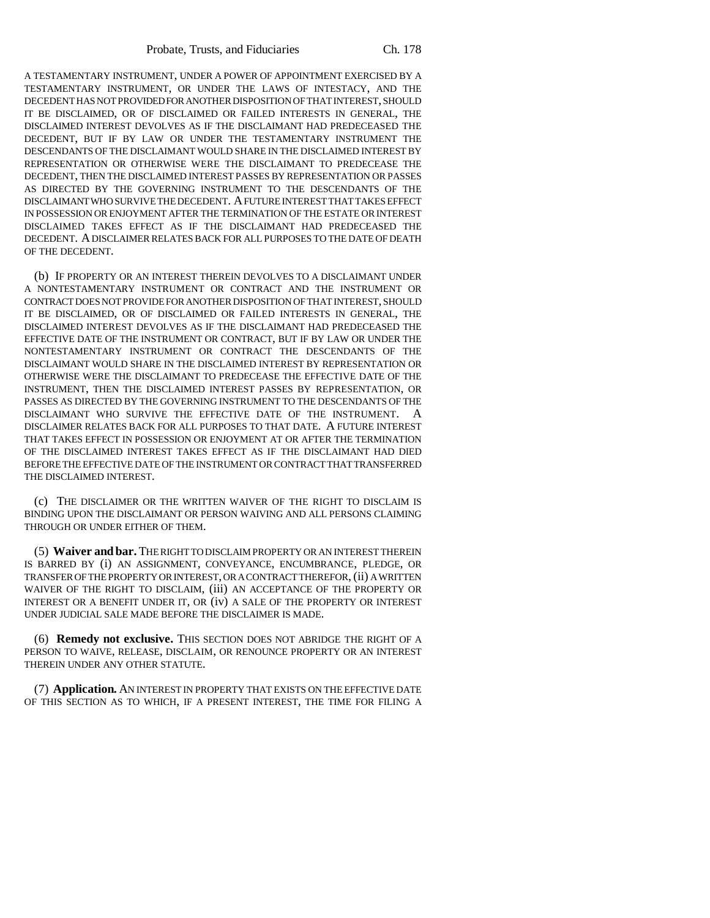A TESTAMENTARY INSTRUMENT, UNDER A POWER OF APPOINTMENT EXERCISED BY A TESTAMENTARY INSTRUMENT, OR UNDER THE LAWS OF INTESTACY, AND THE DECEDENT HAS NOT PROVIDED FOR ANOTHER DISPOSITION OF THAT INTEREST, SHOULD IT BE DISCLAIMED, OR OF DISCLAIMED OR FAILED INTERESTS IN GENERAL, THE DISCLAIMED INTEREST DEVOLVES AS IF THE DISCLAIMANT HAD PREDECEASED THE DECEDENT, BUT IF BY LAW OR UNDER THE TESTAMENTARY INSTRUMENT THE DESCENDANTS OF THE DISCLAIMANT WOULD SHARE IN THE DISCLAIMED INTEREST BY REPRESENTATION OR OTHERWISE WERE THE DISCLAIMANT TO PREDECEASE THE DECEDENT, THEN THE DISCLAIMED INTEREST PASSES BY REPRESENTATION OR PASSES AS DIRECTED BY THE GOVERNING INSTRUMENT TO THE DESCENDANTS OF THE DISCLAIMANT WHO SURVIVE THE DECEDENT. A FUTURE INTEREST THAT TAKES EFFECT IN POSSESSION OR ENJOYMENT AFTER THE TERMINATION OF THE ESTATE OR INTEREST DISCLAIMED TAKES EFFECT AS IF THE DISCLAIMANT HAD PREDECEASED THE DECEDENT. A DISCLAIMER RELATES BACK FOR ALL PURPOSES TO THE DATE OF DEATH OF THE DECEDENT.

(b) IF PROPERTY OR AN INTEREST THEREIN DEVOLVES TO A DISCLAIMANT UNDER A NONTESTAMENTARY INSTRUMENT OR CONTRACT AND THE INSTRUMENT OR CONTRACT DOES NOT PROVIDE FOR ANOTHER DISPOSITION OF THAT INTEREST, SHOULD IT BE DISCLAIMED, OR OF DISCLAIMED OR FAILED INTERESTS IN GENERAL, THE DISCLAIMED INTEREST DEVOLVES AS IF THE DISCLAIMANT HAD PREDECEASED THE EFFECTIVE DATE OF THE INSTRUMENT OR CONTRACT, BUT IF BY LAW OR UNDER THE NONTESTAMENTARY INSTRUMENT OR CONTRACT THE DESCENDANTS OF THE DISCLAIMANT WOULD SHARE IN THE DISCLAIMED INTEREST BY REPRESENTATION OR OTHERWISE WERE THE DISCLAIMANT TO PREDECEASE THE EFFECTIVE DATE OF THE INSTRUMENT, THEN THE DISCLAIMED INTEREST PASSES BY REPRESENTATION, OR PASSES AS DIRECTED BY THE GOVERNING INSTRUMENT TO THE DESCENDANTS OF THE DISCLAIMANT WHO SURVIVE THE EFFECTIVE DATE OF THE INSTRUMENT. A DISCLAIMER RELATES BACK FOR ALL PURPOSES TO THAT DATE. A FUTURE INTEREST THAT TAKES EFFECT IN POSSESSION OR ENJOYMENT AT OR AFTER THE TERMINATION OF THE DISCLAIMED INTEREST TAKES EFFECT AS IF THE DISCLAIMANT HAD DIED BEFORE THE EFFECTIVE DATE OF THE INSTRUMENT OR CONTRACT THAT TRANSFERRED THE DISCLAIMED INTEREST.

(c) THE DISCLAIMER OR THE WRITTEN WAIVER OF THE RIGHT TO DISCLAIM IS BINDING UPON THE DISCLAIMANT OR PERSON WAIVING AND ALL PERSONS CLAIMING THROUGH OR UNDER EITHER OF THEM.

(5) **Waiver and bar.** THE RIGHT TO DISCLAIM PROPERTY OR AN INTEREST THEREIN IS BARRED BY (i) AN ASSIGNMENT, CONVEYANCE, ENCUMBRANCE, PLEDGE, OR TRANSFER OF THE PROPERTY OR INTEREST, OR A CONTRACT THEREFOR, (ii) A WRITTEN WAIVER OF THE RIGHT TO DISCLAIM, (iii) AN ACCEPTANCE OF THE PROPERTY OR INTEREST OR A BENEFIT UNDER IT, OR (iv) A SALE OF THE PROPERTY OR INTEREST UNDER JUDICIAL SALE MADE BEFORE THE DISCLAIMER IS MADE.

(6) **Remedy not exclusive.** THIS SECTION DOES NOT ABRIDGE THE RIGHT OF A PERSON TO WAIVE, RELEASE, DISCLAIM, OR RENOUNCE PROPERTY OR AN INTEREST THEREIN UNDER ANY OTHER STATUTE.

(7) **Application.** AN INTEREST IN PROPERTY THAT EXISTS ON THE EFFECTIVE DATE OF THIS SECTION AS TO WHICH, IF A PRESENT INTEREST, THE TIME FOR FILING A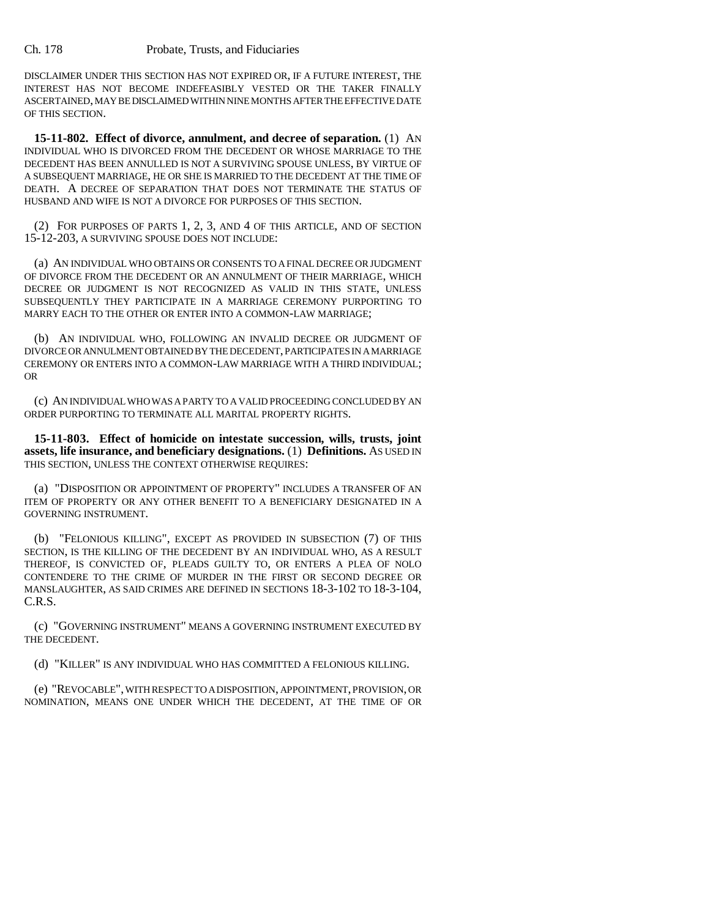DISCLAIMER UNDER THIS SECTION HAS NOT EXPIRED OR, IF A FUTURE INTEREST, THE INTEREST HAS NOT BECOME INDEFEASIBLY VESTED OR THE TAKER FINALLY ASCERTAINED, MAY BE DISCLAIMED WITHIN NINE MONTHS AFTER THE EFFECTIVE DATE OF THIS SECTION.

**15-11-802. Effect of divorce, annulment, and decree of separation.** (1) AN INDIVIDUAL WHO IS DIVORCED FROM THE DECEDENT OR WHOSE MARRIAGE TO THE DECEDENT HAS BEEN ANNULLED IS NOT A SURVIVING SPOUSE UNLESS, BY VIRTUE OF A SUBSEQUENT MARRIAGE, HE OR SHE IS MARRIED TO THE DECEDENT AT THE TIME OF DEATH. A DECREE OF SEPARATION THAT DOES NOT TERMINATE THE STATUS OF HUSBAND AND WIFE IS NOT A DIVORCE FOR PURPOSES OF THIS SECTION.

(2) FOR PURPOSES OF PARTS 1, 2, 3, AND 4 OF THIS ARTICLE, AND OF SECTION 15-12-203, A SURVIVING SPOUSE DOES NOT INCLUDE:

(a) AN INDIVIDUAL WHO OBTAINS OR CONSENTS TO A FINAL DECREE OR JUDGMENT OF DIVORCE FROM THE DECEDENT OR AN ANNULMENT OF THEIR MARRIAGE, WHICH DECREE OR JUDGMENT IS NOT RECOGNIZED AS VALID IN THIS STATE, UNLESS SUBSEQUENTLY THEY PARTICIPATE IN A MARRIAGE CEREMONY PURPORTING TO MARRY EACH TO THE OTHER OR ENTER INTO A COMMON-LAW MARRIAGE;

(b) AN INDIVIDUAL WHO, FOLLOWING AN INVALID DECREE OR JUDGMENT OF DIVORCE OR ANNULMENT OBTAINED BY THE DECEDENT, PARTICIPATES IN A MARRIAGE CEREMONY OR ENTERS INTO A COMMON-LAW MARRIAGE WITH A THIRD INDIVIDUAL; OR

(c) AN INDIVIDUAL WHO WAS A PARTY TO A VALID PROCEEDING CONCLUDED BY AN ORDER PURPORTING TO TERMINATE ALL MARITAL PROPERTY RIGHTS.

**15-11-803. Effect of homicide on intestate succession, wills, trusts, joint assets, life insurance, and beneficiary designations.** (1) **Definitions.** AS USED IN THIS SECTION, UNLESS THE CONTEXT OTHERWISE REQUIRES:

(a) "DISPOSITION OR APPOINTMENT OF PROPERTY" INCLUDES A TRANSFER OF AN ITEM OF PROPERTY OR ANY OTHER BENEFIT TO A BENEFICIARY DESIGNATED IN A GOVERNING INSTRUMENT.

(b) "FELONIOUS KILLING", EXCEPT AS PROVIDED IN SUBSECTION (7) OF THIS SECTION, IS THE KILLING OF THE DECEDENT BY AN INDIVIDUAL WHO, AS A RESULT THEREOF, IS CONVICTED OF, PLEADS GUILTY TO, OR ENTERS A PLEA OF NOLO CONTENDERE TO THE CRIME OF MURDER IN THE FIRST OR SECOND DEGREE OR MANSLAUGHTER, AS SAID CRIMES ARE DEFINED IN SECTIONS 18-3-102 TO 18-3-104, C.R.S.

(c) "GOVERNING INSTRUMENT" MEANS A GOVERNING INSTRUMENT EXECUTED BY THE DECEDENT.

(d) "KILLER" IS ANY INDIVIDUAL WHO HAS COMMITTED A FELONIOUS KILLING.

(e) "REVOCABLE", WITH RESPECT TO A DISPOSITION, APPOINTMENT, PROVISION, OR NOMINATION, MEANS ONE UNDER WHICH THE DECEDENT, AT THE TIME OF OR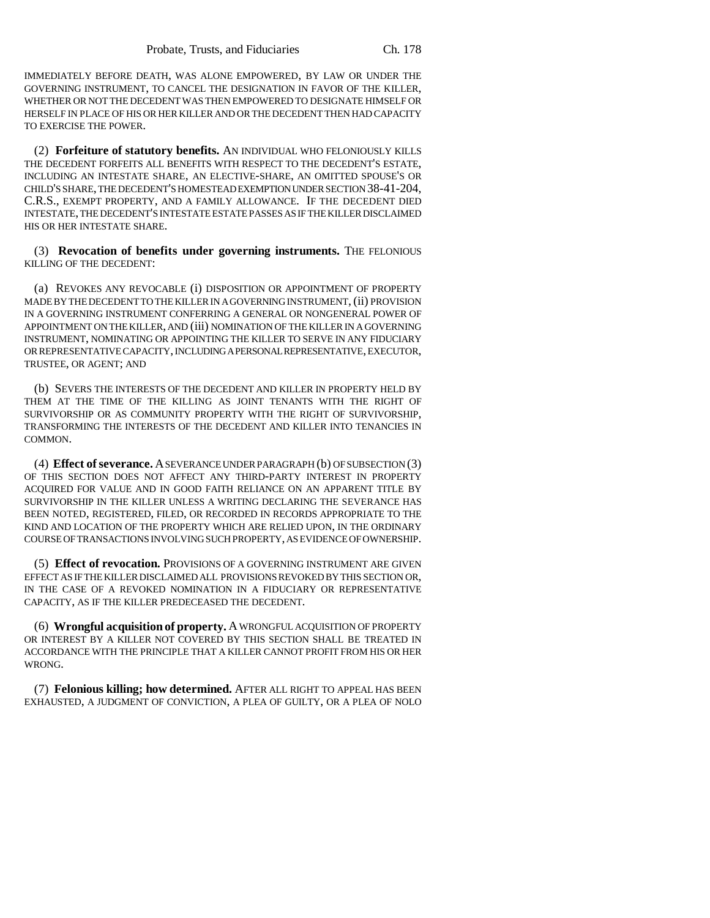IMMEDIATELY BEFORE DEATH, WAS ALONE EMPOWERED, BY LAW OR UNDER THE GOVERNING INSTRUMENT, TO CANCEL THE DESIGNATION IN FAVOR OF THE KILLER, WHETHER OR NOT THE DECEDENT WAS THEN EMPOWERED TO DESIGNATE HIMSELF OR HERSELF IN PLACE OF HIS OR HER KILLER AND OR THE DECEDENT THEN HAD CAPACITY TO EXERCISE THE POWER.

(2) **Forfeiture of statutory benefits.** AN INDIVIDUAL WHO FELONIOUSLY KILLS THE DECEDENT FORFEITS ALL BENEFITS WITH RESPECT TO THE DECEDENT'S ESTATE, INCLUDING AN INTESTATE SHARE, AN ELECTIVE-SHARE, AN OMITTED SPOUSE'S OR CHILD'S SHARE, THE DECEDENT'S HOMESTEAD EXEMPTION UNDER SECTION 38-41-204, C.R.S., EXEMPT PROPERTY, AND A FAMILY ALLOWANCE. IF THE DECEDENT DIED INTESTATE, THE DECEDENT'S INTESTATE ESTATE PASSES AS IF THE KILLER DISCLAIMED HIS OR HER INTESTATE SHARE.

(3) **Revocation of benefits under governing instruments.** THE FELONIOUS KILLING OF THE DECEDENT:

(a) REVOKES ANY REVOCABLE (i) DISPOSITION OR APPOINTMENT OF PROPERTY MADE BY THE DECEDENT TO THE KILLER IN A GOVERNING INSTRUMENT, (ii) PROVISION IN A GOVERNING INSTRUMENT CONFERRING A GENERAL OR NONGENERAL POWER OF APPOINTMENT ON THE KILLER, AND (iii) NOMINATION OF THE KILLER IN A GOVERNING INSTRUMENT, NOMINATING OR APPOINTING THE KILLER TO SERVE IN ANY FIDUCIARY OR REPRESENTATIVE CAPACITY, INCLUDING A PERSONAL REPRESENTATIVE, EXECUTOR, TRUSTEE, OR AGENT; AND

(b) SEVERS THE INTERESTS OF THE DECEDENT AND KILLER IN PROPERTY HELD BY THEM AT THE TIME OF THE KILLING AS JOINT TENANTS WITH THE RIGHT OF SURVIVORSHIP OR AS COMMUNITY PROPERTY WITH THE RIGHT OF SURVIVORSHIP, TRANSFORMING THE INTERESTS OF THE DECEDENT AND KILLER INTO TENANCIES IN COMMON.

(4) **Effect of severance.** A SEVERANCE UNDER PARAGRAPH (b) OF SUBSECTION (3) OF THIS SECTION DOES NOT AFFECT ANY THIRD-PARTY INTEREST IN PROPERTY ACQUIRED FOR VALUE AND IN GOOD FAITH RELIANCE ON AN APPARENT TITLE BY SURVIVORSHIP IN THE KILLER UNLESS A WRITING DECLARING THE SEVERANCE HAS BEEN NOTED, REGISTERED, FILED, OR RECORDED IN RECORDS APPROPRIATE TO THE KIND AND LOCATION OF THE PROPERTY WHICH ARE RELIED UPON, IN THE ORDINARY COURSE OF TRANSACTIONS INVOLVING SUCH PROPERTY, AS EVIDENCE OF OWNERSHIP.

(5) **Effect of revocation.** PROVISIONS OF A GOVERNING INSTRUMENT ARE GIVEN EFFECT AS IF THE KILLER DISCLAIMED ALL PROVISIONS REVOKED BY THIS SECTION OR, IN THE CASE OF A REVOKED NOMINATION IN A FIDUCIARY OR REPRESENTATIVE CAPACITY, AS IF THE KILLER PREDECEASED THE DECEDENT.

(6) **Wrongful acquisition of property.** A WRONGFUL ACQUISITION OF PROPERTY OR INTEREST BY A KILLER NOT COVERED BY THIS SECTION SHALL BE TREATED IN ACCORDANCE WITH THE PRINCIPLE THAT A KILLER CANNOT PROFIT FROM HIS OR HER WRONG.

(7) **Felonious killing; how determined.** AFTER ALL RIGHT TO APPEAL HAS BEEN EXHAUSTED, A JUDGMENT OF CONVICTION, A PLEA OF GUILTY, OR A PLEA OF NOLO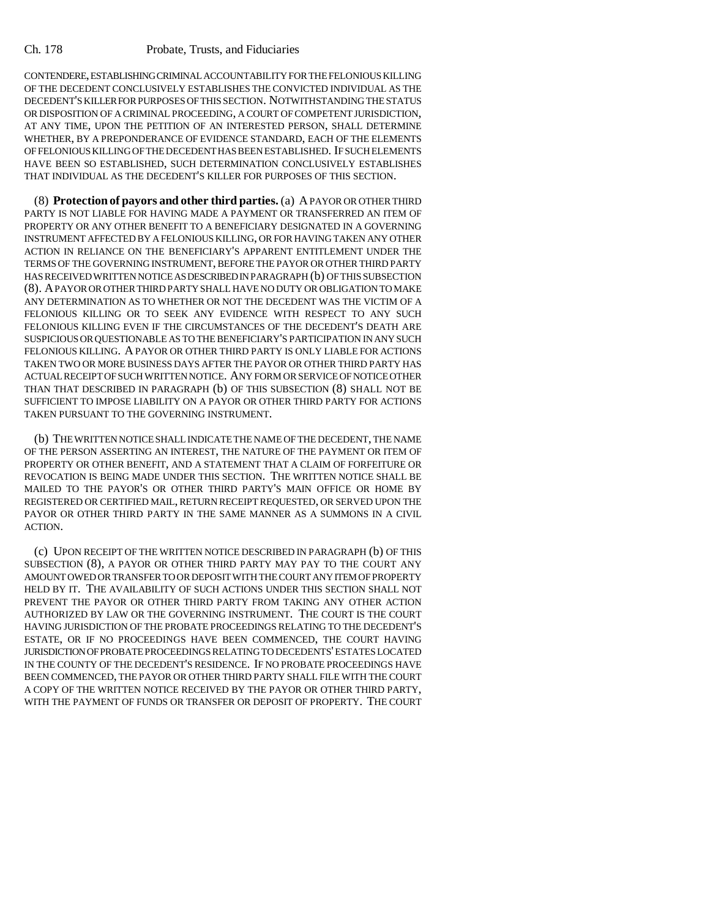CONTENDERE, ESTABLISHING CRIMINAL ACCOUNTABILITY FOR THE FELONIOUS KILLING OF THE DECEDENT CONCLUSIVELY ESTABLISHES THE CONVICTED INDIVIDUAL AS THE DECEDENT'S KILLER FOR PURPOSES OF THIS SECTION. NOTWITHSTANDING THE STATUS OR DISPOSITION OF A CRIMINAL PROCEEDING, A COURT OF COMPETENT JURISDICTION, AT ANY TIME, UPON THE PETITION OF AN INTERESTED PERSON, SHALL DETERMINE WHETHER, BY A PREPONDERANCE OF EVIDENCE STANDARD, EACH OF THE ELEMENTS OF FELONIOUS KILLING OF THE DECEDENT HAS BEEN ESTABLISHED. IF SUCH ELEMENTS HAVE BEEN SO ESTABLISHED, SUCH DETERMINATION CONCLUSIVELY ESTABLISHES THAT INDIVIDUAL AS THE DECEDENT'S KILLER FOR PURPOSES OF THIS SECTION.

(8) **Protection of payors and other third parties.** (a) A PAYOR OR OTHER THIRD PARTY IS NOT LIABLE FOR HAVING MADE A PAYMENT OR TRANSFERRED AN ITEM OF PROPERTY OR ANY OTHER BENEFIT TO A BENEFICIARY DESIGNATED IN A GOVERNING INSTRUMENT AFFECTED BY A FELONIOUS KILLING, OR FOR HAVING TAKEN ANY OTHER ACTION IN RELIANCE ON THE BENEFICIARY'S APPARENT ENTITLEMENT UNDER THE TERMS OF THE GOVERNING INSTRUMENT, BEFORE THE PAYOR OR OTHER THIRD PARTY HAS RECEIVED WRITTEN NOTICE AS DESCRIBED IN PARAGRAPH (b) OF THIS SUBSECTION (8). A PAYOR OR OTHER THIRD PARTY SHALL HAVE NO DUTY OR OBLIGATION TO MAKE ANY DETERMINATION AS TO WHETHER OR NOT THE DECEDENT WAS THE VICTIM OF A FELONIOUS KILLING OR TO SEEK ANY EVIDENCE WITH RESPECT TO ANY SUCH FELONIOUS KILLING EVEN IF THE CIRCUMSTANCES OF THE DECEDENT'S DEATH ARE SUSPICIOUS OR QUESTIONABLE AS TO THE BENEFICIARY'S PARTICIPATION IN ANY SUCH FELONIOUS KILLING. A PAYOR OR OTHER THIRD PARTY IS ONLY LIABLE FOR ACTIONS TAKEN TWO OR MORE BUSINESS DAYS AFTER THE PAYOR OR OTHER THIRD PARTY HAS ACTUAL RECEIPT OF SUCH WRITTEN NOTICE. ANY FORM OR SERVICE OF NOTICE OTHER THAN THAT DESCRIBED IN PARAGRAPH (b) OF THIS SUBSECTION (8) SHALL NOT BE SUFFICIENT TO IMPOSE LIABILITY ON A PAYOR OR OTHER THIRD PARTY FOR ACTIONS TAKEN PURSUANT TO THE GOVERNING INSTRUMENT.

(b) THE WRITTEN NOTICE SHALL INDICATE THE NAME OF THE DECEDENT, THE NAME OF THE PERSON ASSERTING AN INTEREST, THE NATURE OF THE PAYMENT OR ITEM OF PROPERTY OR OTHER BENEFIT, AND A STATEMENT THAT A CLAIM OF FORFEITURE OR REVOCATION IS BEING MADE UNDER THIS SECTION. THE WRITTEN NOTICE SHALL BE MAILED TO THE PAYOR'S OR OTHER THIRD PARTY'S MAIN OFFICE OR HOME BY REGISTERED OR CERTIFIED MAIL, RETURN RECEIPT REQUESTED, OR SERVED UPON THE PAYOR OR OTHER THIRD PARTY IN THE SAME MANNER AS A SUMMONS IN A CIVIL ACTION.

(c) UPON RECEIPT OF THE WRITTEN NOTICE DESCRIBED IN PARAGRAPH (b) OF THIS SUBSECTION (8), A PAYOR OR OTHER THIRD PARTY MAY PAY TO THE COURT ANY AMOUNT OWED OR TRANSFER TO OR DEPOSIT WITH THE COURT ANY ITEM OF PROPERTY HELD BY IT. THE AVAILABILITY OF SUCH ACTIONS UNDER THIS SECTION SHALL NOT PREVENT THE PAYOR OR OTHER THIRD PARTY FROM TAKING ANY OTHER ACTION AUTHORIZED BY LAW OR THE GOVERNING INSTRUMENT. THE COURT IS THE COURT HAVING JURISDICTION OF THE PROBATE PROCEEDINGS RELATING TO THE DECEDENT'S ESTATE, OR IF NO PROCEEDINGS HAVE BEEN COMMENCED, THE COURT HAVING JURISDICTION OF PROBATE PROCEEDINGS RELATING TO DECEDENTS' ESTATES LOCATED IN THE COUNTY OF THE DECEDENT'S RESIDENCE. IF NO PROBATE PROCEEDINGS HAVE BEEN COMMENCED, THE PAYOR OR OTHER THIRD PARTY SHALL FILE WITH THE COURT A COPY OF THE WRITTEN NOTICE RECEIVED BY THE PAYOR OR OTHER THIRD PARTY, WITH THE PAYMENT OF FUNDS OR TRANSFER OR DEPOSIT OF PROPERTY. THE COURT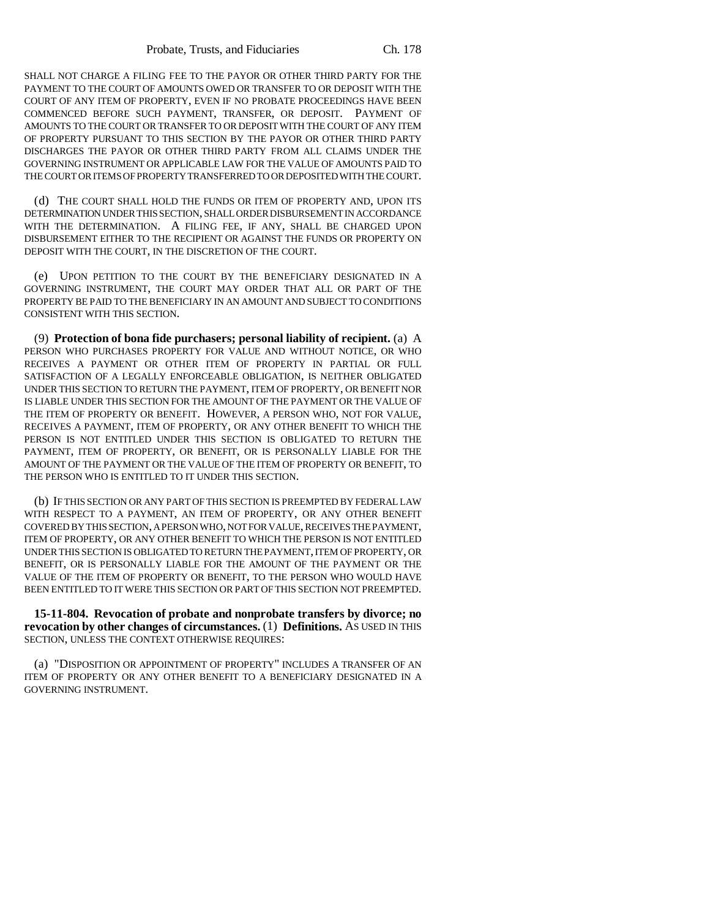SHALL NOT CHARGE A FILING FEE TO THE PAYOR OR OTHER THIRD PARTY FOR THE PAYMENT TO THE COURT OF AMOUNTS OWED OR TRANSFER TO OR DEPOSIT WITH THE COURT OF ANY ITEM OF PROPERTY, EVEN IF NO PROBATE PROCEEDINGS HAVE BEEN COMMENCED BEFORE SUCH PAYMENT, TRANSFER, OR DEPOSIT. PAYMENT OF AMOUNTS TO THE COURT OR TRANSFER TO OR DEPOSIT WITH THE COURT OF ANY ITEM OF PROPERTY PURSUANT TO THIS SECTION BY THE PAYOR OR OTHER THIRD PARTY DISCHARGES THE PAYOR OR OTHER THIRD PARTY FROM ALL CLAIMS UNDER THE GOVERNING INSTRUMENT OR APPLICABLE LAW FOR THE VALUE OF AMOUNTS PAID TO THE COURT OR ITEMS OF PROPERTY TRANSFERRED TO OR DEPOSITED WITH THE COURT.

(d) THE COURT SHALL HOLD THE FUNDS OR ITEM OF PROPERTY AND, UPON ITS DETERMINATION UNDER THIS SECTION, SHALL ORDER DISBURSEMENT IN ACCORDANCE WITH THE DETERMINATION. A FILING FEE, IF ANY, SHALL BE CHARGED UPON DISBURSEMENT EITHER TO THE RECIPIENT OR AGAINST THE FUNDS OR PROPERTY ON DEPOSIT WITH THE COURT, IN THE DISCRETION OF THE COURT.

(e) UPON PETITION TO THE COURT BY THE BENEFICIARY DESIGNATED IN A GOVERNING INSTRUMENT, THE COURT MAY ORDER THAT ALL OR PART OF THE PROPERTY BE PAID TO THE BENEFICIARY IN AN AMOUNT AND SUBJECT TO CONDITIONS CONSISTENT WITH THIS SECTION.

(9) **Protection of bona fide purchasers; personal liability of recipient.** (a) A PERSON WHO PURCHASES PROPERTY FOR VALUE AND WITHOUT NOTICE, OR WHO RECEIVES A PAYMENT OR OTHER ITEM OF PROPERTY IN PARTIAL OR FULL SATISFACTION OF A LEGALLY ENFORCEABLE OBLIGATION, IS NEITHER OBLIGATED UNDER THIS SECTION TO RETURN THE PAYMENT, ITEM OF PROPERTY, OR BENEFIT NOR IS LIABLE UNDER THIS SECTION FOR THE AMOUNT OF THE PAYMENT OR THE VALUE OF THE ITEM OF PROPERTY OR BENEFIT. HOWEVER, A PERSON WHO, NOT FOR VALUE, RECEIVES A PAYMENT, ITEM OF PROPERTY, OR ANY OTHER BENEFIT TO WHICH THE PERSON IS NOT ENTITLED UNDER THIS SECTION IS OBLIGATED TO RETURN THE PAYMENT, ITEM OF PROPERTY, OR BENEFIT, OR IS PERSONALLY LIABLE FOR THE AMOUNT OF THE PAYMENT OR THE VALUE OF THE ITEM OF PROPERTY OR BENEFIT, TO THE PERSON WHO IS ENTITLED TO IT UNDER THIS SECTION.

(b) IF THIS SECTION OR ANY PART OF THIS SECTION IS PREEMPTED BY FEDERAL LAW WITH RESPECT TO A PAYMENT, AN ITEM OF PROPERTY, OR ANY OTHER BENEFIT COVERED BY THIS SECTION, A PERSON WHO, NOT FOR VALUE, RECEIVES THE PAYMENT, ITEM OF PROPERTY, OR ANY OTHER BENEFIT TO WHICH THE PERSON IS NOT ENTITLED UNDER THIS SECTION IS OBLIGATED TO RETURN THE PAYMENT, ITEM OF PROPERTY, OR BENEFIT, OR IS PERSONALLY LIABLE FOR THE AMOUNT OF THE PAYMENT OR THE VALUE OF THE ITEM OF PROPERTY OR BENEFIT, TO THE PERSON WHO WOULD HAVE BEEN ENTITLED TO IT WERE THIS SECTION OR PART OF THIS SECTION NOT PREEMPTED.

**15-11-804. Revocation of probate and nonprobate transfers by divorce; no revocation by other changes of circumstances.** (1) **Definitions.** AS USED IN THIS SECTION, UNLESS THE CONTEXT OTHERWISE REQUIRES:

(a) "DISPOSITION OR APPOINTMENT OF PROPERTY" INCLUDES A TRANSFER OF AN ITEM OF PROPERTY OR ANY OTHER BENEFIT TO A BENEFICIARY DESIGNATED IN A GOVERNING INSTRUMENT.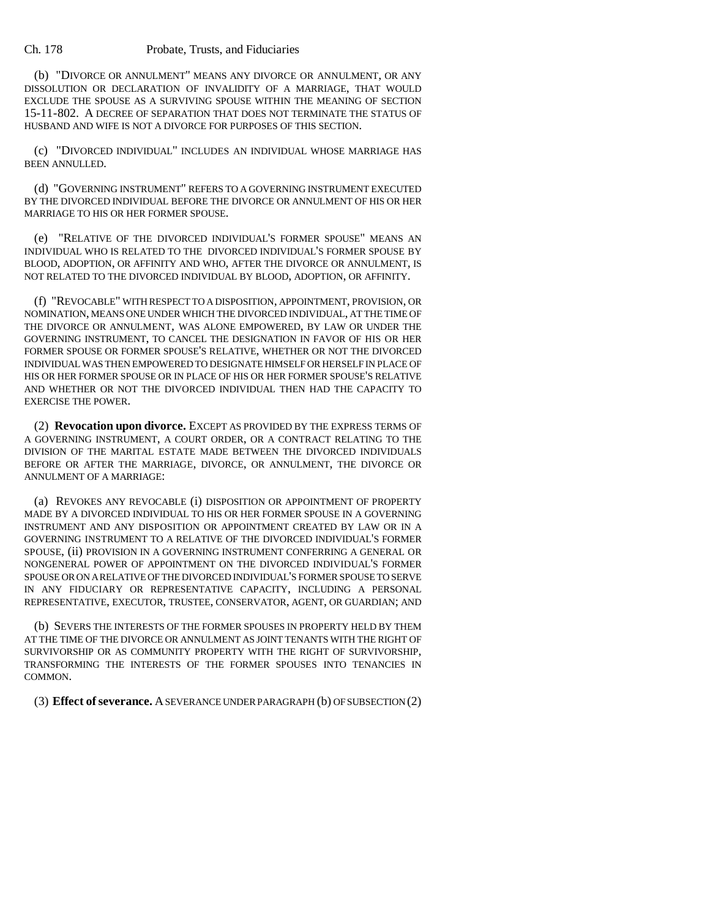(b) "DIVORCE OR ANNULMENT" MEANS ANY DIVORCE OR ANNULMENT, OR ANY DISSOLUTION OR DECLARATION OF INVALIDITY OF A MARRIAGE, THAT WOULD EXCLUDE THE SPOUSE AS A SURVIVING SPOUSE WITHIN THE MEANING OF SECTION 15-11-802. A DECREE OF SEPARATION THAT DOES NOT TERMINATE THE STATUS OF HUSBAND AND WIFE IS NOT A DIVORCE FOR PURPOSES OF THIS SECTION.

(c) "DIVORCED INDIVIDUAL" INCLUDES AN INDIVIDUAL WHOSE MARRIAGE HAS BEEN ANNULLED.

(d) "GOVERNING INSTRUMENT" REFERS TO A GOVERNING INSTRUMENT EXECUTED BY THE DIVORCED INDIVIDUAL BEFORE THE DIVORCE OR ANNULMENT OF HIS OR HER MARRIAGE TO HIS OR HER FORMER SPOUSE.

(e) "RELATIVE OF THE DIVORCED INDIVIDUAL'S FORMER SPOUSE" MEANS AN INDIVIDUAL WHO IS RELATED TO THE DIVORCED INDIVIDUAL'S FORMER SPOUSE BY BLOOD, ADOPTION, OR AFFINITY AND WHO, AFTER THE DIVORCE OR ANNULMENT, IS NOT RELATED TO THE DIVORCED INDIVIDUAL BY BLOOD, ADOPTION, OR AFFINITY.

(f) "REVOCABLE" WITH RESPECT TO A DISPOSITION, APPOINTMENT, PROVISION, OR NOMINATION, MEANS ONE UNDER WHICH THE DIVORCED INDIVIDUAL, AT THE TIME OF THE DIVORCE OR ANNULMENT, WAS ALONE EMPOWERED, BY LAW OR UNDER THE GOVERNING INSTRUMENT, TO CANCEL THE DESIGNATION IN FAVOR OF HIS OR HER FORMER SPOUSE OR FORMER SPOUSE'S RELATIVE, WHETHER OR NOT THE DIVORCED INDIVIDUAL WAS THEN EMPOWERED TO DESIGNATE HIMSELF OR HERSELF IN PLACE OF HIS OR HER FORMER SPOUSE OR IN PLACE OF HIS OR HER FORMER SPOUSE'S RELATIVE AND WHETHER OR NOT THE DIVORCED INDIVIDUAL THEN HAD THE CAPACITY TO EXERCISE THE POWER.

(2) **Revocation upon divorce.** EXCEPT AS PROVIDED BY THE EXPRESS TERMS OF A GOVERNING INSTRUMENT, A COURT ORDER, OR A CONTRACT RELATING TO THE DIVISION OF THE MARITAL ESTATE MADE BETWEEN THE DIVORCED INDIVIDUALS BEFORE OR AFTER THE MARRIAGE, DIVORCE, OR ANNULMENT, THE DIVORCE OR ANNULMENT OF A MARRIAGE:

(a) REVOKES ANY REVOCABLE (i) DISPOSITION OR APPOINTMENT OF PROPERTY MADE BY A DIVORCED INDIVIDUAL TO HIS OR HER FORMER SPOUSE IN A GOVERNING INSTRUMENT AND ANY DISPOSITION OR APPOINTMENT CREATED BY LAW OR IN A GOVERNING INSTRUMENT TO A RELATIVE OF THE DIVORCED INDIVIDUAL'S FORMER SPOUSE, (ii) PROVISION IN A GOVERNING INSTRUMENT CONFERRING A GENERAL OR NONGENERAL POWER OF APPOINTMENT ON THE DIVORCED INDIVIDUAL'S FORMER SPOUSE OR ON A RELATIVE OF THE DIVORCED INDIVIDUAL'S FORMER SPOUSE TO SERVE IN ANY FIDUCIARY OR REPRESENTATIVE CAPACITY, INCLUDING A PERSONAL REPRESENTATIVE, EXECUTOR, TRUSTEE, CONSERVATOR, AGENT, OR GUARDIAN; AND

(b) SEVERS THE INTERESTS OF THE FORMER SPOUSES IN PROPERTY HELD BY THEM AT THE TIME OF THE DIVORCE OR ANNULMENT AS JOINT TENANTS WITH THE RIGHT OF SURVIVORSHIP OR AS COMMUNITY PROPERTY WITH THE RIGHT OF SURVIVORSHIP, TRANSFORMING THE INTERESTS OF THE FORMER SPOUSES INTO TENANCIES IN COMMON.

(3) **Effect of severance.** A SEVERANCE UNDER PARAGRAPH (b) OF SUBSECTION (2)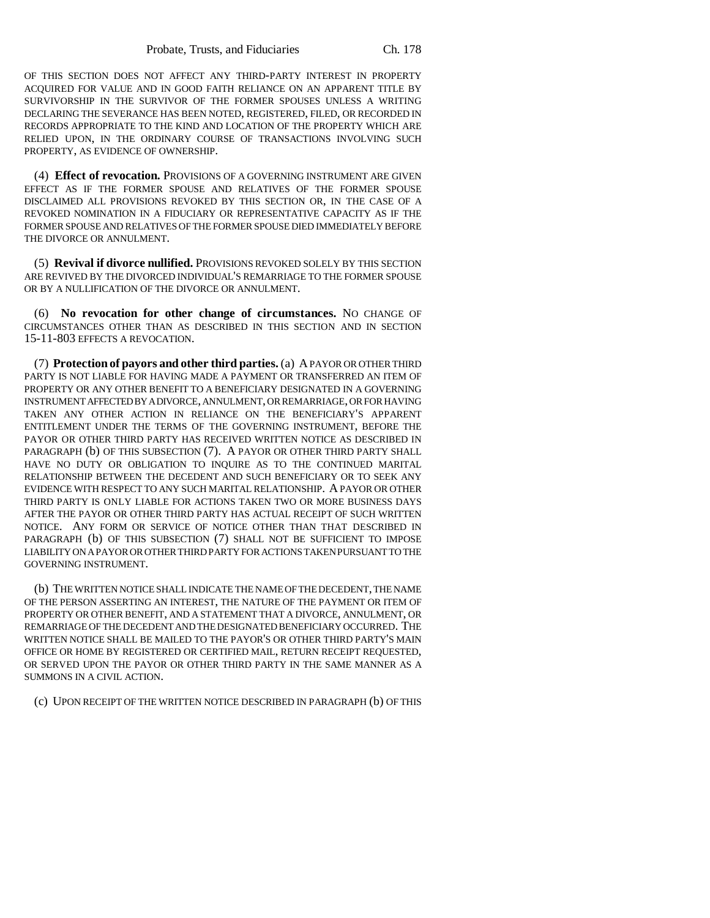OF THIS SECTION DOES NOT AFFECT ANY THIRD-PARTY INTEREST IN PROPERTY ACQUIRED FOR VALUE AND IN GOOD FAITH RELIANCE ON AN APPARENT TITLE BY SURVIVORSHIP IN THE SURVIVOR OF THE FORMER SPOUSES UNLESS A WRITING DECLARING THE SEVERANCE HAS BEEN NOTED, REGISTERED, FILED, OR RECORDED IN RECORDS APPROPRIATE TO THE KIND AND LOCATION OF THE PROPERTY WHICH ARE RELIED UPON, IN THE ORDINARY COURSE OF TRANSACTIONS INVOLVING SUCH PROPERTY, AS EVIDENCE OF OWNERSHIP.

(4) **Effect of revocation.** PROVISIONS OF A GOVERNING INSTRUMENT ARE GIVEN EFFECT AS IF THE FORMER SPOUSE AND RELATIVES OF THE FORMER SPOUSE DISCLAIMED ALL PROVISIONS REVOKED BY THIS SECTION OR, IN THE CASE OF A REVOKED NOMINATION IN A FIDUCIARY OR REPRESENTATIVE CAPACITY AS IF THE FORMER SPOUSE AND RELATIVES OF THE FORMER SPOUSE DIED IMMEDIATELY BEFORE THE DIVORCE OR ANNULMENT.

(5) **Revival if divorce nullified.** PROVISIONS REVOKED SOLELY BY THIS SECTION ARE REVIVED BY THE DIVORCED INDIVIDUAL'S REMARRIAGE TO THE FORMER SPOUSE OR BY A NULLIFICATION OF THE DIVORCE OR ANNULMENT.

(6) **No revocation for other change of circumstances.** NO CHANGE OF CIRCUMSTANCES OTHER THAN AS DESCRIBED IN THIS SECTION AND IN SECTION 15-11-803 EFFECTS A REVOCATION.

(7) **Protection of payors and other third parties.** (a) A PAYOR OR OTHER THIRD PARTY IS NOT LIABLE FOR HAVING MADE A PAYMENT OR TRANSFERRED AN ITEM OF PROPERTY OR ANY OTHER BENEFIT TO A BENEFICIARY DESIGNATED IN A GOVERNING INSTRUMENT AFFECTED BY A DIVORCE, ANNULMENT, OR REMARRIAGE, OR FOR HAVING TAKEN ANY OTHER ACTION IN RELIANCE ON THE BENEFICIARY'S APPARENT ENTITLEMENT UNDER THE TERMS OF THE GOVERNING INSTRUMENT, BEFORE THE PAYOR OR OTHER THIRD PARTY HAS RECEIVED WRITTEN NOTICE AS DESCRIBED IN PARAGRAPH (b) OF THIS SUBSECTION (7). A PAYOR OR OTHER THIRD PARTY SHALL HAVE NO DUTY OR OBLIGATION TO INQUIRE AS TO THE CONTINUED MARITAL RELATIONSHIP BETWEEN THE DECEDENT AND SUCH BENEFICIARY OR TO SEEK ANY EVIDENCE WITH RESPECT TO ANY SUCH MARITAL RELATIONSHIP. A PAYOR OR OTHER THIRD PARTY IS ONLY LIABLE FOR ACTIONS TAKEN TWO OR MORE BUSINESS DAYS AFTER THE PAYOR OR OTHER THIRD PARTY HAS ACTUAL RECEIPT OF SUCH WRITTEN NOTICE. ANY FORM OR SERVICE OF NOTICE OTHER THAN THAT DESCRIBED IN PARAGRAPH (b) OF THIS SUBSECTION (7) SHALL NOT BE SUFFICIENT TO IMPOSE LIABILITY ON A PAYOR OR OTHER THIRD PARTY FOR ACTIONS TAKEN PURSUANT TO THE GOVERNING INSTRUMENT.

(b) THE WRITTEN NOTICE SHALL INDICATE THE NAME OF THE DECEDENT, THE NAME OF THE PERSON ASSERTING AN INTEREST, THE NATURE OF THE PAYMENT OR ITEM OF PROPERTY OR OTHER BENEFIT, AND A STATEMENT THAT A DIVORCE, ANNULMENT, OR REMARRIAGE OF THE DECEDENT AND THE DESIGNATED BENEFICIARY OCCURRED. THE WRITTEN NOTICE SHALL BE MAILED TO THE PAYOR'S OR OTHER THIRD PARTY'S MAIN OFFICE OR HOME BY REGISTERED OR CERTIFIED MAIL, RETURN RECEIPT REQUESTED, OR SERVED UPON THE PAYOR OR OTHER THIRD PARTY IN THE SAME MANNER AS A SUMMONS IN A CIVIL ACTION.

(c) UPON RECEIPT OF THE WRITTEN NOTICE DESCRIBED IN PARAGRAPH (b) OF THIS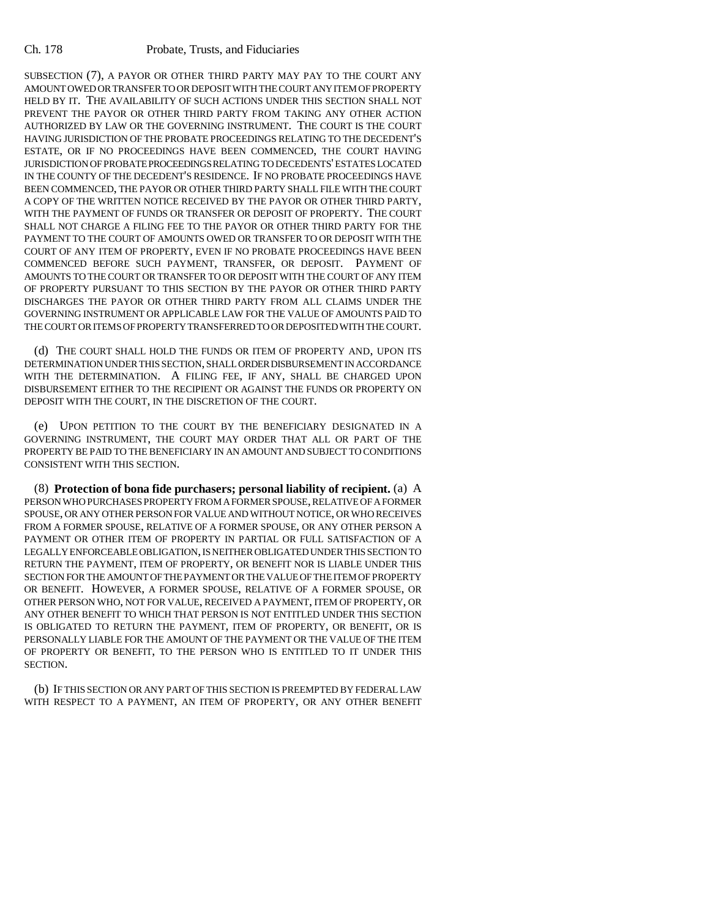SUBSECTION (7), A PAYOR OR OTHER THIRD PARTY MAY PAY TO THE COURT ANY AMOUNT OWED OR TRANSFER TO OR DEPOSIT WITH THE COURT ANY ITEM OF PROPERTY HELD BY IT. THE AVAILABILITY OF SUCH ACTIONS UNDER THIS SECTION SHALL NOT PREVENT THE PAYOR OR OTHER THIRD PARTY FROM TAKING ANY OTHER ACTION AUTHORIZED BY LAW OR THE GOVERNING INSTRUMENT. THE COURT IS THE COURT HAVING JURISDICTION OF THE PROBATE PROCEEDINGS RELATING TO THE DECEDENT'S ESTATE, OR IF NO PROCEEDINGS HAVE BEEN COMMENCED, THE COURT HAVING JURISDICTION OF PROBATE PROCEEDINGS RELATING TO DECEDENTS' ESTATES LOCATED IN THE COUNTY OF THE DECEDENT'S RESIDENCE. IF NO PROBATE PROCEEDINGS HAVE BEEN COMMENCED, THE PAYOR OR OTHER THIRD PARTY SHALL FILE WITH THE COURT A COPY OF THE WRITTEN NOTICE RECEIVED BY THE PAYOR OR OTHER THIRD PARTY, WITH THE PAYMENT OF FUNDS OR TRANSFER OR DEPOSIT OF PROPERTY. THE COURT SHALL NOT CHARGE A FILING FEE TO THE PAYOR OR OTHER THIRD PARTY FOR THE PAYMENT TO THE COURT OF AMOUNTS OWED OR TRANSFER TO OR DEPOSIT WITH THE COURT OF ANY ITEM OF PROPERTY, EVEN IF NO PROBATE PROCEEDINGS HAVE BEEN COMMENCED BEFORE SUCH PAYMENT, TRANSFER, OR DEPOSIT. PAYMENT OF AMOUNTS TO THE COURT OR TRANSFER TO OR DEPOSIT WITH THE COURT OF ANY ITEM OF PROPERTY PURSUANT TO THIS SECTION BY THE PAYOR OR OTHER THIRD PARTY DISCHARGES THE PAYOR OR OTHER THIRD PARTY FROM ALL CLAIMS UNDER THE GOVERNING INSTRUMENT OR APPLICABLE LAW FOR THE VALUE OF AMOUNTS PAID TO THE COURT OR ITEMS OF PROPERTY TRANSFERRED TO OR DEPOSITED WITH THE COURT.

(d) THE COURT SHALL HOLD THE FUNDS OR ITEM OF PROPERTY AND, UPON ITS DETERMINATION UNDER THIS SECTION, SHALL ORDER DISBURSEMENT IN ACCORDANCE WITH THE DETERMINATION. A FILING FEE, IF ANY, SHALL BE CHARGED UPON DISBURSEMENT EITHER TO THE RECIPIENT OR AGAINST THE FUNDS OR PROPERTY ON DEPOSIT WITH THE COURT, IN THE DISCRETION OF THE COURT.

(e) UPON PETITION TO THE COURT BY THE BENEFICIARY DESIGNATED IN A GOVERNING INSTRUMENT, THE COURT MAY ORDER THAT ALL OR PART OF THE PROPERTY BE PAID TO THE BENEFICIARY IN AN AMOUNT AND SUBJECT TO CONDITIONS CONSISTENT WITH THIS SECTION.

(8) **Protection of bona fide purchasers; personal liability of recipient.** (a) A PERSON WHO PURCHASES PROPERTY FROM A FORMER SPOUSE, RELATIVE OF A FORMER SPOUSE, OR ANY OTHER PERSON FOR VALUE AND WITHOUT NOTICE, OR WHO RECEIVES FROM A FORMER SPOUSE, RELATIVE OF A FORMER SPOUSE, OR ANY OTHER PERSON A PAYMENT OR OTHER ITEM OF PROPERTY IN PARTIAL OR FULL SATISFACTION OF A LEGALLY ENFORCEABLE OBLIGATION, IS NEITHER OBLIGATED UNDER THIS SECTION TO RETURN THE PAYMENT, ITEM OF PROPERTY, OR BENEFIT NOR IS LIABLE UNDER THIS SECTION FOR THE AMOUNT OF THE PAYMENT OR THE VALUE OF THE ITEM OF PROPERTY OR BENEFIT. HOWEVER, A FORMER SPOUSE, RELATIVE OF A FORMER SPOUSE, OR OTHER PERSON WHO, NOT FOR VALUE, RECEIVED A PAYMENT, ITEM OF PROPERTY, OR ANY OTHER BENEFIT TO WHICH THAT PERSON IS NOT ENTITLED UNDER THIS SECTION IS OBLIGATED TO RETURN THE PAYMENT, ITEM OF PROPERTY, OR BENEFIT, OR IS PERSONALLY LIABLE FOR THE AMOUNT OF THE PAYMENT OR THE VALUE OF THE ITEM OF PROPERTY OR BENEFIT, TO THE PERSON WHO IS ENTITLED TO IT UNDER THIS SECTION.

(b) IF THIS SECTION OR ANY PART OF THIS SECTION IS PREEMPTED BY FEDERAL LAW WITH RESPECT TO A PAYMENT, AN ITEM OF PROPERTY, OR ANY OTHER BENEFIT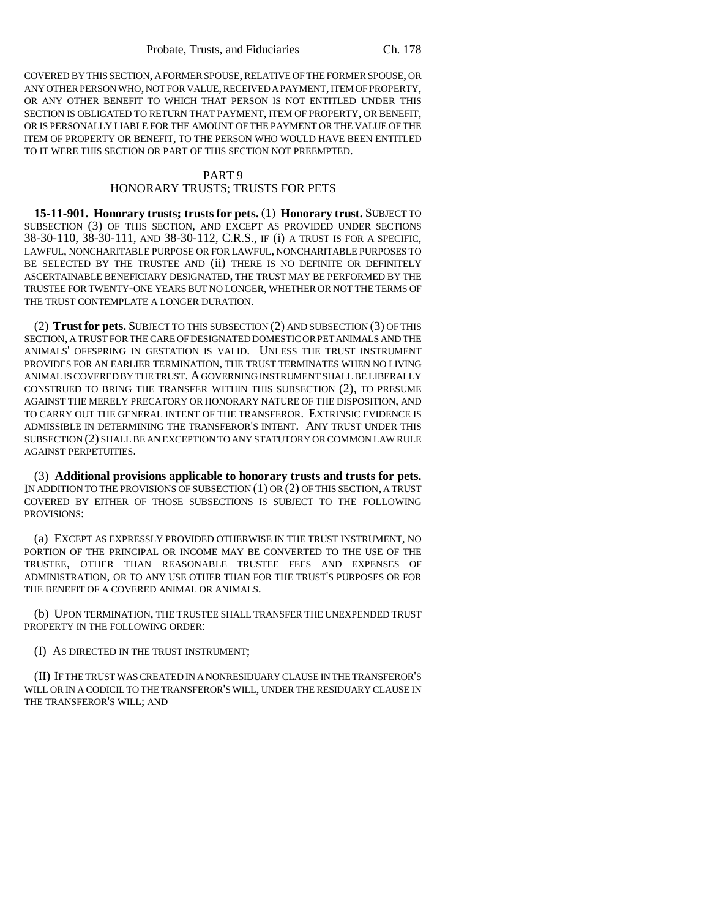COVERED BY THIS SECTION, A FORMER SPOUSE, RELATIVE OF THE FORMER SPOUSE, OR ANY OTHER PERSON WHO, NOT FOR VALUE, RECEIVED A PAYMENT, ITEM OF PROPERTY, OR ANY OTHER BENEFIT TO WHICH THAT PERSON IS NOT ENTITLED UNDER THIS SECTION IS OBLIGATED TO RETURN THAT PAYMENT, ITEM OF PROPERTY, OR BENEFIT, OR IS PERSONALLY LIABLE FOR THE AMOUNT OF THE PAYMENT OR THE VALUE OF THE ITEM OF PROPERTY OR BENEFIT, TO THE PERSON WHO WOULD HAVE BEEN ENTITLED TO IT WERE THIS SECTION OR PART OF THIS SECTION NOT PREEMPTED.

# PART 9 HONORARY TRUSTS; TRUSTS FOR PETS

**15-11-901. Honorary trusts; trusts for pets.** (1) **Honorary trust.** SUBJECT TO SUBSECTION (3) OF THIS SECTION, AND EXCEPT AS PROVIDED UNDER SECTIONS 38-30-110, 38-30-111, AND 38-30-112, C.R.S., IF (i) A TRUST IS FOR A SPECIFIC, LAWFUL, NONCHARITABLE PURPOSE OR FOR LAWFUL, NONCHARITABLE PURPOSES TO BE SELECTED BY THE TRUSTEE AND (ii) THERE IS NO DEFINITE OR DEFINITELY ASCERTAINABLE BENEFICIARY DESIGNATED, THE TRUST MAY BE PERFORMED BY THE TRUSTEE FOR TWENTY-ONE YEARS BUT NO LONGER, WHETHER OR NOT THE TERMS OF THE TRUST CONTEMPLATE A LONGER DURATION.

(2) **Trust for pets.** SUBJECT TO THIS SUBSECTION (2) AND SUBSECTION (3) OF THIS SECTION, A TRUST FOR THE CARE OF DESIGNATED DOMESTIC OR PET ANIMALS AND THE ANIMALS' OFFSPRING IN GESTATION IS VALID. UNLESS THE TRUST INSTRUMENT PROVIDES FOR AN EARLIER TERMINATION, THE TRUST TERMINATES WHEN NO LIVING ANIMAL IS COVERED BY THE TRUST. A GOVERNING INSTRUMENT SHALL BE LIBERALLY CONSTRUED TO BRING THE TRANSFER WITHIN THIS SUBSECTION (2), TO PRESUME AGAINST THE MERELY PRECATORY OR HONORARY NATURE OF THE DISPOSITION, AND TO CARRY OUT THE GENERAL INTENT OF THE TRANSFEROR. EXTRINSIC EVIDENCE IS ADMISSIBLE IN DETERMINING THE TRANSFEROR'S INTENT. ANY TRUST UNDER THIS SUBSECTION (2) SHALL BE AN EXCEPTION TO ANY STATUTORY OR COMMON LAW RULE AGAINST PERPETUITIES.

(3) **Additional provisions applicable to honorary trusts and trusts for pets.** IN ADDITION TO THE PROVISIONS OF SUBSECTION (1) OR (2) OF THIS SECTION, A TRUST COVERED BY EITHER OF THOSE SUBSECTIONS IS SUBJECT TO THE FOLLOWING PROVISIONS:

(a) EXCEPT AS EXPRESSLY PROVIDED OTHERWISE IN THE TRUST INSTRUMENT, NO PORTION OF THE PRINCIPAL OR INCOME MAY BE CONVERTED TO THE USE OF THE TRUSTEE, OTHER THAN REASONABLE TRUSTEE FEES AND EXPENSES OF ADMINISTRATION, OR TO ANY USE OTHER THAN FOR THE TRUST'S PURPOSES OR FOR THE BENEFIT OF A COVERED ANIMAL OR ANIMALS.

(b) UPON TERMINATION, THE TRUSTEE SHALL TRANSFER THE UNEXPENDED TRUST PROPERTY IN THE FOLLOWING ORDER:

(I) AS DIRECTED IN THE TRUST INSTRUMENT;

(II) IF THE TRUST WAS CREATED IN A NONRESIDUARY CLAUSE IN THE TRANSFEROR'S WILL OR IN A CODICIL TO THE TRANSFEROR'S WILL, UNDER THE RESIDUARY CLAUSE IN THE TRANSFEROR'S WILL; AND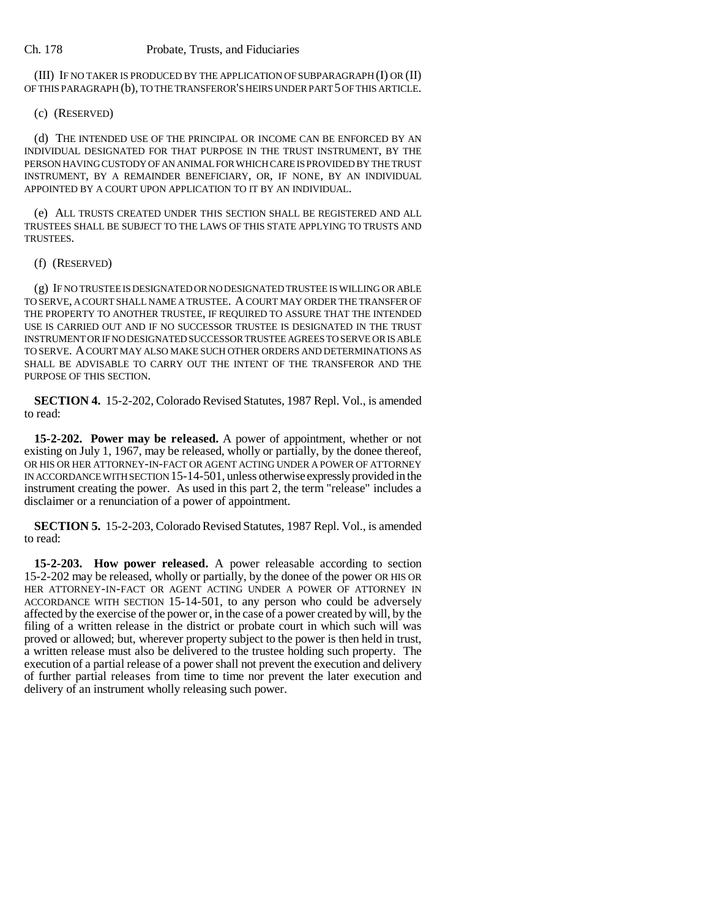(III) IF NO TAKER IS PRODUCED BY THE APPLICATION OF SUBPARAGRAPH (I) OR (II) OF THIS PARAGRAPH (b), TO THE TRANSFEROR'S HEIRS UNDER PART 5 OF THIS ARTICLE.

(c) (RESERVED)

(d) THE INTENDED USE OF THE PRINCIPAL OR INCOME CAN BE ENFORCED BY AN INDIVIDUAL DESIGNATED FOR THAT PURPOSE IN THE TRUST INSTRUMENT, BY THE PERSON HAVING CUSTODY OF AN ANIMAL FOR WHICH CARE IS PROVIDED BY THE TRUST INSTRUMENT, BY A REMAINDER BENEFICIARY, OR, IF NONE, BY AN INDIVIDUAL APPOINTED BY A COURT UPON APPLICATION TO IT BY AN INDIVIDUAL.

(e) ALL TRUSTS CREATED UNDER THIS SECTION SHALL BE REGISTERED AND ALL TRUSTEES SHALL BE SUBJECT TO THE LAWS OF THIS STATE APPLYING TO TRUSTS AND TRUSTEES.

(f) (RESERVED)

(g) IF NO TRUSTEE IS DESIGNATED OR NO DESIGNATED TRUSTEE IS WILLING OR ABLE TO SERVE, A COURT SHALL NAME A TRUSTEE. A COURT MAY ORDER THE TRANSFER OF THE PROPERTY TO ANOTHER TRUSTEE, IF REQUIRED TO ASSURE THAT THE INTENDED USE IS CARRIED OUT AND IF NO SUCCESSOR TRUSTEE IS DESIGNATED IN THE TRUST INSTRUMENT OR IF NO DESIGNATED SUCCESSOR TRUSTEE AGREES TO SERVE OR IS ABLE TO SERVE. A COURT MAY ALSO MAKE SUCH OTHER ORDERS AND DETERMINATIONS AS SHALL BE ADVISABLE TO CARRY OUT THE INTENT OF THE TRANSFEROR AND THE PURPOSE OF THIS SECTION.

**SECTION 4.** 15-2-202, Colorado Revised Statutes, 1987 Repl. Vol., is amended to read:

**15-2-202. Power may be released.** A power of appointment, whether or not existing on July 1, 1967, may be released, wholly or partially, by the donee thereof, OR HIS OR HER ATTORNEY-IN-FACT OR AGENT ACTING UNDER A POWER OF ATTORNEY IN ACCORDANCE WITH SECTION 15-14-501, unless otherwise expressly provided in the instrument creating the power. As used in this part 2, the term "release" includes a disclaimer or a renunciation of a power of appointment.

**SECTION 5.** 15-2-203, Colorado Revised Statutes, 1987 Repl. Vol., is amended to read:

**15-2-203. How power released.** A power releasable according to section 15-2-202 may be released, wholly or partially, by the donee of the power OR HIS OR HER ATTORNEY-IN-FACT OR AGENT ACTING UNDER A POWER OF ATTORNEY IN ACCORDANCE WITH SECTION 15-14-501, to any person who could be adversely affected by the exercise of the power or, in the case of a power created by will, by the filing of a written release in the district or probate court in which such will was proved or allowed; but, wherever property subject to the power is then held in trust, a written release must also be delivered to the trustee holding such property. The execution of a partial release of a power shall not prevent the execution and delivery of further partial releases from time to time nor prevent the later execution and delivery of an instrument wholly releasing such power.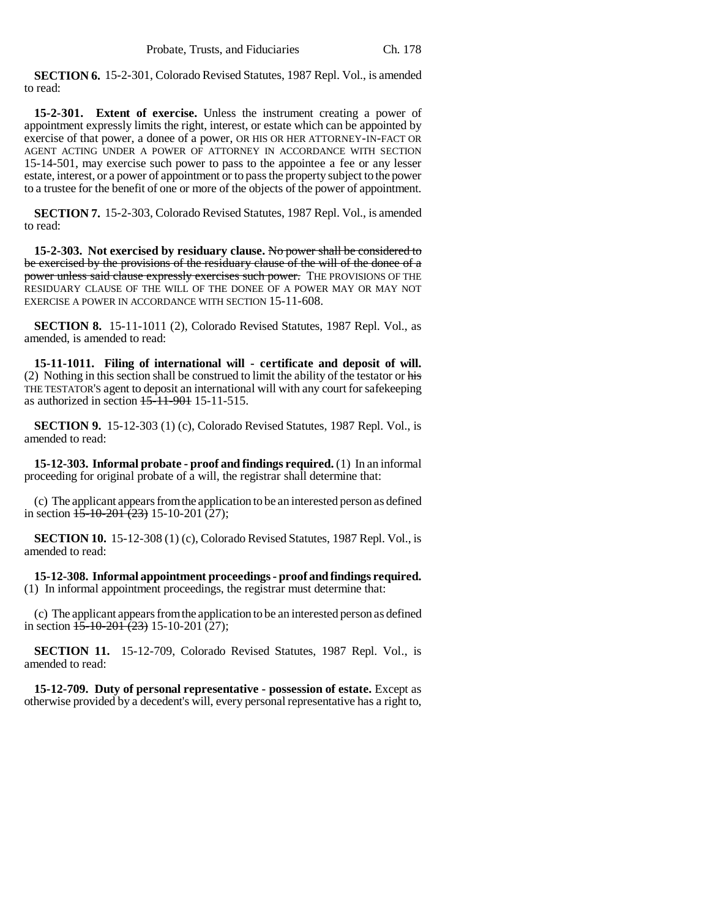**SECTION 6.** 15-2-301, Colorado Revised Statutes, 1987 Repl. Vol., is amended to read:

**15-2-301. Extent of exercise.** Unless the instrument creating a power of appointment expressly limits the right, interest, or estate which can be appointed by exercise of that power, a donee of a power, OR HIS OR HER ATTORNEY-IN-FACT OR AGENT ACTING UNDER A POWER OF ATTORNEY IN ACCORDANCE WITH SECTION 15-14-501, may exercise such power to pass to the appointee a fee or any lesser estate, interest, or a power of appointment or to pass the property subject to the power to a trustee for the benefit of one or more of the objects of the power of appointment.

**SECTION 7.** 15-2-303, Colorado Revised Statutes, 1987 Repl. Vol., is amended to read:

**15-2-303. Not exercised by residuary clause.** No power shall be considered to be exercised by the provisions of the residuary clause of the will of the donee of a power unless said clause expressly exercises such power. THE PROVISIONS OF THE RESIDUARY CLAUSE OF THE WILL OF THE DONEE OF A POWER MAY OR MAY NOT EXERCISE A POWER IN ACCORDANCE WITH SECTION 15-11-608.

**SECTION 8.** 15-11-1011 (2), Colorado Revised Statutes, 1987 Repl. Vol., as amended, is amended to read:

**15-11-1011. Filing of international will - certificate and deposit of will.** (2) Nothing in this section shall be construed to limit the ability of the testator or his THE TESTATOR'S agent to deposit an international will with any court for safekeeping as authorized in section 15-11-901 15-11-515.

**SECTION 9.** 15-12-303 (1) (c), Colorado Revised Statutes, 1987 Repl. Vol., is amended to read:

**15-12-303. Informal probate - proof and findings required.** (1) In an informal proceeding for original probate of a will, the registrar shall determine that:

(c) The applicant appears from the application to be an interested person as defined in section  $15-10-201$  (23) 15-10-201 (27);

**SECTION 10.** 15-12-308 (1) (c), Colorado Revised Statutes, 1987 Repl. Vol., is amended to read:

**15-12-308. Informal appointment proceedings - proof and findings required.** (1) In informal appointment proceedings, the registrar must determine that:

(c) The applicant appears from the application to be an interested person as defined in section  $\overline{15-10-201}$   $\overline{(23)}$  15-10-201 $\overline{(27)}$ ;

**SECTION 11.** 15-12-709, Colorado Revised Statutes, 1987 Repl. Vol., is amended to read:

**15-12-709. Duty of personal representative - possession of estate.** Except as otherwise provided by a decedent's will, every personal representative has a right to,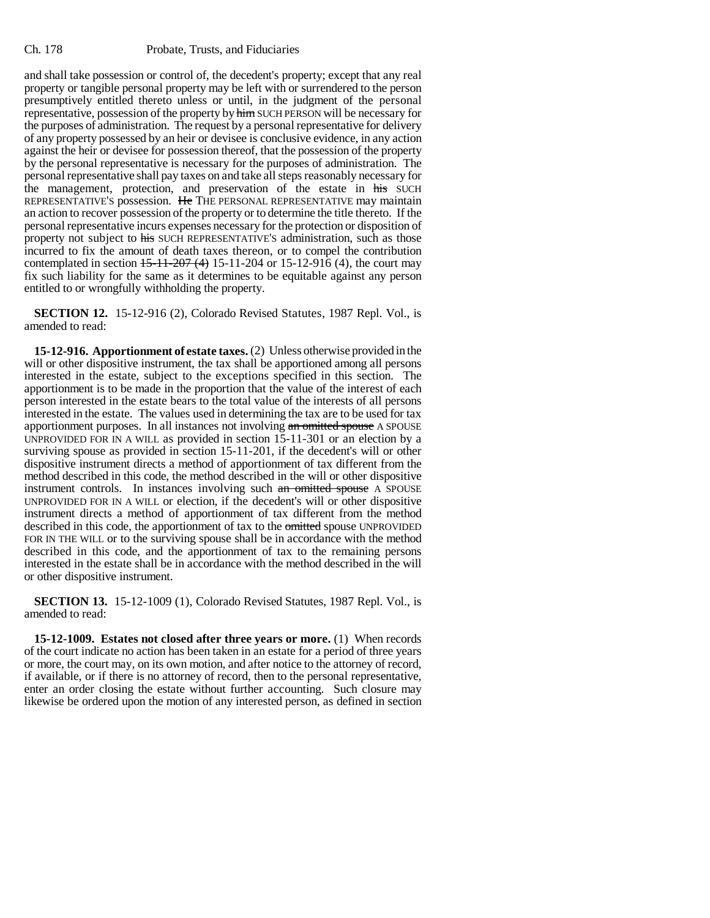and shall take possession or control of, the decedent's property; except that any real property or tangible personal property may be left with or surrendered to the person presumptively entitled thereto unless or until, in the judgment of the personal representative, possession of the property by him SUCH PERSON will be necessary for the purposes of administration. The request by a personal representative for delivery of any property possessed by an heir or devisee is conclusive evidence, in any action against the heir or devisee for possession thereof, that the possession of the property by the personal representative is necessary for the purposes of administration. The personal representative shall pay taxes on and take all steps reasonably necessary for the management, protection, and preservation of the estate in his SUCH REPRESENTATIVE'S possession. He THE PERSONAL REPRESENTATIVE may maintain an action to recover possession of the property or to determine the title thereto. If the personal representative incurs expenses necessary for the protection or disposition of property not subject to his SUCH REPRESENTATIVE'S administration, such as those incurred to fix the amount of death taxes thereon, or to compel the contribution contemplated in section  $15-11-207$  (4) 15-11-204 or 15-12-916 (4), the court may fix such liability for the same as it determines to be equitable against any person entitled to or wrongfully withholding the property.

**SECTION 12.** 15-12-916 (2), Colorado Revised Statutes, 1987 Repl. Vol., is amended to read:

**15-12-916. Apportionment of estate taxes.** (2) Unless otherwise provided in the will or other dispositive instrument, the tax shall be apportioned among all persons interested in the estate, subject to the exceptions specified in this section. The apportionment is to be made in the proportion that the value of the interest of each person interested in the estate bears to the total value of the interests of all persons interested in the estate. The values used in determining the tax are to be used for tax apportionment purposes. In all instances not involving an omitted spouse A SPOUSE UNPROVIDED FOR IN A WILL as provided in section 15-11-301 or an election by a surviving spouse as provided in section 15-11-201, if the decedent's will or other dispositive instrument directs a method of apportionment of tax different from the method described in this code, the method described in the will or other dispositive instrument controls. In instances involving such an omitted spouse A SPOUSE UNPROVIDED FOR IN A WILL or election, if the decedent's will or other dispositive instrument directs a method of apportionment of tax different from the method described in this code, the apportionment of tax to the  $\theta$  omitted spouse UNPROVIDED FOR IN THE WILL or to the surviving spouse shall be in accordance with the method described in this code, and the apportionment of tax to the remaining persons interested in the estate shall be in accordance with the method described in the will or other dispositive instrument.

**SECTION 13.** 15-12-1009 (1), Colorado Revised Statutes, 1987 Repl. Vol., is amended to read:

**15-12-1009. Estates not closed after three years or more.** (1) When records of the court indicate no action has been taken in an estate for a period of three years or more, the court may, on its own motion, and after notice to the attorney of record, if available, or if there is no attorney of record, then to the personal representative, enter an order closing the estate without further accounting. Such closure may likewise be ordered upon the motion of any interested person, as defined in section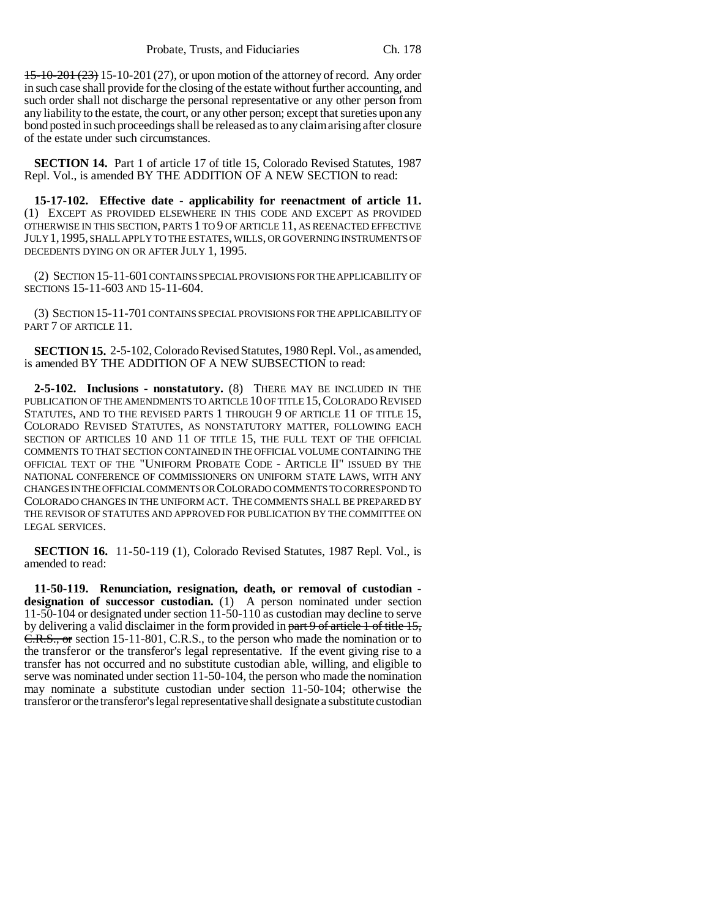15-10-201 (23) 15-10-201 (27), or upon motion of the attorney of record. Any order in such case shall provide for the closing of the estate without further accounting, and such order shall not discharge the personal representative or any other person from any liability to the estate, the court, or any other person; except that sureties upon any bond posted in such proceedings shall be released as to any claim arising after closure of the estate under such circumstances.

**SECTION 14.** Part 1 of article 17 of title 15, Colorado Revised Statutes, 1987 Repl. Vol., is amended BY THE ADDITION OF A NEW SECTION to read:

**15-17-102. Effective date - applicability for reenactment of article 11.** (1) EXCEPT AS PROVIDED ELSEWHERE IN THIS CODE AND EXCEPT AS PROVIDED OTHERWISE IN THIS SECTION, PARTS 1 TO 9 OF ARTICLE 11, AS REENACTED EFFECTIVE JULY 1,1995, SHALL APPLY TO THE ESTATES, WILLS, OR GOVERNING INSTRUMENTS OF DECEDENTS DYING ON OR AFTER JULY 1, 1995.

(2) SECTION 15-11-601 CONTAINS SPECIAL PROVISIONS FOR THE APPLICABILITY OF SECTIONS 15-11-603 AND 15-11-604.

(3) SECTION 15-11-701 CONTAINS SPECIAL PROVISIONS FOR THE APPLICABILITY OF PART 7 OF ARTICLE 11.

**SECTION 15.** 2-5-102, Colorado Revised Statutes, 1980 Repl. Vol., as amended, is amended BY THE ADDITION OF A NEW SUBSECTION to read:

**2-5-102. Inclusions - nonstatutory.** (8) THERE MAY BE INCLUDED IN THE PUBLICATION OF THE AMENDMENTS TO ARTICLE 10 OF TITLE 15, COLORADO REVISED STATUTES, AND TO THE REVISED PARTS 1 THROUGH 9 OF ARTICLE 11 OF TITLE 15, COLORADO REVISED STATUTES, AS NONSTATUTORY MATTER, FOLLOWING EACH SECTION OF ARTICLES 10 AND 11 OF TITLE 15, THE FULL TEXT OF THE OFFICIAL COMMENTS TO THAT SECTION CONTAINED IN THE OFFICIAL VOLUME CONTAINING THE OFFICIAL TEXT OF THE "UNIFORM PROBATE CODE - ARTICLE II" ISSUED BY THE NATIONAL CONFERENCE OF COMMISSIONERS ON UNIFORM STATE LAWS, WITH ANY CHANGES IN THE OFFICIAL COMMENTS OR COLORADO COMMENTS TO CORRESPOND TO COLORADO CHANGES IN THE UNIFORM ACT. THE COMMENTS SHALL BE PREPARED BY THE REVISOR OF STATUTES AND APPROVED FOR PUBLICATION BY THE COMMITTEE ON LEGAL SERVICES.

**SECTION 16.** 11-50-119 (1), Colorado Revised Statutes, 1987 Repl. Vol., is amended to read:

**11-50-119. Renunciation, resignation, death, or removal of custodian designation of successor custodian.** (1) A person nominated under section 11-50-104 or designated under section 11-50-110 as custodian may decline to serve by delivering a valid disclaimer in the form provided in part 9 of article 1 of title 15, C.R.S., or section 15-11-801, C.R.S., to the person who made the nomination or to the transferor or the transferor's legal representative. If the event giving rise to a transfer has not occurred and no substitute custodian able, willing, and eligible to serve was nominated under section 11-50-104, the person who made the nomination may nominate a substitute custodian under section 11-50-104; otherwise the transferor or the transferor's legal representative shall designate a substitute custodian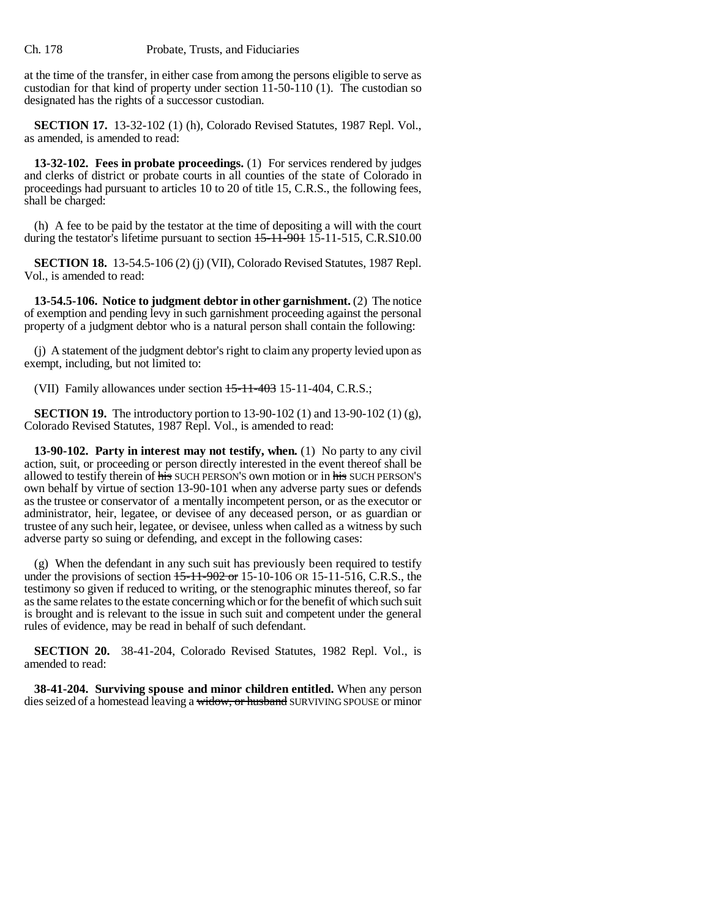at the time of the transfer, in either case from among the persons eligible to serve as custodian for that kind of property under section 11-50-110 (1). The custodian so designated has the rights of a successor custodian.

**SECTION 17.** 13-32-102 (1) (h), Colorado Revised Statutes, 1987 Repl. Vol., as amended, is amended to read:

**13-32-102. Fees in probate proceedings.** (1) For services rendered by judges and clerks of district or probate courts in all counties of the state of Colorado in proceedings had pursuant to articles 10 to 20 of title 15, C.R.S., the following fees, shall be charged:

(h) A fee to be paid by the testator at the time of depositing a will with the court during the testator's lifetime pursuant to section  $15-11-90+15-11-515$ , C.R.S. 10.00

**SECTION 18.** 13-54.5-106 (2) (j) (VII), Colorado Revised Statutes, 1987 Repl. Vol., is amended to read:

**13-54.5-106. Notice to judgment debtor in other garnishment.** (2) The notice of exemption and pending levy in such garnishment proceeding against the personal property of a judgment debtor who is a natural person shall contain the following:

(j) A statement of the judgment debtor's right to claim any property levied upon as exempt, including, but not limited to:

(VII) Family allowances under section 15-11-403 15-11-404, C.R.S.;

**SECTION 19.** The introductory portion to 13-90-102 (1) and 13-90-102 (1) (g), Colorado Revised Statutes, 1987 Repl. Vol., is amended to read:

**13-90-102. Party in interest may not testify, when.** (1) No party to any civil action, suit, or proceeding or person directly interested in the event thereof shall be allowed to testify therein of his SUCH PERSON'S own motion or in his SUCH PERSON'S own behalf by virtue of section 13-90-101 when any adverse party sues or defends as the trustee or conservator of a mentally incompetent person, or as the executor or administrator, heir, legatee, or devisee of any deceased person, or as guardian or trustee of any such heir, legatee, or devisee, unless when called as a witness by such adverse party so suing or defending, and except in the following cases:

(g) When the defendant in any such suit has previously been required to testify under the provisions of section  $15-11-902$  or 15-10-106 OR 15-11-516, C.R.S., the testimony so given if reduced to writing, or the stenographic minutes thereof, so far as the same relates to the estate concerning which or for the benefit of which such suit is brought and is relevant to the issue in such suit and competent under the general rules of evidence, may be read in behalf of such defendant.

**SECTION 20.** 38-41-204, Colorado Revised Statutes, 1982 Repl. Vol., is amended to read:

**38-41-204. Surviving spouse and minor children entitled.** When any person dies seized of a homestead leaving a widow, or husband SURVIVING SPOUSE or minor